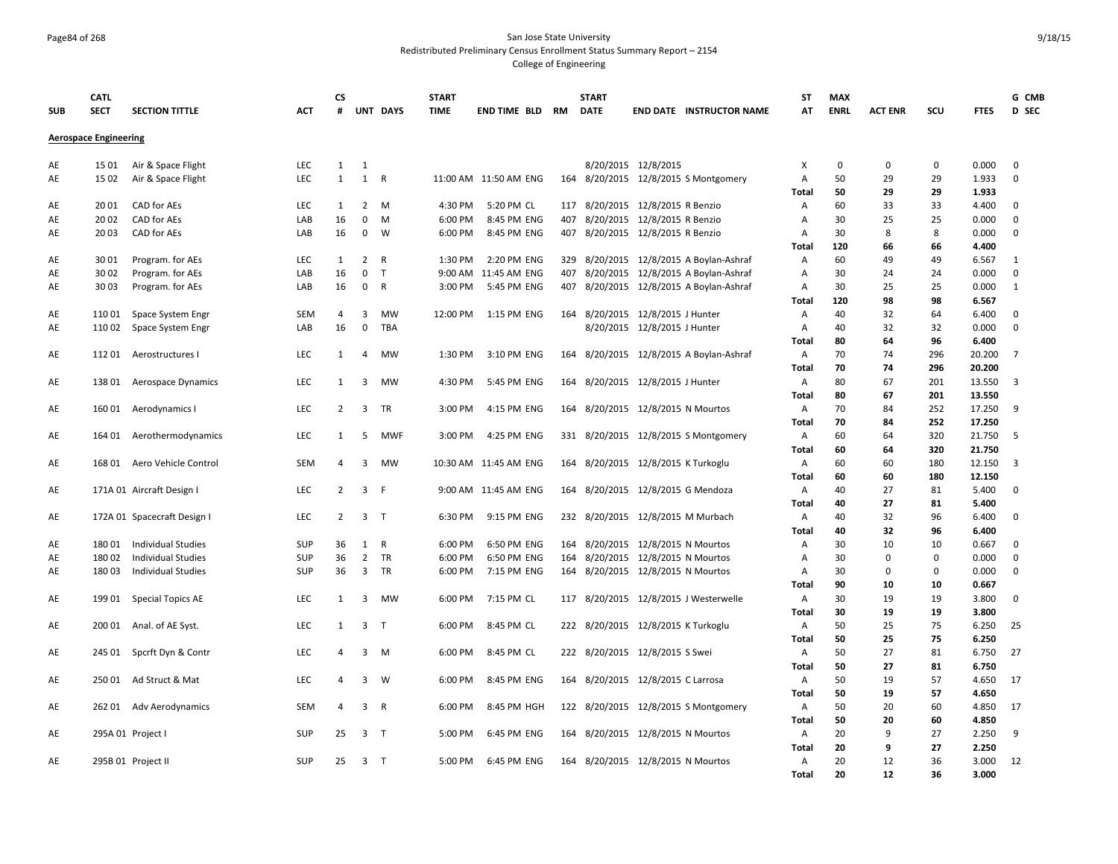## Page84 of 268 San Jose State University Redistributed Preliminary Census Enrollment Status Summary Report – 2154

| <b>Aerospace Engineering</b><br>0.000<br>LEC<br>8/20/2015 12/8/2015<br>0<br>0<br>$\mathbf 0$<br>15 01<br>Air & Space Flight<br>1<br>1<br>Χ<br>0<br>AE<br>$\mathbf{1}$<br>1<br><b>LEC</b><br>$\mathsf{R}$<br>11:00 AM 11:50 AM ENG<br>164 8/20/2015 12/8/2015 S Montgomery<br>A<br>50<br>29<br>29<br>1.933<br>$\mathbf 0$<br>AE<br>15 02<br>Air & Space Flight<br>50<br>29<br>29<br>1.933<br><b>Total</b><br>20 01<br>CAD for AEs<br>LEC<br>$\mathbf{1}$<br>$\overline{2}$<br>M<br>4:30 PM<br>5:20 PM CL<br>117 8/20/2015 12/8/2015 R Benzio<br>60<br>33<br>33<br>4.400<br>$\mathbf 0$<br>AE<br>A<br>16<br>0<br>8/20/2015 12/8/2015 R Benzio<br>30<br>25<br>25<br>$\mathbf 0$<br>AE<br>2002<br>CAD for AEs<br>LAB<br>M<br>6:00 PM<br>8:45 PM ENG<br>407<br>A<br>0.000<br>CAD for AEs<br>16<br>$\mathbf 0$<br>407 8/20/2015 12/8/2015 R Benzio<br>30<br>8<br>8<br>$\mathbf 0$<br>AE<br>20 03<br>LAB<br>W<br>6:00 PM<br>8:45 PM ENG<br>A<br>0.000<br>120<br>66<br>66<br>4.400<br><b>Total</b><br>LEC<br>$\overline{2}$<br>2:20 PM ENG<br>329 8/20/2015 12/8/2015 A Boylan-Ashraf<br>60<br>30 01<br>Program. for AEs<br>$\mathbf{1}$<br>$\mathsf{R}$<br>1:30 PM<br>A<br>49<br>49<br>6.567<br>$\mathbf{1}$<br>AE<br>$\mathbf 0$<br>407<br>8/20/2015 12/8/2015 A Boylan-Ashraf<br>30<br>$\mathbf 0$<br>30 02<br>Program. for AEs<br>LAB<br>16<br>$\mathsf{T}$<br>9:00 AM 11:45 AM ENG<br>A<br>24<br>24<br>0.000<br>AE<br>$\mathbf 0$<br>$\mathsf{R}$<br>5:45 PM ENG<br>407 8/20/2015 12/8/2015 A Boylan-Ashraf<br>30<br>25<br>25<br>0.000<br>1<br>AE<br>3003<br>Program. for AEs<br>LAB<br>16<br>3:00 PM<br>A<br>120<br>98<br>98<br>6.567<br><b>Total</b><br>40<br>SEM<br>3<br>MW<br>12:00 PM<br>1:15 PM ENG<br>164<br>8/20/2015 12/8/2015 J Hunter<br>32<br>64<br>6.400<br>$\mathbf 0$<br>AE<br>11001<br>Space System Engr<br>4<br>Α<br>16<br>$\mathbf 0$<br>TBA<br>8/20/2015 12/8/2015 J Hunter<br>40<br>32<br>32<br>0.000<br>$\mathbf 0$<br>11002<br>LAB<br>A<br>AE<br>Space System Engr<br>80<br>64<br>6.400<br>Total<br>96<br>70<br>11201<br>LEC<br><b>MW</b><br>1:30 PM<br>3:10 PM ENG<br>164 8/20/2015 12/8/2015 A Boylan-Ashraf<br>A<br>74<br>296<br>20.200<br>$\overline{7}$<br>AE<br>Aerostructures I<br>1<br>$\overline{4}$<br>70<br>20.200<br>Total<br>74<br>296<br>80<br><b>LEC</b><br>1<br>3<br><b>MW</b><br>4:30 PM<br>5:45 PM ENG<br>164 8/20/2015 12/8/2015 J Hunter<br>A<br>67<br>201<br>13.550<br>3<br>AE<br>138 01<br>Aerospace Dynamics<br>80<br>13.550<br>Total<br>67<br>201<br>LEC<br>$\overline{2}$<br>3 TR<br>3:00 PM<br>4:15 PM ENG<br>164 8/20/2015 12/8/2015 N Mourtos<br>70<br>84<br>252<br>17.250<br>9<br>AE<br>160 01<br>Aerodynamics I<br>A<br>70<br>252<br>17.250<br>84<br><b>Total</b><br>LEC<br>- 5<br>4:25 PM ENG<br>331 8/20/2015 12/8/2015 S Montgomery<br>60<br>320<br>21.750<br>AE<br>164 01 Aerothermodynamics<br>1<br><b>MWF</b><br>3:00 PM<br>A<br>64<br>- 5<br>60<br>320<br>21.750<br><b>Total</b><br>64<br>168 01 Aero Vehicle Control<br>SEM<br>$\overline{\mathbf{3}}$<br>10:30 AM 11:45 AM ENG<br>164 8/20/2015 12/8/2015 K Turkoglu<br>60<br>60<br>180<br>12.150<br>$\overline{\mathbf{3}}$<br>AE<br>$\overline{4}$<br><b>MW</b><br>$\mathsf{A}$<br>60<br>60<br>180<br>12.150<br><b>Total</b><br>$\overline{2}$<br>$\overline{3}$<br>40<br>27<br>171A 01 Aircraft Design I<br><b>LEC</b><br>F<br>9:00 AM 11:45 AM ENG<br>164 8/20/2015 12/8/2015 G Mendoza<br>81<br>5.400<br>0<br>AE<br>A<br>40<br>27<br>81<br>5.400<br>Total<br>LEC<br>$\overline{2}$<br>$\overline{3}$<br>6:30 PM<br>9:15 PM ENG<br>232 8/20/2015 12/8/2015 M Murbach<br>40<br>32<br>96<br>6.400<br>$\mathbf 0$<br>AE<br>172A 01 Spacecraft Design I<br>$\top$<br>A<br><b>Total</b><br>40<br>32<br>96<br>6.400<br><b>Individual Studies</b><br>SUP<br>36<br>1<br>$\mathsf{R}$<br>6:00 PM<br>6:50 PM ENG<br>164 8/20/2015 12/8/2015 N Mourtos<br>30<br>10<br>10<br>0.667<br>$\mathbf 0$<br>AE<br>180 01<br>A<br>SUP<br>36<br>$\overline{2}$<br><b>TR</b><br>30<br>$\mathbf 0$<br>0<br>$\mathbf 0$<br>AE<br>18002<br><b>Individual Studies</b><br>6:00 PM<br>6:50 PM ENG<br>164<br>8/20/2015 12/8/2015 N Mourtos<br>A<br>0.000<br>$\overline{3}$<br>TR<br>164 8/20/2015 12/8/2015 N Mourtos<br>30<br>$\Omega$<br>$\mathbf 0$<br>AE<br>18003<br><b>Individual Studies</b><br>SUP<br>36<br>6:00 PM<br>7:15 PM ENG<br>A<br>$\mathbf 0$<br>0.000<br>90<br>10<br>10<br>0.667<br>Total<br>LEC<br>30<br>19<br>3.800<br>$\mathbf 0$<br>19901<br>$\overline{\mathbf{3}}$<br>MW<br>6:00 PM<br>7:15 PM CL<br>117 8/20/2015 12/8/2015 J Westerwelle<br>19<br>AE<br>Special Topics AE<br>1<br>A<br>30<br><b>Total</b><br>19<br>19<br>3.800<br>LEC<br>$\overline{3}$<br>8:45 PM CL<br>222 8/20/2015 12/8/2015 K Turkoglu<br>50<br>25<br>75<br>6.250<br>25<br>AE<br>200 01<br>Anal. of AE Syst.<br>1<br>$\mathsf{T}$<br>6:00 PM<br>$\mathsf{A}$<br>Total<br>50<br>25<br>75<br>6.250<br>50<br>27<br>LEC<br>3<br>6:00 PM<br>8:45 PM CL<br>222 8/20/2015 12/8/2015 S Swei<br>81<br>6.750<br>27<br>AE<br>245 01<br>Spcrft Dyn & Contr<br>$\overline{4}$<br>M<br>A<br>50<br>27<br>81<br>6.750<br>Total<br>Ad Struct & Mat<br>LEC<br>3<br>W<br>6:00 PM<br>8:45 PM ENG<br>164 8/20/2015 12/8/2015 C Larrosa<br>50<br>19<br>57<br>4.650<br>17<br>AE<br>250 01<br>$\overline{4}$<br>$\mathsf{A}$<br>50<br>19<br>57<br>4.650<br>Total<br>50<br>262 01 Adv Aerodynamics<br>SEM<br>$\overline{4}$<br>$\overline{\mathbf{3}}$<br>$\mathsf{R}$<br>6:00 PM<br>8:45 PM HGH<br>122 8/20/2015 12/8/2015 S Montgomery<br>A<br>20<br>60<br>4.850<br>17<br>AE<br>Total<br>50<br>20<br>60<br>4.850<br>164 8/20/2015 12/8/2015 N Mourtos<br>20<br>9<br>AE<br>295A 01 Project I<br><b>SUP</b><br>25<br>3 <sub>1</sub><br>5:00 PM<br>6:45 PM ENG<br>$\mathsf{A}$<br>27<br>2.250<br>9<br>20<br>9<br>27<br>2.250<br>Total<br>SUP<br>25<br>3 <sub>T</sub><br>164 8/20/2015 12/8/2015 N Mourtos<br>20<br>12<br>3.000<br>AE<br>5:00 PM<br>6:45 PM ENG<br>36<br>12<br>295B 01 Project II<br>Α | <b>SUB</b> | <b>CATL</b><br><b>SECT</b> | <b>SECTION TITTLE</b> | <b>ACT</b> | <b>CS</b><br># | UNT DAYS | <b>START</b><br><b>TIME</b> | <b>END TIME BLD RM</b> | <b>START</b><br><b>DATE</b> | <b>END DATE INSTRUCTOR NAME</b> | <b>ST</b><br>AT | <b>MAX</b><br><b>ENRL</b> | <b>ACT ENR</b> | SCU | <b>FTES</b> | G CMB<br>D SEC |
|------------------------------------------------------------------------------------------------------------------------------------------------------------------------------------------------------------------------------------------------------------------------------------------------------------------------------------------------------------------------------------------------------------------------------------------------------------------------------------------------------------------------------------------------------------------------------------------------------------------------------------------------------------------------------------------------------------------------------------------------------------------------------------------------------------------------------------------------------------------------------------------------------------------------------------------------------------------------------------------------------------------------------------------------------------------------------------------------------------------------------------------------------------------------------------------------------------------------------------------------------------------------------------------------------------------------------------------------------------------------------------------------------------------------------------------------------------------------------------------------------------------------------------------------------------------------------------------------------------------------------------------------------------------------------------------------------------------------------------------------------------------------------------------------------------------------------------------------------------------------------------------------------------------------------------------------------------------------------------------------------------------------------------------------------------------------------------------------------------------------------------------------------------------------------------------------------------------------------------------------------------------------------------------------------------------------------------------------------------------------------------------------------------------------------------------------------------------------------------------------------------------------------------------------------------------------------------------------------------------------------------------------------------------------------------------------------------------------------------------------------------------------------------------------------------------------------------------------------------------------------------------------------------------------------------------------------------------------------------------------------------------------------------------------------------------------------------------------------------------------------------------------------------------------------------------------------------------------------------------------------------------------------------------------------------------------------------------------------------------------------------------------------------------------------------------------------------------------------------------------------------------------------------------------------------------------------------------------------------------------------------------------------------------------------------------------------------------------------------------------------------------------------------------------------------------------------------------------------------------------------------------------------------------------------------------------------------------------------------------------------------------------------------------------------------------------------------------------------------------------------------------------------------------------------------------------------------------------------------------------------------------------------------------------------------------------------------------------------------------------------------------------------------------------------------------------------------------------------------------------------------------------------------------------------------------------------------------------------------------------------------------------------------------------------------------------------------------------------------------------------------------------------------------------------------------------------------------------------------------------------------------------------------------------------------------------------------------------------------------------------------------------------------------------------------------------------------------------------------------------------------------------------------------------------------------------------------------------------------------------------------------------------------------------------------------------------------------------------------------------------------------------------------------------------------------------------------------------------------------------------------------------------------------------------------------------------------------------------------------------------------------------------------------------------------------------------------------------------------------------------------------------------------------------------------------------------------------------------------------------------------------------------------------------------------------------------------|------------|----------------------------|-----------------------|------------|----------------|----------|-----------------------------|------------------------|-----------------------------|---------------------------------|-----------------|---------------------------|----------------|-----|-------------|----------------|
|                                                                                                                                                                                                                                                                                                                                                                                                                                                                                                                                                                                                                                                                                                                                                                                                                                                                                                                                                                                                                                                                                                                                                                                                                                                                                                                                                                                                                                                                                                                                                                                                                                                                                                                                                                                                                                                                                                                                                                                                                                                                                                                                                                                                                                                                                                                                                                                                                                                                                                                                                                                                                                                                                                                                                                                                                                                                                                                                                                                                                                                                                                                                                                                                                                                                                                                                                                                                                                                                                                                                                                                                                                                                                                                                                                                                                                                                                                                                                                                                                                                                                                                                                                                                                                                                                                                                                                                                                                                                                                                                                                                                                                                                                                                                                                                                                                                                                                                                                                                                                                                                                                                                                                                                                                                                                                                                                                                                                                                                                                                                                                                                                                                                                                                                                                                                                                                                                                                                                            |            |                            |                       |            |                |          |                             |                        |                             |                                 |                 |                           |                |     |             |                |
|                                                                                                                                                                                                                                                                                                                                                                                                                                                                                                                                                                                                                                                                                                                                                                                                                                                                                                                                                                                                                                                                                                                                                                                                                                                                                                                                                                                                                                                                                                                                                                                                                                                                                                                                                                                                                                                                                                                                                                                                                                                                                                                                                                                                                                                                                                                                                                                                                                                                                                                                                                                                                                                                                                                                                                                                                                                                                                                                                                                                                                                                                                                                                                                                                                                                                                                                                                                                                                                                                                                                                                                                                                                                                                                                                                                                                                                                                                                                                                                                                                                                                                                                                                                                                                                                                                                                                                                                                                                                                                                                                                                                                                                                                                                                                                                                                                                                                                                                                                                                                                                                                                                                                                                                                                                                                                                                                                                                                                                                                                                                                                                                                                                                                                                                                                                                                                                                                                                                                            |            |                            |                       |            |                |          |                             |                        |                             |                                 |                 |                           |                |     |             |                |
|                                                                                                                                                                                                                                                                                                                                                                                                                                                                                                                                                                                                                                                                                                                                                                                                                                                                                                                                                                                                                                                                                                                                                                                                                                                                                                                                                                                                                                                                                                                                                                                                                                                                                                                                                                                                                                                                                                                                                                                                                                                                                                                                                                                                                                                                                                                                                                                                                                                                                                                                                                                                                                                                                                                                                                                                                                                                                                                                                                                                                                                                                                                                                                                                                                                                                                                                                                                                                                                                                                                                                                                                                                                                                                                                                                                                                                                                                                                                                                                                                                                                                                                                                                                                                                                                                                                                                                                                                                                                                                                                                                                                                                                                                                                                                                                                                                                                                                                                                                                                                                                                                                                                                                                                                                                                                                                                                                                                                                                                                                                                                                                                                                                                                                                                                                                                                                                                                                                                                            |            |                            |                       |            |                |          |                             |                        |                             |                                 |                 |                           |                |     |             |                |
|                                                                                                                                                                                                                                                                                                                                                                                                                                                                                                                                                                                                                                                                                                                                                                                                                                                                                                                                                                                                                                                                                                                                                                                                                                                                                                                                                                                                                                                                                                                                                                                                                                                                                                                                                                                                                                                                                                                                                                                                                                                                                                                                                                                                                                                                                                                                                                                                                                                                                                                                                                                                                                                                                                                                                                                                                                                                                                                                                                                                                                                                                                                                                                                                                                                                                                                                                                                                                                                                                                                                                                                                                                                                                                                                                                                                                                                                                                                                                                                                                                                                                                                                                                                                                                                                                                                                                                                                                                                                                                                                                                                                                                                                                                                                                                                                                                                                                                                                                                                                                                                                                                                                                                                                                                                                                                                                                                                                                                                                                                                                                                                                                                                                                                                                                                                                                                                                                                                                                            |            |                            |                       |            |                |          |                             |                        |                             |                                 |                 |                           |                |     |             |                |
|                                                                                                                                                                                                                                                                                                                                                                                                                                                                                                                                                                                                                                                                                                                                                                                                                                                                                                                                                                                                                                                                                                                                                                                                                                                                                                                                                                                                                                                                                                                                                                                                                                                                                                                                                                                                                                                                                                                                                                                                                                                                                                                                                                                                                                                                                                                                                                                                                                                                                                                                                                                                                                                                                                                                                                                                                                                                                                                                                                                                                                                                                                                                                                                                                                                                                                                                                                                                                                                                                                                                                                                                                                                                                                                                                                                                                                                                                                                                                                                                                                                                                                                                                                                                                                                                                                                                                                                                                                                                                                                                                                                                                                                                                                                                                                                                                                                                                                                                                                                                                                                                                                                                                                                                                                                                                                                                                                                                                                                                                                                                                                                                                                                                                                                                                                                                                                                                                                                                                            |            |                            |                       |            |                |          |                             |                        |                             |                                 |                 |                           |                |     |             |                |
|                                                                                                                                                                                                                                                                                                                                                                                                                                                                                                                                                                                                                                                                                                                                                                                                                                                                                                                                                                                                                                                                                                                                                                                                                                                                                                                                                                                                                                                                                                                                                                                                                                                                                                                                                                                                                                                                                                                                                                                                                                                                                                                                                                                                                                                                                                                                                                                                                                                                                                                                                                                                                                                                                                                                                                                                                                                                                                                                                                                                                                                                                                                                                                                                                                                                                                                                                                                                                                                                                                                                                                                                                                                                                                                                                                                                                                                                                                                                                                                                                                                                                                                                                                                                                                                                                                                                                                                                                                                                                                                                                                                                                                                                                                                                                                                                                                                                                                                                                                                                                                                                                                                                                                                                                                                                                                                                                                                                                                                                                                                                                                                                                                                                                                                                                                                                                                                                                                                                                            |            |                            |                       |            |                |          |                             |                        |                             |                                 |                 |                           |                |     |             |                |
|                                                                                                                                                                                                                                                                                                                                                                                                                                                                                                                                                                                                                                                                                                                                                                                                                                                                                                                                                                                                                                                                                                                                                                                                                                                                                                                                                                                                                                                                                                                                                                                                                                                                                                                                                                                                                                                                                                                                                                                                                                                                                                                                                                                                                                                                                                                                                                                                                                                                                                                                                                                                                                                                                                                                                                                                                                                                                                                                                                                                                                                                                                                                                                                                                                                                                                                                                                                                                                                                                                                                                                                                                                                                                                                                                                                                                                                                                                                                                                                                                                                                                                                                                                                                                                                                                                                                                                                                                                                                                                                                                                                                                                                                                                                                                                                                                                                                                                                                                                                                                                                                                                                                                                                                                                                                                                                                                                                                                                                                                                                                                                                                                                                                                                                                                                                                                                                                                                                                                            |            |                            |                       |            |                |          |                             |                        |                             |                                 |                 |                           |                |     |             |                |
|                                                                                                                                                                                                                                                                                                                                                                                                                                                                                                                                                                                                                                                                                                                                                                                                                                                                                                                                                                                                                                                                                                                                                                                                                                                                                                                                                                                                                                                                                                                                                                                                                                                                                                                                                                                                                                                                                                                                                                                                                                                                                                                                                                                                                                                                                                                                                                                                                                                                                                                                                                                                                                                                                                                                                                                                                                                                                                                                                                                                                                                                                                                                                                                                                                                                                                                                                                                                                                                                                                                                                                                                                                                                                                                                                                                                                                                                                                                                                                                                                                                                                                                                                                                                                                                                                                                                                                                                                                                                                                                                                                                                                                                                                                                                                                                                                                                                                                                                                                                                                                                                                                                                                                                                                                                                                                                                                                                                                                                                                                                                                                                                                                                                                                                                                                                                                                                                                                                                                            |            |                            |                       |            |                |          |                             |                        |                             |                                 |                 |                           |                |     |             |                |
|                                                                                                                                                                                                                                                                                                                                                                                                                                                                                                                                                                                                                                                                                                                                                                                                                                                                                                                                                                                                                                                                                                                                                                                                                                                                                                                                                                                                                                                                                                                                                                                                                                                                                                                                                                                                                                                                                                                                                                                                                                                                                                                                                                                                                                                                                                                                                                                                                                                                                                                                                                                                                                                                                                                                                                                                                                                                                                                                                                                                                                                                                                                                                                                                                                                                                                                                                                                                                                                                                                                                                                                                                                                                                                                                                                                                                                                                                                                                                                                                                                                                                                                                                                                                                                                                                                                                                                                                                                                                                                                                                                                                                                                                                                                                                                                                                                                                                                                                                                                                                                                                                                                                                                                                                                                                                                                                                                                                                                                                                                                                                                                                                                                                                                                                                                                                                                                                                                                                                            |            |                            |                       |            |                |          |                             |                        |                             |                                 |                 |                           |                |     |             |                |
|                                                                                                                                                                                                                                                                                                                                                                                                                                                                                                                                                                                                                                                                                                                                                                                                                                                                                                                                                                                                                                                                                                                                                                                                                                                                                                                                                                                                                                                                                                                                                                                                                                                                                                                                                                                                                                                                                                                                                                                                                                                                                                                                                                                                                                                                                                                                                                                                                                                                                                                                                                                                                                                                                                                                                                                                                                                                                                                                                                                                                                                                                                                                                                                                                                                                                                                                                                                                                                                                                                                                                                                                                                                                                                                                                                                                                                                                                                                                                                                                                                                                                                                                                                                                                                                                                                                                                                                                                                                                                                                                                                                                                                                                                                                                                                                                                                                                                                                                                                                                                                                                                                                                                                                                                                                                                                                                                                                                                                                                                                                                                                                                                                                                                                                                                                                                                                                                                                                                                            |            |                            |                       |            |                |          |                             |                        |                             |                                 |                 |                           |                |     |             |                |
|                                                                                                                                                                                                                                                                                                                                                                                                                                                                                                                                                                                                                                                                                                                                                                                                                                                                                                                                                                                                                                                                                                                                                                                                                                                                                                                                                                                                                                                                                                                                                                                                                                                                                                                                                                                                                                                                                                                                                                                                                                                                                                                                                                                                                                                                                                                                                                                                                                                                                                                                                                                                                                                                                                                                                                                                                                                                                                                                                                                                                                                                                                                                                                                                                                                                                                                                                                                                                                                                                                                                                                                                                                                                                                                                                                                                                                                                                                                                                                                                                                                                                                                                                                                                                                                                                                                                                                                                                                                                                                                                                                                                                                                                                                                                                                                                                                                                                                                                                                                                                                                                                                                                                                                                                                                                                                                                                                                                                                                                                                                                                                                                                                                                                                                                                                                                                                                                                                                                                            |            |                            |                       |            |                |          |                             |                        |                             |                                 |                 |                           |                |     |             |                |
|                                                                                                                                                                                                                                                                                                                                                                                                                                                                                                                                                                                                                                                                                                                                                                                                                                                                                                                                                                                                                                                                                                                                                                                                                                                                                                                                                                                                                                                                                                                                                                                                                                                                                                                                                                                                                                                                                                                                                                                                                                                                                                                                                                                                                                                                                                                                                                                                                                                                                                                                                                                                                                                                                                                                                                                                                                                                                                                                                                                                                                                                                                                                                                                                                                                                                                                                                                                                                                                                                                                                                                                                                                                                                                                                                                                                                                                                                                                                                                                                                                                                                                                                                                                                                                                                                                                                                                                                                                                                                                                                                                                                                                                                                                                                                                                                                                                                                                                                                                                                                                                                                                                                                                                                                                                                                                                                                                                                                                                                                                                                                                                                                                                                                                                                                                                                                                                                                                                                                            |            |                            |                       |            |                |          |                             |                        |                             |                                 |                 |                           |                |     |             |                |
|                                                                                                                                                                                                                                                                                                                                                                                                                                                                                                                                                                                                                                                                                                                                                                                                                                                                                                                                                                                                                                                                                                                                                                                                                                                                                                                                                                                                                                                                                                                                                                                                                                                                                                                                                                                                                                                                                                                                                                                                                                                                                                                                                                                                                                                                                                                                                                                                                                                                                                                                                                                                                                                                                                                                                                                                                                                                                                                                                                                                                                                                                                                                                                                                                                                                                                                                                                                                                                                                                                                                                                                                                                                                                                                                                                                                                                                                                                                                                                                                                                                                                                                                                                                                                                                                                                                                                                                                                                                                                                                                                                                                                                                                                                                                                                                                                                                                                                                                                                                                                                                                                                                                                                                                                                                                                                                                                                                                                                                                                                                                                                                                                                                                                                                                                                                                                                                                                                                                                            |            |                            |                       |            |                |          |                             |                        |                             |                                 |                 |                           |                |     |             |                |
|                                                                                                                                                                                                                                                                                                                                                                                                                                                                                                                                                                                                                                                                                                                                                                                                                                                                                                                                                                                                                                                                                                                                                                                                                                                                                                                                                                                                                                                                                                                                                                                                                                                                                                                                                                                                                                                                                                                                                                                                                                                                                                                                                                                                                                                                                                                                                                                                                                                                                                                                                                                                                                                                                                                                                                                                                                                                                                                                                                                                                                                                                                                                                                                                                                                                                                                                                                                                                                                                                                                                                                                                                                                                                                                                                                                                                                                                                                                                                                                                                                                                                                                                                                                                                                                                                                                                                                                                                                                                                                                                                                                                                                                                                                                                                                                                                                                                                                                                                                                                                                                                                                                                                                                                                                                                                                                                                                                                                                                                                                                                                                                                                                                                                                                                                                                                                                                                                                                                                            |            |                            |                       |            |                |          |                             |                        |                             |                                 |                 |                           |                |     |             |                |
|                                                                                                                                                                                                                                                                                                                                                                                                                                                                                                                                                                                                                                                                                                                                                                                                                                                                                                                                                                                                                                                                                                                                                                                                                                                                                                                                                                                                                                                                                                                                                                                                                                                                                                                                                                                                                                                                                                                                                                                                                                                                                                                                                                                                                                                                                                                                                                                                                                                                                                                                                                                                                                                                                                                                                                                                                                                                                                                                                                                                                                                                                                                                                                                                                                                                                                                                                                                                                                                                                                                                                                                                                                                                                                                                                                                                                                                                                                                                                                                                                                                                                                                                                                                                                                                                                                                                                                                                                                                                                                                                                                                                                                                                                                                                                                                                                                                                                                                                                                                                                                                                                                                                                                                                                                                                                                                                                                                                                                                                                                                                                                                                                                                                                                                                                                                                                                                                                                                                                            |            |                            |                       |            |                |          |                             |                        |                             |                                 |                 |                           |                |     |             |                |
|                                                                                                                                                                                                                                                                                                                                                                                                                                                                                                                                                                                                                                                                                                                                                                                                                                                                                                                                                                                                                                                                                                                                                                                                                                                                                                                                                                                                                                                                                                                                                                                                                                                                                                                                                                                                                                                                                                                                                                                                                                                                                                                                                                                                                                                                                                                                                                                                                                                                                                                                                                                                                                                                                                                                                                                                                                                                                                                                                                                                                                                                                                                                                                                                                                                                                                                                                                                                                                                                                                                                                                                                                                                                                                                                                                                                                                                                                                                                                                                                                                                                                                                                                                                                                                                                                                                                                                                                                                                                                                                                                                                                                                                                                                                                                                                                                                                                                                                                                                                                                                                                                                                                                                                                                                                                                                                                                                                                                                                                                                                                                                                                                                                                                                                                                                                                                                                                                                                                                            |            |                            |                       |            |                |          |                             |                        |                             |                                 |                 |                           |                |     |             |                |
|                                                                                                                                                                                                                                                                                                                                                                                                                                                                                                                                                                                                                                                                                                                                                                                                                                                                                                                                                                                                                                                                                                                                                                                                                                                                                                                                                                                                                                                                                                                                                                                                                                                                                                                                                                                                                                                                                                                                                                                                                                                                                                                                                                                                                                                                                                                                                                                                                                                                                                                                                                                                                                                                                                                                                                                                                                                                                                                                                                                                                                                                                                                                                                                                                                                                                                                                                                                                                                                                                                                                                                                                                                                                                                                                                                                                                                                                                                                                                                                                                                                                                                                                                                                                                                                                                                                                                                                                                                                                                                                                                                                                                                                                                                                                                                                                                                                                                                                                                                                                                                                                                                                                                                                                                                                                                                                                                                                                                                                                                                                                                                                                                                                                                                                                                                                                                                                                                                                                                            |            |                            |                       |            |                |          |                             |                        |                             |                                 |                 |                           |                |     |             |                |
|                                                                                                                                                                                                                                                                                                                                                                                                                                                                                                                                                                                                                                                                                                                                                                                                                                                                                                                                                                                                                                                                                                                                                                                                                                                                                                                                                                                                                                                                                                                                                                                                                                                                                                                                                                                                                                                                                                                                                                                                                                                                                                                                                                                                                                                                                                                                                                                                                                                                                                                                                                                                                                                                                                                                                                                                                                                                                                                                                                                                                                                                                                                                                                                                                                                                                                                                                                                                                                                                                                                                                                                                                                                                                                                                                                                                                                                                                                                                                                                                                                                                                                                                                                                                                                                                                                                                                                                                                                                                                                                                                                                                                                                                                                                                                                                                                                                                                                                                                                                                                                                                                                                                                                                                                                                                                                                                                                                                                                                                                                                                                                                                                                                                                                                                                                                                                                                                                                                                                            |            |                            |                       |            |                |          |                             |                        |                             |                                 |                 |                           |                |     |             |                |
|                                                                                                                                                                                                                                                                                                                                                                                                                                                                                                                                                                                                                                                                                                                                                                                                                                                                                                                                                                                                                                                                                                                                                                                                                                                                                                                                                                                                                                                                                                                                                                                                                                                                                                                                                                                                                                                                                                                                                                                                                                                                                                                                                                                                                                                                                                                                                                                                                                                                                                                                                                                                                                                                                                                                                                                                                                                                                                                                                                                                                                                                                                                                                                                                                                                                                                                                                                                                                                                                                                                                                                                                                                                                                                                                                                                                                                                                                                                                                                                                                                                                                                                                                                                                                                                                                                                                                                                                                                                                                                                                                                                                                                                                                                                                                                                                                                                                                                                                                                                                                                                                                                                                                                                                                                                                                                                                                                                                                                                                                                                                                                                                                                                                                                                                                                                                                                                                                                                                                            |            |                            |                       |            |                |          |                             |                        |                             |                                 |                 |                           |                |     |             |                |
|                                                                                                                                                                                                                                                                                                                                                                                                                                                                                                                                                                                                                                                                                                                                                                                                                                                                                                                                                                                                                                                                                                                                                                                                                                                                                                                                                                                                                                                                                                                                                                                                                                                                                                                                                                                                                                                                                                                                                                                                                                                                                                                                                                                                                                                                                                                                                                                                                                                                                                                                                                                                                                                                                                                                                                                                                                                                                                                                                                                                                                                                                                                                                                                                                                                                                                                                                                                                                                                                                                                                                                                                                                                                                                                                                                                                                                                                                                                                                                                                                                                                                                                                                                                                                                                                                                                                                                                                                                                                                                                                                                                                                                                                                                                                                                                                                                                                                                                                                                                                                                                                                                                                                                                                                                                                                                                                                                                                                                                                                                                                                                                                                                                                                                                                                                                                                                                                                                                                                            |            |                            |                       |            |                |          |                             |                        |                             |                                 |                 |                           |                |     |             |                |
|                                                                                                                                                                                                                                                                                                                                                                                                                                                                                                                                                                                                                                                                                                                                                                                                                                                                                                                                                                                                                                                                                                                                                                                                                                                                                                                                                                                                                                                                                                                                                                                                                                                                                                                                                                                                                                                                                                                                                                                                                                                                                                                                                                                                                                                                                                                                                                                                                                                                                                                                                                                                                                                                                                                                                                                                                                                                                                                                                                                                                                                                                                                                                                                                                                                                                                                                                                                                                                                                                                                                                                                                                                                                                                                                                                                                                                                                                                                                                                                                                                                                                                                                                                                                                                                                                                                                                                                                                                                                                                                                                                                                                                                                                                                                                                                                                                                                                                                                                                                                                                                                                                                                                                                                                                                                                                                                                                                                                                                                                                                                                                                                                                                                                                                                                                                                                                                                                                                                                            |            |                            |                       |            |                |          |                             |                        |                             |                                 |                 |                           |                |     |             |                |
|                                                                                                                                                                                                                                                                                                                                                                                                                                                                                                                                                                                                                                                                                                                                                                                                                                                                                                                                                                                                                                                                                                                                                                                                                                                                                                                                                                                                                                                                                                                                                                                                                                                                                                                                                                                                                                                                                                                                                                                                                                                                                                                                                                                                                                                                                                                                                                                                                                                                                                                                                                                                                                                                                                                                                                                                                                                                                                                                                                                                                                                                                                                                                                                                                                                                                                                                                                                                                                                                                                                                                                                                                                                                                                                                                                                                                                                                                                                                                                                                                                                                                                                                                                                                                                                                                                                                                                                                                                                                                                                                                                                                                                                                                                                                                                                                                                                                                                                                                                                                                                                                                                                                                                                                                                                                                                                                                                                                                                                                                                                                                                                                                                                                                                                                                                                                                                                                                                                                                            |            |                            |                       |            |                |          |                             |                        |                             |                                 |                 |                           |                |     |             |                |
|                                                                                                                                                                                                                                                                                                                                                                                                                                                                                                                                                                                                                                                                                                                                                                                                                                                                                                                                                                                                                                                                                                                                                                                                                                                                                                                                                                                                                                                                                                                                                                                                                                                                                                                                                                                                                                                                                                                                                                                                                                                                                                                                                                                                                                                                                                                                                                                                                                                                                                                                                                                                                                                                                                                                                                                                                                                                                                                                                                                                                                                                                                                                                                                                                                                                                                                                                                                                                                                                                                                                                                                                                                                                                                                                                                                                                                                                                                                                                                                                                                                                                                                                                                                                                                                                                                                                                                                                                                                                                                                                                                                                                                                                                                                                                                                                                                                                                                                                                                                                                                                                                                                                                                                                                                                                                                                                                                                                                                                                                                                                                                                                                                                                                                                                                                                                                                                                                                                                                            |            |                            |                       |            |                |          |                             |                        |                             |                                 |                 |                           |                |     |             |                |
|                                                                                                                                                                                                                                                                                                                                                                                                                                                                                                                                                                                                                                                                                                                                                                                                                                                                                                                                                                                                                                                                                                                                                                                                                                                                                                                                                                                                                                                                                                                                                                                                                                                                                                                                                                                                                                                                                                                                                                                                                                                                                                                                                                                                                                                                                                                                                                                                                                                                                                                                                                                                                                                                                                                                                                                                                                                                                                                                                                                                                                                                                                                                                                                                                                                                                                                                                                                                                                                                                                                                                                                                                                                                                                                                                                                                                                                                                                                                                                                                                                                                                                                                                                                                                                                                                                                                                                                                                                                                                                                                                                                                                                                                                                                                                                                                                                                                                                                                                                                                                                                                                                                                                                                                                                                                                                                                                                                                                                                                                                                                                                                                                                                                                                                                                                                                                                                                                                                                                            |            |                            |                       |            |                |          |                             |                        |                             |                                 |                 |                           |                |     |             |                |
|                                                                                                                                                                                                                                                                                                                                                                                                                                                                                                                                                                                                                                                                                                                                                                                                                                                                                                                                                                                                                                                                                                                                                                                                                                                                                                                                                                                                                                                                                                                                                                                                                                                                                                                                                                                                                                                                                                                                                                                                                                                                                                                                                                                                                                                                                                                                                                                                                                                                                                                                                                                                                                                                                                                                                                                                                                                                                                                                                                                                                                                                                                                                                                                                                                                                                                                                                                                                                                                                                                                                                                                                                                                                                                                                                                                                                                                                                                                                                                                                                                                                                                                                                                                                                                                                                                                                                                                                                                                                                                                                                                                                                                                                                                                                                                                                                                                                                                                                                                                                                                                                                                                                                                                                                                                                                                                                                                                                                                                                                                                                                                                                                                                                                                                                                                                                                                                                                                                                                            |            |                            |                       |            |                |          |                             |                        |                             |                                 |                 |                           |                |     |             |                |
|                                                                                                                                                                                                                                                                                                                                                                                                                                                                                                                                                                                                                                                                                                                                                                                                                                                                                                                                                                                                                                                                                                                                                                                                                                                                                                                                                                                                                                                                                                                                                                                                                                                                                                                                                                                                                                                                                                                                                                                                                                                                                                                                                                                                                                                                                                                                                                                                                                                                                                                                                                                                                                                                                                                                                                                                                                                                                                                                                                                                                                                                                                                                                                                                                                                                                                                                                                                                                                                                                                                                                                                                                                                                                                                                                                                                                                                                                                                                                                                                                                                                                                                                                                                                                                                                                                                                                                                                                                                                                                                                                                                                                                                                                                                                                                                                                                                                                                                                                                                                                                                                                                                                                                                                                                                                                                                                                                                                                                                                                                                                                                                                                                                                                                                                                                                                                                                                                                                                                            |            |                            |                       |            |                |          |                             |                        |                             |                                 |                 |                           |                |     |             |                |
|                                                                                                                                                                                                                                                                                                                                                                                                                                                                                                                                                                                                                                                                                                                                                                                                                                                                                                                                                                                                                                                                                                                                                                                                                                                                                                                                                                                                                                                                                                                                                                                                                                                                                                                                                                                                                                                                                                                                                                                                                                                                                                                                                                                                                                                                                                                                                                                                                                                                                                                                                                                                                                                                                                                                                                                                                                                                                                                                                                                                                                                                                                                                                                                                                                                                                                                                                                                                                                                                                                                                                                                                                                                                                                                                                                                                                                                                                                                                                                                                                                                                                                                                                                                                                                                                                                                                                                                                                                                                                                                                                                                                                                                                                                                                                                                                                                                                                                                                                                                                                                                                                                                                                                                                                                                                                                                                                                                                                                                                                                                                                                                                                                                                                                                                                                                                                                                                                                                                                            |            |                            |                       |            |                |          |                             |                        |                             |                                 |                 |                           |                |     |             |                |
|                                                                                                                                                                                                                                                                                                                                                                                                                                                                                                                                                                                                                                                                                                                                                                                                                                                                                                                                                                                                                                                                                                                                                                                                                                                                                                                                                                                                                                                                                                                                                                                                                                                                                                                                                                                                                                                                                                                                                                                                                                                                                                                                                                                                                                                                                                                                                                                                                                                                                                                                                                                                                                                                                                                                                                                                                                                                                                                                                                                                                                                                                                                                                                                                                                                                                                                                                                                                                                                                                                                                                                                                                                                                                                                                                                                                                                                                                                                                                                                                                                                                                                                                                                                                                                                                                                                                                                                                                                                                                                                                                                                                                                                                                                                                                                                                                                                                                                                                                                                                                                                                                                                                                                                                                                                                                                                                                                                                                                                                                                                                                                                                                                                                                                                                                                                                                                                                                                                                                            |            |                            |                       |            |                |          |                             |                        |                             |                                 |                 |                           |                |     |             |                |
|                                                                                                                                                                                                                                                                                                                                                                                                                                                                                                                                                                                                                                                                                                                                                                                                                                                                                                                                                                                                                                                                                                                                                                                                                                                                                                                                                                                                                                                                                                                                                                                                                                                                                                                                                                                                                                                                                                                                                                                                                                                                                                                                                                                                                                                                                                                                                                                                                                                                                                                                                                                                                                                                                                                                                                                                                                                                                                                                                                                                                                                                                                                                                                                                                                                                                                                                                                                                                                                                                                                                                                                                                                                                                                                                                                                                                                                                                                                                                                                                                                                                                                                                                                                                                                                                                                                                                                                                                                                                                                                                                                                                                                                                                                                                                                                                                                                                                                                                                                                                                                                                                                                                                                                                                                                                                                                                                                                                                                                                                                                                                                                                                                                                                                                                                                                                                                                                                                                                                            |            |                            |                       |            |                |          |                             |                        |                             |                                 |                 |                           |                |     |             |                |
|                                                                                                                                                                                                                                                                                                                                                                                                                                                                                                                                                                                                                                                                                                                                                                                                                                                                                                                                                                                                                                                                                                                                                                                                                                                                                                                                                                                                                                                                                                                                                                                                                                                                                                                                                                                                                                                                                                                                                                                                                                                                                                                                                                                                                                                                                                                                                                                                                                                                                                                                                                                                                                                                                                                                                                                                                                                                                                                                                                                                                                                                                                                                                                                                                                                                                                                                                                                                                                                                                                                                                                                                                                                                                                                                                                                                                                                                                                                                                                                                                                                                                                                                                                                                                                                                                                                                                                                                                                                                                                                                                                                                                                                                                                                                                                                                                                                                                                                                                                                                                                                                                                                                                                                                                                                                                                                                                                                                                                                                                                                                                                                                                                                                                                                                                                                                                                                                                                                                                            |            |                            |                       |            |                |          |                             |                        |                             |                                 |                 |                           |                |     |             |                |
|                                                                                                                                                                                                                                                                                                                                                                                                                                                                                                                                                                                                                                                                                                                                                                                                                                                                                                                                                                                                                                                                                                                                                                                                                                                                                                                                                                                                                                                                                                                                                                                                                                                                                                                                                                                                                                                                                                                                                                                                                                                                                                                                                                                                                                                                                                                                                                                                                                                                                                                                                                                                                                                                                                                                                                                                                                                                                                                                                                                                                                                                                                                                                                                                                                                                                                                                                                                                                                                                                                                                                                                                                                                                                                                                                                                                                                                                                                                                                                                                                                                                                                                                                                                                                                                                                                                                                                                                                                                                                                                                                                                                                                                                                                                                                                                                                                                                                                                                                                                                                                                                                                                                                                                                                                                                                                                                                                                                                                                                                                                                                                                                                                                                                                                                                                                                                                                                                                                                                            |            |                            |                       |            |                |          |                             |                        |                             |                                 |                 |                           |                |     |             |                |
|                                                                                                                                                                                                                                                                                                                                                                                                                                                                                                                                                                                                                                                                                                                                                                                                                                                                                                                                                                                                                                                                                                                                                                                                                                                                                                                                                                                                                                                                                                                                                                                                                                                                                                                                                                                                                                                                                                                                                                                                                                                                                                                                                                                                                                                                                                                                                                                                                                                                                                                                                                                                                                                                                                                                                                                                                                                                                                                                                                                                                                                                                                                                                                                                                                                                                                                                                                                                                                                                                                                                                                                                                                                                                                                                                                                                                                                                                                                                                                                                                                                                                                                                                                                                                                                                                                                                                                                                                                                                                                                                                                                                                                                                                                                                                                                                                                                                                                                                                                                                                                                                                                                                                                                                                                                                                                                                                                                                                                                                                                                                                                                                                                                                                                                                                                                                                                                                                                                                                            |            |                            |                       |            |                |          |                             |                        |                             |                                 |                 |                           |                |     |             |                |
|                                                                                                                                                                                                                                                                                                                                                                                                                                                                                                                                                                                                                                                                                                                                                                                                                                                                                                                                                                                                                                                                                                                                                                                                                                                                                                                                                                                                                                                                                                                                                                                                                                                                                                                                                                                                                                                                                                                                                                                                                                                                                                                                                                                                                                                                                                                                                                                                                                                                                                                                                                                                                                                                                                                                                                                                                                                                                                                                                                                                                                                                                                                                                                                                                                                                                                                                                                                                                                                                                                                                                                                                                                                                                                                                                                                                                                                                                                                                                                                                                                                                                                                                                                                                                                                                                                                                                                                                                                                                                                                                                                                                                                                                                                                                                                                                                                                                                                                                                                                                                                                                                                                                                                                                                                                                                                                                                                                                                                                                                                                                                                                                                                                                                                                                                                                                                                                                                                                                                            |            |                            |                       |            |                |          |                             |                        |                             |                                 |                 |                           |                |     |             |                |
|                                                                                                                                                                                                                                                                                                                                                                                                                                                                                                                                                                                                                                                                                                                                                                                                                                                                                                                                                                                                                                                                                                                                                                                                                                                                                                                                                                                                                                                                                                                                                                                                                                                                                                                                                                                                                                                                                                                                                                                                                                                                                                                                                                                                                                                                                                                                                                                                                                                                                                                                                                                                                                                                                                                                                                                                                                                                                                                                                                                                                                                                                                                                                                                                                                                                                                                                                                                                                                                                                                                                                                                                                                                                                                                                                                                                                                                                                                                                                                                                                                                                                                                                                                                                                                                                                                                                                                                                                                                                                                                                                                                                                                                                                                                                                                                                                                                                                                                                                                                                                                                                                                                                                                                                                                                                                                                                                                                                                                                                                                                                                                                                                                                                                                                                                                                                                                                                                                                                                            |            |                            |                       |            |                |          |                             |                        |                             |                                 |                 |                           |                |     |             |                |
|                                                                                                                                                                                                                                                                                                                                                                                                                                                                                                                                                                                                                                                                                                                                                                                                                                                                                                                                                                                                                                                                                                                                                                                                                                                                                                                                                                                                                                                                                                                                                                                                                                                                                                                                                                                                                                                                                                                                                                                                                                                                                                                                                                                                                                                                                                                                                                                                                                                                                                                                                                                                                                                                                                                                                                                                                                                                                                                                                                                                                                                                                                                                                                                                                                                                                                                                                                                                                                                                                                                                                                                                                                                                                                                                                                                                                                                                                                                                                                                                                                                                                                                                                                                                                                                                                                                                                                                                                                                                                                                                                                                                                                                                                                                                                                                                                                                                                                                                                                                                                                                                                                                                                                                                                                                                                                                                                                                                                                                                                                                                                                                                                                                                                                                                                                                                                                                                                                                                                            |            |                            |                       |            |                |          |                             |                        |                             |                                 |                 |                           |                |     |             |                |
|                                                                                                                                                                                                                                                                                                                                                                                                                                                                                                                                                                                                                                                                                                                                                                                                                                                                                                                                                                                                                                                                                                                                                                                                                                                                                                                                                                                                                                                                                                                                                                                                                                                                                                                                                                                                                                                                                                                                                                                                                                                                                                                                                                                                                                                                                                                                                                                                                                                                                                                                                                                                                                                                                                                                                                                                                                                                                                                                                                                                                                                                                                                                                                                                                                                                                                                                                                                                                                                                                                                                                                                                                                                                                                                                                                                                                                                                                                                                                                                                                                                                                                                                                                                                                                                                                                                                                                                                                                                                                                                                                                                                                                                                                                                                                                                                                                                                                                                                                                                                                                                                                                                                                                                                                                                                                                                                                                                                                                                                                                                                                                                                                                                                                                                                                                                                                                                                                                                                                            |            |                            |                       |            |                |          |                             |                        |                             |                                 |                 |                           |                |     |             |                |
|                                                                                                                                                                                                                                                                                                                                                                                                                                                                                                                                                                                                                                                                                                                                                                                                                                                                                                                                                                                                                                                                                                                                                                                                                                                                                                                                                                                                                                                                                                                                                                                                                                                                                                                                                                                                                                                                                                                                                                                                                                                                                                                                                                                                                                                                                                                                                                                                                                                                                                                                                                                                                                                                                                                                                                                                                                                                                                                                                                                                                                                                                                                                                                                                                                                                                                                                                                                                                                                                                                                                                                                                                                                                                                                                                                                                                                                                                                                                                                                                                                                                                                                                                                                                                                                                                                                                                                                                                                                                                                                                                                                                                                                                                                                                                                                                                                                                                                                                                                                                                                                                                                                                                                                                                                                                                                                                                                                                                                                                                                                                                                                                                                                                                                                                                                                                                                                                                                                                                            |            |                            |                       |            |                |          |                             |                        |                             |                                 |                 |                           |                |     |             |                |
|                                                                                                                                                                                                                                                                                                                                                                                                                                                                                                                                                                                                                                                                                                                                                                                                                                                                                                                                                                                                                                                                                                                                                                                                                                                                                                                                                                                                                                                                                                                                                                                                                                                                                                                                                                                                                                                                                                                                                                                                                                                                                                                                                                                                                                                                                                                                                                                                                                                                                                                                                                                                                                                                                                                                                                                                                                                                                                                                                                                                                                                                                                                                                                                                                                                                                                                                                                                                                                                                                                                                                                                                                                                                                                                                                                                                                                                                                                                                                                                                                                                                                                                                                                                                                                                                                                                                                                                                                                                                                                                                                                                                                                                                                                                                                                                                                                                                                                                                                                                                                                                                                                                                                                                                                                                                                                                                                                                                                                                                                                                                                                                                                                                                                                                                                                                                                                                                                                                                                            |            |                            |                       |            |                |          |                             |                        |                             |                                 |                 |                           |                |     |             |                |
|                                                                                                                                                                                                                                                                                                                                                                                                                                                                                                                                                                                                                                                                                                                                                                                                                                                                                                                                                                                                                                                                                                                                                                                                                                                                                                                                                                                                                                                                                                                                                                                                                                                                                                                                                                                                                                                                                                                                                                                                                                                                                                                                                                                                                                                                                                                                                                                                                                                                                                                                                                                                                                                                                                                                                                                                                                                                                                                                                                                                                                                                                                                                                                                                                                                                                                                                                                                                                                                                                                                                                                                                                                                                                                                                                                                                                                                                                                                                                                                                                                                                                                                                                                                                                                                                                                                                                                                                                                                                                                                                                                                                                                                                                                                                                                                                                                                                                                                                                                                                                                                                                                                                                                                                                                                                                                                                                                                                                                                                                                                                                                                                                                                                                                                                                                                                                                                                                                                                                            |            |                            |                       |            |                |          |                             |                        |                             |                                 |                 |                           |                |     |             |                |
|                                                                                                                                                                                                                                                                                                                                                                                                                                                                                                                                                                                                                                                                                                                                                                                                                                                                                                                                                                                                                                                                                                                                                                                                                                                                                                                                                                                                                                                                                                                                                                                                                                                                                                                                                                                                                                                                                                                                                                                                                                                                                                                                                                                                                                                                                                                                                                                                                                                                                                                                                                                                                                                                                                                                                                                                                                                                                                                                                                                                                                                                                                                                                                                                                                                                                                                                                                                                                                                                                                                                                                                                                                                                                                                                                                                                                                                                                                                                                                                                                                                                                                                                                                                                                                                                                                                                                                                                                                                                                                                                                                                                                                                                                                                                                                                                                                                                                                                                                                                                                                                                                                                                                                                                                                                                                                                                                                                                                                                                                                                                                                                                                                                                                                                                                                                                                                                                                                                                                            |            |                            |                       |            |                |          |                             |                        |                             |                                 |                 |                           |                |     |             |                |
|                                                                                                                                                                                                                                                                                                                                                                                                                                                                                                                                                                                                                                                                                                                                                                                                                                                                                                                                                                                                                                                                                                                                                                                                                                                                                                                                                                                                                                                                                                                                                                                                                                                                                                                                                                                                                                                                                                                                                                                                                                                                                                                                                                                                                                                                                                                                                                                                                                                                                                                                                                                                                                                                                                                                                                                                                                                                                                                                                                                                                                                                                                                                                                                                                                                                                                                                                                                                                                                                                                                                                                                                                                                                                                                                                                                                                                                                                                                                                                                                                                                                                                                                                                                                                                                                                                                                                                                                                                                                                                                                                                                                                                                                                                                                                                                                                                                                                                                                                                                                                                                                                                                                                                                                                                                                                                                                                                                                                                                                                                                                                                                                                                                                                                                                                                                                                                                                                                                                                            |            |                            |                       |            |                |          |                             |                        |                             |                                 |                 |                           |                |     |             |                |
|                                                                                                                                                                                                                                                                                                                                                                                                                                                                                                                                                                                                                                                                                                                                                                                                                                                                                                                                                                                                                                                                                                                                                                                                                                                                                                                                                                                                                                                                                                                                                                                                                                                                                                                                                                                                                                                                                                                                                                                                                                                                                                                                                                                                                                                                                                                                                                                                                                                                                                                                                                                                                                                                                                                                                                                                                                                                                                                                                                                                                                                                                                                                                                                                                                                                                                                                                                                                                                                                                                                                                                                                                                                                                                                                                                                                                                                                                                                                                                                                                                                                                                                                                                                                                                                                                                                                                                                                                                                                                                                                                                                                                                                                                                                                                                                                                                                                                                                                                                                                                                                                                                                                                                                                                                                                                                                                                                                                                                                                                                                                                                                                                                                                                                                                                                                                                                                                                                                                                            |            |                            |                       |            |                |          |                             |                        |                             |                                 |                 |                           |                |     |             |                |
|                                                                                                                                                                                                                                                                                                                                                                                                                                                                                                                                                                                                                                                                                                                                                                                                                                                                                                                                                                                                                                                                                                                                                                                                                                                                                                                                                                                                                                                                                                                                                                                                                                                                                                                                                                                                                                                                                                                                                                                                                                                                                                                                                                                                                                                                                                                                                                                                                                                                                                                                                                                                                                                                                                                                                                                                                                                                                                                                                                                                                                                                                                                                                                                                                                                                                                                                                                                                                                                                                                                                                                                                                                                                                                                                                                                                                                                                                                                                                                                                                                                                                                                                                                                                                                                                                                                                                                                                                                                                                                                                                                                                                                                                                                                                                                                                                                                                                                                                                                                                                                                                                                                                                                                                                                                                                                                                                                                                                                                                                                                                                                                                                                                                                                                                                                                                                                                                                                                                                            |            |                            |                       |            |                |          |                             |                        |                             |                                 |                 |                           |                |     |             |                |
|                                                                                                                                                                                                                                                                                                                                                                                                                                                                                                                                                                                                                                                                                                                                                                                                                                                                                                                                                                                                                                                                                                                                                                                                                                                                                                                                                                                                                                                                                                                                                                                                                                                                                                                                                                                                                                                                                                                                                                                                                                                                                                                                                                                                                                                                                                                                                                                                                                                                                                                                                                                                                                                                                                                                                                                                                                                                                                                                                                                                                                                                                                                                                                                                                                                                                                                                                                                                                                                                                                                                                                                                                                                                                                                                                                                                                                                                                                                                                                                                                                                                                                                                                                                                                                                                                                                                                                                                                                                                                                                                                                                                                                                                                                                                                                                                                                                                                                                                                                                                                                                                                                                                                                                                                                                                                                                                                                                                                                                                                                                                                                                                                                                                                                                                                                                                                                                                                                                                                            |            |                            |                       |            |                |          |                             |                        |                             |                                 |                 |                           |                |     |             |                |
|                                                                                                                                                                                                                                                                                                                                                                                                                                                                                                                                                                                                                                                                                                                                                                                                                                                                                                                                                                                                                                                                                                                                                                                                                                                                                                                                                                                                                                                                                                                                                                                                                                                                                                                                                                                                                                                                                                                                                                                                                                                                                                                                                                                                                                                                                                                                                                                                                                                                                                                                                                                                                                                                                                                                                                                                                                                                                                                                                                                                                                                                                                                                                                                                                                                                                                                                                                                                                                                                                                                                                                                                                                                                                                                                                                                                                                                                                                                                                                                                                                                                                                                                                                                                                                                                                                                                                                                                                                                                                                                                                                                                                                                                                                                                                                                                                                                                                                                                                                                                                                                                                                                                                                                                                                                                                                                                                                                                                                                                                                                                                                                                                                                                                                                                                                                                                                                                                                                                                            |            |                            |                       |            |                |          |                             |                        |                             |                                 |                 |                           |                |     |             |                |
|                                                                                                                                                                                                                                                                                                                                                                                                                                                                                                                                                                                                                                                                                                                                                                                                                                                                                                                                                                                                                                                                                                                                                                                                                                                                                                                                                                                                                                                                                                                                                                                                                                                                                                                                                                                                                                                                                                                                                                                                                                                                                                                                                                                                                                                                                                                                                                                                                                                                                                                                                                                                                                                                                                                                                                                                                                                                                                                                                                                                                                                                                                                                                                                                                                                                                                                                                                                                                                                                                                                                                                                                                                                                                                                                                                                                                                                                                                                                                                                                                                                                                                                                                                                                                                                                                                                                                                                                                                                                                                                                                                                                                                                                                                                                                                                                                                                                                                                                                                                                                                                                                                                                                                                                                                                                                                                                                                                                                                                                                                                                                                                                                                                                                                                                                                                                                                                                                                                                                            |            |                            |                       |            |                |          |                             |                        |                             |                                 |                 |                           |                |     |             |                |
|                                                                                                                                                                                                                                                                                                                                                                                                                                                                                                                                                                                                                                                                                                                                                                                                                                                                                                                                                                                                                                                                                                                                                                                                                                                                                                                                                                                                                                                                                                                                                                                                                                                                                                                                                                                                                                                                                                                                                                                                                                                                                                                                                                                                                                                                                                                                                                                                                                                                                                                                                                                                                                                                                                                                                                                                                                                                                                                                                                                                                                                                                                                                                                                                                                                                                                                                                                                                                                                                                                                                                                                                                                                                                                                                                                                                                                                                                                                                                                                                                                                                                                                                                                                                                                                                                                                                                                                                                                                                                                                                                                                                                                                                                                                                                                                                                                                                                                                                                                                                                                                                                                                                                                                                                                                                                                                                                                                                                                                                                                                                                                                                                                                                                                                                                                                                                                                                                                                                                            |            |                            |                       |            |                |          |                             |                        |                             |                                 |                 |                           |                |     |             |                |
|                                                                                                                                                                                                                                                                                                                                                                                                                                                                                                                                                                                                                                                                                                                                                                                                                                                                                                                                                                                                                                                                                                                                                                                                                                                                                                                                                                                                                                                                                                                                                                                                                                                                                                                                                                                                                                                                                                                                                                                                                                                                                                                                                                                                                                                                                                                                                                                                                                                                                                                                                                                                                                                                                                                                                                                                                                                                                                                                                                                                                                                                                                                                                                                                                                                                                                                                                                                                                                                                                                                                                                                                                                                                                                                                                                                                                                                                                                                                                                                                                                                                                                                                                                                                                                                                                                                                                                                                                                                                                                                                                                                                                                                                                                                                                                                                                                                                                                                                                                                                                                                                                                                                                                                                                                                                                                                                                                                                                                                                                                                                                                                                                                                                                                                                                                                                                                                                                                                                                            |            |                            |                       |            |                |          |                             |                        |                             |                                 | Total           | 20                        | 12             | 36  | 3.000       |                |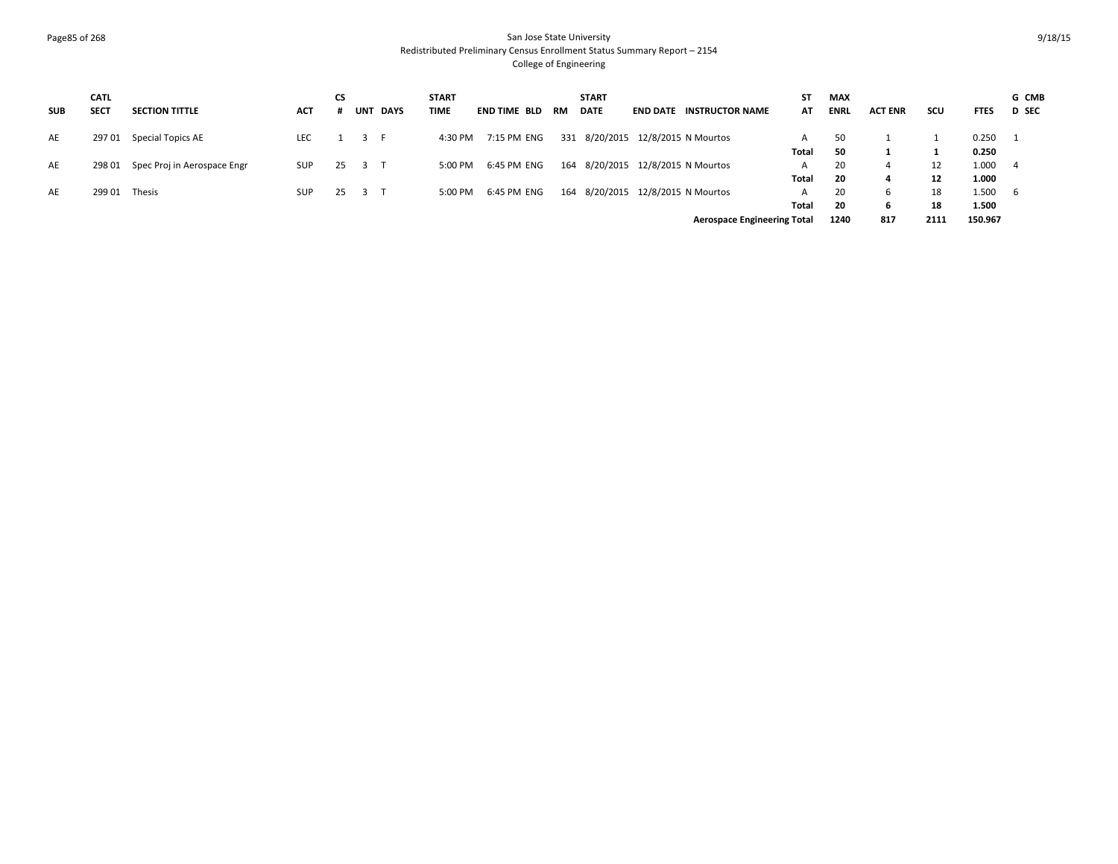### Page85 of 268 San Jose State University Redistributed Preliminary Census Enrollment Status Summary Report – 2154 College of Engineering

| <b>SUB</b> | <b>CATL</b><br><b>SECT</b> | <b>SECTION TITTLE</b>       | <b>ACT</b> | СS |     | UNT DAYS | <b>START</b><br><b>TIME</b> | <b>END TIME BLD</b> | RM | <b>START</b><br><b>DATE</b>       | <b>END DATE INSTRUCTOR NAME</b>    | ST<br>AT | <b>MAX</b><br><b>ENRL</b> | <b>ACT ENR</b> | scu  | <b>FTES</b> | G CMB<br><b>D</b> SEC |
|------------|----------------------------|-----------------------------|------------|----|-----|----------|-----------------------------|---------------------|----|-----------------------------------|------------------------------------|----------|---------------------------|----------------|------|-------------|-----------------------|
| AE         | 297 01                     | Special Topics AE           | <b>LEC</b> |    | 3 F |          | 4:30 PM                     | 7:15 PM ENG         |    | 331 8/20/2015 12/8/2015 N Mourtos |                                    | A        | 50                        |                |      | 0.250       | - 1                   |
|            |                            |                             |            |    |     |          |                             |                     |    |                                   |                                    | Total    | -50                       |                |      | 0.250       |                       |
| AE         | 298 01                     | Spec Proj in Aerospace Engr | <b>SUP</b> | 25 |     |          | 5:00 PM                     | 6:45 PM ENG         |    | 164 8/20/2015 12/8/2015 N Mourtos |                                    | A        | 20                        |                | 12   | 1.000       | -4                    |
|            |                            |                             |            |    |     |          |                             |                     |    |                                   |                                    | Total    | 20                        |                | 12   | 1.000       |                       |
| AE         | 299 01                     | Thesis                      | <b>SUP</b> | 25 |     |          | 5:00 PM                     | 6:45 PM ENG         |    | 164 8/20/2015                     | 12/8/2015 N Mourtos                | A        | 20                        |                | 18   | 1.500       | 6                     |
|            |                            |                             |            |    |     |          |                             |                     |    |                                   |                                    | Total    | 20                        |                | 18   | 1.500       |                       |
|            |                            |                             |            |    |     |          |                             |                     |    |                                   | <b>Aerospace Engineering Total</b> |          | 1240                      | 817            | 2111 | 150.967     |                       |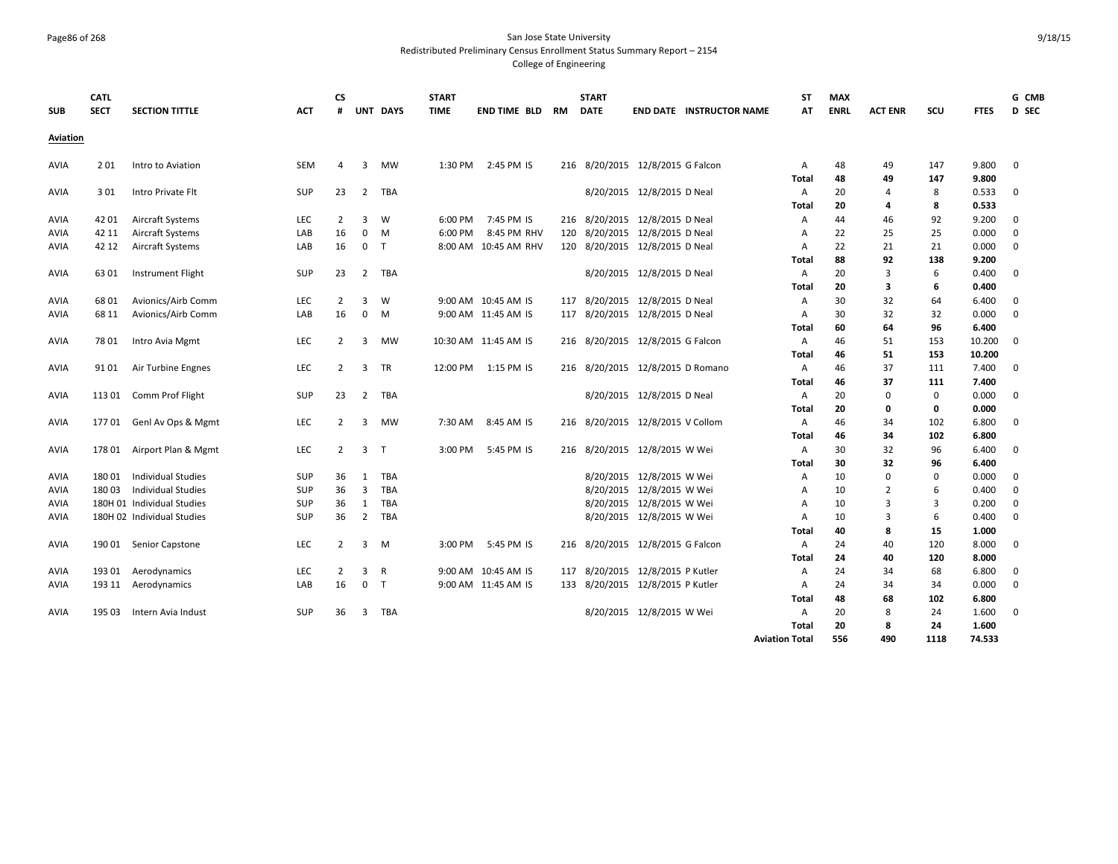# Page86 of 268 San Jose State University Redistributed Preliminary Census Enrollment Status Summary Report – 2154

| <b>SUB</b>  | <b>CATL</b><br><b>SECT</b> | <b>SECTION TITTLE</b>      | <b>ACT</b> | <b>CS</b><br># |                         | UNT DAYS     | <b>START</b><br><b>TIME</b> | end time bld         | RM | <b>START</b><br><b>DATE</b>      |                            | <b>END DATE INSTRUCTOR NAME</b> | <b>ST</b><br>AT       | <b>MAX</b><br><b>ENRL</b> | <b>ACT ENR</b> | scu  | <b>FTES</b> | G CMB<br>D SEC |
|-------------|----------------------------|----------------------------|------------|----------------|-------------------------|--------------|-----------------------------|----------------------|----|----------------------------------|----------------------------|---------------------------------|-----------------------|---------------------------|----------------|------|-------------|----------------|
| Aviation    |                            |                            |            |                |                         |              |                             |                      |    |                                  |                            |                                 |                       |                           |                |      |             |                |
| <b>AVIA</b> | 201                        | Intro to Aviation          | <b>SEM</b> | $\overline{a}$ | $\overline{3}$          | <b>MW</b>    | 1:30 PM                     | 2:45 PM IS           |    | 216 8/20/2015 12/8/2015 G Falcon |                            |                                 | $\overline{A}$        | 48                        | 49             | 147  | 9.800       | $\mathbf 0$    |
|             |                            |                            |            |                |                         |              |                             |                      |    |                                  |                            |                                 | Total                 | 48                        | 49             | 147  | 9.800       |                |
| <b>AVIA</b> | 301                        | Intro Private Flt          | SUP        | 23             | 2                       | TBA          |                             |                      |    |                                  | 8/20/2015 12/8/2015 D Neal |                                 | A                     | 20                        | 4              | 8    | 0.533       | $\mathbf 0$    |
|             |                            |                            |            |                |                         |              |                             |                      |    |                                  |                            |                                 | Total                 | 20                        | 4              | 8    | 0.533       |                |
| <b>AVIA</b> | 42 01                      | <b>Aircraft Systems</b>    | <b>LEC</b> | $\overline{2}$ | 3                       | W            | 6:00 PM                     | 7:45 PM IS           |    | 216 8/20/2015 12/8/2015 D Neal   |                            |                                 | A                     | 44                        | 46             | 92   | 9.200       | $\mathbf 0$    |
| <b>AVIA</b> | 42 11                      | <b>Aircraft Systems</b>    | LAB        | 16             | $\mathbf 0$             | M            | 6:00 PM                     | 8:45 PM RHV          |    | 120 8/20/2015 12/8/2015 D Neal   |                            |                                 | А                     | 22                        | 25             | 25   | 0.000       | $\mathbf 0$    |
| AVIA        | 42 12                      | <b>Aircraft Systems</b>    | LAB        | 16             | $\mathbf 0$             | T            |                             | 8:00 AM 10:45 AM RHV |    | 120 8/20/2015 12/8/2015 D Neal   |                            |                                 | A                     | 22                        | 21             | 21   | 0.000       | $\mathbf 0$    |
|             |                            |                            |            |                |                         |              |                             |                      |    |                                  |                            |                                 | Total                 | 88                        | 92             | 138  | 9.200       |                |
| <b>AVIA</b> | 63 01                      | <b>Instrument Flight</b>   | <b>SUP</b> | 23             | 2                       | TBA          |                             |                      |    |                                  | 8/20/2015 12/8/2015 D Neal |                                 | $\overline{A}$        | 20                        | $\overline{3}$ | 6    | 0.400       | $\mathbf 0$    |
|             |                            |                            |            |                |                         |              |                             |                      |    |                                  |                            |                                 | Total                 | 20                        | 3              | 6    | 0.400       |                |
| AVIA        | 6801                       | Avionics/Airb Comm         | <b>LEC</b> | $\overline{2}$ | 3                       | W            |                             | 9:00 AM 10:45 AM IS  |    | 117 8/20/2015 12/8/2015 D Neal   |                            |                                 | Α                     | 30                        | 32             | 64   | 6.400       | $\mathbf 0$    |
| AVIA        | 68 11                      | Avionics/Airb Comm         | LAB        | 16             | $\mathbf 0$             | M            |                             | 9:00 AM 11:45 AM IS  |    | 117 8/20/2015 12/8/2015 D Neal   |                            |                                 | A                     | 30                        | 32             | 32   | 0.000       | $\mathbf 0$    |
|             |                            |                            |            |                |                         |              |                             |                      |    |                                  |                            |                                 | Total                 | 60                        | 64             | 96   | 6.400       |                |
| AVIA        | 78 01                      | Intro Avia Mgmt            | LEC        | 2              | 3                       | MW           |                             | 10:30 AM 11:45 AM IS |    | 216 8/20/2015 12/8/2015 G Falcon |                            |                                 | Α                     | 46                        | 51             | 153  | 10.200      | $\mathbf 0$    |
|             |                            |                            |            |                |                         |              |                             |                      |    |                                  |                            |                                 | Total                 | 46                        | 51             | 153  | 10.200      |                |
| <b>AVIA</b> | 91 01                      | Air Turbine Engnes         | LEC        | $\overline{2}$ | 3                       | TR           |                             | 12:00 PM 1:15 PM IS  |    | 216 8/20/2015 12/8/2015 D Romano |                            |                                 | Α                     | 46                        | 37             | 111  | 7.400       | 0              |
|             |                            |                            |            |                |                         |              |                             |                      |    |                                  |                            |                                 | Total                 | 46                        | 37             | 111  | 7.400       |                |
| AVIA        | 113 01                     | Comm Prof Flight           | <b>SUP</b> | 23             | $\overline{2}$          | TBA          |                             |                      |    |                                  | 8/20/2015 12/8/2015 D Neal |                                 | Α                     | 20                        | 0              | 0    | 0.000       | $\mathbf 0$    |
|             |                            |                            |            |                |                         |              |                             |                      |    |                                  |                            |                                 | Total                 | 20                        | 0              | 0    | 0.000       |                |
| <b>AVIA</b> | 17701                      | Genl Av Ops & Mgmt         | LEC        | $\overline{2}$ | 3                       | <b>MW</b>    | 7:30 AM                     | 8:45 AM IS           |    | 216 8/20/2015 12/8/2015 V Collom |                            |                                 | Α                     | 46                        | 34             | 102  | 6.800       | 0              |
|             |                            |                            |            |                |                         |              |                             |                      |    |                                  |                            |                                 | Total                 | 46                        | 34             | 102  | 6.800       |                |
| <b>AVIA</b> | 17801                      | Airport Plan & Mgmt        | LEC        | $\overline{2}$ | $\overline{\mathbf{3}}$ | $\mathsf{T}$ | 3:00 PM                     | 5:45 PM IS           |    | 216 8/20/2015 12/8/2015 W Wei    |                            |                                 | Α                     | 30                        | 32             | 96   | 6.400       | $\mathbf 0$    |
|             |                            |                            |            |                |                         |              |                             |                      |    |                                  |                            |                                 | Total                 | 30                        | 32             | 96   | 6.400       |                |
| <b>AVIA</b> | 18001                      | Individual Studies         | SUP        | 36             | $\mathbf{1}$            | TBA          |                             |                      |    |                                  | 8/20/2015 12/8/2015 W Wei  |                                 | A                     | 10                        | $\Omega$       | 0    | 0.000       | 0              |
| AVIA        | 18003                      | <b>Individual Studies</b>  | SUP        | 36             | $\overline{3}$          | TBA          |                             |                      |    |                                  | 8/20/2015 12/8/2015 W Wei  |                                 | Α                     | 10                        | $\overline{2}$ | 6    | 0.400       | $\mathbf 0$    |
| AVIA        |                            | 180H 01 Individual Studies | <b>SUP</b> | 36             | $\mathbf{1}$            | TBA          |                             |                      |    |                                  | 8/20/2015 12/8/2015 W Wei  |                                 | A                     | 10                        | $\overline{3}$ | 3    | 0.200       | $\mathbf 0$    |
| <b>AVIA</b> |                            | 180H 02 Individual Studies | <b>SUP</b> | 36             | $\overline{2}$          | TBA          |                             |                      |    |                                  | 8/20/2015 12/8/2015 W Wei  |                                 | $\overline{A}$        | 10                        | 3              | 6    | 0.400       | $\mathbf 0$    |
|             |                            |                            |            |                |                         |              |                             |                      |    |                                  |                            |                                 | Total                 | 40                        | 8              | 15   | 1.000       |                |
| AVIA        | 190 01                     | Senior Capstone            | LEC        | $\overline{2}$ | $\overline{3}$          | M            | 3:00 PM                     | 5:45 PM IS           |    | 216 8/20/2015 12/8/2015 G Falcon |                            |                                 | A                     | 24                        | 40             | 120  | 8.000       | $\mathbf 0$    |
|             |                            |                            |            |                |                         |              |                             |                      |    |                                  |                            |                                 | Total                 | 24                        | 40             | 120  | 8.000       |                |
| AVIA        | 193 01                     | Aerodynamics               | <b>LEC</b> | $\overline{2}$ | 3                       | $\mathsf{R}$ |                             | 9:00 AM 10:45 AM IS  |    | 117 8/20/2015 12/8/2015 P Kutler |                            |                                 | Α                     | 24                        | 34             | 68   | 6.800       | $\mathbf 0$    |
| <b>AVIA</b> | 193 11                     | Aerodynamics               | LAB        | 16             | $\mathbf 0$             | T            |                             | 9:00 AM 11:45 AM IS  |    | 133 8/20/2015 12/8/2015 P Kutler |                            |                                 | A                     | 24                        | 34             | 34   | 0.000       | $\mathbf 0$    |
|             |                            |                            |            |                |                         |              |                             |                      |    |                                  |                            |                                 | Total                 | 48                        | 68             | 102  | 6.800       |                |
| <b>AVIA</b> | 195 03                     | Intern Avia Indust         | SUP        | 36             | $\overline{3}$          | TBA          |                             |                      |    |                                  | 8/20/2015 12/8/2015 W Wei  |                                 | A                     | 20                        | 8              | 24   | 1.600       | $\mathbf 0$    |
|             |                            |                            |            |                |                         |              |                             |                      |    |                                  |                            |                                 | Total                 | 20                        | 8              | 24   | 1.600       |                |
|             |                            |                            |            |                |                         |              |                             |                      |    |                                  |                            |                                 | <b>Aviation Total</b> | 556                       | 490            | 1118 | 74.533      |                |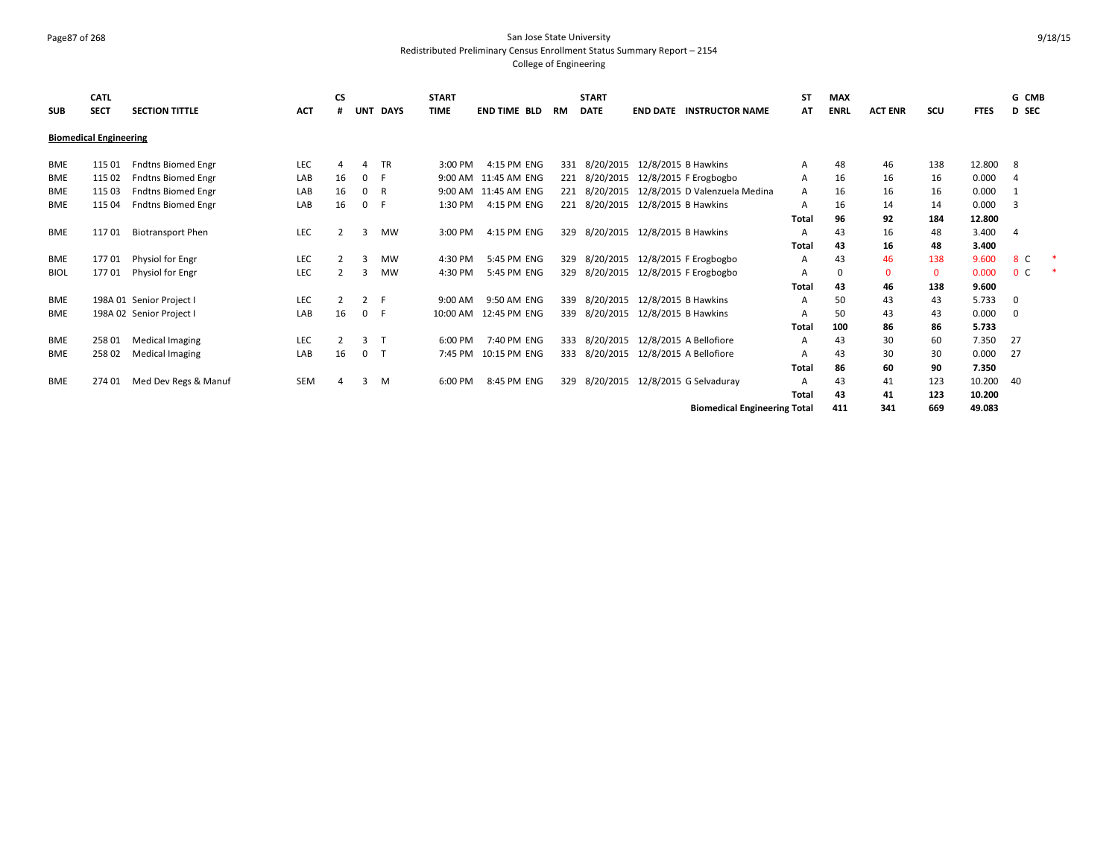#### Page87 of 268 San Jose State University Redistributed Preliminary Census Enrollment Status Summary Report – 2154 College of Engineering

**SUB CATL SECT SECTION TITTLE ACT CS # UNT DAYS START TIME END TIME BLD RM START DATE END DATE INSTRUCTOR NAME ST AT MAX ENRL ACT ENR SCU FTES G CMB D SEC Biomedical Engineering** BME 115 01 Fndtns Biomed Engr CHO CHO CHO A 4 TR 3:00 PM 4:15 PM ENG 331 8/20/2015 12/8/2015 B Hawkins A 48 48 46 138 12.800 8 BME 11502 Fndtns Biomed Engr | LAB 16 0 F 9:00 AM 11:45 AM ENG 221 8/20/2015 12/8/2015 F Erogbogbo | A 16 16 16 0.000 4 BME 115 03 Fndtns Biomed Engr LAB 16 0 R 9:00 AM 11:45 AM ENG 221 8/20/2015 12/8/2015 D Valenzuela Medina A 16 16 16 0.000 1 BME 115 04 Fndtns Biomed Engr | LAB 16 0 F 1:30 PM 4:15 PM ENG 221 8/20/2015 12/8/2015 B Hawkins | A 16 14 14 0.000 3 **Total 96 92 184 12.800** BME 11701 Biotransport Phen 18 LEC 2 3 MW 3:00 PM 4:15 PM ENG 329 8/20/2015 12/8/2015 B Hawkins 18 A 43 16 48 3.400 4 **Total 43 16 48 3.400** BME 17701 Physiol for Engr COM SC 2 3 MW 4:30 PM 5:45 PM ENG 329 8/20/2015 12/8/2015 F Erogbogbo A 43 46 138 9.600 8 C \* BIOL 17701 Physiol for Engr LEC 2 3 MW 4:30 PM 5:45 PM ENG 329 8/20/2015 12/8/2015 F Erogbogbo A 0 0 0 0.000 0 C \* **Total 43 46 138 9.600** BME 198A 01 Senior Project I LEC 2 2 F 9:00 AM 9:50 AM ENG 339 8/20/2015 12/8/2015 B Hawkins A 50 43 43 5.733 0 BME 198A 02 Senior Project I LAB 16 0 F 10:00 AM 12:45 PM ENG 339 8/20/2015 12/8/2015 B Hawkins A 50 43 43 0.000 0 **Total 100 86 86 5.733** BME 258 01 Medical Imaging CHC 2 3 T 6:00 PM 7:40 PM ENG 333 8/20/2015 12/8/2015 A Bellofiore A 43 30 60 7.350 27 BME 258 02 Medical Imaging 60 CDAB 16 0 T 7:45 PM 10:15 PM ENG 333 8/20/2015 12/8/2015 A Bellofiore A 43 30 30 0.000 27 **Total 86 60 90 7.350** BME 274 01 Med Dev Regs & Manuf SEM 4 3 M 6:00 PM 8:45 PM ENG 329 8/20/2015 12/8/2015 G Selvaduray A 43 41 123 10.200 40 **Total 43 41 123 10.200 Biomedical Engineering Total 411 341 669 49.083**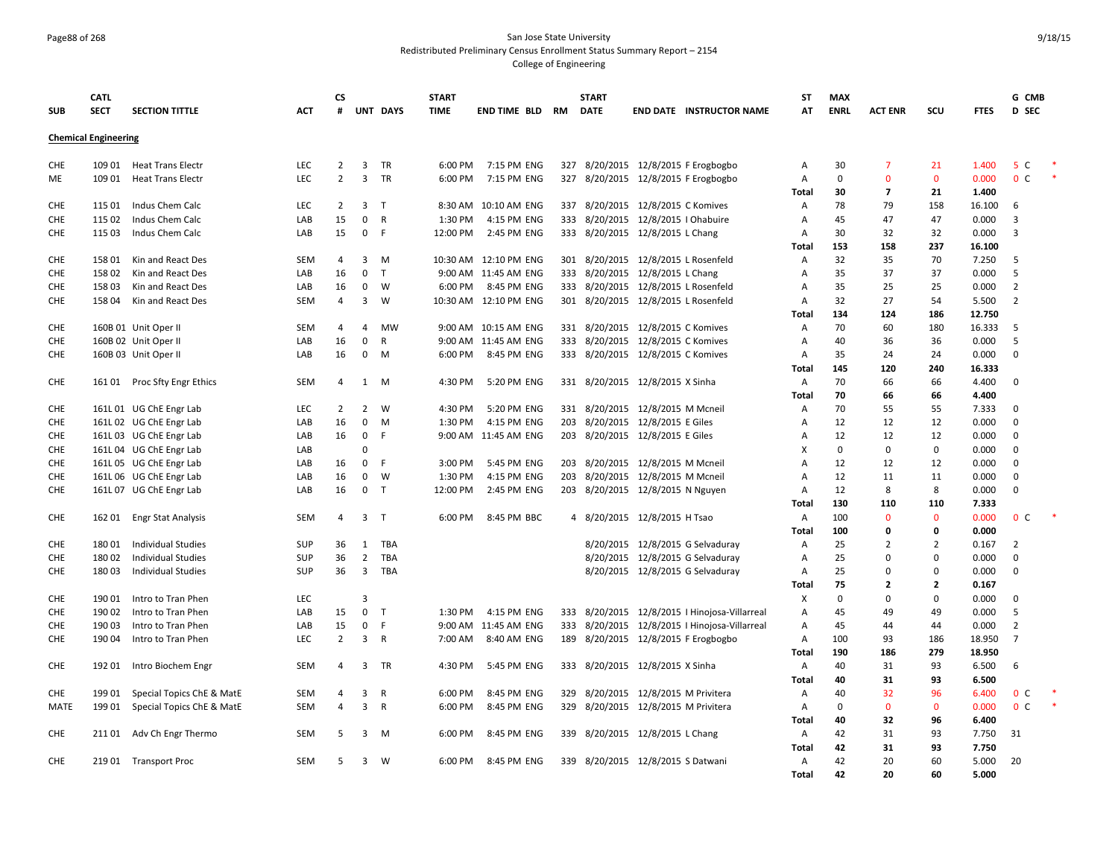# Page88 of 268 San Jose State University Redistributed Preliminary Census Enrollment Status Summary Report – 2154

|                          | <b>CATL</b>                 |                                                    |            | СS             |                            |                   | <b>START</b>        |                            |     | <b>START</b> |                                                                       | <b>ST</b>                        | <b>MAX</b>  |                |                   |                 | G CMB                      |  |
|--------------------------|-----------------------------|----------------------------------------------------|------------|----------------|----------------------------|-------------------|---------------------|----------------------------|-----|--------------|-----------------------------------------------------------------------|----------------------------------|-------------|----------------|-------------------|-----------------|----------------------------|--|
| <b>SUB</b>               | <b>SECT</b>                 | <b>SECTION TITTLE</b>                              | <b>ACT</b> | #              |                            | UNT DAYS          | <b>TIME</b>         | <b>END TIME BLD RM</b>     |     | <b>DATE</b>  | <b>END DATE INSTRUCTOR NAME</b>                                       | AT                               | <b>ENRL</b> | <b>ACT ENR</b> | scu               | <b>FTES</b>     | D SEC                      |  |
|                          | <b>Chemical Engineering</b> |                                                    |            |                |                            |                   |                     |                            |     |              |                                                                       |                                  |             |                |                   |                 |                            |  |
|                          |                             |                                                    |            |                |                            |                   |                     |                            |     |              |                                                                       |                                  |             |                |                   |                 |                            |  |
| <b>CHE</b>               | 109 01                      | <b>Heat Trans Electr</b>                           | LEC        | $\overline{2}$ | 3                          | TR                | 6:00 PM             | 7:15 PM ENG                |     |              | 327 8/20/2015 12/8/2015 F Erogbogbo                                   | $\overline{A}$                   | 30          | $\overline{7}$ | 21                | 1.400           | 5 C                        |  |
| ME                       | 109 01                      | <b>Heat Trans Electr</b>                           | LEC        | $\overline{2}$ | $\overline{3}$             | <b>TR</b>         | 6:00 PM             | 7:15 PM ENG                | 327 |              | 8/20/2015 12/8/2015 F Erogbogbo                                       | $\overline{A}$                   | 0           | $\mathbf 0$    | $\mathbf{0}$      | 0.000           | 0 <sup>C</sup>             |  |
|                          |                             |                                                    |            |                |                            |                   |                     |                            |     |              |                                                                       | Total                            | 30          | 7              | 21                | 1.400           |                            |  |
| <b>CHE</b>               | 115 01                      | Indus Chem Calc                                    | LEC        | 2              | 3                          | T                 |                     | 8:30 AM 10:10 AM ENG       | 337 |              | 8/20/2015 12/8/2015 C Komives                                         | A                                | 78          | 79             | 158               | 16.100          | 6                          |  |
| <b>CHE</b><br><b>CHE</b> | 115 02<br>115 03            | Indus Chem Calc<br>Indus Chem Calc                 | LAB<br>LAB | 15<br>15       | $\mathbf 0$<br>$\mathbf 0$ | $\mathsf{R}$<br>F | 1:30 PM<br>12:00 PM | 4:15 PM ENG<br>2:45 PM ENG |     |              | 333 8/20/2015 12/8/2015   Ohabuire<br>333 8/20/2015 12/8/2015 L Chang | $\overline{A}$<br>$\overline{A}$ | 45<br>30    | 47<br>32       | 47<br>32          | 0.000<br>0.000  | 3<br>3                     |  |
|                          |                             |                                                    |            |                |                            |                   |                     |                            |     |              |                                                                       | Total                            | 153         | 158            | 237               | 16.100          |                            |  |
| <b>CHE</b>               | 158 01                      | Kin and React Des                                  | SEM        | 4              | 3                          | M                 | 10:30 AM            | 12:10 PM ENG               |     |              | 301 8/20/2015 12/8/2015 L Rosenfeld                                   | Α                                | 32          | 35             | 70                | 7.250           | 5                          |  |
| CHE                      | 158 02                      | Kin and React Des                                  | LAB        | 16             | $\mathbf 0$                | $\mathsf{T}$      |                     | 9:00 AM 11:45 AM ENG       |     |              | 333 8/20/2015 12/8/2015 L Chang                                       | Α                                | 35          | 37             | 37                | 0.000           | 5                          |  |
| <b>CHE</b>               | 15803                       | Kin and React Des                                  | LAB        | 16             | $\mathbf 0$                | W                 | 6:00 PM             | 8:45 PM ENG                |     |              | 333 8/20/2015 12/8/2015 L Rosenfeld                                   | $\overline{A}$                   | 35          | 25             | 25                | 0.000           | $\overline{2}$             |  |
| <b>CHE</b>               | 15804                       | Kin and React Des                                  | SEM        | $\overline{a}$ | 3                          | W                 |                     | 10:30 AM 12:10 PM ENG      |     |              | 301 8/20/2015 12/8/2015 L Rosenfeld                                   | $\overline{A}$                   | 32          | 27             | 54                | 5.500           | $\overline{2}$             |  |
|                          |                             |                                                    |            |                |                            |                   |                     |                            |     |              |                                                                       | Total                            | 134         | 124            | 186               | 12.750          |                            |  |
| <b>CHE</b>               |                             | 160B 01 Unit Oper II                               | <b>SEM</b> | 4              | $\overline{4}$             | <b>MW</b>         |                     | 9:00 AM 10:15 AM ENG       |     |              | 331 8/20/2015 12/8/2015 C Komives                                     | $\overline{A}$                   | 70          | 60             | 180               | 16.333          | .5                         |  |
| <b>CHE</b>               |                             | 160B 02 Unit Oper II                               | LAB        | 16             | $\mathbf 0$                | $\mathsf{R}$      |                     | 9:00 AM 11:45 AM ENG       |     |              | 333 8/20/2015 12/8/2015 C Komives                                     | $\overline{A}$                   | 40          | 36             | 36                | 0.000           | 5                          |  |
| <b>CHE</b>               |                             | 160B 03 Unit Oper II                               | LAB        | 16             | $\mathbf 0$                | M                 | 6:00 PM             | 8:45 PM ENG                |     |              | 333 8/20/2015 12/8/2015 C Komives                                     | $\overline{A}$                   | 35          | 24             | 24                | 0.000           | $\mathbf 0$                |  |
|                          |                             |                                                    |            |                |                            |                   |                     |                            |     |              |                                                                       | Total                            | 145         | 120            | 240               | 16.333          |                            |  |
| <b>CHE</b>               | 161 01                      | Proc Sfty Engr Ethics                              | SEM        | 4              | 1                          | M                 | 4:30 PM             | 5:20 PM ENG                |     |              | 331 8/20/2015 12/8/2015 X Sinha                                       | Α                                | 70          | 66             | 66                | 4.400           | $\mathbf 0$                |  |
|                          |                             |                                                    |            |                |                            |                   |                     |                            |     |              |                                                                       | Total                            | 70          | 66             | 66                | 4.400           |                            |  |
| <b>CHE</b>               |                             | 161L 01 UG ChE Engr Lab                            | LEC        | 2              | $\overline{2}$             | W                 | 4:30 PM             | 5:20 PM ENG                |     |              | 331 8/20/2015 12/8/2015 M Mcneil                                      | Α                                | 70          | 55             | 55                | 7.333           | $\mathbf 0$                |  |
| <b>CHE</b>               |                             | 161L 02 UG ChE Engr Lab                            | LAB        | 16             | $\mathbf 0$                | M<br>F            | 1:30 PM             | 4:15 PM ENG                |     |              | 203 8/20/2015 12/8/2015 E Giles                                       | $\overline{A}$<br>$\overline{A}$ | 12<br>12    | 12             | 12                | 0.000           | $\mathbf 0$                |  |
| <b>CHE</b><br><b>CHE</b> |                             | 161L 03 UG ChE Engr Lab<br>161L 04 UG ChE Engr Lab | LAB<br>LAB | 16             | $\mathbf 0$<br>$\Omega$    |                   |                     | 9:00 AM 11:45 AM ENG       |     |              | 203 8/20/2015 12/8/2015 E Giles                                       | X                                | 0           | 12<br>0        | 12<br>$\mathbf 0$ | 0.000<br>0.000  | $\mathbf 0$<br>$\mathbf 0$ |  |
| <b>CHE</b>               |                             | 161L 05 UG ChE Engr Lab                            | LAB        | 16             | $\mathbf 0$                | F                 | 3:00 PM             | 5:45 PM ENG                | 203 |              | 8/20/2015 12/8/2015 M Mcneil                                          | A                                | 12          | 12             | 12                | 0.000           | $\mathbf 0$                |  |
| <b>CHE</b>               |                             | 161L 06 UG ChE Engr Lab                            | LAB        | 16             | $\mathbf{0}$               | W                 | 1:30 PM             | 4:15 PM ENG                |     |              | 203 8/20/2015 12/8/2015 M Mcneil                                      | $\overline{A}$                   | 12          | 11             | 11                | 0.000           | $\mathbf 0$                |  |
| <b>CHE</b>               |                             | 161L 07 UG ChE Engr Lab                            | LAB        | 16             | $\mathbf{0}$               | $\top$            | 12:00 PM            | 2:45 PM ENG                |     |              | 203 8/20/2015 12/8/2015 N Nguyen                                      | $\overline{A}$                   | 12          | 8              | 8                 | 0.000           | $\mathbf 0$                |  |
|                          |                             |                                                    |            |                |                            |                   |                     |                            |     |              |                                                                       | Total                            | 130         | 110            | 110               | 7.333           |                            |  |
| <b>CHE</b>               |                             | 162 01 Engr Stat Analysis                          | <b>SEM</b> | $\overline{4}$ | 3 <sub>1</sub>             |                   | 6:00 PM             | 8:45 PM BBC                |     |              | 4 8/20/2015 12/8/2015 H Tsao                                          | $\overline{A}$                   | 100         | $\mathbf{0}$   | $\mathbf{0}$      | 0.000           | 0 <sup>c</sup>             |  |
|                          |                             |                                                    |            |                |                            |                   |                     |                            |     |              |                                                                       | Total                            | 100         | $\Omega$       | $\mathbf{0}$      | 0.000           |                            |  |
| <b>CHE</b>               | 180 01                      | Individual Studies                                 | SUP        | 36             | 1                          | TBA               |                     |                            |     |              | 8/20/2015 12/8/2015 G Selvaduray                                      | A                                | 25          | $\overline{2}$ | $\overline{2}$    | 0.167           | $\overline{2}$             |  |
| <b>CHE</b>               | 18002                       | <b>Individual Studies</b>                          | SUP        | 36             | $\overline{2}$             | TBA               |                     |                            |     |              | 8/20/2015 12/8/2015 G Selvaduray                                      | A                                | 25          | $\Omega$       | $\mathbf 0$       | 0.000           | $\mathbf 0$                |  |
| <b>CHE</b>               | 18003                       | <b>Individual Studies</b>                          | <b>SUP</b> | 36             | $\overline{\mathbf{3}}$    | TBA               |                     |                            |     |              | 8/20/2015 12/8/2015 G Selvaduray                                      | Α                                | 25          | $\mathbf 0$    | $\mathbf 0$       | 0.000           | $\mathbf 0$                |  |
|                          |                             |                                                    |            |                |                            |                   |                     |                            |     |              |                                                                       | Total                            | 75          | $\mathbf{2}$   | $\overline{2}$    | 0.167           |                            |  |
| <b>CHE</b>               | 19001                       | Intro to Tran Phen                                 | <b>LEC</b> |                | 3                          |                   |                     |                            |     |              |                                                                       | X                                | $\mathbf 0$ | $\mathbf 0$    | $\Omega$          | 0.000           | $\mathbf 0$                |  |
| <b>CHE</b>               | 190 02                      | Intro to Tran Phen                                 | LAB        | 15             | $\mathbf 0$                | $\mathsf{T}$      | 1:30 PM             | 4:15 PM ENG                | 333 |              | 8/20/2015 12/8/2015   Hinojosa-Villarreal                             | $\overline{A}$                   | 45          | 49             | 49                | 0.000           | 5                          |  |
| <b>CHE</b>               | 190 03                      | Intro to Tran Phen                                 | LAB        | 15             | $\mathbf 0$                | F                 |                     | 9:00 AM 11:45 AM ENG       |     |              | 333 8/20/2015 12/8/2015   Hinojosa-Villarreal                         | $\overline{A}$                   | 45          | 44             | 44                | 0.000           | $\overline{2}$             |  |
| <b>CHE</b>               | 190 04                      | Intro to Tran Phen                                 | LEC        | $\overline{2}$ | $\overline{3}$             | R                 | 7:00 AM             | 8:40 AM ENG                |     |              | 189 8/20/2015 12/8/2015 F Erogbogbo                                   | Α                                | 100<br>190  | 93             | 186               | 18.950          | $\overline{7}$             |  |
| <b>CHE</b>               | 192 01                      | Intro Biochem Engr                                 | SEM        | 4              | 3                          | TR                | 4:30 PM             | 5:45 PM ENG                |     |              | 333 8/20/2015 12/8/2015 X Sinha                                       | Total<br>A                       | 40          | 186<br>31      | 279<br>93         | 18.950<br>6.500 | 6                          |  |
|                          |                             |                                                    |            |                |                            |                   |                     |                            |     |              |                                                                       | Total                            | 40          | 31             | 93                | 6.500           |                            |  |
| <b>CHE</b>               | 19901                       | Special Topics ChE & MatE                          | SEM        | 4              | 3                          | R                 | 6:00 PM             | 8:45 PM ENG                |     |              | 329 8/20/2015 12/8/2015 M Privitera                                   | $\overline{A}$                   | 40          | 32             | 96                | 6.400           | 0 <sup>c</sup>             |  |
| <b>MATE</b>              | 19901                       | Special Topics ChE & MatE                          | SEM        | $\overline{a}$ | $\overline{\mathbf{3}}$    | $\mathsf{R}$      | 6:00 PM             | 8:45 PM ENG                |     |              | 329 8/20/2015 12/8/2015 M Privitera                                   | Α                                | $\Omega$    | $\mathbf 0$    | $\mathbf 0$       | 0.000           | 0 <sup>c</sup>             |  |
|                          |                             |                                                    |            |                |                            |                   |                     |                            |     |              |                                                                       | Total                            | 40          | 32             | 96                | 6.400           |                            |  |
| <b>CHE</b>               | 211 01                      | Adv Ch Engr Thermo                                 | <b>SEM</b> | 5              | 3                          | M                 | 6:00 PM             | 8:45 PM ENG                |     |              | 339 8/20/2015 12/8/2015 L Chang                                       | A                                | 42          | 31             | 93                | 7.750           | 31                         |  |
|                          |                             |                                                    |            |                |                            |                   |                     |                            |     |              |                                                                       | Total                            | 42          | 31             | 93                | 7.750           |                            |  |
| <b>CHE</b>               |                             | 219 01 Transport Proc                              | SEM        | 5              | 3                          | W                 | 6:00 PM             | 8:45 PM ENG                |     |              | 339 8/20/2015 12/8/2015 S Datwani                                     | A                                | 42          | 20             | 60                | 5.000           | 20                         |  |
|                          |                             |                                                    |            |                |                            |                   |                     |                            |     |              |                                                                       | Total                            | 42          | 20             | 60                | 5.000           |                            |  |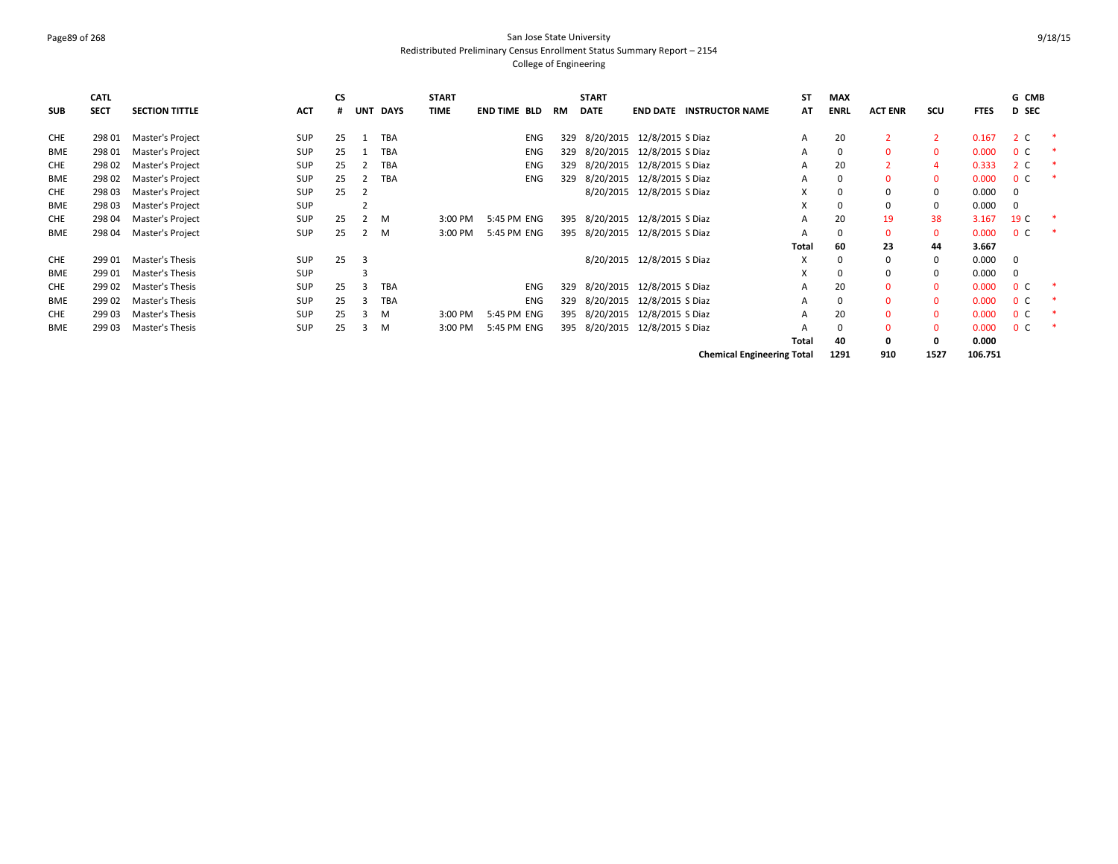#### Page89 of 268 San Jose State University Redistributed Preliminary Census Enrollment Status Summary Report – 2154 College of Engineering

|            | <b>CATL</b> |                       |            | <b>CS</b> |            |            | <b>START</b> |              |     | <b>START</b> |                                |                                   | ST    | <b>MAX</b>  |                |              |             | G CMB          |  |
|------------|-------------|-----------------------|------------|-----------|------------|------------|--------------|--------------|-----|--------------|--------------------------------|-----------------------------------|-------|-------------|----------------|--------------|-------------|----------------|--|
| <b>SUB</b> | <b>SECT</b> | <b>SECTION TITTLE</b> | ACT        | #         | <b>UNT</b> | DAYS       | <b>TIME</b>  | END TIME BLD | RM  | <b>DATE</b>  |                                | <b>END DATE INSTRUCTOR NAME</b>   | AT    | <b>ENRL</b> | <b>ACT ENR</b> | scu          | <b>FTES</b> | <b>D</b> SEC   |  |
| CHE        | 298 01      | Master's Project      | SUP        | 25        |            | TBA        |              | ENG          | 329 |              | 8/20/2015 12/8/2015 S Diaz     |                                   | A     | 20          |                |              | 0.167       | 2 C            |  |
| <b>BME</b> | 298 01      | Master's Project      | SUP        | 25        |            | TBA        |              | ENG          | 329 |              | 8/20/2015 12/8/2015 S Diaz     |                                   | A     | 0           | $\Omega$       | 0            | 0.000       | 0 <sup>o</sup> |  |
| <b>CHE</b> | 298 02      | Master's Project      | SUP        | 25        |            | <b>TBA</b> |              | ENG          | 329 |              | 8/20/2015 12/8/2015 S Diaz     |                                   | A     | 20          |                |              | 0.333       | 2 C            |  |
| <b>BME</b> | 298 02      | Master's Project      | SUP        | 25        |            | <b>TBA</b> |              | <b>ENG</b>   | 329 | 8/20/2015    | 12/8/2015 S Diaz               |                                   | A     | 0           | $\Omega$       | $\Omega$     | 0.000       | 0 <sup>C</sup> |  |
| <b>CHE</b> | 298 03      | Master's Project      | <b>SUP</b> | 25        | -2         |            |              |              |     |              | 8/20/2015 12/8/2015 S Diaz     |                                   | X     | 0           | $\Omega$       | 0            | 0.000       | $\Omega$       |  |
| <b>BME</b> | 298 03      | Master's Project      | <b>SUP</b> |           |            |            |              |              |     |              |                                |                                   | X     | 0           | $\Omega$       | 0            | 0.000       | $\mathbf 0$    |  |
| CHE        | 298 04      | Master's Project      | SUP        | 25        |            | м          | 3:00 PM      | 5:45 PM ENG  |     |              | 395 8/20/2015 12/8/2015 S Diaz |                                   | A     | 20          | 19             | 38           | 3.167       | 19 C           |  |
| <b>BME</b> | 298 04      | Master's Project      | SUP        | 25        |            | м          | 3:00 PM      | 5:45 PM ENG  |     |              | 395 8/20/2015 12/8/2015 S Diaz |                                   | A     | 0           | $\mathbf{0}$   | $\mathbf{0}$ | 0.000       | 0 <sup>C</sup> |  |
|            |             |                       |            |           |            |            |              |              |     |              |                                |                                   | Total | 60          | 23             | 44           | 3.667       |                |  |
| <b>CHE</b> | 299 01      | Master's Thesis       | <b>SUP</b> | 25        | 3          |            |              |              |     |              | 8/20/2015 12/8/2015 S Diaz     |                                   | X     | 0           | $\Omega$       | $\Omega$     | 0.000       | $\Omega$       |  |
| <b>BME</b> | 299 01      | Master's Thesis       | <b>SUP</b> |           |            |            |              |              |     |              |                                |                                   | X     | $\Omega$    | $\Omega$       | $\Omega$     | 0.000       | $\mathbf 0$    |  |
| <b>CHE</b> | 299 02      | Master's Thesis       | SUP        | 25        | 3          | <b>TBA</b> |              | <b>ENG</b>   | 329 |              | 8/20/2015 12/8/2015 S Diaz     |                                   | A     | 20          | $\Omega$       | $\Omega$     | 0.000       | 0 <sup>o</sup> |  |
| <b>BME</b> | 299 02      | Master's Thesis       | <b>SUP</b> | 25        | 3          | <b>TBA</b> |              | <b>ENG</b>   | 329 |              | 8/20/2015 12/8/2015 S Diaz     |                                   | A     | $\Omega$    | $\Omega$       | $\Omega$     | 0.000       | 0 <sup>c</sup> |  |
| <b>CHE</b> | 299 03      | Master's Thesis       | <b>SUP</b> | 25        | 3          | м          | 3:00 PM      | 5:45 PM ENG  | 395 | 8/20/2015    | 12/8/2015 S Diaz               |                                   | A     | 20          | $\Omega$       | $\mathbf{0}$ | 0.000       | 0 <sup>c</sup> |  |
| <b>BME</b> | 299 03      | Master's Thesis       | SUP        | 25        | 3          | м          | 3:00 PM      | 5:45 PM ENG  |     |              | 395 8/20/2015 12/8/2015 S Diaz |                                   | A     | 0           | $\Omega$       | 0            | 0.000       | 0 <sup>o</sup> |  |
|            |             |                       |            |           |            |            |              |              |     |              |                                |                                   | Total | 40          | 0              | 0            | 0.000       |                |  |
|            |             |                       |            |           |            |            |              |              |     |              |                                | <b>Chemical Engineering Total</b> |       | 1291        | 910            | 1527         | 106.751     |                |  |

9/18/15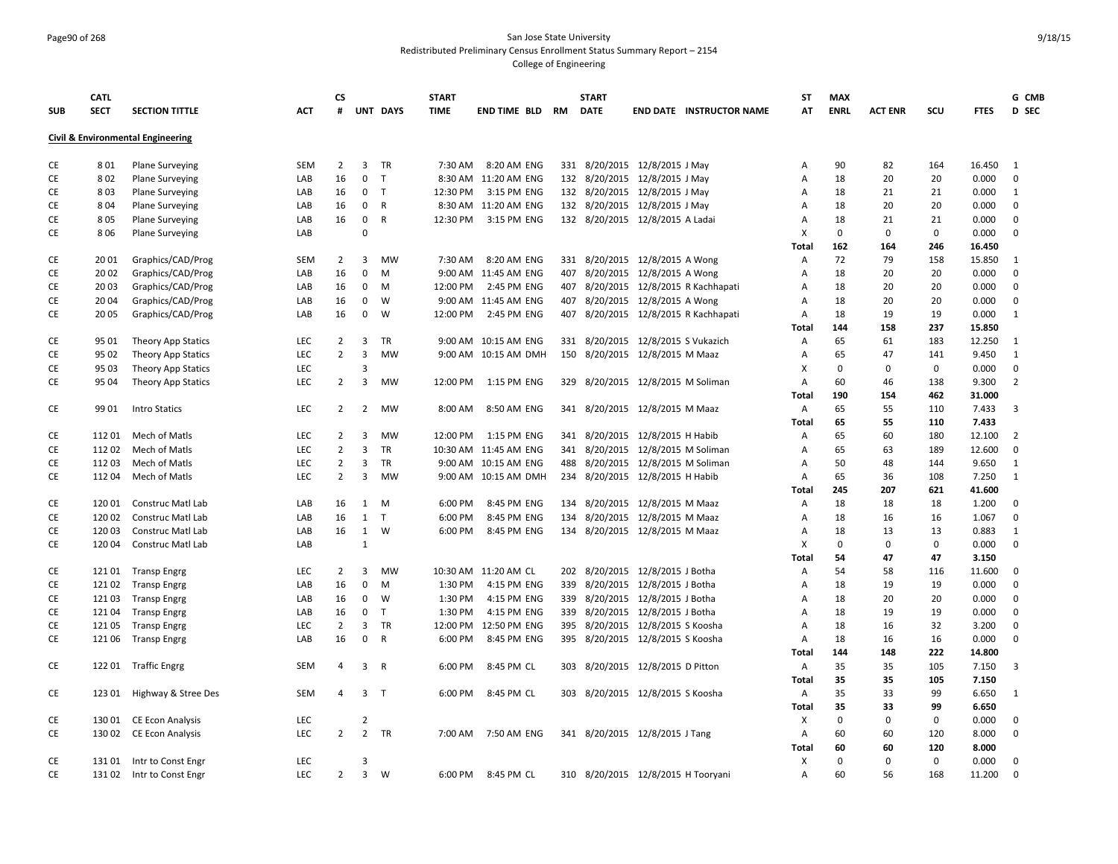# Page90 of 268 San Jose State University Redistributed Preliminary Census Enrollment Status Summary Report – 2154

|            | <b>CATL</b> |                                   |            | CS             |                         |              | <b>START</b> |                       |     | <b>START</b>                       |                             |                                      | ST                        | <b>MAX</b>   |                |             |             | G CMB          |
|------------|-------------|-----------------------------------|------------|----------------|-------------------------|--------------|--------------|-----------------------|-----|------------------------------------|-----------------------------|--------------------------------------|---------------------------|--------------|----------------|-------------|-------------|----------------|
| <b>SUB</b> | <b>SECT</b> | <b>SECTION TITTLE</b>             | <b>ACT</b> | #              |                         | UNT DAYS     | <b>TIME</b>  | END TIME BLD RM       |     | <b>DATE</b>                        |                             | <b>END DATE INSTRUCTOR NAME</b>      | AT                        | <b>ENRL</b>  | <b>ACT ENR</b> | scu         | <b>FTES</b> | <b>D</b> SEC   |
|            |             | Civil & Environmental Engineering |            |                |                         |              |              |                       |     |                                    |                             |                                      |                           |              |                |             |             |                |
| CE         | 801         | <b>Plane Surveying</b>            | <b>SEM</b> | $\overline{2}$ | 3                       | TR           | 7:30 AM      | 8:20 AM ENG           |     | 331 8/20/2015 12/8/2015 J May      |                             |                                      | Α                         | 90           | 82             | 164         | 16.450      | 1              |
| CE         | 802         | Plane Surveying                   | LAB        | 16             | $\mathbf 0$             | $\mathsf{T}$ |              | 8:30 AM 11:20 AM ENG  |     | 132 8/20/2015 12/8/2015 J May      |                             |                                      | Α                         | 18           | 20             | 20          | 0.000       | $\mathbf 0$    |
| CE         | 803         | <b>Plane Surveying</b>            | LAB        | 16             | $\mathbf 0$             | T            | 12:30 PM     | 3:15 PM ENG           |     | 132 8/20/2015 12/8/2015 J May      |                             |                                      | Α                         | 18           | 21             | 21          | 0.000       | $\mathbf{1}$   |
| CE         | 804         | <b>Plane Surveying</b>            | LAB        | 16             | 0                       | R            |              | 8:30 AM 11:20 AM ENG  |     | 132 8/20/2015 12/8/2015 J May      |                             |                                      | Α                         | 18           | 20             | 20          | 0.000       | 0              |
| CE         | 805         | <b>Plane Surveying</b>            | LAB        | 16             | 0                       | $\mathsf{R}$ | 12:30 PM     | 3:15 PM ENG           |     | 132 8/20/2015 12/8/2015 A Ladai    |                             |                                      | A                         | 18           | 21             | 21          | 0.000       | $\mathbf 0$    |
| CE         | 806         | <b>Plane Surveying</b>            | LAB        |                | $\Omega$                |              |              |                       |     |                                    |                             |                                      | $\boldsymbol{\mathsf{X}}$ | $\Omega$     | $\mathbf 0$    | $\mathbf 0$ | 0.000       | $\mathbf 0$    |
|            |             |                                   |            |                |                         |              |              |                       |     |                                    |                             |                                      | Total                     | 162          | 164            | 246         | 16.450      |                |
| CE         | 20 01       | Graphics/CAD/Prog                 | <b>SEM</b> | $\overline{2}$ | 3                       | <b>MW</b>    | 7:30 AM      | 8:20 AM ENG           |     | 331 8/20/2015 12/8/2015 A Wong     |                             |                                      | Α                         | 72           | 79             | 158         | 15.850      | -1             |
| CE         | 20 02       | Graphics/CAD/Prog                 | LAB        | 16             | $\mathbf 0$             | M            | 9:00 AM      | 11:45 AM ENG          |     | 407 8/20/2015 12/8/2015 A Wong     |                             |                                      | Α                         | 18           | 20             | 20          | 0.000       | $\mathbf 0$    |
| CE         | 20 03       | Graphics/CAD/Prog                 | LAB        | 16             | $\mathbf 0$             | M            | 12:00 PM     | 2:45 PM ENG           |     |                                    |                             | 407 8/20/2015 12/8/2015 R Kachhapati | A                         | 18           | 20             | 20          | 0.000       | $\mathbf 0$    |
| CE         | 20 04       | Graphics/CAD/Prog                 | LAB        | 16             | $\mathbf 0$             | W            |              | 9:00 AM 11:45 AM ENG  |     | 407 8/20/2015 12/8/2015 A Wong     |                             |                                      | $\overline{A}$            | 18           | 20             | 20          | 0.000       | $\mathbf 0$    |
| CE         | 20 05       | Graphics/CAD/Prog                 | LAB        | 16             | 0                       | W            | 12:00 PM     | 2:45 PM ENG           |     |                                    |                             | 407 8/20/2015 12/8/2015 R Kachhapati | Α                         | 18           | 19             | 19          | 0.000       | 1              |
|            |             |                                   |            |                |                         |              |              |                       |     |                                    |                             |                                      | Total                     | 144          | 158            | 237         | 15.850      |                |
| CE         | 95 01       | Theory App Statics                | LEC        | $\overline{2}$ | 3                       | <b>TR</b>    |              | 9:00 AM 10:15 AM ENG  |     | 331 8/20/2015 12/8/2015 S Vukazich |                             |                                      | Α                         | 65           | 61             | 183         | 12.250      | 1              |
| CE         | 95 02       | Theory App Statics                | LEC        | $\overline{2}$ | 3                       | <b>MW</b>    |              | 9:00 AM 10:15 AM DMH  | 150 |                                    | 8/20/2015 12/8/2015 M Maaz  |                                      | A                         | 65           | 47             | 141         | 9.450       | $\mathbf{1}$   |
| CE         | 95 03       | Theory App Statics                | LEC        |                | 3                       |              |              |                       |     |                                    |                             |                                      | X                         | $\mathbf 0$  | 0              | 0           | 0.000       | $\mathbf 0$    |
| CE         | 95 04       | Theory App Statics                | <b>LEC</b> | $\overline{2}$ | 3                       | <b>MW</b>    | 12:00 PM     | 1:15 PM ENG           |     | 329 8/20/2015 12/8/2015 M Soliman  |                             |                                      | Α                         | 60           | 46             | 138         | 9.300       | $\overline{2}$ |
|            |             |                                   |            |                |                         |              |              |                       |     |                                    |                             |                                      | Total                     | 190          | 154            | 462         | 31.000      |                |
| CE         | 99 01       | <b>Intro Statics</b>              | LEC        | $\overline{2}$ | $\overline{2}$          | MW           | 8:00 AM      | 8:50 AM ENG           |     | 341 8/20/2015 12/8/2015 M Maaz     |                             |                                      | A                         | 65           | 55             | 110         | 7.433       | 3              |
|            |             |                                   |            |                |                         |              |              |                       |     |                                    |                             |                                      | Total                     | 65           | 55             | 110         | 7.433       |                |
| CE         | 11201       | Mech of Matls                     | LEC        | $\overline{2}$ | 3                       | <b>MW</b>    | 12:00 PM     | 1:15 PM ENG           |     | 341 8/20/2015 12/8/2015 H Habib    |                             |                                      | Α                         | 65           | 60             | 180         | 12.100      | $\overline{2}$ |
| <b>CE</b>  | 11202       | Mech of Matls                     | <b>LEC</b> | $\overline{2}$ | $\overline{3}$          | <b>TR</b>    |              | 10:30 AM 11:45 AM ENG |     | 341 8/20/2015 12/8/2015 M Soliman  |                             |                                      | $\overline{A}$            | 65           | 63             | 189         | 12.600      | $\mathbf 0$    |
| CE         | 112 03      | Mech of Matls                     | LEC        | $\overline{2}$ | 3                       | <b>TR</b>    |              | 9:00 AM 10:15 AM ENG  |     | 488 8/20/2015 12/8/2015 M Soliman  |                             |                                      | Α                         | 50           | 48             | 144         | 9.650       | 1              |
| CE         | 11204       | Mech of Matls                     | LEC        | $\overline{2}$ | 3                       | MW           | 9:00 AM      | 10:15 AM DMH          | 234 |                                    | 8/20/2015 12/8/2015 H Habib |                                      | A                         | 65           | 36             | 108         | 7.250       | 1              |
|            |             |                                   |            |                |                         |              |              |                       |     |                                    |                             |                                      | Total                     | 245          | 207            | 621         | 41.600      |                |
| CE         | 120 01      | Construc Matl Lab                 | LAB        | 16             | $\mathbf{1}$            | M            | 6:00 PM      | 8:45 PM ENG           | 134 |                                    | 8/20/2015 12/8/2015 M Maaz  |                                      | Α                         | 18           | 18             | 18          | 1.200       | $\mathbf 0$    |
| CE         | 120 02      | Construc Matl Lab                 | LAB        | 16             | $\mathbf{1}$            | $\mathsf{T}$ | 6:00 PM      | 8:45 PM ENG           | 134 |                                    | 8/20/2015 12/8/2015 M Maaz  |                                      | Α                         | 18           | 16             | 16          | 1.067       | 0              |
| CE         | 12003       | Construc Matl Lab                 | LAB        | 16             | 1                       | W            | 6:00 PM      | 8:45 PM ENG           |     | 134 8/20/2015 12/8/2015 M Maaz     |                             |                                      | Α                         | 18           | 13             | 13          | 0.883       | 1              |
| CE         | 120 04      | Construc Matl Lab                 | LAB        |                | $\mathbf{1}$            |              |              |                       |     |                                    |                             |                                      | $\boldsymbol{\mathsf{X}}$ | $\mathbf 0$  | 0              | $\mathbf 0$ | 0.000       | $\mathbf 0$    |
|            |             |                                   |            |                |                         |              |              |                       |     |                                    |                             |                                      | Total                     | 54           | 47             | 47          | 3.150       |                |
| CE         | 121 01      | <b>Transp Engrg</b>               | LEC        | $\overline{2}$ | 3                       | MW           |              | 10:30 AM 11:20 AM CL  | 202 |                                    | 8/20/2015 12/8/2015 J Botha |                                      | Α                         | 54           | 58             | 116         | 11.600      | 0              |
| CE         | 12102       | <b>Transp Engrg</b>               | LAB        | 16             | 0                       | M            | 1:30 PM      | 4:15 PM ENG           |     | 339 8/20/2015 12/8/2015 J Botha    |                             |                                      | Α                         | 18           | 19             | 19          | 0.000       | $\mathbf 0$    |
| CE         | 12103       | <b>Transp Engrg</b>               | LAB        | 16             | $\mathbf 0$             | W            | 1:30 PM      | 4:15 PM ENG           |     | 339 8/20/2015 12/8/2015 J Botha    |                             |                                      | Α                         | 18           | 20             | 20          | 0.000       | $\mathbf 0$    |
| CE         | 12104       | <b>Transp Engrg</b>               | LAB        | 16             | $\mathbf 0$             | T            | 1:30 PM      | 4:15 PM ENG           |     | 339 8/20/2015 12/8/2015 J Botha    |                             |                                      | Α                         | 18           | 19             | 19          | 0.000       | $\mathbf 0$    |
| CE         | 12105       | <b>Transp Engrg</b>               | <b>LEC</b> | $\overline{2}$ | 3                       | TR           | 12:00 PM     | 12:50 PM ENG          |     | 395 8/20/2015 12/8/2015 S Koosha   |                             |                                      | A                         | 18           | 16             | 32          | 3.200       | $\mathbf 0$    |
| CE         | 121 06      | <b>Transp Engrg</b>               | LAB        | 16             | $\mathbf{0}$            | R            | 6:00 PM      | 8:45 PM ENG           |     | 395 8/20/2015 12/8/2015 S Koosha   |                             |                                      | $\overline{A}$            | 18           | 16             | 16          | 0.000       | 0              |
|            |             |                                   |            |                |                         |              |              |                       |     |                                    |                             |                                      | Total                     | 144          | 148            | 222         | 14.800      |                |
| CE         |             | 122 01 Traffic Engrg              | <b>SEM</b> | 4              | $\overline{\mathbf{3}}$ | $\mathsf{R}$ | 6:00 PM      | 8:45 PM CL            |     | 303 8/20/2015 12/8/2015 D Pitton   |                             |                                      | A                         | 35           | 35             | 105         | 7.150       | 3              |
|            |             |                                   |            |                |                         |              |              |                       |     |                                    |                             |                                      | Total                     | 35           | 35             | 105         | 7.150       |                |
| CE         | 123 01      | Highway & Stree Des               | <b>SEM</b> | 4              | 3 <sub>1</sub>          |              | 6:00 PM      | 8:45 PM CL            |     | 303 8/20/2015 12/8/2015 S Koosha   |                             |                                      | A                         | 35           | 33             | 99          | 6.650       | 1              |
|            |             |                                   |            |                |                         |              |              |                       |     |                                    |                             |                                      | <b>Total</b>              | 35           | 33             | 99          | 6.650       |                |
| CE         | 13001       | <b>CE Econ Analysis</b>           | LEC        |                | $\overline{2}$          |              |              |                       |     |                                    |                             |                                      | X                         | $\mathbf{0}$ | 0              | 0           | 0.000       | $\mathbf 0$    |
| CE         | 130 02      | <b>CE Econ Analysis</b>           | LEC        | $\overline{2}$ | $\overline{2}$          | TR           | 7:00 AM      | 7:50 AM ENG           |     | 341 8/20/2015 12/8/2015 J Tang     |                             |                                      | A                         | 60           | 60             | 120         | 8.000       | $\mathbf 0$    |
|            |             |                                   |            |                |                         |              |              |                       |     |                                    |                             |                                      | Total                     | 60           | 60             | 120         | 8.000       |                |
| CE         | 13101       | Intr to Const Engr                | LEC        |                | $\overline{3}$          |              |              |                       |     |                                    |                             |                                      | X                         | $\Omega$     | $\Omega$       | $\mathbf 0$ | 0.000       | $\Omega$       |
| CE         | 13102       | Intr to Const Engr                | LEC        | $\overline{2}$ | $\overline{3}$          | W            | 6:00 PM      | 8:45 PM CL            |     | 310 8/20/2015 12/8/2015 H Tooryani |                             |                                      | A                         | 60           | 56             | 168         | 11.200      | $\Omega$       |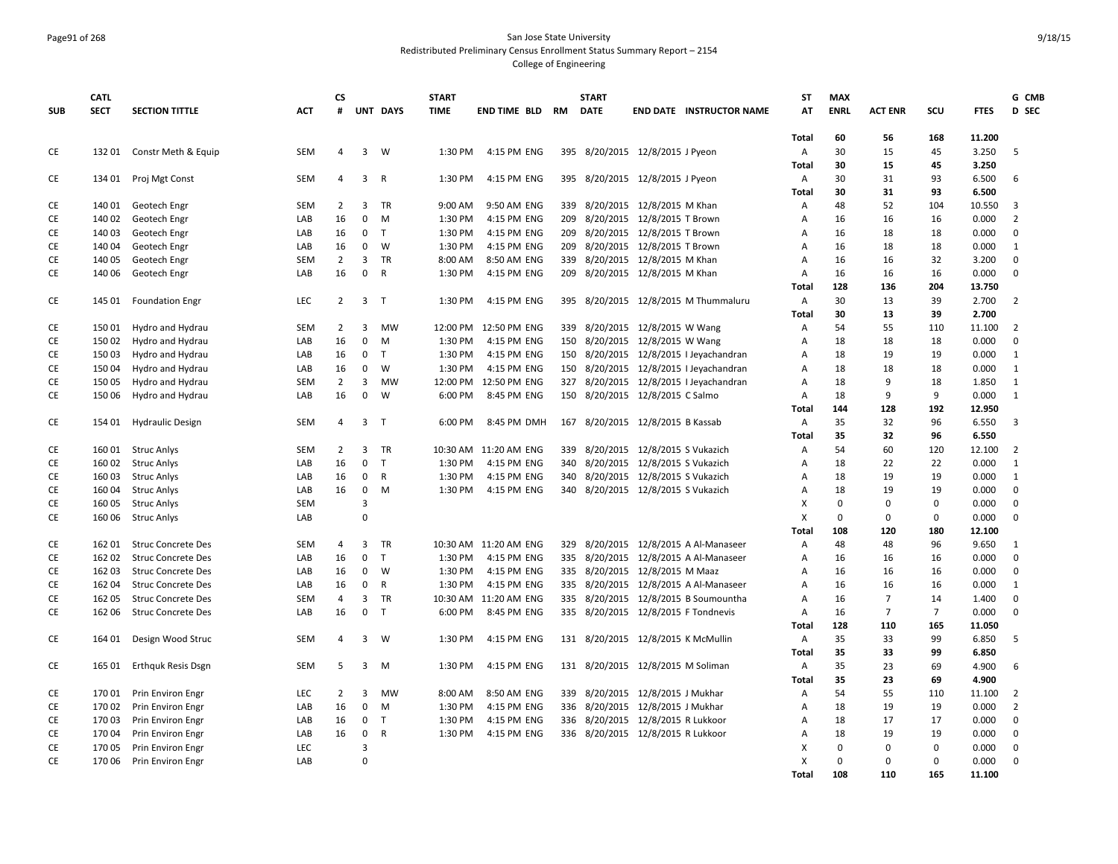# Page91 of 268 San Jose State University Redistributed Preliminary Census Enrollment Status Summary Report – 2154

|            | <b>CATL</b> |                           |            | <b>CS</b>      |                         |              | <b>START</b> |                       |     | <b>START</b>  |                                       | <b>ST</b>                 | <b>MAX</b>  |                |                |             | G CMB                   |
|------------|-------------|---------------------------|------------|----------------|-------------------------|--------------|--------------|-----------------------|-----|---------------|---------------------------------------|---------------------------|-------------|----------------|----------------|-------------|-------------------------|
| <b>SUB</b> | <b>SECT</b> | <b>SECTION TITTLE</b>     | <b>ACT</b> | #              |                         | UNT DAYS     | <b>TIME</b>  | END TIME BLD RM       |     | <b>DATE</b>   | <b>END DATE INSTRUCTOR NAME</b>       | AT                        | <b>ENRL</b> | <b>ACT ENR</b> | scu            | <b>FTES</b> | D SEC                   |
|            |             |                           |            |                |                         |              |              |                       |     |               |                                       | Total                     | 60          | 56             | 168            | 11.200      |                         |
| CE         | 13201       | Constr Meth & Equip       | SEM        | $\overline{4}$ | $\overline{\mathbf{3}}$ | W            | 1:30 PM      | 4:15 PM ENG           |     |               | 395 8/20/2015 12/8/2015 J Pyeon       | Α                         | 30          | 15             | 45             | 3.250       | 5                       |
|            |             |                           |            |                |                         |              |              |                       |     |               |                                       | <b>Total</b>              | 30          | 15             | 45             | 3.250       |                         |
| CE         | 134 01      | Proj Mgt Const            | SEM        | 4              | $\overline{3}$          | $\mathsf{R}$ | 1:30 PM      | 4:15 PM ENG           |     |               | 395 8/20/2015 12/8/2015 J Pyeon       | Α                         | 30          | 31             | 93             | 6.500       | 6                       |
|            |             |                           |            |                |                         |              |              |                       |     |               |                                       | Total                     | 30          | 31             | 93             | 6.500       |                         |
| CE         | 140 01      | Geotech Engr              | SEM        | 2              | 3                       | TR           | 9:00 AM      | 9:50 AM ENG           |     |               | 339 8/20/2015 12/8/2015 M Khan        | Α                         | 48          | 52             | 104            | 10.550      | 3                       |
| CE         | 140 02      | Geotech Engr              | LAB        | 16             | $\mathbf 0$             | M            | 1:30 PM      | 4:15 PM ENG           |     |               | 209 8/20/2015 12/8/2015 T Brown       | A                         | 16          | 16             | 16             | 0.000       | $\overline{2}$          |
| CE         | 14003       | Geotech Engr              | LAB        | 16             | $\mathbf 0$             | $\mathsf{T}$ | 1:30 PM      | 4:15 PM ENG           | 209 |               | 8/20/2015 12/8/2015 T Brown           | $\overline{A}$            | 16          | 18             | 18             | 0.000       | $\mathbf 0$             |
| CE         | 140 04      | Geotech Engr              | LAB        | 16             | $\mathbf 0$             | W            | 1:30 PM      | 4:15 PM ENG           |     |               | 209 8/20/2015 12/8/2015 T Brown       | $\overline{A}$            | 16          | 18             | 18             | 0.000       | $\mathbf{1}$            |
| CE         | 140 05      | Geotech Engr              | <b>SEM</b> | $\overline{2}$ | $\mathbf{3}$            | <b>TR</b>    | 8:00 AM      | 8:50 AM ENG           |     |               | 339 8/20/2015 12/8/2015 M Khan        | A                         | 16          | 16             | 32             | 3.200       | $\mathbf 0$             |
| CE         | 140 06      | Geotech Engr              | LAB        | 16             | $\mathbf 0$             | $\mathsf{R}$ | 1:30 PM      | 4:15 PM ENG           |     |               | 209 8/20/2015 12/8/2015 M Khan        | Α                         | 16          | 16             | 16             | 0.000       | $\Omega$                |
|            |             |                           |            |                |                         |              |              |                       |     |               |                                       | Total                     | 128         | 136            | 204            | 13.750      |                         |
| CE         |             | 145 01 Foundation Engr    | LEC        | $\overline{2}$ | $\overline{3}$          | T            | 1:30 PM      | 4:15 PM ENG           |     |               | 395 8/20/2015 12/8/2015 M Thummaluru  | Α                         | 30          | 13             | 39             | 2.700       | $\overline{2}$          |
|            |             |                           |            |                |                         |              |              |                       |     |               |                                       | Total                     | 30          | 13             | 39             | 2.700       |                         |
| CE         | 15001       | Hydro and Hydrau          | <b>SEM</b> | $\overline{2}$ | $\overline{3}$          | <b>MW</b>    | 12:00 PM     | 12:50 PM ENG          |     |               | 339 8/20/2015 12/8/2015 W Wang        | $\overline{A}$            | 54          | 55             | 110            | 11.100      | $\overline{2}$          |
| CE         | 15002       | Hydro and Hydrau          | LAB        | 16             | $\mathbf 0$             | M            | 1:30 PM      | 4:15 PM ENG           | 150 |               | 8/20/2015 12/8/2015 W Wang            | $\overline{A}$            | 18          | 18             | 18             | 0.000       | $\mathbf 0$             |
| CE         | 15003       | Hydro and Hydrau          | LAB        | 16             | 0                       | T            | 1:30 PM      | 4:15 PM ENG           | 150 |               | 8/20/2015 12/8/2015   Jeyachandran    | Α                         | 18          | 19             | 19             | 0.000       | 1                       |
| CE         | 15004       | Hydro and Hydrau          | LAB        | 16             | $\mathbf 0$             | W            | 1:30 PM      | 4:15 PM ENG           | 150 |               | 8/20/2015 12/8/2015   Jeyachandran    | Α                         | 18          | 18             | 18             | 0.000       | 1                       |
| CE         | 15005       | Hydro and Hydrau          | SEM        | $\overline{2}$ | $\overline{3}$          | MW           | 12:00 PM     | 12:50 PM ENG          | 327 |               | 8/20/2015 12/8/2015   Jeyachandran    | Α                         | 18          | 9              | 18             | 1.850       | 1                       |
| CE         | 150 06      | Hydro and Hydrau          | LAB        | 16             | $\mathbf 0$             | W            | 6:00 PM      | 8:45 PM ENG           |     |               | 150 8/20/2015 12/8/2015 C Salmo       | Α                         | 18          | 9              | 9              | 0.000       | $\mathbf{1}$            |
|            |             |                           |            |                |                         |              |              |                       |     |               |                                       | Total                     | 144         | 128            | 192            | 12.950      |                         |
| CE         | 154 01      | <b>Hydraulic Design</b>   | <b>SEM</b> | 4              | $\overline{\mathbf{3}}$ | T            | 6:00 PM      | 8:45 PM DMH           |     |               | 167 8/20/2015 12/8/2015 B Kassab      | Α                         | 35          | 32             | 96             | 6.550       | $\overline{\mathbf{3}}$ |
|            |             |                           |            |                |                         |              |              |                       |     |               |                                       | Total                     | 35          | 32             | 96             | 6.550       |                         |
| CE         |             | 160 01 Struc Anlys        | SEM        | $\overline{2}$ | $\overline{3}$          | <b>TR</b>    |              | 10:30 AM 11:20 AM ENG |     |               | 339 8/20/2015 12/8/2015 S Vukazich    | Α                         | 54          | 60             | 120            | 12.100      | $\overline{2}$          |
| CE         |             | 160 02 Struc Anlys        | LAB        | 16             | $\mathbf 0$             | $\mathsf{T}$ | 1:30 PM      | 4:15 PM ENG           |     |               | 340 8/20/2015 12/8/2015 S Vukazich    | Α                         | 18          | 22             | 22             | 0.000       | 1                       |
| CE         | 16003       | <b>Struc Anlys</b>        | LAB        | 16             | $\mathbf 0$             | R            | 1:30 PM      | 4:15 PM ENG           |     |               | 340 8/20/2015 12/8/2015 S Vukazich    | Α                         | 18          | 19             | 19             | 0.000       | 1                       |
| CE         | 16004       | <b>Struc Anlys</b>        | LAB        | 16             | $\mathbf 0$             | M            | 1:30 PM      | 4:15 PM ENG           |     |               | 340 8/20/2015 12/8/2015 S Vukazich    | Α                         | 18          | 19             | 19             | 0.000       | $\mathbf 0$             |
| CE         | 160 05      | <b>Struc Anlys</b>        | <b>SEM</b> |                | 3                       |              |              |                       |     |               |                                       | X                         | $\Omega$    | $\Omega$       | $\mathbf 0$    | 0.000       | $\mathbf 0$             |
| <b>CE</b>  | 160 06      | <b>Struc Anlys</b>        | LAB        |                | $\Omega$                |              |              |                       |     |               |                                       | $\boldsymbol{\mathsf{x}}$ | $\mathbf 0$ | $\mathbf 0$    | $\mathbf 0$    | 0.000       | $\mathbf 0$             |
|            |             |                           |            |                |                         |              |              |                       |     |               |                                       | Total                     | 108         | 120            | 180            | 12.100      |                         |
| CE         |             | 162 01 Struc Concrete Des | <b>SEM</b> | $\overline{4}$ | $\overline{3}$          | TR           |              | 10:30 AM 11:20 AM ENG |     |               | 329 8/20/2015 12/8/2015 A Al-Manaseer | Α                         | 48          | 48             | 96             | 9.650       | $\mathbf{1}$            |
| CE         | 162 02      | <b>Struc Concrete Des</b> | LAB        | 16             | $\mathbf 0$             | $\mathsf{T}$ | 1:30 PM      | 4:15 PM ENG           |     |               | 335 8/20/2015 12/8/2015 A Al-Manaseer | Α                         | 16          | 16             | 16             | 0.000       | $\mathbf 0$             |
| CE         | 162 03      | <b>Struc Concrete Des</b> | LAB        | 16             | $\mathbf 0$             | W            | 1:30 PM      | 4:15 PM ENG           |     |               | 335 8/20/2015 12/8/2015 M Maaz        | A                         | 16          | 16             | 16             | 0.000       | $\mathbf 0$             |
| CE         | 16204       | <b>Struc Concrete Des</b> | LAB        | 16             | 0                       | R            | 1:30 PM      | 4:15 PM ENG           |     |               | 335 8/20/2015 12/8/2015 A Al-Manaseer | Α                         | 16          | 16             | 16             | 0.000       | $\mathbf{1}$            |
| CE         | 162 05      | <b>Struc Concrete Des</b> | <b>SEM</b> | 4              | 3                       | <b>TR</b>    |              | 10:30 AM 11:20 AM ENG |     |               | 335 8/20/2015 12/8/2015 B Soumountha  | Α                         | 16          | $\overline{7}$ | 14             | 1.400       | $\mathbf 0$             |
| <b>CE</b>  | 162 06      | <b>Struc Concrete Des</b> | LAB        | 16             | $\mathbf 0$             | T            | 6:00 PM      | 8:45 PM ENG           |     |               | 335 8/20/2015 12/8/2015 F Tondnevis   | Α                         | 16          | $\overline{7}$ | $\overline{7}$ | 0.000       | $\mathbf 0$             |
|            |             |                           |            |                |                         |              |              |                       |     |               |                                       | Total                     | 128         | 110            | 165            | 11.050      |                         |
| CE         | 164 01      | Design Wood Struc         | <b>SEM</b> | $\overline{4}$ | $\overline{3}$          | W            | 1:30 PM      | 4:15 PM ENG           |     |               | 131 8/20/2015 12/8/2015 K McMullin    | Α                         | 35          | 33             | 99             | 6.850       | 5                       |
|            |             |                           |            |                |                         |              |              |                       |     |               |                                       | Total                     | 35          | 33             | 99             | 6.850       |                         |
| CE         |             | 165 01 Erthquk Resis Dsgn | SEM        | 5              | $\overline{3}$          | M            | 1:30 PM      | 4:15 PM ENG           |     |               | 131 8/20/2015 12/8/2015 M Soliman     | A                         | 35          | 23             | 69             | 4.900       | 6                       |
|            |             |                           |            |                |                         |              |              |                       |     |               |                                       | Total                     | 35          | 23             | 69             | 4.900       |                         |
| CE         | 170 01      | Prin Environ Engr         | LEC        | $\overline{2}$ | $\overline{3}$          | MW           | 8:00 AM      | 8:50 AM ENG           |     |               | 339 8/20/2015 12/8/2015 J Mukhar      | Α                         | 54          | 55             | 110            | 11.100      | $\overline{2}$          |
| <b>CE</b>  | 17002       | Prin Environ Engr         | LAB        | 16             | $\mathbf 0$             | M            | 1:30 PM      | 4:15 PM ENG           |     | 336 8/20/2015 | 12/8/2015 J Mukhar                    | Α                         | 18          | 19             | 19             | 0.000       | $\overline{2}$          |
| CE         | 17003       | Prin Environ Engr         | LAB        | 16             | $\mathbf 0$             | $\mathsf{T}$ | 1:30 PM      | 4:15 PM ENG           | 336 |               | 8/20/2015 12/8/2015 R Lukkoor         | A                         | 18          | 17             | 17             | 0.000       | $\mathbf 0$             |
| CE         | 17004       | Prin Environ Engr         | LAB        | 16             | $\mathbf 0$             | R            | 1:30 PM      | 4:15 PM ENG           |     | 336 8/20/2015 | 12/8/2015 R Lukkoor                   | Α                         | 18          | 19             | 19             | 0.000       | $\mathbf 0$             |
| CE         | 170 05      | Prin Environ Engr         | LEC        |                | 3                       |              |              |                       |     |               |                                       | X                         | $\mathbf 0$ | $\Omega$       | 0              | 0.000       | $\mathbf 0$             |
| CE         | 170 06      | Prin Environ Engr         | LAB        |                | $\mathbf 0$             |              |              |                       |     |               |                                       | X                         | $\mathbf 0$ | $\Omega$       | 0              | 0.000       | $\mathbf 0$             |
|            |             |                           |            |                |                         |              |              |                       |     |               |                                       | <b>Total</b>              | 108         | 110            | 165            | 11.100      |                         |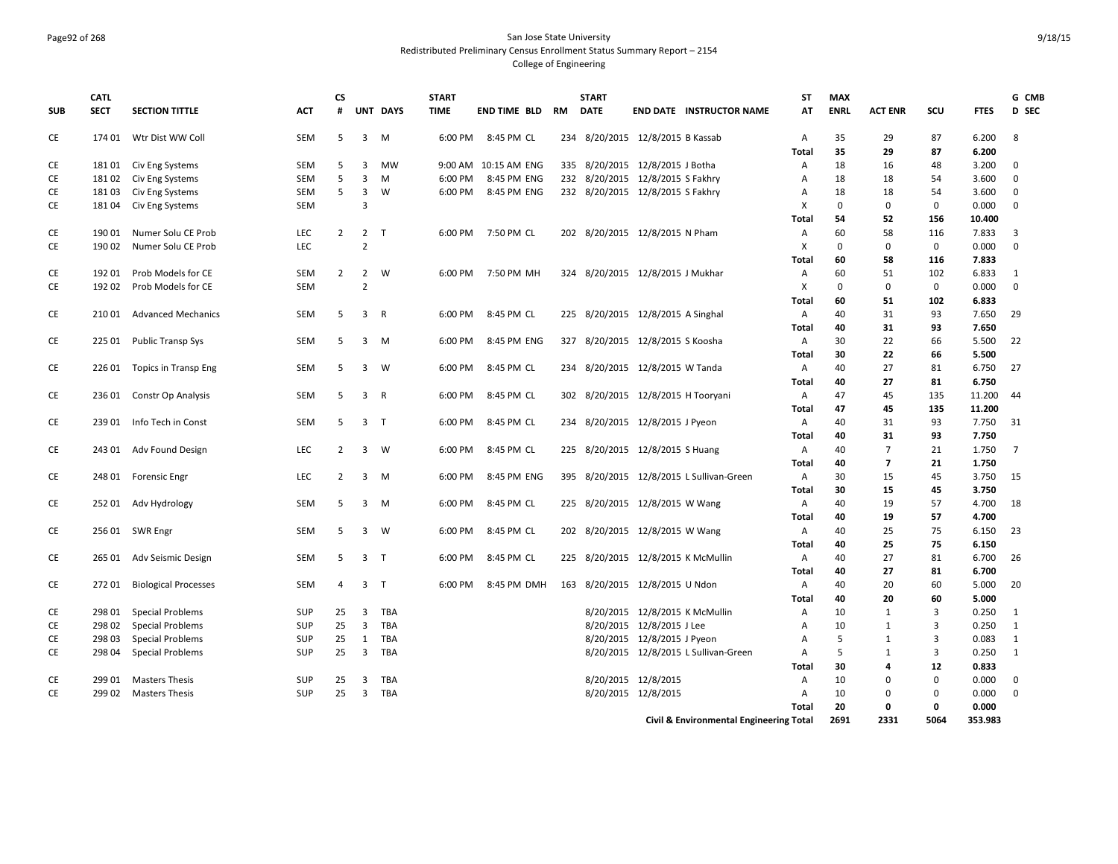### Page92 of 268 San Jose State University Redistributed Preliminary Census Enrollment Status Summary Report – 2154 College of Engineering

| UNT DAYS<br><b>ENRL</b><br>SCU<br>D SEC<br><b>SUB</b><br><b>SECT</b><br><b>SECTION TITTLE</b><br><b>ACT</b><br>#<br><b>TIME</b><br><b>END TIME BLD</b><br><b>DATE</b><br><b>END DATE INSTRUCTOR NAME</b><br>AT<br><b>ACT ENR</b><br><b>FTES</b><br>RM<br>CE<br>Wtr Dist WW Coll<br><b>SEM</b><br>$\overline{3}$<br>M<br>8:45 PM CL<br>234 8/20/2015 12/8/2015 B Kassab<br>35<br>29<br>87<br>6.200<br>8<br>174 01<br>5<br>6:00 PM<br>Α<br>35<br>29<br>87<br>6.200<br>Total<br>CE<br>18101 Civ Eng Systems<br>SEM<br>5<br>3<br><b>MW</b><br>9:00 AM 10:15 AM ENG<br>335 8/20/2015 12/8/2015 J Botha<br>18<br>16<br>48<br>3.200<br>$\Omega$<br>Α<br>5<br>CE<br>SEM<br>3<br>8:45 PM ENG<br>232 8/20/2015 12/8/2015 S Fakhry<br>3.600<br>$\mathbf 0$<br>18102<br>Civ Eng Systems<br>M<br>6:00 PM<br>Α<br>18<br>18<br>54<br>5<br>Civ Eng Systems<br>SEM<br>$\overline{3}$<br>8:45 PM ENG<br>232 8/20/2015 12/8/2015 S Fakhry<br>3.600<br>CE<br>18103<br>W<br>6:00 PM<br>18<br>18<br>54<br>$\mathbf{0}$<br>А<br>$\overline{3}$<br>$\mathbf 0$<br>CE<br><b>SEM</b><br>X<br>$\Omega$<br>$\Omega$<br>0.000<br>$\mathbf 0$<br>18104<br>Civ Eng Systems<br>Total<br>54<br>52<br>156<br>10.400<br>CE<br><b>LEC</b><br>$\overline{2}$<br>$\overline{2}$<br>58<br>7.833<br>3<br>190 01<br>Numer Solu CE Prob<br>$\top$<br>6:00 PM<br>7:50 PM CL<br>202 8/20/2015 12/8/2015 N Pham<br>60<br>116<br>Α<br>LEC<br>$\overline{2}$<br>CE<br>X<br>$\Omega$<br>$\mathbf{0}$<br>$\mathbf 0$<br>0.000<br>$\mathbf 0$<br>190 02<br>Numer Solu CE Prob<br>60<br>116<br>7.833<br>Total<br>58<br>CE<br>60<br>192 01<br>Prob Models for CE<br><b>SEM</b><br>$\overline{2}$<br>$\overline{2}$<br>W<br>7:50 PM MH<br>324 8/20/2015 12/8/2015 J Mukhar<br>51<br>102<br>6.833<br>6:00 PM<br>A<br>1<br>$\overline{2}$<br>$\mathbf 0$<br>0<br>CE<br>192 02<br>Prob Models for CE<br><b>SEM</b><br>х<br>$\mathbf 0$<br>0.000<br>$\mathbf{0}$<br>102<br>6.833<br>60<br>51<br>Total<br>CE<br><b>SEM</b><br>5<br>$\overline{3}$<br>$\mathsf{R}$<br>8:45 PM CL<br>225 8/20/2015 12/8/2015 A Singhal<br>A<br>40<br>93<br>7.650<br>29<br>210 01<br><b>Advanced Mechanics</b><br>6:00 PM<br>31<br>40<br>31<br>93<br>7.650<br>Total<br>30<br>CE<br>225 01<br><b>Public Transp Sys</b><br>SEM<br>5<br>3<br>M<br>6:00 PM<br>8:45 PM ENG<br>327 8/20/2015 12/8/2015 S Koosha<br>Α<br>22<br>66<br>5.500<br>22<br>30<br>22<br>66<br>5.500<br>Total<br>CE<br>SEM<br>8:45 PM CL<br>234 8/20/2015 12/8/2015 W Tanda<br>40<br>27<br>6.750<br>27<br>226 01<br>Topics in Transp Eng<br>5<br>3<br>W<br>6:00 PM<br>A<br>81<br>40<br>27<br>81<br>6.750<br>Total<br>CE<br><b>SEM</b><br>5<br>3<br>$\mathsf{R}$<br>8:45 PM CL<br>302 8/20/2015 12/8/2015 H Tooryani<br>47<br>45<br>135<br>11.200<br>236 01<br>Constr Op Analysis<br>6:00 PM<br>Α<br>44<br>Total<br>47<br>45<br>135<br>11.200<br>CE<br>SEM<br>5<br>3 <sub>T</sub><br>8:45 PM CL<br>93<br>7.750<br>23901<br>Info Tech in Const<br>6:00 PM<br>234 8/20/2015 12/8/2015 J Pyeon<br>A<br>40<br>31<br>31<br>40<br>93<br>7.750<br>Total<br>31<br>CE<br>LEC<br>$\overline{2}$<br>$\mathbf{3}$<br>8:45 PM CL<br>225 8/20/2015 12/8/2015 S Huang<br>$\overline{7}$<br>21<br>1.750<br>243 01<br>Adv Found Design<br>W<br>6:00 PM<br>A<br>40<br>$\overline{7}$<br>1.750<br>40<br>$\overline{ }$<br>21<br>Total<br>30<br>CE<br><b>LEC</b><br>$\overline{2}$<br>3<br>M<br>8:45 PM ENG<br>395 8/20/2015 12/8/2015 L Sullivan-Green<br>Α<br>15<br>45<br>3.750<br>15<br>248 01<br><b>Forensic Engr</b><br>6:00 PM<br>3.750<br>Total<br>30<br>15<br>45<br>CE<br>SEM<br>40<br>4.700<br>25201<br>Adv Hydrology<br>5<br>3<br>6:00 PM<br>8:45 PM CL<br>225 8/20/2015 12/8/2015 W Wang<br>Α<br>19<br>57<br>18<br>M<br>57<br>4.700<br>Total<br>40<br>19<br>CE<br>256 01 SWR Engr<br><b>SEM</b><br>3<br>W<br>6:00 PM<br>8:45 PM CL<br>202 8/20/2015 12/8/2015 W Wang<br>40<br>25<br>75<br>6.150<br>23<br>5<br>Α<br>25<br>40<br>75<br>6.150<br>Total<br>27<br>CE<br>265 01 Adv Seismic Design<br>SEM<br>5<br>3<br>$\top$<br>6:00 PM<br>8:45 PM CL<br>225 8/20/2015 12/8/2015 K McMullin<br>Α<br>40<br>81<br>6.700<br>-26<br>40<br>27<br>6.700<br>Total<br>81<br>CE<br>27201<br><b>SEM</b><br>$\overline{3}$<br>T<br>8:45 PM DMH<br>163 8/20/2015 12/8/2015 U Ndon<br>40<br>20<br>60<br>5.000<br><b>Biological Processes</b><br>4<br>6:00 PM<br>Α<br>-20<br>40<br>20<br>60<br>5.000<br><b>Total</b><br>8/20/2015 12/8/2015 K McMullin<br>CE<br>298 01<br><b>Special Problems</b><br><b>SUP</b><br>25<br>3<br>TBA<br>Α<br>10<br>3<br>0.250<br>1<br>1<br>25<br>3<br>TBA<br>8/20/2015 12/8/2015 J Lee<br>10<br>3<br>0.250<br>$\mathbf{1}$<br>CE<br>298 02<br><b>Special Problems</b><br><b>SUP</b><br>A<br>1<br>3<br>CE<br><b>Special Problems</b><br><b>SUP</b><br>25<br>TBA<br>8/20/2015 12/8/2015 J Pyeon<br>5<br>0.083<br>$\mathbf{1}$<br>298 03<br>1<br>Α<br>1<br>8/20/2015 12/8/2015 L Sullivan-Green<br><b>CE</b><br>25<br>3<br>TBA<br>$\overline{A}$<br>5<br>3<br>0.250<br>1<br>298 04<br><b>Special Problems</b><br><b>SUP</b><br>1<br>12<br>30<br>0.833<br>Total<br>4<br>8/20/2015 12/8/2015<br>$\mathbf 0$<br>0.000<br>CE<br>299 01<br><b>Masters Thesis</b><br><b>SUP</b><br>25<br>3<br>TBA<br>Α<br>10<br>$\Omega$<br>0<br>CE<br>299 02<br>SUP<br>25<br>$\overline{\mathbf{3}}$<br>TBA<br>8/20/2015 12/8/2015<br>10<br>0.000<br>$\mathbf 0$<br><b>Masters Thesis</b><br>A<br>$\Omega$<br>0<br>20<br>0<br>Total<br>0<br>0.000<br>5064<br>2691<br>2331<br>353.983<br>Civil & Environmental Engineering Total | <b>CATL</b> |  | <b>CS</b> |  | <b>START</b> |  | <b>START</b> |  | <b>ST</b> | <b>MAX</b> |  | G CMB |
|--------------------------------------------------------------------------------------------------------------------------------------------------------------------------------------------------------------------------------------------------------------------------------------------------------------------------------------------------------------------------------------------------------------------------------------------------------------------------------------------------------------------------------------------------------------------------------------------------------------------------------------------------------------------------------------------------------------------------------------------------------------------------------------------------------------------------------------------------------------------------------------------------------------------------------------------------------------------------------------------------------------------------------------------------------------------------------------------------------------------------------------------------------------------------------------------------------------------------------------------------------------------------------------------------------------------------------------------------------------------------------------------------------------------------------------------------------------------------------------------------------------------------------------------------------------------------------------------------------------------------------------------------------------------------------------------------------------------------------------------------------------------------------------------------------------------------------------------------------------------------------------------------------------------------------------------------------------------------------------------------------------------------------------------------------------------------------------------------------------------------------------------------------------------------------------------------------------------------------------------------------------------------------------------------------------------------------------------------------------------------------------------------------------------------------------------------------------------------------------------------------------------------------------------------------------------------------------------------------------------------------------------------------------------------------------------------------------------------------------------------------------------------------------------------------------------------------------------------------------------------------------------------------------------------------------------------------------------------------------------------------------------------------------------------------------------------------------------------------------------------------------------------------------------------------------------------------------------------------------------------------------------------------------------------------------------------------------------------------------------------------------------------------------------------------------------------------------------------------------------------------------------------------------------------------------------------------------------------------------------------------------------------------------------------------------------------------------------------------------------------------------------------------------------------------------------------------------------------------------------------------------------------------------------------------------------------------------------------------------------------------------------------------------------------------------------------------------------------------------------------------------------------------------------------------------------------------------------------------------------------------------------------------------------------------------------------------------------------------------------------------------------------------------------------------------------------------------------------------------------------------------------------------------------------------------------------------------------------------------------------------------------------------------------------------------------------------------------------------------------------------------------------------------------------------------------------------------------------------------------------------------------------------------------------------------------------------------------------------------------------------------------------------------------------------------------------------------------------------------------------------------------------------------------------------------------------------------------------------------------------------------------------------------------------------------------------------------------------------------------------------------------------------------------------------------------------------------------------------------------|-------------|--|-----------|--|--------------|--|--------------|--|-----------|------------|--|-------|
|                                                                                                                                                                                                                                                                                                                                                                                                                                                                                                                                                                                                                                                                                                                                                                                                                                                                                                                                                                                                                                                                                                                                                                                                                                                                                                                                                                                                                                                                                                                                                                                                                                                                                                                                                                                                                                                                                                                                                                                                                                                                                                                                                                                                                                                                                                                                                                                                                                                                                                                                                                                                                                                                                                                                                                                                                                                                                                                                                                                                                                                                                                                                                                                                                                                                                                                                                                                                                                                                                                                                                                                                                                                                                                                                                                                                                                                                                                                                                                                                                                                                                                                                                                                                                                                                                                                                                                                                                                                                                                                                                                                                                                                                                                                                                                                                                                                                                                                                                                                                                                                                                                                                                                                                                                                                                                                                                                                                                                                                                            |             |  |           |  |              |  |              |  |           |            |  |       |
|                                                                                                                                                                                                                                                                                                                                                                                                                                                                                                                                                                                                                                                                                                                                                                                                                                                                                                                                                                                                                                                                                                                                                                                                                                                                                                                                                                                                                                                                                                                                                                                                                                                                                                                                                                                                                                                                                                                                                                                                                                                                                                                                                                                                                                                                                                                                                                                                                                                                                                                                                                                                                                                                                                                                                                                                                                                                                                                                                                                                                                                                                                                                                                                                                                                                                                                                                                                                                                                                                                                                                                                                                                                                                                                                                                                                                                                                                                                                                                                                                                                                                                                                                                                                                                                                                                                                                                                                                                                                                                                                                                                                                                                                                                                                                                                                                                                                                                                                                                                                                                                                                                                                                                                                                                                                                                                                                                                                                                                                                            |             |  |           |  |              |  |              |  |           |            |  |       |
|                                                                                                                                                                                                                                                                                                                                                                                                                                                                                                                                                                                                                                                                                                                                                                                                                                                                                                                                                                                                                                                                                                                                                                                                                                                                                                                                                                                                                                                                                                                                                                                                                                                                                                                                                                                                                                                                                                                                                                                                                                                                                                                                                                                                                                                                                                                                                                                                                                                                                                                                                                                                                                                                                                                                                                                                                                                                                                                                                                                                                                                                                                                                                                                                                                                                                                                                                                                                                                                                                                                                                                                                                                                                                                                                                                                                                                                                                                                                                                                                                                                                                                                                                                                                                                                                                                                                                                                                                                                                                                                                                                                                                                                                                                                                                                                                                                                                                                                                                                                                                                                                                                                                                                                                                                                                                                                                                                                                                                                                                            |             |  |           |  |              |  |              |  |           |            |  |       |
|                                                                                                                                                                                                                                                                                                                                                                                                                                                                                                                                                                                                                                                                                                                                                                                                                                                                                                                                                                                                                                                                                                                                                                                                                                                                                                                                                                                                                                                                                                                                                                                                                                                                                                                                                                                                                                                                                                                                                                                                                                                                                                                                                                                                                                                                                                                                                                                                                                                                                                                                                                                                                                                                                                                                                                                                                                                                                                                                                                                                                                                                                                                                                                                                                                                                                                                                                                                                                                                                                                                                                                                                                                                                                                                                                                                                                                                                                                                                                                                                                                                                                                                                                                                                                                                                                                                                                                                                                                                                                                                                                                                                                                                                                                                                                                                                                                                                                                                                                                                                                                                                                                                                                                                                                                                                                                                                                                                                                                                                                            |             |  |           |  |              |  |              |  |           |            |  |       |
|                                                                                                                                                                                                                                                                                                                                                                                                                                                                                                                                                                                                                                                                                                                                                                                                                                                                                                                                                                                                                                                                                                                                                                                                                                                                                                                                                                                                                                                                                                                                                                                                                                                                                                                                                                                                                                                                                                                                                                                                                                                                                                                                                                                                                                                                                                                                                                                                                                                                                                                                                                                                                                                                                                                                                                                                                                                                                                                                                                                                                                                                                                                                                                                                                                                                                                                                                                                                                                                                                                                                                                                                                                                                                                                                                                                                                                                                                                                                                                                                                                                                                                                                                                                                                                                                                                                                                                                                                                                                                                                                                                                                                                                                                                                                                                                                                                                                                                                                                                                                                                                                                                                                                                                                                                                                                                                                                                                                                                                                                            |             |  |           |  |              |  |              |  |           |            |  |       |
|                                                                                                                                                                                                                                                                                                                                                                                                                                                                                                                                                                                                                                                                                                                                                                                                                                                                                                                                                                                                                                                                                                                                                                                                                                                                                                                                                                                                                                                                                                                                                                                                                                                                                                                                                                                                                                                                                                                                                                                                                                                                                                                                                                                                                                                                                                                                                                                                                                                                                                                                                                                                                                                                                                                                                                                                                                                                                                                                                                                                                                                                                                                                                                                                                                                                                                                                                                                                                                                                                                                                                                                                                                                                                                                                                                                                                                                                                                                                                                                                                                                                                                                                                                                                                                                                                                                                                                                                                                                                                                                                                                                                                                                                                                                                                                                                                                                                                                                                                                                                                                                                                                                                                                                                                                                                                                                                                                                                                                                                                            |             |  |           |  |              |  |              |  |           |            |  |       |
|                                                                                                                                                                                                                                                                                                                                                                                                                                                                                                                                                                                                                                                                                                                                                                                                                                                                                                                                                                                                                                                                                                                                                                                                                                                                                                                                                                                                                                                                                                                                                                                                                                                                                                                                                                                                                                                                                                                                                                                                                                                                                                                                                                                                                                                                                                                                                                                                                                                                                                                                                                                                                                                                                                                                                                                                                                                                                                                                                                                                                                                                                                                                                                                                                                                                                                                                                                                                                                                                                                                                                                                                                                                                                                                                                                                                                                                                                                                                                                                                                                                                                                                                                                                                                                                                                                                                                                                                                                                                                                                                                                                                                                                                                                                                                                                                                                                                                                                                                                                                                                                                                                                                                                                                                                                                                                                                                                                                                                                                                            |             |  |           |  |              |  |              |  |           |            |  |       |
|                                                                                                                                                                                                                                                                                                                                                                                                                                                                                                                                                                                                                                                                                                                                                                                                                                                                                                                                                                                                                                                                                                                                                                                                                                                                                                                                                                                                                                                                                                                                                                                                                                                                                                                                                                                                                                                                                                                                                                                                                                                                                                                                                                                                                                                                                                                                                                                                                                                                                                                                                                                                                                                                                                                                                                                                                                                                                                                                                                                                                                                                                                                                                                                                                                                                                                                                                                                                                                                                                                                                                                                                                                                                                                                                                                                                                                                                                                                                                                                                                                                                                                                                                                                                                                                                                                                                                                                                                                                                                                                                                                                                                                                                                                                                                                                                                                                                                                                                                                                                                                                                                                                                                                                                                                                                                                                                                                                                                                                                                            |             |  |           |  |              |  |              |  |           |            |  |       |
|                                                                                                                                                                                                                                                                                                                                                                                                                                                                                                                                                                                                                                                                                                                                                                                                                                                                                                                                                                                                                                                                                                                                                                                                                                                                                                                                                                                                                                                                                                                                                                                                                                                                                                                                                                                                                                                                                                                                                                                                                                                                                                                                                                                                                                                                                                                                                                                                                                                                                                                                                                                                                                                                                                                                                                                                                                                                                                                                                                                                                                                                                                                                                                                                                                                                                                                                                                                                                                                                                                                                                                                                                                                                                                                                                                                                                                                                                                                                                                                                                                                                                                                                                                                                                                                                                                                                                                                                                                                                                                                                                                                                                                                                                                                                                                                                                                                                                                                                                                                                                                                                                                                                                                                                                                                                                                                                                                                                                                                                                            |             |  |           |  |              |  |              |  |           |            |  |       |
|                                                                                                                                                                                                                                                                                                                                                                                                                                                                                                                                                                                                                                                                                                                                                                                                                                                                                                                                                                                                                                                                                                                                                                                                                                                                                                                                                                                                                                                                                                                                                                                                                                                                                                                                                                                                                                                                                                                                                                                                                                                                                                                                                                                                                                                                                                                                                                                                                                                                                                                                                                                                                                                                                                                                                                                                                                                                                                                                                                                                                                                                                                                                                                                                                                                                                                                                                                                                                                                                                                                                                                                                                                                                                                                                                                                                                                                                                                                                                                                                                                                                                                                                                                                                                                                                                                                                                                                                                                                                                                                                                                                                                                                                                                                                                                                                                                                                                                                                                                                                                                                                                                                                                                                                                                                                                                                                                                                                                                                                                            |             |  |           |  |              |  |              |  |           |            |  |       |
|                                                                                                                                                                                                                                                                                                                                                                                                                                                                                                                                                                                                                                                                                                                                                                                                                                                                                                                                                                                                                                                                                                                                                                                                                                                                                                                                                                                                                                                                                                                                                                                                                                                                                                                                                                                                                                                                                                                                                                                                                                                                                                                                                                                                                                                                                                                                                                                                                                                                                                                                                                                                                                                                                                                                                                                                                                                                                                                                                                                                                                                                                                                                                                                                                                                                                                                                                                                                                                                                                                                                                                                                                                                                                                                                                                                                                                                                                                                                                                                                                                                                                                                                                                                                                                                                                                                                                                                                                                                                                                                                                                                                                                                                                                                                                                                                                                                                                                                                                                                                                                                                                                                                                                                                                                                                                                                                                                                                                                                                                            |             |  |           |  |              |  |              |  |           |            |  |       |
|                                                                                                                                                                                                                                                                                                                                                                                                                                                                                                                                                                                                                                                                                                                                                                                                                                                                                                                                                                                                                                                                                                                                                                                                                                                                                                                                                                                                                                                                                                                                                                                                                                                                                                                                                                                                                                                                                                                                                                                                                                                                                                                                                                                                                                                                                                                                                                                                                                                                                                                                                                                                                                                                                                                                                                                                                                                                                                                                                                                                                                                                                                                                                                                                                                                                                                                                                                                                                                                                                                                                                                                                                                                                                                                                                                                                                                                                                                                                                                                                                                                                                                                                                                                                                                                                                                                                                                                                                                                                                                                                                                                                                                                                                                                                                                                                                                                                                                                                                                                                                                                                                                                                                                                                                                                                                                                                                                                                                                                                                            |             |  |           |  |              |  |              |  |           |            |  |       |
|                                                                                                                                                                                                                                                                                                                                                                                                                                                                                                                                                                                                                                                                                                                                                                                                                                                                                                                                                                                                                                                                                                                                                                                                                                                                                                                                                                                                                                                                                                                                                                                                                                                                                                                                                                                                                                                                                                                                                                                                                                                                                                                                                                                                                                                                                                                                                                                                                                                                                                                                                                                                                                                                                                                                                                                                                                                                                                                                                                                                                                                                                                                                                                                                                                                                                                                                                                                                                                                                                                                                                                                                                                                                                                                                                                                                                                                                                                                                                                                                                                                                                                                                                                                                                                                                                                                                                                                                                                                                                                                                                                                                                                                                                                                                                                                                                                                                                                                                                                                                                                                                                                                                                                                                                                                                                                                                                                                                                                                                                            |             |  |           |  |              |  |              |  |           |            |  |       |
|                                                                                                                                                                                                                                                                                                                                                                                                                                                                                                                                                                                                                                                                                                                                                                                                                                                                                                                                                                                                                                                                                                                                                                                                                                                                                                                                                                                                                                                                                                                                                                                                                                                                                                                                                                                                                                                                                                                                                                                                                                                                                                                                                                                                                                                                                                                                                                                                                                                                                                                                                                                                                                                                                                                                                                                                                                                                                                                                                                                                                                                                                                                                                                                                                                                                                                                                                                                                                                                                                                                                                                                                                                                                                                                                                                                                                                                                                                                                                                                                                                                                                                                                                                                                                                                                                                                                                                                                                                                                                                                                                                                                                                                                                                                                                                                                                                                                                                                                                                                                                                                                                                                                                                                                                                                                                                                                                                                                                                                                                            |             |  |           |  |              |  |              |  |           |            |  |       |
|                                                                                                                                                                                                                                                                                                                                                                                                                                                                                                                                                                                                                                                                                                                                                                                                                                                                                                                                                                                                                                                                                                                                                                                                                                                                                                                                                                                                                                                                                                                                                                                                                                                                                                                                                                                                                                                                                                                                                                                                                                                                                                                                                                                                                                                                                                                                                                                                                                                                                                                                                                                                                                                                                                                                                                                                                                                                                                                                                                                                                                                                                                                                                                                                                                                                                                                                                                                                                                                                                                                                                                                                                                                                                                                                                                                                                                                                                                                                                                                                                                                                                                                                                                                                                                                                                                                                                                                                                                                                                                                                                                                                                                                                                                                                                                                                                                                                                                                                                                                                                                                                                                                                                                                                                                                                                                                                                                                                                                                                                            |             |  |           |  |              |  |              |  |           |            |  |       |
|                                                                                                                                                                                                                                                                                                                                                                                                                                                                                                                                                                                                                                                                                                                                                                                                                                                                                                                                                                                                                                                                                                                                                                                                                                                                                                                                                                                                                                                                                                                                                                                                                                                                                                                                                                                                                                                                                                                                                                                                                                                                                                                                                                                                                                                                                                                                                                                                                                                                                                                                                                                                                                                                                                                                                                                                                                                                                                                                                                                                                                                                                                                                                                                                                                                                                                                                                                                                                                                                                                                                                                                                                                                                                                                                                                                                                                                                                                                                                                                                                                                                                                                                                                                                                                                                                                                                                                                                                                                                                                                                                                                                                                                                                                                                                                                                                                                                                                                                                                                                                                                                                                                                                                                                                                                                                                                                                                                                                                                                                            |             |  |           |  |              |  |              |  |           |            |  |       |
|                                                                                                                                                                                                                                                                                                                                                                                                                                                                                                                                                                                                                                                                                                                                                                                                                                                                                                                                                                                                                                                                                                                                                                                                                                                                                                                                                                                                                                                                                                                                                                                                                                                                                                                                                                                                                                                                                                                                                                                                                                                                                                                                                                                                                                                                                                                                                                                                                                                                                                                                                                                                                                                                                                                                                                                                                                                                                                                                                                                                                                                                                                                                                                                                                                                                                                                                                                                                                                                                                                                                                                                                                                                                                                                                                                                                                                                                                                                                                                                                                                                                                                                                                                                                                                                                                                                                                                                                                                                                                                                                                                                                                                                                                                                                                                                                                                                                                                                                                                                                                                                                                                                                                                                                                                                                                                                                                                                                                                                                                            |             |  |           |  |              |  |              |  |           |            |  |       |
|                                                                                                                                                                                                                                                                                                                                                                                                                                                                                                                                                                                                                                                                                                                                                                                                                                                                                                                                                                                                                                                                                                                                                                                                                                                                                                                                                                                                                                                                                                                                                                                                                                                                                                                                                                                                                                                                                                                                                                                                                                                                                                                                                                                                                                                                                                                                                                                                                                                                                                                                                                                                                                                                                                                                                                                                                                                                                                                                                                                                                                                                                                                                                                                                                                                                                                                                                                                                                                                                                                                                                                                                                                                                                                                                                                                                                                                                                                                                                                                                                                                                                                                                                                                                                                                                                                                                                                                                                                                                                                                                                                                                                                                                                                                                                                                                                                                                                                                                                                                                                                                                                                                                                                                                                                                                                                                                                                                                                                                                                            |             |  |           |  |              |  |              |  |           |            |  |       |
|                                                                                                                                                                                                                                                                                                                                                                                                                                                                                                                                                                                                                                                                                                                                                                                                                                                                                                                                                                                                                                                                                                                                                                                                                                                                                                                                                                                                                                                                                                                                                                                                                                                                                                                                                                                                                                                                                                                                                                                                                                                                                                                                                                                                                                                                                                                                                                                                                                                                                                                                                                                                                                                                                                                                                                                                                                                                                                                                                                                                                                                                                                                                                                                                                                                                                                                                                                                                                                                                                                                                                                                                                                                                                                                                                                                                                                                                                                                                                                                                                                                                                                                                                                                                                                                                                                                                                                                                                                                                                                                                                                                                                                                                                                                                                                                                                                                                                                                                                                                                                                                                                                                                                                                                                                                                                                                                                                                                                                                                                            |             |  |           |  |              |  |              |  |           |            |  |       |
|                                                                                                                                                                                                                                                                                                                                                                                                                                                                                                                                                                                                                                                                                                                                                                                                                                                                                                                                                                                                                                                                                                                                                                                                                                                                                                                                                                                                                                                                                                                                                                                                                                                                                                                                                                                                                                                                                                                                                                                                                                                                                                                                                                                                                                                                                                                                                                                                                                                                                                                                                                                                                                                                                                                                                                                                                                                                                                                                                                                                                                                                                                                                                                                                                                                                                                                                                                                                                                                                                                                                                                                                                                                                                                                                                                                                                                                                                                                                                                                                                                                                                                                                                                                                                                                                                                                                                                                                                                                                                                                                                                                                                                                                                                                                                                                                                                                                                                                                                                                                                                                                                                                                                                                                                                                                                                                                                                                                                                                                                            |             |  |           |  |              |  |              |  |           |            |  |       |
|                                                                                                                                                                                                                                                                                                                                                                                                                                                                                                                                                                                                                                                                                                                                                                                                                                                                                                                                                                                                                                                                                                                                                                                                                                                                                                                                                                                                                                                                                                                                                                                                                                                                                                                                                                                                                                                                                                                                                                                                                                                                                                                                                                                                                                                                                                                                                                                                                                                                                                                                                                                                                                                                                                                                                                                                                                                                                                                                                                                                                                                                                                                                                                                                                                                                                                                                                                                                                                                                                                                                                                                                                                                                                                                                                                                                                                                                                                                                                                                                                                                                                                                                                                                                                                                                                                                                                                                                                                                                                                                                                                                                                                                                                                                                                                                                                                                                                                                                                                                                                                                                                                                                                                                                                                                                                                                                                                                                                                                                                            |             |  |           |  |              |  |              |  |           |            |  |       |
|                                                                                                                                                                                                                                                                                                                                                                                                                                                                                                                                                                                                                                                                                                                                                                                                                                                                                                                                                                                                                                                                                                                                                                                                                                                                                                                                                                                                                                                                                                                                                                                                                                                                                                                                                                                                                                                                                                                                                                                                                                                                                                                                                                                                                                                                                                                                                                                                                                                                                                                                                                                                                                                                                                                                                                                                                                                                                                                                                                                                                                                                                                                                                                                                                                                                                                                                                                                                                                                                                                                                                                                                                                                                                                                                                                                                                                                                                                                                                                                                                                                                                                                                                                                                                                                                                                                                                                                                                                                                                                                                                                                                                                                                                                                                                                                                                                                                                                                                                                                                                                                                                                                                                                                                                                                                                                                                                                                                                                                                                            |             |  |           |  |              |  |              |  |           |            |  |       |
|                                                                                                                                                                                                                                                                                                                                                                                                                                                                                                                                                                                                                                                                                                                                                                                                                                                                                                                                                                                                                                                                                                                                                                                                                                                                                                                                                                                                                                                                                                                                                                                                                                                                                                                                                                                                                                                                                                                                                                                                                                                                                                                                                                                                                                                                                                                                                                                                                                                                                                                                                                                                                                                                                                                                                                                                                                                                                                                                                                                                                                                                                                                                                                                                                                                                                                                                                                                                                                                                                                                                                                                                                                                                                                                                                                                                                                                                                                                                                                                                                                                                                                                                                                                                                                                                                                                                                                                                                                                                                                                                                                                                                                                                                                                                                                                                                                                                                                                                                                                                                                                                                                                                                                                                                                                                                                                                                                                                                                                                                            |             |  |           |  |              |  |              |  |           |            |  |       |
|                                                                                                                                                                                                                                                                                                                                                                                                                                                                                                                                                                                                                                                                                                                                                                                                                                                                                                                                                                                                                                                                                                                                                                                                                                                                                                                                                                                                                                                                                                                                                                                                                                                                                                                                                                                                                                                                                                                                                                                                                                                                                                                                                                                                                                                                                                                                                                                                                                                                                                                                                                                                                                                                                                                                                                                                                                                                                                                                                                                                                                                                                                                                                                                                                                                                                                                                                                                                                                                                                                                                                                                                                                                                                                                                                                                                                                                                                                                                                                                                                                                                                                                                                                                                                                                                                                                                                                                                                                                                                                                                                                                                                                                                                                                                                                                                                                                                                                                                                                                                                                                                                                                                                                                                                                                                                                                                                                                                                                                                                            |             |  |           |  |              |  |              |  |           |            |  |       |
|                                                                                                                                                                                                                                                                                                                                                                                                                                                                                                                                                                                                                                                                                                                                                                                                                                                                                                                                                                                                                                                                                                                                                                                                                                                                                                                                                                                                                                                                                                                                                                                                                                                                                                                                                                                                                                                                                                                                                                                                                                                                                                                                                                                                                                                                                                                                                                                                                                                                                                                                                                                                                                                                                                                                                                                                                                                                                                                                                                                                                                                                                                                                                                                                                                                                                                                                                                                                                                                                                                                                                                                                                                                                                                                                                                                                                                                                                                                                                                                                                                                                                                                                                                                                                                                                                                                                                                                                                                                                                                                                                                                                                                                                                                                                                                                                                                                                                                                                                                                                                                                                                                                                                                                                                                                                                                                                                                                                                                                                                            |             |  |           |  |              |  |              |  |           |            |  |       |
|                                                                                                                                                                                                                                                                                                                                                                                                                                                                                                                                                                                                                                                                                                                                                                                                                                                                                                                                                                                                                                                                                                                                                                                                                                                                                                                                                                                                                                                                                                                                                                                                                                                                                                                                                                                                                                                                                                                                                                                                                                                                                                                                                                                                                                                                                                                                                                                                                                                                                                                                                                                                                                                                                                                                                                                                                                                                                                                                                                                                                                                                                                                                                                                                                                                                                                                                                                                                                                                                                                                                                                                                                                                                                                                                                                                                                                                                                                                                                                                                                                                                                                                                                                                                                                                                                                                                                                                                                                                                                                                                                                                                                                                                                                                                                                                                                                                                                                                                                                                                                                                                                                                                                                                                                                                                                                                                                                                                                                                                                            |             |  |           |  |              |  |              |  |           |            |  |       |
|                                                                                                                                                                                                                                                                                                                                                                                                                                                                                                                                                                                                                                                                                                                                                                                                                                                                                                                                                                                                                                                                                                                                                                                                                                                                                                                                                                                                                                                                                                                                                                                                                                                                                                                                                                                                                                                                                                                                                                                                                                                                                                                                                                                                                                                                                                                                                                                                                                                                                                                                                                                                                                                                                                                                                                                                                                                                                                                                                                                                                                                                                                                                                                                                                                                                                                                                                                                                                                                                                                                                                                                                                                                                                                                                                                                                                                                                                                                                                                                                                                                                                                                                                                                                                                                                                                                                                                                                                                                                                                                                                                                                                                                                                                                                                                                                                                                                                                                                                                                                                                                                                                                                                                                                                                                                                                                                                                                                                                                                                            |             |  |           |  |              |  |              |  |           |            |  |       |
|                                                                                                                                                                                                                                                                                                                                                                                                                                                                                                                                                                                                                                                                                                                                                                                                                                                                                                                                                                                                                                                                                                                                                                                                                                                                                                                                                                                                                                                                                                                                                                                                                                                                                                                                                                                                                                                                                                                                                                                                                                                                                                                                                                                                                                                                                                                                                                                                                                                                                                                                                                                                                                                                                                                                                                                                                                                                                                                                                                                                                                                                                                                                                                                                                                                                                                                                                                                                                                                                                                                                                                                                                                                                                                                                                                                                                                                                                                                                                                                                                                                                                                                                                                                                                                                                                                                                                                                                                                                                                                                                                                                                                                                                                                                                                                                                                                                                                                                                                                                                                                                                                                                                                                                                                                                                                                                                                                                                                                                                                            |             |  |           |  |              |  |              |  |           |            |  |       |
|                                                                                                                                                                                                                                                                                                                                                                                                                                                                                                                                                                                                                                                                                                                                                                                                                                                                                                                                                                                                                                                                                                                                                                                                                                                                                                                                                                                                                                                                                                                                                                                                                                                                                                                                                                                                                                                                                                                                                                                                                                                                                                                                                                                                                                                                                                                                                                                                                                                                                                                                                                                                                                                                                                                                                                                                                                                                                                                                                                                                                                                                                                                                                                                                                                                                                                                                                                                                                                                                                                                                                                                                                                                                                                                                                                                                                                                                                                                                                                                                                                                                                                                                                                                                                                                                                                                                                                                                                                                                                                                                                                                                                                                                                                                                                                                                                                                                                                                                                                                                                                                                                                                                                                                                                                                                                                                                                                                                                                                                                            |             |  |           |  |              |  |              |  |           |            |  |       |
|                                                                                                                                                                                                                                                                                                                                                                                                                                                                                                                                                                                                                                                                                                                                                                                                                                                                                                                                                                                                                                                                                                                                                                                                                                                                                                                                                                                                                                                                                                                                                                                                                                                                                                                                                                                                                                                                                                                                                                                                                                                                                                                                                                                                                                                                                                                                                                                                                                                                                                                                                                                                                                                                                                                                                                                                                                                                                                                                                                                                                                                                                                                                                                                                                                                                                                                                                                                                                                                                                                                                                                                                                                                                                                                                                                                                                                                                                                                                                                                                                                                                                                                                                                                                                                                                                                                                                                                                                                                                                                                                                                                                                                                                                                                                                                                                                                                                                                                                                                                                                                                                                                                                                                                                                                                                                                                                                                                                                                                                                            |             |  |           |  |              |  |              |  |           |            |  |       |
|                                                                                                                                                                                                                                                                                                                                                                                                                                                                                                                                                                                                                                                                                                                                                                                                                                                                                                                                                                                                                                                                                                                                                                                                                                                                                                                                                                                                                                                                                                                                                                                                                                                                                                                                                                                                                                                                                                                                                                                                                                                                                                                                                                                                                                                                                                                                                                                                                                                                                                                                                                                                                                                                                                                                                                                                                                                                                                                                                                                                                                                                                                                                                                                                                                                                                                                                                                                                                                                                                                                                                                                                                                                                                                                                                                                                                                                                                                                                                                                                                                                                                                                                                                                                                                                                                                                                                                                                                                                                                                                                                                                                                                                                                                                                                                                                                                                                                                                                                                                                                                                                                                                                                                                                                                                                                                                                                                                                                                                                                            |             |  |           |  |              |  |              |  |           |            |  |       |
|                                                                                                                                                                                                                                                                                                                                                                                                                                                                                                                                                                                                                                                                                                                                                                                                                                                                                                                                                                                                                                                                                                                                                                                                                                                                                                                                                                                                                                                                                                                                                                                                                                                                                                                                                                                                                                                                                                                                                                                                                                                                                                                                                                                                                                                                                                                                                                                                                                                                                                                                                                                                                                                                                                                                                                                                                                                                                                                                                                                                                                                                                                                                                                                                                                                                                                                                                                                                                                                                                                                                                                                                                                                                                                                                                                                                                                                                                                                                                                                                                                                                                                                                                                                                                                                                                                                                                                                                                                                                                                                                                                                                                                                                                                                                                                                                                                                                                                                                                                                                                                                                                                                                                                                                                                                                                                                                                                                                                                                                                            |             |  |           |  |              |  |              |  |           |            |  |       |
|                                                                                                                                                                                                                                                                                                                                                                                                                                                                                                                                                                                                                                                                                                                                                                                                                                                                                                                                                                                                                                                                                                                                                                                                                                                                                                                                                                                                                                                                                                                                                                                                                                                                                                                                                                                                                                                                                                                                                                                                                                                                                                                                                                                                                                                                                                                                                                                                                                                                                                                                                                                                                                                                                                                                                                                                                                                                                                                                                                                                                                                                                                                                                                                                                                                                                                                                                                                                                                                                                                                                                                                                                                                                                                                                                                                                                                                                                                                                                                                                                                                                                                                                                                                                                                                                                                                                                                                                                                                                                                                                                                                                                                                                                                                                                                                                                                                                                                                                                                                                                                                                                                                                                                                                                                                                                                                                                                                                                                                                                            |             |  |           |  |              |  |              |  |           |            |  |       |
|                                                                                                                                                                                                                                                                                                                                                                                                                                                                                                                                                                                                                                                                                                                                                                                                                                                                                                                                                                                                                                                                                                                                                                                                                                                                                                                                                                                                                                                                                                                                                                                                                                                                                                                                                                                                                                                                                                                                                                                                                                                                                                                                                                                                                                                                                                                                                                                                                                                                                                                                                                                                                                                                                                                                                                                                                                                                                                                                                                                                                                                                                                                                                                                                                                                                                                                                                                                                                                                                                                                                                                                                                                                                                                                                                                                                                                                                                                                                                                                                                                                                                                                                                                                                                                                                                                                                                                                                                                                                                                                                                                                                                                                                                                                                                                                                                                                                                                                                                                                                                                                                                                                                                                                                                                                                                                                                                                                                                                                                                            |             |  |           |  |              |  |              |  |           |            |  |       |
|                                                                                                                                                                                                                                                                                                                                                                                                                                                                                                                                                                                                                                                                                                                                                                                                                                                                                                                                                                                                                                                                                                                                                                                                                                                                                                                                                                                                                                                                                                                                                                                                                                                                                                                                                                                                                                                                                                                                                                                                                                                                                                                                                                                                                                                                                                                                                                                                                                                                                                                                                                                                                                                                                                                                                                                                                                                                                                                                                                                                                                                                                                                                                                                                                                                                                                                                                                                                                                                                                                                                                                                                                                                                                                                                                                                                                                                                                                                                                                                                                                                                                                                                                                                                                                                                                                                                                                                                                                                                                                                                                                                                                                                                                                                                                                                                                                                                                                                                                                                                                                                                                                                                                                                                                                                                                                                                                                                                                                                                                            |             |  |           |  |              |  |              |  |           |            |  |       |
|                                                                                                                                                                                                                                                                                                                                                                                                                                                                                                                                                                                                                                                                                                                                                                                                                                                                                                                                                                                                                                                                                                                                                                                                                                                                                                                                                                                                                                                                                                                                                                                                                                                                                                                                                                                                                                                                                                                                                                                                                                                                                                                                                                                                                                                                                                                                                                                                                                                                                                                                                                                                                                                                                                                                                                                                                                                                                                                                                                                                                                                                                                                                                                                                                                                                                                                                                                                                                                                                                                                                                                                                                                                                                                                                                                                                                                                                                                                                                                                                                                                                                                                                                                                                                                                                                                                                                                                                                                                                                                                                                                                                                                                                                                                                                                                                                                                                                                                                                                                                                                                                                                                                                                                                                                                                                                                                                                                                                                                                                            |             |  |           |  |              |  |              |  |           |            |  |       |
|                                                                                                                                                                                                                                                                                                                                                                                                                                                                                                                                                                                                                                                                                                                                                                                                                                                                                                                                                                                                                                                                                                                                                                                                                                                                                                                                                                                                                                                                                                                                                                                                                                                                                                                                                                                                                                                                                                                                                                                                                                                                                                                                                                                                                                                                                                                                                                                                                                                                                                                                                                                                                                                                                                                                                                                                                                                                                                                                                                                                                                                                                                                                                                                                                                                                                                                                                                                                                                                                                                                                                                                                                                                                                                                                                                                                                                                                                                                                                                                                                                                                                                                                                                                                                                                                                                                                                                                                                                                                                                                                                                                                                                                                                                                                                                                                                                                                                                                                                                                                                                                                                                                                                                                                                                                                                                                                                                                                                                                                                            |             |  |           |  |              |  |              |  |           |            |  |       |
|                                                                                                                                                                                                                                                                                                                                                                                                                                                                                                                                                                                                                                                                                                                                                                                                                                                                                                                                                                                                                                                                                                                                                                                                                                                                                                                                                                                                                                                                                                                                                                                                                                                                                                                                                                                                                                                                                                                                                                                                                                                                                                                                                                                                                                                                                                                                                                                                                                                                                                                                                                                                                                                                                                                                                                                                                                                                                                                                                                                                                                                                                                                                                                                                                                                                                                                                                                                                                                                                                                                                                                                                                                                                                                                                                                                                                                                                                                                                                                                                                                                                                                                                                                                                                                                                                                                                                                                                                                                                                                                                                                                                                                                                                                                                                                                                                                                                                                                                                                                                                                                                                                                                                                                                                                                                                                                                                                                                                                                                                            |             |  |           |  |              |  |              |  |           |            |  |       |
|                                                                                                                                                                                                                                                                                                                                                                                                                                                                                                                                                                                                                                                                                                                                                                                                                                                                                                                                                                                                                                                                                                                                                                                                                                                                                                                                                                                                                                                                                                                                                                                                                                                                                                                                                                                                                                                                                                                                                                                                                                                                                                                                                                                                                                                                                                                                                                                                                                                                                                                                                                                                                                                                                                                                                                                                                                                                                                                                                                                                                                                                                                                                                                                                                                                                                                                                                                                                                                                                                                                                                                                                                                                                                                                                                                                                                                                                                                                                                                                                                                                                                                                                                                                                                                                                                                                                                                                                                                                                                                                                                                                                                                                                                                                                                                                                                                                                                                                                                                                                                                                                                                                                                                                                                                                                                                                                                                                                                                                                                            |             |  |           |  |              |  |              |  |           |            |  |       |
|                                                                                                                                                                                                                                                                                                                                                                                                                                                                                                                                                                                                                                                                                                                                                                                                                                                                                                                                                                                                                                                                                                                                                                                                                                                                                                                                                                                                                                                                                                                                                                                                                                                                                                                                                                                                                                                                                                                                                                                                                                                                                                                                                                                                                                                                                                                                                                                                                                                                                                                                                                                                                                                                                                                                                                                                                                                                                                                                                                                                                                                                                                                                                                                                                                                                                                                                                                                                                                                                                                                                                                                                                                                                                                                                                                                                                                                                                                                                                                                                                                                                                                                                                                                                                                                                                                                                                                                                                                                                                                                                                                                                                                                                                                                                                                                                                                                                                                                                                                                                                                                                                                                                                                                                                                                                                                                                                                                                                                                                                            |             |  |           |  |              |  |              |  |           |            |  |       |
|                                                                                                                                                                                                                                                                                                                                                                                                                                                                                                                                                                                                                                                                                                                                                                                                                                                                                                                                                                                                                                                                                                                                                                                                                                                                                                                                                                                                                                                                                                                                                                                                                                                                                                                                                                                                                                                                                                                                                                                                                                                                                                                                                                                                                                                                                                                                                                                                                                                                                                                                                                                                                                                                                                                                                                                                                                                                                                                                                                                                                                                                                                                                                                                                                                                                                                                                                                                                                                                                                                                                                                                                                                                                                                                                                                                                                                                                                                                                                                                                                                                                                                                                                                                                                                                                                                                                                                                                                                                                                                                                                                                                                                                                                                                                                                                                                                                                                                                                                                                                                                                                                                                                                                                                                                                                                                                                                                                                                                                                                            |             |  |           |  |              |  |              |  |           |            |  |       |
|                                                                                                                                                                                                                                                                                                                                                                                                                                                                                                                                                                                                                                                                                                                                                                                                                                                                                                                                                                                                                                                                                                                                                                                                                                                                                                                                                                                                                                                                                                                                                                                                                                                                                                                                                                                                                                                                                                                                                                                                                                                                                                                                                                                                                                                                                                                                                                                                                                                                                                                                                                                                                                                                                                                                                                                                                                                                                                                                                                                                                                                                                                                                                                                                                                                                                                                                                                                                                                                                                                                                                                                                                                                                                                                                                                                                                                                                                                                                                                                                                                                                                                                                                                                                                                                                                                                                                                                                                                                                                                                                                                                                                                                                                                                                                                                                                                                                                                                                                                                                                                                                                                                                                                                                                                                                                                                                                                                                                                                                                            |             |  |           |  |              |  |              |  |           |            |  |       |
|                                                                                                                                                                                                                                                                                                                                                                                                                                                                                                                                                                                                                                                                                                                                                                                                                                                                                                                                                                                                                                                                                                                                                                                                                                                                                                                                                                                                                                                                                                                                                                                                                                                                                                                                                                                                                                                                                                                                                                                                                                                                                                                                                                                                                                                                                                                                                                                                                                                                                                                                                                                                                                                                                                                                                                                                                                                                                                                                                                                                                                                                                                                                                                                                                                                                                                                                                                                                                                                                                                                                                                                                                                                                                                                                                                                                                                                                                                                                                                                                                                                                                                                                                                                                                                                                                                                                                                                                                                                                                                                                                                                                                                                                                                                                                                                                                                                                                                                                                                                                                                                                                                                                                                                                                                                                                                                                                                                                                                                                                            |             |  |           |  |              |  |              |  |           |            |  |       |
|                                                                                                                                                                                                                                                                                                                                                                                                                                                                                                                                                                                                                                                                                                                                                                                                                                                                                                                                                                                                                                                                                                                                                                                                                                                                                                                                                                                                                                                                                                                                                                                                                                                                                                                                                                                                                                                                                                                                                                                                                                                                                                                                                                                                                                                                                                                                                                                                                                                                                                                                                                                                                                                                                                                                                                                                                                                                                                                                                                                                                                                                                                                                                                                                                                                                                                                                                                                                                                                                                                                                                                                                                                                                                                                                                                                                                                                                                                                                                                                                                                                                                                                                                                                                                                                                                                                                                                                                                                                                                                                                                                                                                                                                                                                                                                                                                                                                                                                                                                                                                                                                                                                                                                                                                                                                                                                                                                                                                                                                                            |             |  |           |  |              |  |              |  |           |            |  |       |
|                                                                                                                                                                                                                                                                                                                                                                                                                                                                                                                                                                                                                                                                                                                                                                                                                                                                                                                                                                                                                                                                                                                                                                                                                                                                                                                                                                                                                                                                                                                                                                                                                                                                                                                                                                                                                                                                                                                                                                                                                                                                                                                                                                                                                                                                                                                                                                                                                                                                                                                                                                                                                                                                                                                                                                                                                                                                                                                                                                                                                                                                                                                                                                                                                                                                                                                                                                                                                                                                                                                                                                                                                                                                                                                                                                                                                                                                                                                                                                                                                                                                                                                                                                                                                                                                                                                                                                                                                                                                                                                                                                                                                                                                                                                                                                                                                                                                                                                                                                                                                                                                                                                                                                                                                                                                                                                                                                                                                                                                                            |             |  |           |  |              |  |              |  |           |            |  |       |
|                                                                                                                                                                                                                                                                                                                                                                                                                                                                                                                                                                                                                                                                                                                                                                                                                                                                                                                                                                                                                                                                                                                                                                                                                                                                                                                                                                                                                                                                                                                                                                                                                                                                                                                                                                                                                                                                                                                                                                                                                                                                                                                                                                                                                                                                                                                                                                                                                                                                                                                                                                                                                                                                                                                                                                                                                                                                                                                                                                                                                                                                                                                                                                                                                                                                                                                                                                                                                                                                                                                                                                                                                                                                                                                                                                                                                                                                                                                                                                                                                                                                                                                                                                                                                                                                                                                                                                                                                                                                                                                                                                                                                                                                                                                                                                                                                                                                                                                                                                                                                                                                                                                                                                                                                                                                                                                                                                                                                                                                                            |             |  |           |  |              |  |              |  |           |            |  |       |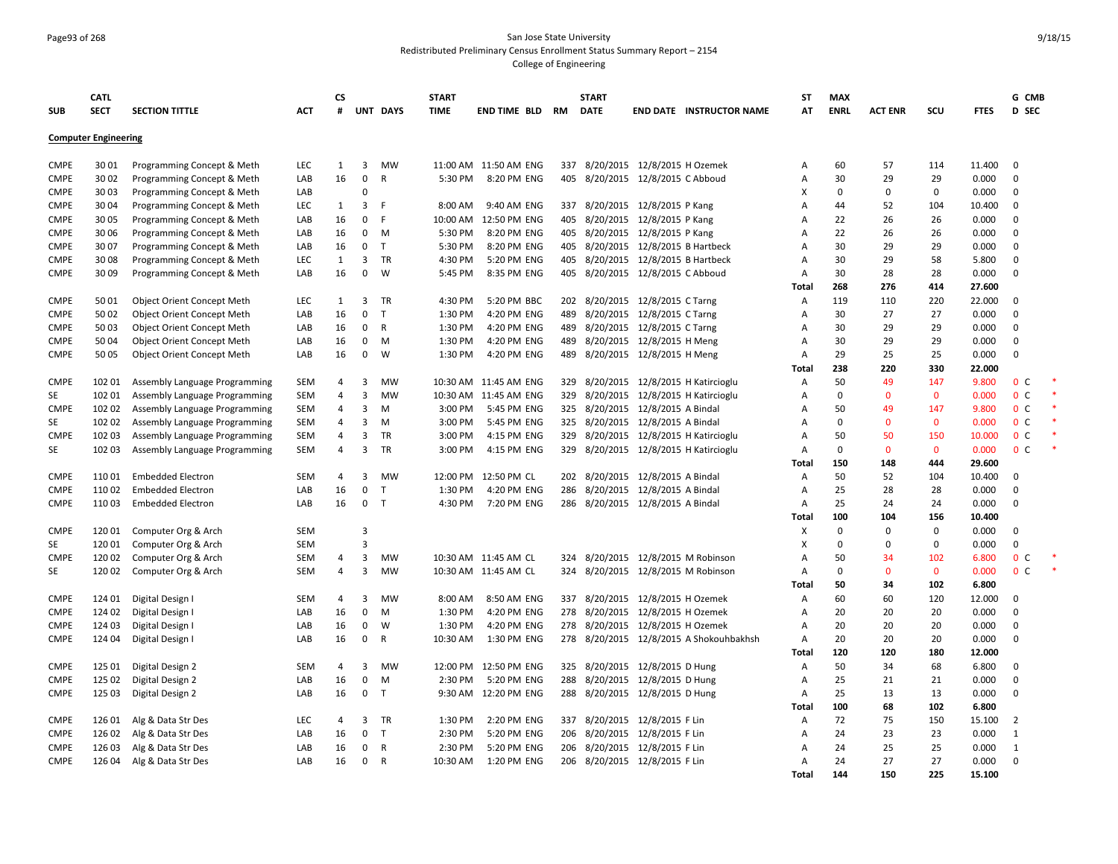# Page93 of 268 San Jose State University Redistributed Preliminary Census Enrollment Status Summary Report – 2154

|                   | <b>CATL</b>                 |                                   |                          | <b>CS</b>        |                |              | <b>START</b>       |                            |     | <b>START</b> |                                    |                                                                            | <b>ST</b>      | <b>MAX</b>        |                |                     |                | G CMB                            |  |
|-------------------|-----------------------------|-----------------------------------|--------------------------|------------------|----------------|--------------|--------------------|----------------------------|-----|--------------|------------------------------------|----------------------------------------------------------------------------|----------------|-------------------|----------------|---------------------|----------------|----------------------------------|--|
| <b>SUB</b>        | <b>SECT</b>                 | <b>SECTION TITTLE</b>             | ACT                      | $\boldsymbol{H}$ |                | UNT DAYS     | <b>TIME</b>        | END TIME BLD               | RM  | <b>DATE</b>  |                                    | <b>END DATE INSTRUCTOR NAME</b>                                            | AT             | <b>ENRL</b>       | <b>ACT ENR</b> | scu                 | <b>FTES</b>    | D SEC                            |  |
|                   | <b>Computer Engineering</b> |                                   |                          |                  |                |              |                    |                            |     |              |                                    |                                                                            |                |                   |                |                     |                |                                  |  |
| <b>CMPE</b>       | 3001                        | Programming Concept & Meth        | <b>LEC</b>               | 1                | 3              | <b>MW</b>    |                    | 11:00 AM 11:50 AM ENG      |     |              | 337 8/20/2015 12/8/2015 H Ozemek   |                                                                            | A              | 60                | 57             | 114                 | 11.400         | $\mathbf 0$                      |  |
| <b>CMPE</b>       | 30 02                       | Programming Concept & Meth        | LAB                      | 16               | $\mathbf 0$    | R            | 5:30 PM            | 8:20 PM ENG                | 405 |              | 8/20/2015 12/8/2015 C Abboud       |                                                                            | A              | 30                | 29             | 29                  | 0.000          | $\mathbf 0$                      |  |
| <b>CMPE</b>       | 30 03                       | Programming Concept & Meth        | LAB                      |                  | $\Omega$       |              |                    |                            |     |              |                                    |                                                                            | X              | $\mathbf 0$       | $\Omega$       | $\mathbf 0$         | 0.000          | $\mathbf 0$                      |  |
| <b>CMPE</b>       | 30 04                       | Programming Concept & Meth        | <b>LEC</b>               | 1                | $\overline{3}$ | E            | 8:00 AM            | 9:40 AM ENG                | 337 |              | 8/20/2015 12/8/2015 P Kang         |                                                                            | A              | 44                | 52             | 104                 | 10.400         | $\mathbf 0$                      |  |
| <b>CMPE</b>       | 30 05                       | Programming Concept & Meth        | LAB                      | 16               | $\mathsf 0$    | F            | 10:00 AM           | 12:50 PM ENG               | 405 |              | 8/20/2015 12/8/2015 P Kang         |                                                                            | $\overline{A}$ | 22                | 26             | 26                  | 0.000          | $\mathbf 0$                      |  |
| <b>CMPE</b>       | 30 06                       | Programming Concept & Meth        | LAB                      | 16               | 0              | M            | 5:30 PM            | 8:20 PM ENG                | 405 |              | 8/20/2015 12/8/2015 P Kang         |                                                                            | A              | 22                | 26             | 26                  | 0.000          | $\mathbf 0$                      |  |
| <b>CMPE</b>       | 3007                        | Programming Concept & Meth        | LAB                      | 16               | $\mathbf 0$    | $\top$       | 5:30 PM            | 8:20 PM ENG                |     |              | 405 8/20/2015 12/8/2015 B Hartbeck |                                                                            | A              | 30                | 29             | 29                  | 0.000          | $\mathbf 0$                      |  |
| <b>CMPE</b>       | 3008                        | Programming Concept & Meth        | <b>LEC</b>               | $\mathbf{1}$     | 3              | TR           | 4:30 PM            | 5:20 PM ENG                |     |              | 405 8/20/2015 12/8/2015 B Hartbeck |                                                                            | A              | 30                | 29             | 58                  | 5.800          | $\mathbf 0$                      |  |
| <b>CMPE</b>       | 3009                        | Programming Concept & Meth        | LAB                      | 16               | $\mathbf 0$    | W            | 5:45 PM            | 8:35 PM ENG                | 405 |              | 8/20/2015 12/8/2015 C Abboud       |                                                                            | A              | 30                | 28             | 28                  | 0.000          | $\mathbf 0$                      |  |
|                   |                             |                                   |                          |                  |                |              |                    |                            |     |              |                                    |                                                                            | Total          | 268               | 276            | 414                 | 27.600         |                                  |  |
| <b>CMPE</b>       | 5001                        | <b>Object Orient Concept Meth</b> | <b>LEC</b>               | 1                | $\overline{3}$ | <b>TR</b>    | 4:30 PM            | 5:20 PM BBC                |     |              | 202 8/20/2015 12/8/2015 C Tarng    |                                                                            | $\overline{A}$ | 119               | 110            | 220                 | 22.000         | $\mathbf 0$                      |  |
| <b>CMPE</b>       | 50 02                       | Object Orient Concept Meth        | LAB                      | 16               | $\mathbf 0$    | $\mathsf{T}$ | 1:30 PM            | 4:20 PM ENG                | 489 |              | 8/20/2015 12/8/2015 C Tarng        |                                                                            | $\overline{A}$ | 30                | 27             | 27                  | 0.000          | $\Omega$                         |  |
| <b>CMPE</b>       | 5003                        | <b>Object Orient Concept Meth</b> | LAB                      | 16               | $\mathbf 0$    | R            | 1:30 PM            | 4:20 PM ENG                | 489 | 8/20/2015    | 12/8/2015 C Tarng                  |                                                                            | $\overline{A}$ | 30                | 29             | 29                  | 0.000          | $\mathbf 0$                      |  |
| <b>CMPE</b>       | 50 04                       | Object Orient Concept Meth        | LAB                      | 16               | $\mathbf 0$    | M            | 1:30 PM            | 4:20 PM ENG                | 489 |              | 8/20/2015 12/8/2015 H Meng         |                                                                            | A              | 30                | 29             | 29                  | 0.000          | $\mathbf 0$                      |  |
| <b>CMPE</b>       | 50 05                       | Object Orient Concept Meth        | LAB                      | 16               | 0              | W            | 1:30 PM            | 4:20 PM ENG                | 489 |              | 8/20/2015 12/8/2015 H Meng         |                                                                            | A              | 29                | 25             | 25                  | 0.000          | $\mathbf 0$                      |  |
|                   |                             |                                   |                          |                  |                |              |                    |                            |     |              |                                    |                                                                            | Total          | 238               | 220            | 330                 | 22.000         |                                  |  |
| <b>CMPE</b>       | 102 01                      | Assembly Language Programming     | <b>SEM</b>               | 4                | 3              | MW           |                    | 10:30 AM 11:45 AM ENG      | 329 |              |                                    | 8/20/2015 12/8/2015 H Katircioglu                                          | A              | 50                | 49             | 147                 | 9.800          | 0 <sup>c</sup>                   |  |
| SE                | 102 01                      | Assembly Language Programming     | <b>SEM</b>               | 4                | 3              | <b>MW</b>    |                    | 10:30 AM 11:45 AM ENG      | 329 |              |                                    | 8/20/2015 12/8/2015 H Katircioglu                                          | A              | $\mathbf 0$       | $\Omega$       | $\mathbf 0$         | 0.000          | 0 <sup>c</sup>                   |  |
| <b>CMPE</b>       | 102 02                      | Assembly Language Programming     | <b>SEM</b>               | 4<br>4           | 3<br>3         | M<br>M       | 3:00 PM<br>3:00 PM | 5:45 PM ENG<br>5:45 PM ENG |     |              | 325 8/20/2015 12/8/2015 A Bindal   |                                                                            | A<br>A         | 50<br>$\mathbf 0$ | 49<br>$\Omega$ | 147<br>$\mathbf{0}$ | 9.800<br>0.000 | 0 <sup>c</sup><br>0 <sup>c</sup> |  |
| SE<br><b>CMPE</b> | 102 02<br>102 03            | Assembly Language Programming     | <b>SEM</b>               | 4                | 3              | <b>TR</b>    | 3:00 PM            | 4:15 PM ENG                | 329 |              | 325 8/20/2015 12/8/2015 A Bindal   |                                                                            | $\overline{A}$ | 50                | 50             | 150                 | 10.000         | 0 <sup>c</sup>                   |  |
| SE                | 102 03                      | Assembly Language Programming     | <b>SEM</b><br><b>SEM</b> | 4                | $\overline{3}$ | <b>TR</b>    | 3:00 PM            | 4:15 PM ENG                |     |              |                                    | 8/20/2015 12/8/2015 H Katircioglu<br>329 8/20/2015 12/8/2015 H Katircioglu | $\overline{A}$ | $\mathbf 0$       | $\mathbf{0}$   | $\mathbf{0}$        | 0.000          | 0 <sup>C</sup>                   |  |
|                   |                             | Assembly Language Programming     |                          |                  |                |              |                    |                            |     |              |                                    |                                                                            | Total          | 150               | 148            | 444                 | 29.600         |                                  |  |
| <b>CMPE</b>       | 11001                       | <b>Embedded Electron</b>          | <b>SEM</b>               | 4                | 3              | MW           | 12:00 PM           | 12:50 PM CL                |     |              | 202 8/20/2015 12/8/2015 A Bindal   |                                                                            | A              | 50                | 52             | 104                 | 10.400         | $\mathbf 0$                      |  |
| <b>CMPE</b>       | 11002                       | <b>Embedded Electron</b>          | LAB                      | 16               | $\mathbf 0$    | $\mathsf{T}$ | 1:30 PM            | 4:20 PM ENG                | 286 |              | 8/20/2015 12/8/2015 A Bindal       |                                                                            | A              | 25                | 28             | 28                  | 0.000          | $\Omega$                         |  |
| <b>CMPE</b>       | 11003                       | <b>Embedded Electron</b>          | LAB                      | 16               | $\mathbf{0}$   | T            | 4:30 PM            | 7:20 PM ENG                |     |              | 286 8/20/2015 12/8/2015 A Bindal   |                                                                            | A              | 25                | 24             | 24                  | 0.000          | $\mathbf 0$                      |  |
|                   |                             |                                   |                          |                  |                |              |                    |                            |     |              |                                    |                                                                            | Total          | 100               | 104            | 156                 | 10.400         |                                  |  |
| <b>CMPE</b>       | 12001                       | Computer Org & Arch               | <b>SEM</b>               |                  | $\overline{3}$ |              |                    |                            |     |              |                                    |                                                                            | X              | $\mathbf 0$       | $\Omega$       | $\Omega$            | 0.000          | $\mathbf 0$                      |  |
| SE                | 12001                       | Computer Org & Arch               | <b>SEM</b>               |                  | $\overline{3}$ |              |                    |                            |     |              |                                    |                                                                            | X              | $\mathbf 0$       | $\Omega$       | $\mathbf 0$         | 0.000          | $\pmb{0}$                        |  |
| <b>CMPE</b>       | 120 02                      | Computer Org & Arch               | <b>SEM</b>               | 4                | 3              | MW           |                    | 10:30 AM 11:45 AM CL       | 324 |              | 8/20/2015 12/8/2015 M Robinson     |                                                                            | $\overline{A}$ | 50                | 34             | 102                 | 6.800          | 0 <sup>c</sup>                   |  |
| SE                | 120 02                      | Computer Org & Arch               | <b>SEM</b>               | 4                | 3              | <b>MW</b>    |                    | 10:30 AM 11:45 AM CL       |     |              | 324 8/20/2015 12/8/2015 M Robinson |                                                                            | $\overline{A}$ | 0                 | $\mathbf 0$    | $\mathbf 0$         | 0.000          | 0 <sup>c</sup>                   |  |
|                   |                             |                                   |                          |                  |                |              |                    |                            |     |              |                                    |                                                                            | Total          | 50                | 34             | 102                 | 6.800          |                                  |  |
| <b>CMPE</b>       | 124 01                      | Digital Design I                  | <b>SEM</b>               | 4                | 3              | MW           | 8:00 AM            | 8:50 AM ENG                |     |              | 337 8/20/2015 12/8/2015 H Ozemek   |                                                                            | A              | 60                | 60             | 120                 | 12.000         | 0                                |  |
| <b>CMPE</b>       | 124 02                      | Digital Design I                  | LAB                      | 16               | $\mathbf 0$    | M            | 1:30 PM            | 4:20 PM ENG                | 278 |              | 8/20/2015 12/8/2015 H Ozemek       |                                                                            | A              | 20                | 20             | 20                  | 0.000          | $\mathbf 0$                      |  |
| <b>CMPE</b>       | 124 03                      | Digital Design I                  | LAB                      | 16               | 0              | W            | 1:30 PM            | 4:20 PM ENG                |     |              | 278 8/20/2015 12/8/2015 H Ozemek   |                                                                            | $\overline{A}$ | 20                | 20             | 20                  | 0.000          | $\mathbf 0$                      |  |
| <b>CMPE</b>       | 124 04                      | Digital Design I                  | LAB                      | 16               | $\mathbf 0$    | R            | 10:30 AM           | 1:30 PM ENG                |     |              |                                    | 278 8/20/2015 12/8/2015 A Shokouhbakhsh                                    | $\overline{A}$ | 20                | 20             | 20                  | 0.000          | $\mathbf 0$                      |  |
|                   |                             |                                   |                          |                  |                |              |                    |                            |     |              |                                    |                                                                            | Total          | 120               | 120            | 180                 | 12.000         |                                  |  |
| <b>CMPE</b>       | 125 01                      | Digital Design 2                  | <b>SEM</b>               | 4                | $\overline{3}$ | <b>MW</b>    | 12:00 PM           | 12:50 PM ENG               | 325 |              | 8/20/2015 12/8/2015 D Hung         |                                                                            | A              | 50                | 34             | 68                  | 6.800          | $\mathbf 0$                      |  |
| <b>CMPE</b>       | 125 02                      | Digital Design 2                  | LAB                      | 16               | $\mathbf 0$    | M            | 2:30 PM            | 5:20 PM ENG                | 288 |              | 8/20/2015 12/8/2015 D Hung         |                                                                            | A              | 25                | 21             | 21                  | 0.000          | $\mathbf 0$                      |  |
| <b>CMPE</b>       | 125 03                      | Digital Design 2                  | LAB                      | 16               | $\mathbf 0$    | T            |                    | 9:30 AM 12:20 PM ENG       |     |              | 288 8/20/2015 12/8/2015 D Hung     |                                                                            | A              | 25                | 13             | 13                  | 0.000          | $\Omega$                         |  |
|                   |                             |                                   |                          |                  |                |              |                    |                            |     |              |                                    |                                                                            | Total          | 100               | 68             | 102                 | 6.800          |                                  |  |
| <b>CMPE</b>       | 126 01                      | Alg & Data Str Des                | <b>LEC</b>               | 4                | 3              | TR           | 1:30 PM            | 2:20 PM ENG                |     |              | 337 8/20/2015 12/8/2015 F Lin      |                                                                            | A              | 72                | 75             | 150                 | 15.100         | $\overline{2}$                   |  |
| <b>CMPE</b>       | 126 02                      | Alg & Data Str Des                | LAB                      | 16               | $\mathbf 0$    | $\mathsf{T}$ | 2:30 PM            | 5:20 PM ENG                | 206 | 8/20/2015    | 12/8/2015 F Lin                    |                                                                            | A              | 24                | 23             | 23                  | 0.000          | $\mathbf{1}$                     |  |
| <b>CMPE</b>       | 126 03                      | Alg & Data Str Des                | LAB                      | 16               | $\mathbf 0$    | R            | 2:30 PM            | 5:20 PM ENG                | 206 | 8/20/2015    | 12/8/2015 F Lin                    |                                                                            | A              | 24                | 25             | 25                  | 0.000          | 1                                |  |
| <b>CMPE</b>       | 126 04                      | Alg & Data Str Des                | LAB                      | 16               | 0              | R            | 10:30 AM           | 1:20 PM ENG                |     |              | 206 8/20/2015 12/8/2015 F Lin      |                                                                            | A              | 24                | 27             | 27                  | 0.000          | $\mathbf 0$                      |  |
|                   |                             |                                   |                          |                  |                |              |                    |                            |     |              |                                    |                                                                            | Total          | 144               | 150            | 225                 | 15.100         |                                  |  |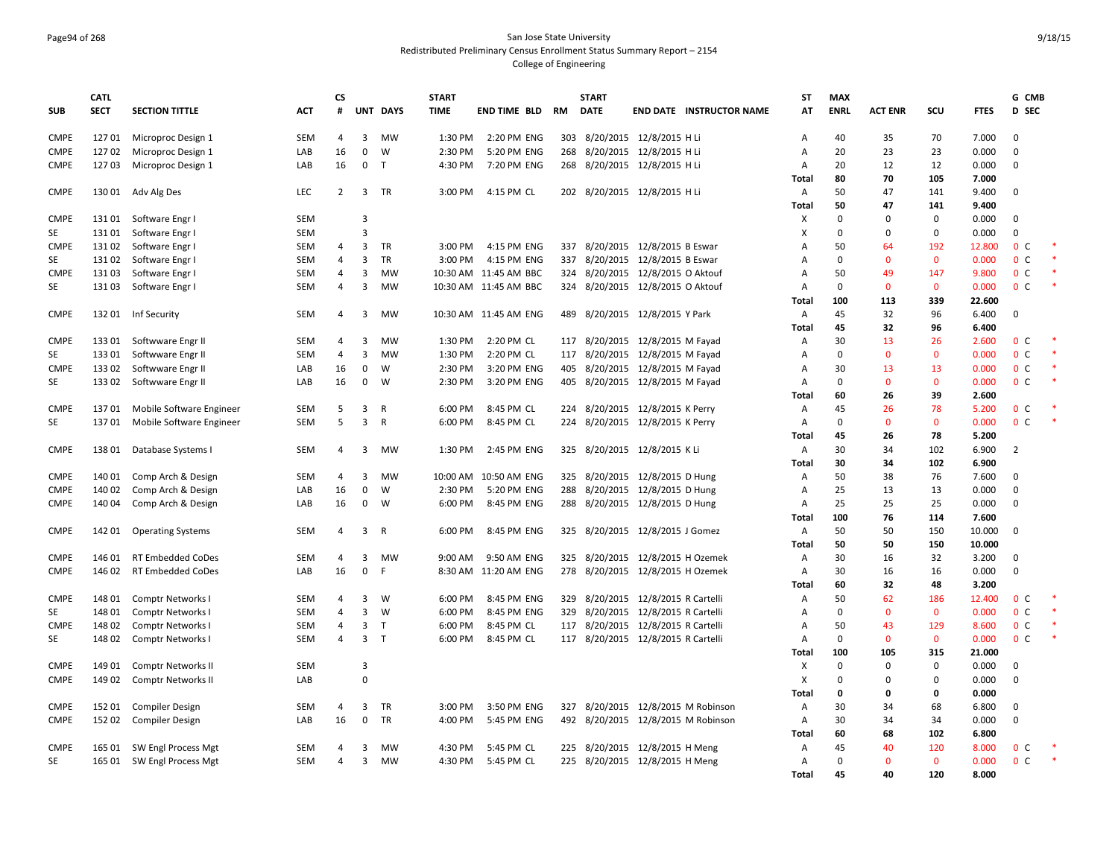#### Page94 of 268 San Jose State University Redistributed Preliminary Census Enrollment Status Summary Report – 2154 College of Engineering

|             | <b>CATL</b> |                           |            | <b>CS</b>      |                |              | <b>START</b> |                       |     | <b>START</b> |                                    | <b>ST</b> | <b>MAX</b>   |                |              |             | G CMB                        |  |
|-------------|-------------|---------------------------|------------|----------------|----------------|--------------|--------------|-----------------------|-----|--------------|------------------------------------|-----------|--------------|----------------|--------------|-------------|------------------------------|--|
| <b>SUB</b>  | <b>SECT</b> | <b>SECTION TITTLE</b>     | <b>ACT</b> | #              |                | UNT DAYS     | <b>TIME</b>  | <b>END TIME BLD</b>   | RM  | <b>DATE</b>  | <b>END DATE INSTRUCTOR NAME</b>    | AT        | <b>ENRL</b>  | <b>ACT ENR</b> | scu          | <b>FTES</b> | <b>D</b> SEC                 |  |
| <b>CMPE</b> | 12701       | Microproc Design 1        | <b>SEM</b> | 4              | 3              | <b>MW</b>    | 1:30 PM      | 2:20 PM ENG           |     |              | 303 8/20/2015 12/8/2015 H Li       | A         | 40           | 35             | 70           | 7.000       | $\mathbf 0$                  |  |
| <b>CMPE</b> | 12702       | Microproc Design 1        | LAB        | 16             | $\mathbf 0$    | W            | 2:30 PM      | 5:20 PM ENG           |     |              | 268 8/20/2015 12/8/2015 H Li       | Α         | 20           | 23             | 23           | 0.000       | $\mathbf 0$                  |  |
| <b>CMPE</b> | 12703       | Microproc Design 1        | LAB        | 16             | $\mathbf 0$    | T.           | 4:30 PM      | 7:20 PM ENG           |     |              | 268 8/20/2015 12/8/2015 H Li       | Α         | 20           | 12             | 12           | 0.000       | $\mathbf 0$                  |  |
|             |             |                           |            |                |                |              |              |                       |     |              |                                    | Total     | 80           | 70             | 105          | 7.000       |                              |  |
| <b>CMPE</b> |             | 130 01 Adv Alg Des        | LEC        | $\overline{2}$ | 3              | <b>TR</b>    | 3:00 PM      | 4:15 PM CL            |     |              | 202 8/20/2015 12/8/2015 H Li       | Α         | 50           | 47             | 141          | 9.400       | $\mathbf 0$                  |  |
|             |             |                           |            |                |                |              |              |                       |     |              |                                    | Total     | 50           | 47             | 141          | 9.400       |                              |  |
| <b>CMPE</b> | 13101       | Software Engr I           | <b>SEM</b> |                | $\overline{3}$ |              |              |                       |     |              |                                    | х         | $\mathbf 0$  | $\Omega$       | 0            | 0.000       | $\Omega$                     |  |
| SE          | 13101       | Software Engr I           | <b>SEM</b> |                | $\overline{3}$ |              |              |                       |     |              |                                    | X         | $\mathbf 0$  | $\Omega$       | $\mathbf 0$  | 0.000       | $\Omega$                     |  |
| <b>CMPE</b> | 13102       | Software Engr I           | SEM        | 4              | 3              | TR           | 3:00 PM      | 4:15 PM ENG           |     |              | 337 8/20/2015 12/8/2015 B Eswar    | A         | 50           | 64             | 192          | 12.800      | 0 <sup>c</sup>               |  |
| SE          | 13102       | Software Engr I           | SEM        | 4              | $\overline{3}$ | <b>TR</b>    | 3:00 PM      | 4:15 PM ENG           | 337 |              | 8/20/2015 12/8/2015 B Eswar        | A         | 0            | $\mathbf 0$    | $\mathbf 0$  | 0.000       | $\mathbf{0}$<br>$\mathsf{C}$ |  |
| <b>CMPE</b> | 13103       | Software Engr I           | <b>SEM</b> | 4              | 3              | MW           |              | 10:30 AM 11:45 AM BBC |     |              | 324 8/20/2015 12/8/2015 O Aktouf   | A         | 50           | 49             | 147          | 9.800       | 0 <sup>c</sup>               |  |
| SE          | 13103       | Software Engr I           | <b>SEM</b> | 4              | 3              | MW           |              | 10:30 AM 11:45 AM BBC |     |              | 324 8/20/2015 12/8/2015 O Aktouf   | A         | $\mathbf{0}$ | $\mathbf{0}$   | $\mathbf{0}$ | 0.000       | 0 <sup>o</sup>               |  |
|             |             |                           |            |                |                |              |              |                       |     |              |                                    | Total     | 100          | 113            | 339          | 22.600      |                              |  |
| <b>CMPE</b> | 13201       | Inf Security              | SEM        | 4              | 3              | MW           |              | 10:30 AM 11:45 AM ENG |     |              | 489 8/20/2015 12/8/2015 Y Park     | A         | 45           | 32             | 96           | 6.400       | $\mathbf 0$                  |  |
|             |             |                           |            |                |                |              |              |                       |     |              |                                    | Total     | 45           | 32             | 96           | 6.400       |                              |  |
| <b>CMPE</b> | 133 01      | Softwware Engr II         | <b>SEM</b> | $\overline{a}$ | 3              | <b>MW</b>    | 1:30 PM      | 2:20 PM CL            |     |              | 117 8/20/2015 12/8/2015 M Fayad    | Α         | 30           | 13             | 26           | 2.600       | 0 <sup>c</sup>               |  |
| SE          | 13301       | Softwware Engr II         | <b>SEM</b> | 4              | 3              | <b>MW</b>    | 1:30 PM      | 2:20 PM CL            |     |              | 117 8/20/2015 12/8/2015 M Fayad    | A         | $\mathbf{0}$ | $\Omega$       | 0            | 0.000       | 0 <sup>C</sup>               |  |
| <b>CMPE</b> | 13302       | Softwware Engr II         | LAB        | 16             | $\mathbf 0$    | W            | 2:30 PM      | 3:20 PM ENG           |     |              | 405 8/20/2015 12/8/2015 M Fayad    | A         | 30           | 13             | 13           | 0.000       | 0 <sup>c</sup>               |  |
| <b>SE</b>   | 13302       | Softwware Engr II         | LAB        | 16             | $\mathbf 0$    | W            | 2:30 PM      | 3:20 PM ENG           | 405 |              | 8/20/2015 12/8/2015 M Fayad        | A         | $\mathbf 0$  | $\Omega$       | $\mathbf 0$  | 0.000       | 0 <sup>c</sup>               |  |
|             |             |                           |            |                |                |              |              |                       |     |              |                                    | Total     | 60           | 26             | 39           | 2.600       |                              |  |
| <b>CMPE</b> | 13701       | Mobile Software Engineer  | <b>SEM</b> | 5              | 3              | R            | 6:00 PM      | 8:45 PM CL            |     |              | 224 8/20/2015 12/8/2015 K Perry    | Α         | 45           | 26             | 78           | 5.200       | 0 <sup>c</sup>               |  |
| SE          | 13701       | Mobile Software Engineer  | SEM        | 5              | 3              | $\mathsf{R}$ | 6:00 PM      | 8:45 PM CL            |     |              | 224 8/20/2015 12/8/2015 K Perry    | Α         | $\mathbf 0$  | $\mathbf{0}$   | $\mathbf 0$  | 0.000       | 0 <sup>C</sup>               |  |
|             |             |                           |            |                |                |              |              |                       |     |              |                                    | Total     | 45           | 26             | 78           | 5.200       |                              |  |
| <b>CMPE</b> | 13801       | Database Systems I        | <b>SEM</b> | 4              | 3              | MW           | 1:30 PM      | 2:45 PM ENG           |     |              | 325 8/20/2015 12/8/2015 K Li       | Α         | 30           | 34             | 102          | 6.900       | $\overline{2}$               |  |
|             |             |                           |            |                |                |              |              |                       |     |              |                                    | Total     | 30           | 34             | 102          | 6.900       |                              |  |
| <b>CMPE</b> | 140 01      | Comp Arch & Design        | SEM        | 4              | 3              | <b>MW</b>    |              | 10:00 AM 10:50 AM ENG |     |              | 325 8/20/2015 12/8/2015 D Hung     | Α         | 50           | 38             | 76           | 7.600       | $\Omega$                     |  |
| <b>CMPE</b> | 140 02      | Comp Arch & Design        | LAB        | 16             | $\pmb{0}$      | W            | 2:30 PM      | 5:20 PM ENG           |     |              | 288 8/20/2015 12/8/2015 D Hung     | Α         | 25           | 13             | 13           | 0.000       | $\Omega$                     |  |
| <b>CMPE</b> | 140 04      | Comp Arch & Design        | LAB        | 16             | 0              | W            | 6:00 PM      | 8:45 PM ENG           |     |              | 288 8/20/2015 12/8/2015 D Hung     | A         | 25           | 25             | 25           | 0.000       | $\mathbf 0$                  |  |
|             |             |                           |            |                |                |              |              |                       |     |              |                                    | Total     | 100          | 76             | 114          | 7.600       |                              |  |
| <b>CMPE</b> | 142 01      | <b>Operating Systems</b>  | <b>SEM</b> | 4              | 3              | R            | 6:00 PM      | 8:45 PM ENG           |     |              | 325 8/20/2015 12/8/2015 J Gomez    | Α         | 50           | 50             | 150          | 10.000      | $\mathbf 0$                  |  |
|             |             |                           |            |                |                |              |              |                       |     |              |                                    | Total     | 50           | 50             | 150          | 10.000      |                              |  |
| <b>CMPE</b> | 146 01      | <b>RT Embedded CoDes</b>  | <b>SEM</b> | 4              | 3              | MW           | 9:00 AM      | 9:50 AM ENG           | 325 |              | 8/20/2015 12/8/2015 H Ozemek       | Α         | 30           | 16             | 32           | 3.200       | $\Omega$                     |  |
| <b>CMPE</b> | 146 02      | <b>RT Embedded CoDes</b>  | LAB        | 16             | $\mathbf 0$    | F            |              | 8:30 AM 11:20 AM ENG  |     |              | 278 8/20/2015 12/8/2015 H Ozemek   | Α         | 30           | 16             | 16           | 0.000       | $\Omega$                     |  |
|             |             |                           |            |                |                |              |              |                       |     |              |                                    | Total     | 60           | 32             | 48           | 3.200       |                              |  |
| <b>CMPE</b> | 148 01      | Comptr Networks I         | SEM        | 4              | 3              | W            | 6:00 PM      | 8:45 PM ENG           |     |              | 329 8/20/2015 12/8/2015 R Cartelli | Α         | 50           | 62             | 186          | 12.400      | 0 <sup>o</sup>               |  |
| SE          | 148 01      | Comptr Networks I         | <b>SEM</b> | 4              | 3              | W            | 6:00 PM      | 8:45 PM ENG           | 329 |              | 8/20/2015 12/8/2015 R Cartelli     | A         | $\mathbf{0}$ | $\mathbf{0}$   | $\mathbf{0}$ | 0.000       | 0 <sup>o</sup>               |  |
| <b>CMPE</b> | 148 02      | Comptr Networks I         | SEM        | 4              | 3              | T            | 6:00 PM      | 8:45 PM CL            |     |              | 117 8/20/2015 12/8/2015 R Cartelli | Α         | 50           | 43             | 129          | 8.600       | 0 <sup>c</sup>               |  |
| SE          | 148 02      | Comptr Networks           | <b>SEM</b> | 4              | 3              | $\mathsf{T}$ | 6:00 PM      | 8:45 PM CL            |     |              | 117 8/20/2015 12/8/2015 R Cartelli | A         | $\mathbf 0$  | $\mathbf{0}$   | $\mathbf{0}$ | 0.000       | 0 <sup>o</sup>               |  |
|             |             |                           |            |                |                |              |              |                       |     |              |                                    | Total     | 100          | 105            | 315          | 21.000      |                              |  |
| <b>CMPE</b> | 149 01      | <b>Comptr Networks II</b> | <b>SEM</b> |                | $\overline{3}$ |              |              |                       |     |              |                                    | х         | $\mathbf{0}$ | $\Omega$       | $\mathbf 0$  | 0.000       | $\mathbf 0$                  |  |
| <b>CMPE</b> | 149 02      | <b>Comptr Networks II</b> | LAB        |                | $\Omega$       |              |              |                       |     |              |                                    | X         | $\Omega$     | $\Omega$       | $\Omega$     | 0.000       | $\Omega$                     |  |
|             |             |                           |            |                |                |              |              |                       |     |              |                                    | Total     | 0            | 0              | 0            | 0.000       |                              |  |
| <b>CMPE</b> | 152 01      | <b>Compiler Design</b>    | <b>SEM</b> | 4              | 3              | TR           | 3:00 PM      | 3:50 PM ENG           |     |              | 327 8/20/2015 12/8/2015 M Robinson | Α         | 30           | 34             | 68           | 6.800       | $\mathbf 0$                  |  |
| <b>CMPE</b> | 15202       | <b>Compiler Design</b>    | LAB        | 16             | $\mathbf 0$    | <b>TR</b>    | 4:00 PM      | 5:45 PM ENG           |     |              | 492 8/20/2015 12/8/2015 M Robinson | A         | 30           | 34             | 34           | 0.000       | $\Omega$                     |  |
|             |             |                           |            |                |                |              |              |                       |     |              |                                    | Total     | 60           | 68             | 102          | 6.800       |                              |  |
| CMPE        | 165 01      | SW Engl Process Mgt       | <b>SEM</b> | 4              | 3              | MW           | 4:30 PM      | 5:45 PM CL            |     |              | 225 8/20/2015 12/8/2015 H Meng     | A         | 45           | 40             | 120          | 8.000       | 0 <sup>c</sup>               |  |
| SE          | 165 01      | SW Engl Process Mgt       | SEM        | 4              | 3              | MW           | 4:30 PM      | 5:45 PM CL            |     |              | 225 8/20/2015 12/8/2015 H Meng     | A         | $\mathbf 0$  | $\mathbf{0}$   | $\mathbf 0$  | 0.000       | 0 <sup>c</sup>               |  |
|             |             |                           |            |                |                |              |              |                       |     |              |                                    | Total     | 45           | 40             | 120          | 8.000       |                              |  |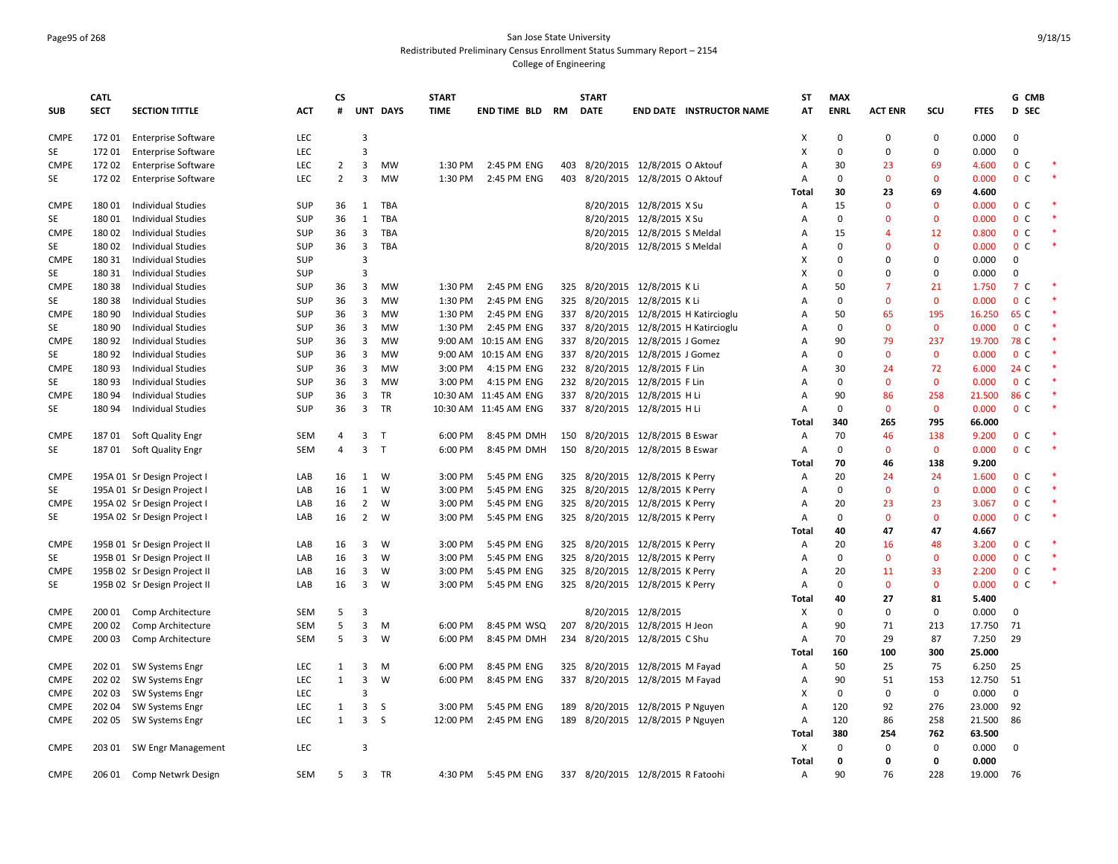### Page95 of 268 San Jose State University Redistributed Preliminary Census Enrollment Status Summary Report – 2154 College of Engineering

|                            | <b>CATL</b> |                                    |            | <b>CS</b>      |                         |            | <b>START</b> |                       |           | <b>START</b> |                                       | ST     | <b>MAX</b>   |                |                |             | G CMB            |  |
|----------------------------|-------------|------------------------------------|------------|----------------|-------------------------|------------|--------------|-----------------------|-----------|--------------|---------------------------------------|--------|--------------|----------------|----------------|-------------|------------------|--|
| <b>SUB</b>                 | <b>SECT</b> | <b>SECTION TITTLE</b>              | <b>ACT</b> | #              |                         | UNT DAYS   | <b>TIME</b>  | <b>END TIME BLD</b>   | <b>RM</b> | <b>DATE</b>  | END DATE INSTRUCTOR NAME              | AT     | <b>ENRL</b>  | <b>ACT ENR</b> | SCU            | <b>FTES</b> | D SEC            |  |
| <b>CMPE</b>                | 17201       | <b>Enterprise Software</b>         | <b>LEC</b> |                | $\overline{3}$          |            |              |                       |           |              |                                       | х      | $\mathbf 0$  | $\mathbf 0$    | 0              | 0.000       | $\Omega$         |  |
| SE                         | 17201       | <b>Enterprise Software</b>         | <b>LEC</b> |                | $\overline{3}$          |            |              |                       |           |              |                                       | x      | $\Omega$     | $\Omega$       | 0              | 0.000       | $\mathbf 0$      |  |
| <b>CMPE</b>                | 17202       | <b>Enterprise Software</b>         | <b>LEC</b> | 2              | 3                       | <b>MW</b>  | 1:30 PM      | 2:45 PM ENG           | 403       |              | 8/20/2015 12/8/2015 O Aktouf          | A      | 30           | 23             | 69             | 4.600       | 0 <sup>C</sup>   |  |
| SE                         | 17202       | <b>Enterprise Software</b>         | LEC        | $\overline{2}$ | 3                       | <b>MW</b>  | 1:30 PM      | 2:45 PM ENG           | 403       |              | 8/20/2015 12/8/2015 O Aktouf          | A      | $\mathbf 0$  | $\mathbf 0$    | $\overline{0}$ | 0.000       | $\mathbf 0$<br>C |  |
|                            |             |                                    |            |                |                         |            |              |                       |           |              |                                       | Total  | 30           | 23             | 69             | 4.600       |                  |  |
| <b>CMPE</b>                | 18001       | <b>Individual Studies</b>          | <b>SUP</b> | 36             | 1                       | TBA        |              |                       |           |              | 8/20/2015 12/8/2015 X Su              | Α      | 15           | $\Omega$       | $\Omega$       | 0.000       | 0 <sup>c</sup>   |  |
| SE                         | 18001       | <b>Individual Studies</b>          | <b>SUP</b> | 36             | $\mathbf{1}$            | TBA        |              |                       |           |              | 8/20/2015 12/8/2015 X Su              | Α      | $\mathbf 0$  | $\Omega$       | $\mathbf 0$    | 0.000       | 0 <sup>C</sup>   |  |
| <b>CMPE</b>                | 18002       | <b>Individual Studies</b>          | <b>SUP</b> | 36             | $\overline{\mathbf{3}}$ | <b>TBA</b> |              |                       |           |              | 8/20/2015 12/8/2015 S Meldal          | А      | 15           | 4              | 12             | 0.800       | 0 <sup>c</sup>   |  |
| SE                         | 18002       | <b>Individual Studies</b>          | SUP        | 36             | $\overline{\mathbf{3}}$ | TBA        |              |                       |           |              | 8/20/2015 12/8/2015 S Meldal          | A      | $\mathbf 0$  | $\Omega$       | $\mathbf{0}$   | 0.000       | 0 <sup>c</sup>   |  |
| <b>CMPE</b>                | 180 31      | <b>Individual Studies</b>          | <b>SUP</b> |                | $\overline{3}$          |            |              |                       |           |              |                                       | X      | $\mathbf 0$  | $\Omega$       | $\Omega$       | 0.000       | $\mathbf 0$      |  |
| SE                         | 180 31      | <b>Individual Studies</b>          | SUP        |                | $\overline{3}$          |            |              |                       |           |              |                                       | x      | $\mathbf 0$  | $\Omega$       | 0              | 0.000       | $\mathbf 0$      |  |
| <b>CMPE</b>                | 18038       | <b>Individual Studies</b>          | <b>SUP</b> | 36             | 3                       | MW         | 1:30 PM      | 2:45 PM ENG           |           |              | 325 8/20/2015 12/8/2015 K Li          | A      | 50           | 7              | 21             | 1.750       | 7 C              |  |
| SE                         | 18038       | <b>Individual Studies</b>          | SUP        | 36             | 3                       | <b>MW</b>  | 1:30 PM      | 2:45 PM ENG           |           |              | 325 8/20/2015 12/8/2015 K Li          | A      | $\mathbf{0}$ | $\mathbf{0}$   | $\mathbf{0}$   | 0.000       | 0 <sup>c</sup>   |  |
| <b>CMPE</b>                | 180 90      | <b>Individual Studies</b>          | SUP        | 36             | 3                       | <b>MW</b>  | 1:30 PM      | 2:45 PM ENG           |           |              | 337 8/20/2015 12/8/2015 H Katircioglu | A      | 50           | 65             | 195            | 16.250      | 65 C             |  |
| SE                         | 180 90      | <b>Individual Studies</b>          | <b>SUP</b> | 36             | $\overline{\mathbf{3}}$ | <b>MW</b>  | 1:30 PM      | 2:45 PM ENG           |           |              | 337 8/20/2015 12/8/2015 H Katircioglu | A      | $\mathbf 0$  | $\mathbf{0}$   | $\mathbf 0$    | 0.000       | 0 <sup>c</sup>   |  |
| <b>CMPE</b>                | 180 92      | <b>Individual Studies</b>          | <b>SUP</b> | 36             | 3                       | MW         | 9:00 AM      | 10:15 AM ENG          |           |              | 337 8/20/2015 12/8/2015 J Gomez       | A      | 90           | 79             | 237            | 19.700      | 78 C             |  |
| SE                         | 180 92      | <b>Individual Studies</b>          | <b>SUP</b> | 36             | 3                       | <b>MW</b>  | 9:00 AM      | 10:15 AM ENG          | 337       |              | 8/20/2015 12/8/2015 J Gomez           | A      | $\mathbf 0$  | $\mathbf{0}$   | $\mathbf{0}$   | 0.000       | 0 <sup>c</sup>   |  |
| <b>CMPE</b>                | 18093       | <b>Individual Studies</b>          | <b>SUP</b> | 36             | 3                       | MW         | 3:00 PM      | 4:15 PM ENG           |           |              | 232 8/20/2015 12/8/2015 F Lin         | A      | 30           | 24             | 72             | 6.000       | 24 C             |  |
| SE                         | 18093       | <b>Individual Studies</b>          | <b>SUP</b> | 36             | $\overline{\mathbf{3}}$ | MW         | 3:00 PM      | 4:15 PM ENG           |           |              | 232 8/20/2015 12/8/2015 F Lin         | A      | $\mathbf 0$  | $\mathbf 0$    | $\mathbf 0$    | 0.000       | 0 <sup>c</sup>   |  |
| <b>CMPE</b>                | 180 94      | <b>Individual Studies</b>          | SUP        | 36             | $\overline{\mathbf{3}}$ | TR         |              | 10:30 AM 11:45 AM ENG |           |              | 337 8/20/2015 12/8/2015 H Li          | A      | 90           | 86             | 258            | 21.500      | 86 C             |  |
| SE                         | 18094       | <b>Individual Studies</b>          | <b>SUP</b> | 36             | 3                       | <b>TR</b>  |              | 10:30 AM 11:45 AM ENG |           |              | 337 8/20/2015 12/8/2015 H Li          | A      | $\mathbf 0$  | $\mathbf{0}$   | $\mathbf{0}$   | 0.000       | 0 <sup>C</sup>   |  |
|                            |             |                                    |            |                |                         |            |              |                       |           |              |                                       | Total  | 340          | 265            | 795            | 66.000      |                  |  |
| <b>CMPE</b>                | 18701       | Soft Quality Engr                  | <b>SEM</b> | 4              | 3                       | $\top$     | 6:00 PM      | 8:45 PM DMH           | 150       |              | 8/20/2015 12/8/2015 B Eswar           | Α      | 70           | 46             | 138            | 9.200       | 0 <sup>c</sup>   |  |
| SE                         |             | 187 01 Soft Quality Engr           | <b>SEM</b> | $\overline{a}$ | $\overline{3}$          | T          | 6:00 PM      | 8:45 PM DMH           |           |              | 150 8/20/2015 12/8/2015 B Eswar       | Α      | $\mathbf 0$  | $\mathbf{0}$   | $\mathbf 0$    | 0.000       | 0 <sup>C</sup>   |  |
|                            |             |                                    |            |                |                         |            |              |                       |           |              |                                       | Total  | 70           | 46             | 138            | 9.200       |                  |  |
| <b>CMPE</b>                |             | 195A 01 Sr Design Project          | LAB        | 16             | 1                       | W          | 3:00 PM      | 5:45 PM ENG           |           |              | 325 8/20/2015 12/8/2015 K Perry       | Α      | 20           | 24             | 24             | 1.600       | 0 <sup>c</sup>   |  |
| SE                         |             | 195A 01 Sr Design Project          | LAB        | 16             | $\mathbf{1}$            | W          | 3:00 PM      | 5:45 PM ENG           |           |              | 325 8/20/2015 12/8/2015 K Perry       | A      | $\mathbf 0$  | $\mathbf{0}$   | $\mathbf{0}$   | 0.000       | 0 <sup>c</sup>   |  |
| <b>CMPE</b>                |             | 195A 02 Sr Design Project          | LAB        | 16             | $\overline{2}$          | W          | 3:00 PM      | 5:45 PM ENG           |           |              | 325 8/20/2015 12/8/2015 K Perry       | Α      | 20           | 23             | 23             | 3.067       | 0 <sup>C</sup>   |  |
| SE                         |             | 195A 02 Sr Design Project I        | LAB        | 16             | $\overline{2}$          | W          | 3:00 PM      | 5:45 PM ENG           |           |              | 325 8/20/2015 12/8/2015 K Perry       | Α      | $\mathbf 0$  | $\mathbf 0$    | $\mathbf 0$    | 0.000       | 0 <sup>C</sup>   |  |
|                            |             |                                    |            |                |                         |            |              |                       |           |              |                                       | Total  | 40           | 47             | 47             | 4.667       |                  |  |
| <b>CMPE</b>                |             | 195B 01 Sr Design Project II       | LAB        | 16             | 3                       | W          | 3:00 PM      | 5:45 PM ENG           |           |              | 325 8/20/2015 12/8/2015 K Perry       | Α      | 20           | 16             | 48             | 3.200       | 0 <sup>C</sup>   |  |
| SE                         |             | 195B 01 Sr Design Project II       | LAB        | 16             | 3                       | W          | 3:00 PM      | 5:45 PM ENG           |           |              | 325 8/20/2015 12/8/2015 K Perry       | A      | $\mathbf 0$  | $\mathbf{0}$   | $\mathbf{0}$   | 0.000       | 0 <sup>c</sup>   |  |
| <b>CMPE</b>                |             | 195B 02 Sr Design Project II       | LAB        | 16             | $\overline{\mathbf{3}}$ | W          | 3:00 PM      | 5:45 PM ENG           |           |              | 325 8/20/2015 12/8/2015 K Perry       | Α      | 20           | 11             | 33             | 2.200       | 0 <sub>c</sub>   |  |
| SE                         |             | 195B 02 Sr Design Project II       | LAB        | 16             | 3                       | W          | 3:00 PM      | 5:45 PM ENG           |           |              | 325 8/20/2015 12/8/2015 K Perry       | A      | $\mathbf 0$  | $\mathbf{0}$   | $\mathbf{0}$   | 0.000       | 0 <sup>c</sup>   |  |
|                            |             |                                    |            |                |                         |            |              |                       |           |              |                                       | Total  | 40           | 27             | 81             | 5.400       |                  |  |
| <b>CMPE</b>                | 200 01      | Comp Architecture                  | <b>SEM</b> | 5              | $\overline{3}$          |            |              |                       |           |              | 8/20/2015 12/8/2015                   | х      | $\Omega$     | $\mathbf 0$    | $\mathbf 0$    | 0.000       | $\mathbf 0$      |  |
| <b>CMPE</b>                | 200 02      | Comp Architecture                  | <b>SEM</b> | 5              | 3                       | M          | 6:00 PM      | 8:45 PM WSQ           | 207       |              | 8/20/2015 12/8/2015 H Jeon            | Α      | 90           | 71             | 213            | 17.750      | 71               |  |
| <b>CMPE</b>                | 200 03      | Comp Architecture                  | <b>SEM</b> | 5              | 3                       | W          | 6:00 PM      | 8:45 PM DMH           |           |              | 234 8/20/2015 12/8/2015 C Shu         | Α      | 70           | 29             | 87             | 7.250       | 29               |  |
|                            |             |                                    |            |                |                         |            |              |                       |           |              |                                       | Total  | 160          | 100            | 300            | 25.000      |                  |  |
| <b>CMPE</b>                | 202 01      | SW Systems Engr                    | LEC        | $\mathbf{1}$   | 3                       | M          | 6:00 PM      | 8:45 PM ENG           |           |              | 325 8/20/2015 12/8/2015 M Fayad       | Α      | 50           | 25             | 75             | 6.250       | 25               |  |
| <b>CMPE</b>                | 202 02      | <b>SW Systems Engr</b>             | LEC        | $\mathbf{1}$   | 3                       | W          | 6:00 PM      | 8:45 PM ENG           | 337       |              | 8/20/2015 12/8/2015 M Fayad           | A      | 90           | 51             | 153            | 12.750      | 51               |  |
| <b>CMPE</b>                | 202 03      | <b>SW Systems Engr</b>             | LEC        |                | $\overline{3}$          |            |              |                       |           |              |                                       | x      | $\mathbf 0$  | $\mathbf 0$    | $\mathbf 0$    | 0.000       | $\mathbf 0$      |  |
|                            | 202 04      |                                    | LEC        | 1              | $\overline{\mathbf{3}}$ | S          | 3:00 PM      | 5:45 PM ENG           |           |              | 8/20/2015 12/8/2015 P Nguyen          |        | 120          | 92             | 276            | 23.000      | 92               |  |
| <b>CMPE</b><br><b>CMPE</b> | 202 05      | SW Systems Engr<br>SW Systems Engr | <b>LEC</b> | $\mathbf{1}$   | $\overline{3}$          | S          | 12:00 PM     | 2:45 PM ENG           | 189       |              | 189 8/20/2015 12/8/2015 P Nguyen      | Α<br>Α | 120          | 86             | 258            | 21.500      | 86               |  |
|                            |             |                                    |            |                |                         |            |              |                       |           |              |                                       | Total  | 380          | 254            | 762            | 63.500      |                  |  |
| <b>CMPE</b>                |             | 203 01 SW Engr Management          | <b>LEC</b> |                | $\overline{3}$          |            |              |                       |           |              |                                       | Χ      | $\mathbf 0$  | $\mathbf 0$    | $\mathbf 0$    | 0.000       | $\Omega$         |  |
|                            |             |                                    |            |                |                         |            |              |                       |           |              |                                       | Total  | $\mathbf 0$  | $\Omega$       | 0              | 0.000       |                  |  |
|                            |             |                                    |            |                |                         |            |              |                       |           |              |                                       |        | 90           | 76             | 228            | 19.000      |                  |  |
| <b>CMPE</b>                | 206 01      | Comp Netwrk Design                 | <b>SEM</b> | 5              | $\overline{3}$          | TR         | 4:30 PM      | 5:45 PM ENG           |           |              | 337 8/20/2015 12/8/2015 R Fatoohi     | Α      |              |                |                |             | - 76             |  |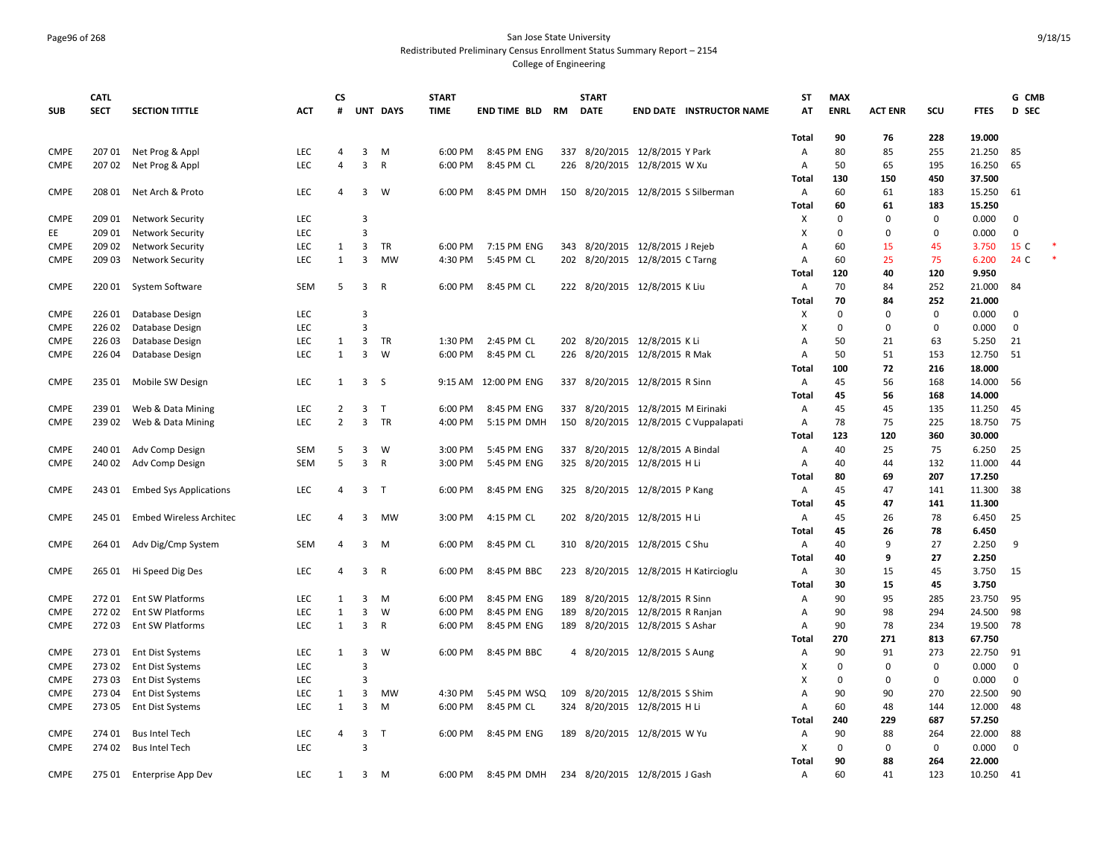# Page96 of 268 San Jose State University Redistributed Preliminary Census Enrollment Status Summary Report – 2154

|             | <b>CATL</b> |                                |            | <b>CS</b>      |                         |              | <b>START</b> |                      |     | <b>START</b>                       |                              |                                       | <b>ST</b>      | <b>MAX</b>  |                |              |             | G CMB        |  |
|-------------|-------------|--------------------------------|------------|----------------|-------------------------|--------------|--------------|----------------------|-----|------------------------------------|------------------------------|---------------------------------------|----------------|-------------|----------------|--------------|-------------|--------------|--|
| <b>SUB</b>  | <b>SECT</b> | <b>SECTION TITTLE</b>          | <b>ACT</b> | #              |                         | UNT DAYS     | <b>TIME</b>  | END TIME BLD RM      |     | <b>DATE</b>                        |                              | <b>END DATE INSTRUCTOR NAME</b>       | AT             | <b>ENRL</b> | <b>ACT ENR</b> | SCU          | <b>FTES</b> | D SEC        |  |
|             |             |                                |            |                |                         |              |              |                      |     |                                    |                              |                                       |                |             |                |              |             |              |  |
|             |             |                                |            |                |                         |              |              |                      |     |                                    |                              |                                       | <b>Total</b>   | 90          | 76             | 228          | 19.000      |              |  |
| <b>CMPE</b> | 207 01      | Net Prog & Appl                | <b>LEC</b> | 4              | 3                       | M            | 6:00 PM      | 8:45 PM ENG          | 337 |                                    | 8/20/2015 12/8/2015 Y Park   |                                       | Α              | 80          | 85             | 255          | 21.250      | 85           |  |
| <b>CMPE</b> | 207 02      | Net Prog & Appl                | LEC        | 4              | $\overline{3}$          | $\mathsf{R}$ | 6:00 PM      | 8:45 PM CL           |     | 226 8/20/2015 12/8/2015 W Xu       |                              |                                       | A              | 50          | 65             | 195          | 16.250      | 65           |  |
|             |             |                                |            |                |                         |              |              |                      |     |                                    |                              |                                       | Total          | 130         | 150            | 450          | 37.500      |              |  |
| <b>CMPE</b> | 208 01      | Net Arch & Proto               | LEC        | Δ              | $\overline{3}$          | W            | 6:00 PM      | 8:45 PM DMH          |     |                                    |                              | 150 8/20/2015 12/8/2015 S Silberman   | Α              | 60          | 61             | 183          | 15.250      | 61           |  |
|             |             |                                |            |                |                         |              |              |                      |     |                                    |                              |                                       | Total          | 60          | 61             | 183          | 15.250      |              |  |
| <b>CMPE</b> | 209 01      | <b>Network Security</b>        | LEC        |                | $\overline{3}$          |              |              |                      |     |                                    |                              |                                       | х              | $\Omega$    | $\mathbf 0$    | $\Omega$     | 0.000       | $\mathbf 0$  |  |
| EE          | 209 01      | <b>Network Security</b>        | LEC        |                | $\overline{3}$          |              |              |                      |     |                                    |                              |                                       | х              | $\Omega$    | $\Omega$       | $\mathbf 0$  | 0.000       | $\mathbf 0$  |  |
| <b>CMPE</b> | 209 02      | <b>Network Security</b>        | <b>LEC</b> | 1              | $\overline{\mathbf{3}}$ | TR           | 6:00 PM      | 7:15 PM ENG          |     | 343 8/20/2015 12/8/2015 J Rejeb    |                              |                                       | $\overline{A}$ | 60          | 15             | 45           | 3.750       | 15 C         |  |
| <b>CMPE</b> | 209 03      | <b>Network Security</b>        | LEC        | 1              | $\overline{3}$          | <b>MW</b>    | 4:30 PM      | 5:45 PM CL           |     | 202 8/20/2015 12/8/2015 C Tarng    |                              |                                       | Α              | 60          | 25             | 75           | 6.200       | 24 C         |  |
|             |             |                                |            |                |                         |              |              |                      |     |                                    |                              |                                       | Total          | 120         | 40             | 120          | 9.950       |              |  |
| <b>CMPE</b> | 220 01      | System Software                | SEM        | 5              | $\overline{3}$          | R            | 6:00 PM      | 8:45 PM CL           |     | 222 8/20/2015 12/8/2015 K Liu      |                              |                                       | Α              | 70          | 84             | 252          | 21.000      | 84           |  |
|             |             |                                |            |                |                         |              |              |                      |     |                                    |                              |                                       | Total          | 70          | 84             | 252          | 21.000      |              |  |
| <b>CMPE</b> | 226 01      | Database Design                | <b>LEC</b> |                | $\overline{3}$          |              |              |                      |     |                                    |                              |                                       | х              | $\Omega$    | $\Omega$       | $\mathbf 0$  | 0.000       | 0            |  |
| <b>CMPE</b> | 226 02      | Database Design                | LEC        |                | $\overline{3}$          |              |              |                      |     |                                    |                              |                                       | X              | $\Omega$    | $\mathbf 0$    | $\mathbf 0$  | 0.000       | $\mathbf 0$  |  |
| <b>CMPE</b> | 22603       | Database Design                | LEC        | 1              | $\mathbf{3}$            | TR           | 1:30 PM      | 2:45 PM CL           |     | 202 8/20/2015 12/8/2015 K Li       |                              |                                       | А              | 50          | 21             | 63           | 5.250       | 21           |  |
| <b>CMPE</b> | 226 04      | Database Design                | <b>LEC</b> | $\mathbf{1}$   | 3                       | W            | 6:00 PM      | 8:45 PM CL           |     | 226 8/20/2015 12/8/2015 R Mak      |                              |                                       | А              | 50          | 51             | 153          | 12.750      | 51           |  |
|             |             |                                |            |                |                         |              |              |                      |     |                                    |                              |                                       | Total          | 100         | 72             | 216          | 18.000      |              |  |
| <b>CMPE</b> | 235 01      | Mobile SW Design               | LEC        | 1              | 3 <sub>5</sub>          |              |              | 9:15 AM 12:00 PM ENG |     | 337 8/20/2015 12/8/2015 R Sinn     |                              |                                       | Α              | 45          | 56             | 168          | 14.000      | 56           |  |
|             |             |                                |            |                |                         |              |              |                      |     |                                    |                              |                                       | Total          | 45          | 56             | 168          | 14.000      |              |  |
| <b>CMPE</b> | 239 01      | Web & Data Mining              | LEC        | $\overline{2}$ | $\overline{3}$          | $\mathsf{T}$ | 6:00 PM      | 8:45 PM ENG          |     | 337 8/20/2015 12/8/2015 M Eirinaki |                              |                                       | Α              | 45          | 45             | 135          | 11.250      | 45           |  |
| <b>CMPE</b> | 239 02      | Web & Data Mining              | <b>LEC</b> | $\overline{2}$ | $\overline{\mathbf{3}}$ | TR           | 4:00 PM      | 5:15 PM DMH          |     |                                    |                              | 150 8/20/2015 12/8/2015 C Vuppalapati | A              | 78          | 75             | 225          | 18.750      | 75           |  |
|             |             |                                |            |                |                         |              |              |                      |     |                                    |                              |                                       | Total          | 123         | 120            | 360          | 30.000      |              |  |
| <b>CMPE</b> | 240 01      | Adv Comp Design                | <b>SEM</b> | 5              | 3                       | W            | 3:00 PM      | 5:45 PM ENG          | 337 |                                    | 8/20/2015 12/8/2015 A Bindal |                                       | Α              | 40          | 25             | 75           | 6.250       | 25           |  |
| <b>CMPE</b> | 240 02      | Adv Comp Design                | <b>SEM</b> | 5              | $\overline{3}$          | $\mathsf{R}$ | 3:00 PM      | 5:45 PM ENG          |     | 325 8/20/2015 12/8/2015 H Li       |                              |                                       | Α              | 40          | 44             | 132          | 11.000      | 44           |  |
|             |             |                                |            |                |                         |              |              |                      |     |                                    |                              |                                       | Total          | 80          | 69             | 207          | 17.250      |              |  |
| <b>CMPE</b> | 243 01      | <b>Embed Sys Applications</b>  | LEC        | 4              | 3 <sub>1</sub>          |              | 6:00 PM      | 8:45 PM ENG          |     | 325 8/20/2015 12/8/2015 P Kang     |                              |                                       | A              | 45          | 47             | 141          | 11.300      | 38           |  |
|             |             |                                |            |                |                         |              |              |                      |     |                                    |                              |                                       | Total          | 45          | 47             | 141          | 11.300      |              |  |
| <b>CMPE</b> | 245 01      | <b>Embed Wireless Architec</b> | <b>LEC</b> | 4              | 3                       | MW           | 3:00 PM      | 4:15 PM CL           |     | 202 8/20/2015 12/8/2015 H Li       |                              |                                       | Α              | 45          | 26             | 78           | 6.450       | 25           |  |
|             |             |                                |            |                |                         |              |              |                      |     |                                    |                              |                                       | Total          | 45          | 26             | 78           | 6.450       |              |  |
| <b>CMPE</b> | 264 01      | Adv Dig/Cmp System             | <b>SEM</b> | $\overline{a}$ | 3                       | M            | 6:00 PM      | 8:45 PM CL           |     | 310 8/20/2015 12/8/2015 C Shu      |                              |                                       | Α              | 40          | 9              | 27           | 2.250       | 9            |  |
|             |             |                                |            |                |                         |              |              |                      |     |                                    |                              |                                       | Total          | 40          | 9              | 27           | 2.250       |              |  |
| <b>CMPE</b> | 265 01      | Hi Speed Dig Des               | LEC        | 4              | 3                       | R            | 6:00 PM      | 8:45 PM BBC          |     |                                    |                              | 223 8/20/2015 12/8/2015 H Katircioglu | A              | 30          | 15             | 45           | 3.750       | 15           |  |
|             |             |                                |            |                |                         |              |              |                      |     |                                    |                              |                                       | Total          | 30          | 15             | 45           | 3.750       |              |  |
| <b>CMPE</b> | 27201       | Ent SW Platforms               | LEC        | 1              | 3                       | M            | 6:00 PM      | 8:45 PM ENG          |     | 189 8/20/2015 12/8/2015 R Sinn     |                              |                                       | Α              | 90          | 95             | 285          | 23.750      | 95           |  |
| <b>CMPE</b> | 27202       | <b>Ent SW Platforms</b>        | LEC        | $\mathbf{1}$   | 3                       | W            | 6:00 PM      | 8:45 PM ENG          | 189 |                                    | 8/20/2015 12/8/2015 R Ranjan |                                       | $\overline{A}$ | 90          | 98             | 294          | 24.500      | 98           |  |
| <b>CMPE</b> | 27203       | Ent SW Platforms               | LEC        | $\mathbf{1}$   | $\overline{3}$          | R            | 6:00 PM      | 8:45 PM ENG          |     | 189 8/20/2015 12/8/2015 S Ashar    |                              |                                       | Α              | 90          | 78             | 234          | 19.500      | 78           |  |
|             |             |                                |            |                |                         |              |              |                      |     |                                    |                              |                                       | Total          | 270         | 271            | 813          | 67.750      |              |  |
| <b>CMPE</b> | 27301       | <b>Ent Dist Systems</b>        | LEC        | 1              | $\overline{3}$          | W            | 6:00 PM      | 8:45 PM BBC          |     | 4 8/20/2015 12/8/2015 S Aung       |                              |                                       | Α              | 90          | 91             | 273          | 22.750      | 91           |  |
| <b>CMPE</b> | 27302       | <b>Ent Dist Systems</b>        | LEC        |                | $\overline{3}$          |              |              |                      |     |                                    |                              |                                       | X              | $\Omega$    | $\mathbf 0$    | $\mathbf 0$  | 0.000       | $\mathbf{0}$ |  |
| <b>CMPE</b> | 27303       | <b>Ent Dist Systems</b>        | <b>LEC</b> |                | $\overline{3}$          |              |              |                      |     |                                    |                              |                                       | X              | $\Omega$    | $\Omega$       | $\mathbf{0}$ | 0.000       | $\mathbf 0$  |  |
| <b>CMPE</b> | 27304       | <b>Ent Dist Systems</b>        | LEC        | 1              | $\overline{\mathbf{3}}$ | <b>MW</b>    | 4:30 PM      | 5:45 PM WSQ          | 109 |                                    | 8/20/2015 12/8/2015 S Shim   |                                       | $\overline{A}$ | 90          | 90             | 270          | 22.500      | 90           |  |
|             |             |                                |            | 1              |                         |              |              |                      |     |                                    |                              |                                       |                |             |                |              |             |              |  |
| <b>CMPE</b> | 27305       | Ent Dist Systems               | <b>LEC</b> |                | $\overline{3}$          | M            | 6:00 PM      | 8:45 PM CL           |     | 324 8/20/2015 12/8/2015 H Li       |                              |                                       | Α              | 60          | 48             | 144          | 12.000      | 48           |  |
|             |             |                                |            |                |                         |              |              |                      |     |                                    |                              |                                       | Total          | 240         | 229            | 687          | 57.250      |              |  |
| <b>CMPE</b> | 274 01      | <b>Bus Intel Tech</b>          | LEC        | 4              | $\overline{3}$          | T.           | 6:00 PM      | 8:45 PM ENG          |     | 189 8/20/2015 12/8/2015 W Yu       |                              |                                       | Α              | 90          | 88             | 264          | 22.000      | 88           |  |
| <b>CMPE</b> | 274 02      | <b>Bus Intel Tech</b>          | LEC        |                | 3                       |              |              |                      |     |                                    |                              |                                       | X              | $\Omega$    | $\mathbf 0$    | $\mathbf 0$  | 0.000       | $\mathbf 0$  |  |
|             |             |                                |            |                |                         |              |              |                      |     |                                    |                              |                                       | <b>Total</b>   | 90          | 88             | 264          | 22.000      |              |  |
| <b>CMPE</b> | 275 01      | Enterprise App Dev             | <b>LEC</b> | 1              | 3                       | M            | 6:00 PM      | 8:45 PM DMH          |     | 234 8/20/2015 12/8/2015 J Gash     |                              |                                       | Α              | 60          | 41             | 123          | 10.250      | - 41         |  |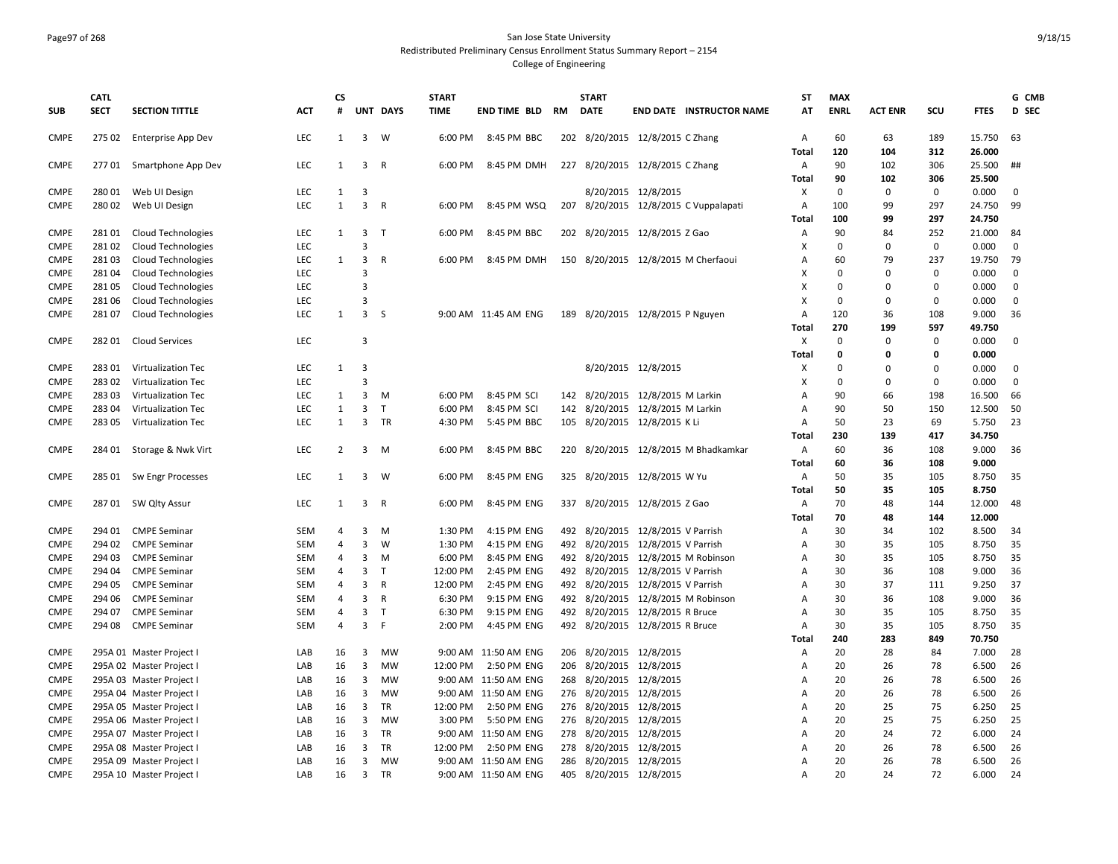#### Page97 of 268 San Jose State University Redistributed Preliminary Census Enrollment Status Summary Report – 2154 College of Engineering

|             | <b>CATL</b> |                           |            | СS             |                         |              | <b>START</b> |                      |     | <b>START</b>            |                                       | ST                        | <b>MAX</b>  |                |             |             | G CMB        |
|-------------|-------------|---------------------------|------------|----------------|-------------------------|--------------|--------------|----------------------|-----|-------------------------|---------------------------------------|---------------------------|-------------|----------------|-------------|-------------|--------------|
| <b>SUB</b>  | <b>SECT</b> | <b>SECTION TITTLE</b>     | <b>ACT</b> | #              |                         | UNT DAYS     | TIME         | END TIME BLD RM      |     | <b>DATE</b>             | <b>END DATE INSTRUCTOR NAME</b>       | AT                        | <b>ENRL</b> | <b>ACT ENR</b> | scu         | <b>FTES</b> | D SEC        |
| <b>CMPE</b> |             | 275 02 Enterprise App Dev | LEC        | 1              | $\overline{3}$          | W            | 6:00 PM      | 8:45 PM BBC          |     |                         | 202 8/20/2015 12/8/2015 C Zhang       | A                         | 60          | 63             | 189         | 15.750      | 63           |
|             |             |                           |            |                |                         |              |              |                      |     |                         |                                       | Total                     | 120         | 104            | 312         | 26.000      |              |
| <b>CMPE</b> |             | 277 01 Smartphone App Dev | LEC        | 1              | $\overline{3}$          | $\mathsf{R}$ | 6:00 PM      | 8:45 PM DMH          |     |                         | 227 8/20/2015 12/8/2015 C Zhang       | $\overline{A}$            | 90          | 102            | 306         | 25.500      | ##           |
|             |             |                           |            |                |                         |              |              |                      |     |                         |                                       | Total                     | 90          | 102            | 306         | 25.500      |              |
| <b>CMPE</b> | 28001       | Web UI Design             | LEC        | 1              | 3                       |              |              |                      |     |                         | 8/20/2015 12/8/2015                   | Χ                         | 0           | 0              | 0           | 0.000       | 0            |
| <b>CMPE</b> | 28002       | Web UI Design             | <b>LEC</b> | $\mathbf{1}$   | $\overline{3}$          | $\mathsf{R}$ | 6:00 PM      | 8:45 PM WSQ          |     |                         | 207 8/20/2015 12/8/2015 C Vuppalapati | Α                         | 100         | 99             | 297         | 24.750      | 99           |
|             |             |                           |            |                |                         |              |              |                      |     |                         |                                       | Total                     | 100         | 99             | 297         | 24.750      |              |
| <b>CMPE</b> | 28101       | Cloud Technologies        | <b>LEC</b> | 1              | $\overline{3}$          | $\top$       | 6:00 PM      | 8:45 PM BBC          |     |                         | 202 8/20/2015 12/8/2015 Z Gao         | Α                         | 90          | 84             | 252         | 21.000      | 84           |
| <b>CMPE</b> | 28102       | <b>Cloud Technologies</b> | LEC        |                | 3                       |              |              |                      |     |                         |                                       | $\boldsymbol{\mathsf{x}}$ | $\mathbf 0$ | 0              | $\mathbf 0$ | 0.000       | $\mathbf{0}$ |
| <b>CMPE</b> | 28103       | Cloud Technologies        | <b>LEC</b> | 1              | 3                       | R            | 6:00 PM      | 8:45 PM DMH          |     |                         | 150 8/20/2015 12/8/2015 M Cherfaoui   | A                         | 60          | 79             | 237         | 19.750      | -79          |
| <b>CMPE</b> | 28104       | <b>Cloud Technologies</b> | <b>LEC</b> |                | 3                       |              |              |                      |     |                         |                                       | X                         | $\Omega$    | $\Omega$       | 0           | 0.000       | 0            |
| <b>CMPE</b> | 28105       | <b>Cloud Technologies</b> | <b>LEC</b> |                | 3                       |              |              |                      |     |                         |                                       | х                         | $\Omega$    | $\Omega$       | 0           | 0.000       | 0            |
| <b>CMPE</b> | 28106       | <b>Cloud Technologies</b> | <b>LEC</b> |                | 3                       |              |              |                      |     |                         |                                       | x                         | $\mathbf 0$ | $\Omega$       | $\Omega$    | 0.000       | $\mathbf 0$  |
| <b>CMPE</b> | 28107       | Cloud Technologies        | <b>LEC</b> | 1              | $\overline{3}$          | S            |              | 9:00 AM 11:45 AM ENG |     |                         | 189 8/20/2015 12/8/2015 P Nguyen      | A                         | 120         | 36             | 108         | 9.000       | 36           |
|             |             |                           |            |                |                         |              |              |                      |     |                         |                                       | Total                     | 270         | 199            | 597         | 49.750      |              |
| <b>CMPE</b> |             | 282 01 Cloud Services     | LEC        |                | $\overline{3}$          |              |              |                      |     |                         |                                       | X                         | $\mathbf 0$ | $\mathbf 0$    | $\mathbf 0$ | 0.000       | $\mathbf 0$  |
|             |             |                           |            |                |                         |              |              |                      |     |                         |                                       | Total                     | 0           | 0              | 0           | 0.000       |              |
| <b>CMPE</b> | 28301       | Virtualization Tec        | LEC        | $\mathbf{1}$   | 3                       |              |              |                      |     |                         | 8/20/2015 12/8/2015                   | X                         | $\Omega$    | $\Omega$       | 0           | 0.000       | 0            |
| <b>CMPE</b> | 28302       | Virtualization Tec        | <b>LEC</b> |                | 3                       |              |              |                      |     |                         |                                       | X                         | $\Omega$    | $\Omega$       | $\Omega$    | 0.000       | $\mathbf 0$  |
| <b>CMPE</b> | 28303       | Virtualization Tec        | <b>LEC</b> | $\mathbf{1}$   | 3                       | M            | 6:00 PM      | 8:45 PM SCI          |     |                         | 142 8/20/2015 12/8/2015 M Larkin      | Α                         | 90          | 66             | 198         | 16.500      | 66           |
| <b>CMPE</b> | 28304       | Virtualization Tec        | <b>LEC</b> | $\mathbf{1}$   | $\overline{3}$          | $\mathsf{T}$ | 6:00 PM      | 8:45 PM SCI          | 142 |                         | 8/20/2015 12/8/2015 M Larkin          | A                         | 90          | 50             | 150         | 12.500      | 50           |
| <b>CMPE</b> | 28305       | Virtualization Tec        | <b>LEC</b> | 1              | $\overline{3}$          | TR           | 4:30 PM      | 5:45 PM BBC          |     |                         | 105 8/20/2015 12/8/2015 K Li          | Α                         | 50          | 23             | 69          | 5.750       | 23           |
|             |             |                           |            |                |                         |              |              |                      |     |                         |                                       | Total                     | 230         | 139            | 417         | 34.750      |              |
| <b>CMPE</b> |             | 284 01 Storage & Nwk Virt | LEC        | $\overline{2}$ | $\overline{\mathbf{3}}$ | M            | 6:00 PM      | 8:45 PM BBC          |     |                         | 220 8/20/2015 12/8/2015 M Bhadkamkar  | $\overline{A}$            | 60          | 36             | 108         | 9.000       | 36           |
|             |             |                           |            |                |                         |              |              |                      |     |                         |                                       | Total                     | 60          | 36             | 108         | 9.000       |              |
| <b>CMPE</b> |             | 285 01 Sw Engr Processes  | <b>LEC</b> | 1              | $\overline{3}$          | W            | 6:00 PM      | 8:45 PM ENG          |     |                         | 325 8/20/2015 12/8/2015 W Yu          | $\overline{A}$            | 50          | 35             | 105         | 8.750       | 35           |
|             |             |                           |            |                |                         |              |              |                      |     |                         |                                       | <b>Total</b>              | 50          | 35             | 105         | 8.750       |              |
| <b>CMPE</b> |             | 287 01 SW Qlty Assur      | <b>LEC</b> | 1              | 3                       | R            | 6:00 PM      | 8:45 PM ENG          |     |                         | 337 8/20/2015 12/8/2015 Z Gao         | $\overline{A}$            | 70          | 48             | 144         | 12.000      | 48           |
|             |             |                           |            |                |                         |              |              |                      |     |                         |                                       | Total                     | 70          | 48             | 144         | 12.000      |              |
| <b>CMPE</b> | 294 01      | <b>CMPE Seminar</b>       | <b>SEM</b> | 4              | 3                       | М            | 1:30 PM      | 4:15 PM ENG          |     |                         | 492 8/20/2015 12/8/2015 V Parrish     | A                         | 30          | 34             | 102         | 8.500       | 34           |
| <b>CMPE</b> | 294 02      | <b>CMPE Seminar</b>       | SEM        | $\overline{4}$ | 3                       | W            | 1:30 PM      | 4:15 PM ENG          |     |                         | 492 8/20/2015 12/8/2015 V Parrish     | Α                         | 30          | 35             | 105         | 8.750       | 35           |
| <b>CMPE</b> | 294 03      | <b>CMPE Seminar</b>       | <b>SEM</b> | 4              | 3                       | M            | 6:00 PM      | 8:45 PM ENG          |     |                         | 492 8/20/2015 12/8/2015 M Robinson    | Α                         | 30          | 35             | 105         | 8.750       | 35           |
| <b>CMPE</b> | 294 04      | <b>CMPE Seminar</b>       | SEM        | $\overline{4}$ | 3                       | $\mathsf{T}$ | 12:00 PM     | 2:45 PM ENG          |     |                         | 492 8/20/2015 12/8/2015 V Parrish     | Α                         | 30          | 36             | 108         | 9.000       | 36           |
| <b>CMPE</b> | 294 05      | <b>CMPE Seminar</b>       | <b>SEM</b> | $\overline{4}$ | $\overline{3}$          | R            | 12:00 PM     | 2:45 PM ENG          |     |                         | 492 8/20/2015 12/8/2015 V Parrish     | Α                         | 30          | 37             | 111         | 9.250       | 37           |
| <b>CMPE</b> | 294 06      | <b>CMPE Seminar</b>       | <b>SEM</b> | $\overline{4}$ | 3                       | R            | 6:30 PM      | 9:15 PM ENG          |     |                         | 492 8/20/2015 12/8/2015 M Robinson    | Α                         | 30          | 36             | 108         | 9.000       | 36           |
| <b>CMPE</b> | 294 07      | <b>CMPE Seminar</b>       | <b>SEM</b> | $\overline{4}$ | 3                       | $\mathsf{T}$ | 6:30 PM      | 9:15 PM ENG          |     |                         | 492 8/20/2015 12/8/2015 R Bruce       | Α                         | 30          | 35             | 105         | 8.750       | 35           |
| <b>CMPE</b> | 294 08      | <b>CMPE Seminar</b>       | <b>SEM</b> | 4              | $\overline{3}$          | F            | 2:00 PM      | 4:45 PM ENG          |     |                         | 492 8/20/2015 12/8/2015 R Bruce       | A                         | 30          | 35             | 105         | 8.750       | 35           |
|             |             |                           |            |                |                         |              |              |                      |     |                         |                                       | Total                     | 240         | 283            | 849         | 70.750      |              |
| <b>CMPE</b> |             | 295A 01 Master Project I  | LAB        | 16             | 3                       | <b>MW</b>    |              | 9:00 AM 11:50 AM ENG |     | 206 8/20/2015 12/8/2015 |                                       | Α                         | 20          | 28             | 84          | 7.000       | 28           |
| <b>CMPE</b> |             | 295A 02 Master Project I  | LAB        | 16             | 3                       | <b>MW</b>    | 12:00 PM     | 2:50 PM ENG          | 206 |                         | 8/20/2015 12/8/2015                   | Α                         | 20          | 26             | 78          | 6.500       | 26           |
| <b>CMPE</b> |             | 295A 03 Master Project I  | LAB        | 16             | 3                       | <b>MW</b>    |              | 9:00 AM 11:50 AM ENG | 268 |                         | 8/20/2015 12/8/2015                   | A                         | 20          | 26             | 78          | 6.500       | 26           |
| <b>CMPE</b> |             | 295A 04 Master Project I  | LAB        | 16             | 3                       | <b>MW</b>    |              | 9:00 AM 11:50 AM ENG |     | 276 8/20/2015 12/8/2015 |                                       | Α                         | 20          | 26             | 78          | 6.500       | 26           |
| <b>CMPE</b> |             | 295A 05 Master Project I  | LAB        | 16             | 3                       | <b>TR</b>    | 12:00 PM     | 2:50 PM ENG          | 276 |                         | 8/20/2015 12/8/2015                   | $\mathsf{A}$              | 20          | 25             | 75          | 6.250       | 25           |
| <b>CMPE</b> |             | 295A 06 Master Project I  | LAB        | 16             | 3                       | <b>MW</b>    | 3:00 PM      | 5:50 PM ENG          | 276 |                         | 8/20/2015 12/8/2015                   | Α                         | 20          | 25             | 75          | 6.250       | 25           |
| <b>CMPE</b> |             | 295A 07 Master Project I  | LAB        | 16             | 3                       | TR           |              | 9:00 AM 11:50 AM ENG | 278 |                         | 8/20/2015 12/8/2015                   | A                         | 20          | 24             | 72          | 6.000       | 24           |
| <b>CMPE</b> |             | 295A 08 Master Project I  | LAB        | 16             | 3                       | TR           | 12:00 PM     | 2:50 PM ENG          | 278 |                         | 8/20/2015 12/8/2015                   | Α                         | 20          | 26             | 78          | 6.500       | 26           |
| <b>CMPE</b> |             | 295A 09 Master Project I  | LAB        | 16             | 3                       | <b>MW</b>    |              | 9:00 AM 11:50 AM ENG |     | 286 8/20/2015 12/8/2015 |                                       | Α                         | 20          | 26             | 78          | 6.500       | 26           |
| <b>CMPE</b> |             | 295A 10 Master Project I  | LAB        | 16             | $\mathbf{3}$            | <b>TR</b>    |              | 9:00 AM 11:50 AM ENG |     | 405 8/20/2015 12/8/2015 |                                       | $\overline{A}$            | 20          | 24             | 72          | 6.000       | 24           |
|             |             |                           |            |                |                         |              |              |                      |     |                         |                                       |                           |             |                |             |             |              |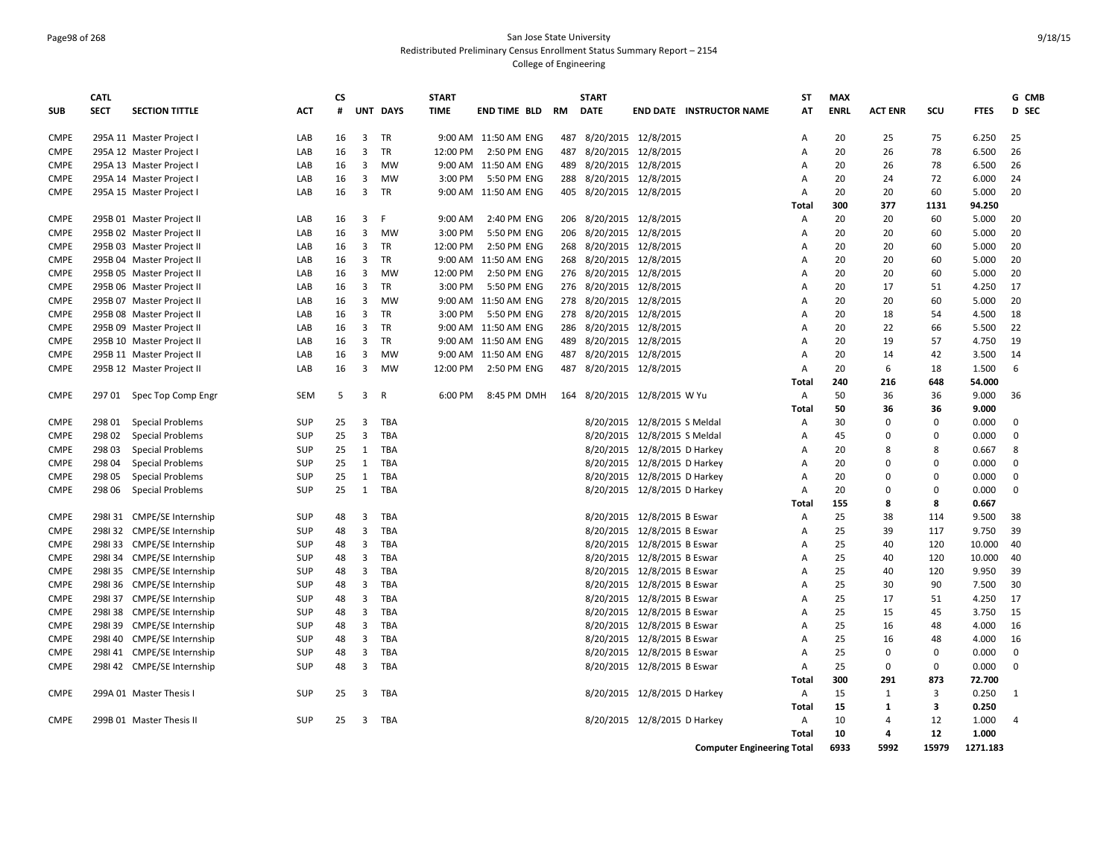### Page98 of 268 San Jose State University Redistributed Preliminary Census Enrollment Status Summary Report – 2154 College of Engineering

|             | <b>CATL</b> |                            |            | <b>CS</b> |                         |              | <b>START</b> |                      |     | <b>START</b>                 |                              |                                 | <b>ST</b>      | <b>MAX</b>  |                |                |             | G CMB        |
|-------------|-------------|----------------------------|------------|-----------|-------------------------|--------------|--------------|----------------------|-----|------------------------------|------------------------------|---------------------------------|----------------|-------------|----------------|----------------|-------------|--------------|
| <b>SUB</b>  | <b>SECT</b> | <b>SECTION TITTLE</b>      | <b>ACT</b> | #         |                         | UNT DAYS     | <b>TIME</b>  | <b>END TIME BLD</b>  | RM  | <b>DATE</b>                  |                              | <b>END DATE INSTRUCTOR NAME</b> | AT             | <b>ENRL</b> | <b>ACT ENR</b> | scu            | <b>FTES</b> | <b>D</b> SEC |
| <b>CMPE</b> |             | 295A 11 Master Project I   | LAB        | 16        | 3                       | TR           |              | 9:00 AM 11:50 AM ENG |     | 487 8/20/2015 12/8/2015      |                              |                                 | Α              | 20          | 25             | 75             | 6.250       | 25           |
| <b>CMPE</b> |             | 295A 12 Master Project I   | LAB        | 16        | 3                       | TR           | 12:00 PM     | 2:50 PM ENG          | 487 | 8/20/2015 12/8/2015          |                              |                                 | $\overline{A}$ | 20          | 26             | 78             | 6.500       | 26           |
| <b>CMPE</b> |             | 295A 13 Master Project I   | LAB        | 16        | 3                       | MW           | 9:00 AM      | 11:50 AM ENG         | 489 | 8/20/2015 12/8/2015          |                              |                                 | A              | 20          | 26             | 78             | 6.500       | 26           |
| <b>CMPE</b> |             | 295A 14 Master Project I   | LAB        | 16        | 3                       | MW           | 3:00 PM      | 5:50 PM ENG          |     | 288 8/20/2015 12/8/2015      |                              |                                 | A              | 20          | 24             | 72             | 6.000       | 24           |
| <b>CMPE</b> |             | 295A 15 Master Project I   | LAB        | 16        | 3                       | TR           |              | 9:00 AM 11:50 AM ENG |     | 405 8/20/2015 12/8/2015      |                              |                                 | A              | 20          | 20             | 60             | 5.000       | 20           |
|             |             |                            |            |           |                         |              |              |                      |     |                              |                              |                                 | Total          | 300         | 377            | 1131           | 94.250      |              |
| <b>CMPE</b> |             | 295B 01 Master Project II  | LAB        | 16        | 3                       | F            | 9:00 AM      | 2:40 PM ENG          |     | 206 8/20/2015 12/8/2015      |                              |                                 | Α              | 20          | 20             | 60             | 5.000       | 20           |
| <b>CMPE</b> |             | 295B 02 Master Project II  | LAB        | 16        | 3                       | MW           | 3:00 PM      | 5:50 PM ENG          |     | 206 8/20/2015 12/8/2015      |                              |                                 | A              | 20          | 20             | 60             | 5.000       | 20           |
| <b>CMPE</b> |             | 295B 03 Master Project II  | LAB        | 16        | $\overline{3}$          | <b>TR</b>    | 12:00 PM     | 2:50 PM ENG          |     | 268 8/20/2015 12/8/2015      |                              |                                 | $\overline{A}$ | 20          | 20             | 60             | 5.000       | 20           |
| <b>CMPE</b> |             | 295B 04 Master Project II  | LAB        | 16        | 3                       | <b>TR</b>    | 9:00 AM      | 11:50 AM ENG         |     | 268 8/20/2015 12/8/2015      |                              |                                 | Α              | 20          | 20             | 60             | 5.000       | 20           |
| <b>CMPE</b> |             | 295B 05 Master Project II  | LAB        | 16        | 3                       | MW           | 12:00 PM     | 2:50 PM ENG          |     | 276 8/20/2015 12/8/2015      |                              |                                 | Α              | 20          | 20             | 60             | 5.000       | 20           |
| <b>CMPE</b> |             | 295B 06 Master Project II  | LAB        | 16        | 3                       | TR           | 3:00 PM      | 5:50 PM ENG          |     | 276 8/20/2015 12/8/2015      |                              |                                 | Α              | 20          | 17             | 51             | 4.250       | 17           |
| <b>CMPE</b> |             | 295B 07 Master Project II  | LAB        | 16        | 3                       | <b>MW</b>    | 9:00 AM      | 11:50 AM ENG         |     | 278 8/20/2015 12/8/2015      |                              |                                 | A              | 20          | 20             | 60             | 5.000       | 20           |
| <b>CMPE</b> |             | 295B 08 Master Project II  | LAB        | 16        | 3                       | TR           | 3:00 PM      | 5:50 PM ENG          | 278 | 8/20/2015 12/8/2015          |                              |                                 | Α              | 20          | 18             | 54             | 4.500       | 18           |
| <b>CMPE</b> |             | 295B 09 Master Project II  | LAB        | 16        | 3                       | TR           |              | 9:00 AM 11:50 AM ENG |     | 286 8/20/2015 12/8/2015      |                              |                                 | A              | 20          | 22             | 66             | 5.500       | 22           |
| <b>CMPE</b> |             | 295B 10 Master Project II  | LAB        | 16        | 3                       | <b>TR</b>    | 9:00 AM      | 11:50 AM ENG         | 489 |                              | 8/20/2015 12/8/2015          |                                 | A              | 20          | 19             | 57             | 4.750       | 19           |
| <b>CMPE</b> |             | 295B 11 Master Project II  | LAB        | 16        | 3                       | <b>MW</b>    | 9:00 AM      | 11:50 AM ENG         | 487 | 8/20/2015 12/8/2015          |                              |                                 | $\overline{A}$ | 20          | 14             | 42             | 3.500       | 14           |
| <b>CMPE</b> |             | 295B 12 Master Project II  | LAB        | 16        | 3                       | <b>MW</b>    | 12:00 PM     | 2:50 PM ENG          | 487 | 8/20/2015 12/8/2015          |                              |                                 | $\overline{A}$ | 20          | 6              | 18             | 1.500       | 6            |
|             |             |                            |            |           |                         |              |              |                      |     |                              |                              |                                 | Total          | 240         | 216            | 648            | 54.000      |              |
| <b>CMPE</b> |             | 297 01 Spec Top Comp Engr  | <b>SEM</b> | 5         | $\overline{3}$          | $\mathsf{R}$ | 6:00 PM      | 8:45 PM DMH          |     | 164 8/20/2015 12/8/2015 W Yu |                              |                                 | Α              | 50          | 36             | 36             | 9.000       | 36           |
|             |             |                            |            |           |                         |              |              |                      |     |                              |                              |                                 | Total          | 50          | 36             | 36             | 9.000       |              |
| <b>CMPE</b> | 298 01      | <b>Special Problems</b>    | <b>SUP</b> | 25        | 3                       | TBA          |              |                      |     |                              | 8/20/2015 12/8/2015 S Meldal |                                 | Α              | 30          | $\Omega$       | 0              | 0.000       | $\mathbf 0$  |
| <b>CMPE</b> | 298 02      | <b>Special Problems</b>    | <b>SUP</b> | 25        | 3                       | TBA          |              |                      |     |                              | 8/20/2015 12/8/2015 S Meldal |                                 | Α              | 45          | $\Omega$       | 0              | 0.000       | $\mathbf 0$  |
| <b>CMPE</b> | 298 03      | <b>Special Problems</b>    | SUP        | 25        | 1                       | TBA          |              |                      |     |                              | 8/20/2015 12/8/2015 D Harkey |                                 | $\overline{A}$ | 20          | 8              | 8              | 0.667       | 8            |
| <b>CMPE</b> | 298 04      | <b>Special Problems</b>    | SUP        | 25        | 1                       | TBA          |              |                      |     |                              | 8/20/2015 12/8/2015 D Harkey |                                 | Α              | 20          | $\Omega$       | $\mathbf 0$    | 0.000       | $\mathbf 0$  |
| <b>CMPE</b> | 298 05      | <b>Special Problems</b>    | <b>SUP</b> | 25        | $\mathbf{1}$            | TBA          |              |                      |     |                              | 8/20/2015 12/8/2015 D Harkey |                                 | $\overline{A}$ | 20          | $\Omega$       | 0              | 0.000       | $\mathbf 0$  |
| <b>CMPE</b> | 298 06      | <b>Special Problems</b>    | <b>SUP</b> | 25        | $\mathbf{1}$            | TBA          |              |                      |     |                              | 8/20/2015 12/8/2015 D Harkey |                                 | Α              | 20          | $\Omega$       | $\Omega$       | 0.000       | $\Omega$     |
|             |             |                            |            |           |                         |              |              |                      |     |                              |                              |                                 | Total          | 155         | 8              | 8              | 0.667       |              |
| <b>CMPE</b> |             | 298131 CMPE/SE Internship  | <b>SUP</b> | 48        | 3                       | TBA          |              |                      |     |                              | 8/20/2015 12/8/2015 B Eswar  |                                 | Α              | 25          | 38             | 114            | 9.500       | 38           |
| <b>CMPE</b> |             | 2981 32 CMPE/SE Internship | <b>SUP</b> | 48        | 3                       | TBA          |              |                      |     |                              | 8/20/2015 12/8/2015 B Eswar  |                                 | $\overline{A}$ | 25          | 39             | 117            | 9.750       | 39           |
| <b>CMPE</b> |             | 2981 33 CMPE/SE Internship | SUP        | 48        | 3                       | TBA          |              |                      |     |                              | 8/20/2015 12/8/2015 B Eswar  |                                 | A              | 25          | 40             | 120            | 10.000      | 40           |
| <b>CMPE</b> |             | 2981 34 CMPE/SE Internship | SUP        | 48        | 3                       | TBA          |              |                      |     |                              | 8/20/2015 12/8/2015 B Eswar  |                                 | Α              | 25          | 40             | 120            | 10.000      | 40           |
| <b>CMPE</b> |             | 2981 35 CMPE/SE Internship | <b>SUP</b> | 48        | 3                       | TBA          |              |                      |     |                              | 8/20/2015 12/8/2015 B Eswar  |                                 | Α              | 25          | 40             | 120            | 9.950       | 39           |
| <b>CMPE</b> |             | 2981 36 CMPE/SE Internship | <b>SUP</b> | 48        | 3                       | TBA          |              |                      |     |                              | 8/20/2015 12/8/2015 B Eswar  |                                 | Α              | 25          | 30             | 90             | 7.500       | 30           |
| <b>CMPE</b> |             | 2981 37 CMPE/SE Internship | <b>SUP</b> | 48        | 3                       | TBA          |              |                      |     |                              | 8/20/2015 12/8/2015 B Eswar  |                                 | $\overline{A}$ | 25          | 17             | 51             | 4.250       | 17           |
| <b>CMPE</b> |             | 2981 38 CMPE/SE Internship | <b>SUP</b> | 48        | 3                       | TBA          |              |                      |     |                              | 8/20/2015 12/8/2015 B Eswar  |                                 | Α              | 25          | 15             | 45             | 3.750       | 15           |
| <b>CMPE</b> |             | 2981 39 CMPE/SE Internship | <b>SUP</b> | 48        | 3                       | TBA          |              |                      |     |                              | 8/20/2015 12/8/2015 B Eswar  |                                 | A              | 25          | 16             | 48             | 4.000       | 16           |
| <b>CMPE</b> |             | 298I 40 CMPE/SE Internship | <b>SUP</b> | 48        | 3                       | TBA          |              |                      |     |                              | 8/20/2015 12/8/2015 B Eswar  |                                 | Α              | 25          | 16             | 48             | 4.000       | 16           |
| <b>CMPE</b> |             | 2981 41 CMPE/SE Internship | SUP        | 48        | 3                       | TBA          |              |                      |     |                              | 8/20/2015 12/8/2015 B Eswar  |                                 | $\overline{A}$ | 25          | $\mathbf 0$    | 0              | 0.000       | $\mathbf 0$  |
| <b>CMPE</b> |             | 2981 42 CMPE/SE Internship | SUP        | 48        | $\overline{\mathbf{3}}$ | TBA          |              |                      |     |                              | 8/20/2015 12/8/2015 B Eswar  |                                 | $\overline{A}$ | 25          | $\mathbf 0$    | 0              | 0.000       | $\mathbf 0$  |
|             |             |                            |            |           |                         |              |              |                      |     |                              |                              |                                 | Total          | 300         | 291            | 873            | 72.700      |              |
| <b>CMPE</b> |             | 299A 01 Master Thesis I    | <b>SUP</b> | 25        | $\overline{3}$          | TBA          |              |                      |     |                              | 8/20/2015 12/8/2015 D Harkey |                                 | Α              | 15          | 1              | $\overline{3}$ | 0.250       | 1            |
|             |             |                            |            |           |                         |              |              |                      |     |                              |                              |                                 | Total          | 15          | 1              | 3              | 0.250       |              |
| <b>CMPE</b> |             | 299B 01 Master Thesis II   | <b>SUP</b> | 25        | 3                       | TBA          |              |                      |     |                              | 8/20/2015 12/8/2015 D Harkey |                                 | Α              | 10          | 4              | 12             | 1.000       | 4            |
|             |             |                            |            |           |                         |              |              |                      |     |                              |                              |                                 | Total          | 10          | 4              | 12             | 1.000       |              |
|             |             |                            |            |           |                         |              |              |                      |     |                              |                              |                                 |                |             |                |                |             |              |

**Computer Engineering Total 6933 5992 15979 1271.183**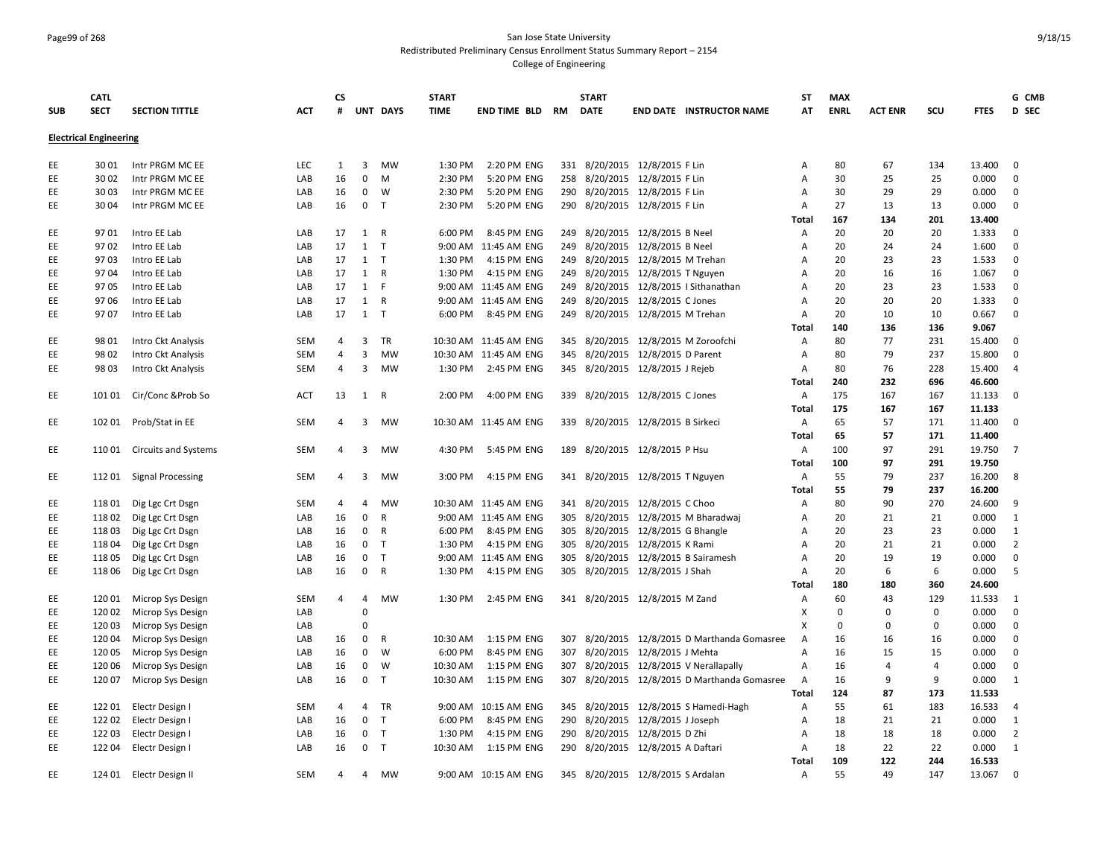# Page99 of 268 San Jose State University Redistributed Preliminary Census Enrollment Status Summary Report – 2154

|            | <b>CATL</b>                   |                             |            | <b>CS</b>      |                |              | <b>START</b> |                       |            | <b>START</b>                      |                               |                                              | ST                        | <b>MAX</b>  |                |             |             | G CMB             |
|------------|-------------------------------|-----------------------------|------------|----------------|----------------|--------------|--------------|-----------------------|------------|-----------------------------------|-------------------------------|----------------------------------------------|---------------------------|-------------|----------------|-------------|-------------|-------------------|
| <b>SUB</b> | <b>SECT</b>                   | <b>SECTION TITTLE</b>       | <b>ACT</b> | #              |                | UNT DAYS     | <b>TIME</b>  | END TIME BLD RM       |            | <b>DATE</b>                       |                               | <b>END DATE INSTRUCTOR NAME</b>              | AT                        | <b>ENRL</b> | <b>ACT ENR</b> | scu         | <b>FTES</b> | D SEC             |
|            | <b>Electrical Engineering</b> |                             |            |                |                |              |              |                       |            |                                   |                               |                                              |                           |             |                |             |             |                   |
|            |                               |                             |            |                |                |              |              |                       |            |                                   |                               |                                              |                           |             |                |             |             |                   |
| EE         | 30 01                         | Intr PRGM MC EE             | LEC        | $\mathbf{1}$   | 3              | MW           | 1:30 PM      | 2:20 PM ENG           |            | 331 8/20/2015 12/8/2015 F Lin     |                               |                                              | A                         | 80          | 67             | 134         | 13.400      | 0                 |
| EE         | 30 02                         | Intr PRGM MC EE             | LAB        | 16             | $\mathsf 0$    | M            | 2:30 PM      | 5:20 PM ENG           | 258        |                                   | 8/20/2015 12/8/2015 F Lin     |                                              | Α                         | 30          | 25             | 25          | 0.000       | $\mathbf 0$       |
| EE         | 3003                          | Intr PRGM MC EE             | LAB        | 16             | $\mathbf 0$    | W            | 2:30 PM      | 5:20 PM ENG           | 290        |                                   | 8/20/2015 12/8/2015 F Lin     |                                              | Α                         | 30          | 29             | 29          | 0.000       | $\mathbf 0$       |
| EE         | 30.04                         | Intr PRGM MC EE             | LAB        | 16             | $\mathbf 0$    | $\top$       | 2:30 PM      | 5:20 PM ENG           | 290        |                                   | 8/20/2015 12/8/2015 F Lin     |                                              | A                         | 27          | 13             | 13          | 0.000       | $\mathbf 0$       |
|            |                               |                             |            |                |                |              |              |                       |            |                                   |                               |                                              | Total                     | 167         | 134            | 201         | 13.400      |                   |
| EE.        | 9701                          | Intro EE Lab                | LAB        | 17             |                | 1 R          | 6:00 PM      | 8:45 PM ENG           |            | 249 8/20/2015 12/8/2015 B Neel    |                               |                                              | A                         | 20          | 20             | 20          | 1.333       | $\mathbf{0}$      |
| EE         | 9702                          | Intro EE Lab                | LAB        | 17             | $\mathbf{1}$   | T            | 9:00 AM      | 11:45 AM ENG          | 249        |                                   | 8/20/2015 12/8/2015 B Neel    |                                              | A                         | 20          | 24             | 24          | 1.600       | $\mathbf 0$       |
| EE         | 9703                          | Intro EE Lab                | LAB        | 17             | $1$ T          |              | 1:30 PM      | 4:15 PM ENG           |            | 249 8/20/2015 12/8/2015 M Trehan  |                               |                                              | A                         | 20          | 23             | 23          | 1.533       | $\mathbf 0$       |
| EE         | 9704                          | Intro EE Lab                | LAB        | 17             | 1              | $\mathsf{R}$ | 1:30 PM      | 4:15 PM ENG           |            | 249 8/20/2015 12/8/2015 T Nguyen  |                               |                                              | Α                         | 20          | 16             | 16          | 1.067       | $\mathbf 0$       |
| EE         | 9705                          | Intro EE Lab                | LAB        | 17             | 1 F            |              |              | 9:00 AM 11:45 AM ENG  |            |                                   |                               | 249 8/20/2015 12/8/2015   Sithanathan        | Α                         | 20          | 23             | 23          | 1.533       | 0                 |
| EE         | 9706                          | Intro EE Lab                | LAB        | 17             | 1              | R            |              | 9:00 AM 11:45 AM ENG  |            | 249 8/20/2015 12/8/2015 C Jones   |                               |                                              | $\overline{A}$            | 20          | 20             | 20          | 1.333       | $\mathbf 0$       |
| EE         | 9707                          | Intro EE Lab                | LAB        | 17             | $1$ T          |              | 6:00 PM      | 8:45 PM ENG           |            | 249 8/20/2015 12/8/2015 M Trehan  |                               |                                              | A                         | 20          | 10             | 10          | 0.667       | $\mathbf 0$       |
|            |                               |                             |            |                |                |              |              |                       |            |                                   |                               |                                              | Total                     | 140         | 136            | 136         | 9.067       |                   |
| EE         | 98 01                         | Intro Ckt Analysis          | <b>SEM</b> | 4              | 3              | TR           |              | 10:30 AM 11:45 AM ENG |            |                                   |                               | 345 8/20/2015 12/8/2015 M Zoroofchi          | A                         | 80          | 77             | 231         | 15.400      | 0                 |
| EE         | 98 02                         | Intro Ckt Analysis          | <b>SEM</b> | 4              | 3              | <b>MW</b>    |              | 10:30 AM 11:45 AM ENG |            | 345 8/20/2015 12/8/2015 D Parent  |                               |                                              | Α                         | 80          | 79             | 237         | 15.800      | 0                 |
| EE         | 98 03                         | Intro Ckt Analysis          | <b>SEM</b> | 4              | 3              | <b>MW</b>    | 1:30 PM      | 2:45 PM ENG           |            | 345 8/20/2015 12/8/2015 J Rejeb   |                               |                                              | Α                         | 80          | 76             | 228         | 15.400      | $\overline{4}$    |
|            |                               |                             |            |                |                |              |              |                       |            |                                   |                               |                                              | Total                     | 240         | 232            | 696         | 46.600      |                   |
| EE.        | 101 01                        | Cir/Conc &Prob So           | <b>ACT</b> | 13             | 1              | $\mathsf{R}$ | 2:00 PM      | 4:00 PM ENG           |            | 339 8/20/2015 12/8/2015 C Jones   |                               |                                              | A                         | 175         | 167            | 167         | 11.133      | $\mathbf 0$       |
|            |                               |                             |            |                |                |              |              |                       |            |                                   |                               |                                              | Total                     | 175         | 167            | 167         | 11.133      |                   |
| EE         | 102 01                        | Prob/Stat in EE             | <b>SEM</b> | 4              | 3              | MW           |              | 10:30 AM 11:45 AM ENG |            | 339 8/20/2015 12/8/2015 B Sirkeci |                               |                                              | A                         | 65          | 57             | 171         | 11.400      | $\mathbf 0$       |
|            |                               |                             |            |                |                |              |              |                       |            |                                   |                               |                                              | Total                     | 65          | 57             | 171         | 11.400      |                   |
| EE.        | 11001                         | <b>Circuits and Systems</b> | <b>SEM</b> | $\overline{a}$ | 3              | <b>MW</b>    | 4:30 PM      | 5:45 PM ENG           |            | 189 8/20/2015 12/8/2015 P Hsu     |                               |                                              | $\mathsf{A}$              | 100         | 97             | 291         | 19.750      | $\overline{7}$    |
|            |                               |                             |            |                |                |              |              |                       |            |                                   |                               |                                              | Total                     | 100         | 97             | 291         | 19.750      |                   |
| EE         | 112 01                        | <b>Signal Processing</b>    | <b>SEM</b> | 4              | 3              | MW           | 3:00 PM      | 4:15 PM ENG           |            | 341 8/20/2015 12/8/2015 T Nguyen  |                               |                                              | A                         | 55          | 79             | 237         | 16.200      | 8                 |
|            |                               |                             |            |                |                |              |              |                       |            |                                   |                               |                                              | Total                     | 55          | 79             | 237         | 16.200      |                   |
| EE         | 11801                         | Dig Lgc Crt Dsgn            | <b>SEM</b> | 4              | 4              | <b>MW</b>    |              | 10:30 AM 11:45 AM ENG |            | 341 8/20/2015 12/8/2015 C Choo    |                               |                                              | $\overline{A}$            | 80          | 90             | 270         | 24.600      | 9                 |
| EE         | 11802                         | Dig Lgc Crt Dsgn            | LAB        | 16             | $\mathsf 0$    | $\mathsf{R}$ |              | 9:00 AM 11:45 AM ENG  | 305        |                                   |                               | 8/20/2015 12/8/2015 M Bharadwaj              | A                         | 20          | 21             | 21          | 0.000       | $\mathbf{1}$      |
| EE         | 11803                         | Dig Lgc Crt Dsgn            | LAB        | 16             | $\mathbf 0$    | R            | 6:00 PM      | 8:45 PM ENG           | 305        |                                   | 8/20/2015 12/8/2015 G Bhangle |                                              | Α                         | 20          | 23             | 23          | 0.000       | 1                 |
| EE         | 11804                         | Dig Lgc Crt Dsgn            | LAB        | 16             | $\mathbf{0}$   | T            | 1:30 PM      | 4:15 PM ENG           |            | 305 8/20/2015 12/8/2015 K Rami    |                               |                                              | Α                         | 20          | 21             | 21          | 0.000       | $\overline{2}$    |
| EE         | 11805                         | Dig Lgc Crt Dsgn            | LAB        | 16             | $\mathbf 0$    | T            |              | 9:00 AM 11:45 AM ENG  | 305        |                                   |                               | 8/20/2015 12/8/2015 B Sairamesh              | A                         | 20          | 19             | 19          | 0.000       | $\mathbf 0$       |
| EE         | 11806                         | Dig Lgc Crt Dsgn            | LAB        | 16             | 0              | $\mathsf{R}$ | 1:30 PM      | 4:15 PM ENG           |            | 305 8/20/2015 12/8/2015 J Shah    |                               |                                              | Α                         | 20          | 6              | 6           | 0.000       | -5                |
|            |                               |                             |            |                |                |              |              |                       |            |                                   |                               |                                              | Total                     | 180         | 180            | 360         | 24.600      |                   |
| EE         | 120 01                        | Microp Sys Design           | <b>SEM</b> | 4              | $\overline{4}$ | <b>MW</b>    | 1:30 PM      | 2:45 PM ENG           |            | 341 8/20/2015 12/8/2015 M Zand    |                               |                                              | Α                         | 60          | 43             | 129         | 11.533      | 1                 |
| EE         | 120 02                        | Microp Sys Design           | LAB        |                | $\Omega$       |              |              |                       |            |                                   |                               |                                              | X                         | $\mathbf 0$ | $\Omega$       | 0           | 0.000       | $\mathbf 0$       |
| EE         | 12003                         | Microp Sys Design           | LAB        |                | $\Omega$       |              |              |                       |            |                                   |                               |                                              | $\boldsymbol{\mathsf{X}}$ | $\Omega$    | $\Omega$       | $\mathbf 0$ | 0.000       | $\mathbf 0$       |
| EE         | 120 04                        | Microp Sys Design           | LAB        | 16             | $\mathbf{0}$   | $\mathsf{R}$ | 10:30 AM     | 1:15 PM ENG           |            |                                   |                               | 307 8/20/2015 12/8/2015 D Marthanda Gomasree | $\overline{A}$            | 16          | 16             | 16          | 0.000       | $\mathbf 0$       |
|            | 120 05                        |                             | LAB        | 16             | $\mathbf 0$    | W            | 6:00 PM      | 8:45 PM ENG           | 307        |                                   | 8/20/2015 12/8/2015 J Mehta   |                                              | A                         | 16          | 15             | 15          | 0.000       | 0                 |
| EE         |                               | Microp Sys Design           |            |                | $\mathbf 0$    |              | 10:30 AM     |                       |            |                                   |                               |                                              |                           | 16          | 4              |             |             |                   |
| EE         | 120 06                        | Microp Sys Design           | LAB        | 16<br>16       | $\mathbf 0$    | W<br>T       |              | 1:15 PM ENG           | 307<br>307 |                                   |                               | 8/20/2015 12/8/2015 V Nerallapally           | A                         | 16          | 9              | 4<br>9      | 0.000       | 0<br>$\mathbf{1}$ |
| EE         | 120 07                        | Microp Sys Design           | LAB        |                |                |              | 10:30 AM     | 1:15 PM ENG           |            |                                   |                               | 8/20/2015 12/8/2015 D Marthanda Gomasree     | Α                         |             |                |             | 0.000       |                   |
|            |                               |                             |            |                |                |              |              |                       |            |                                   |                               |                                              | <b>Total</b>              | 124         | 87             | 173         | 11.533      |                   |
| EE         | 12201                         | Electr Design I             | <b>SEM</b> | 4              | 4              | TR           | 9:00 AM      | 10:15 AM ENG          | 345        |                                   |                               | 8/20/2015 12/8/2015 S Hamedi-Hagh            | A                         | 55          | 61             | 183         | 16.533      | $\overline{4}$    |
| EE         | 12202                         | Electr Design I             | LAB        | 16             | $\mathbf 0$    | T            | 6:00 PM      | 8:45 PM ENG           | 290        |                                   | 8/20/2015 12/8/2015 J Joseph  |                                              | A                         | 18          | 21             | 21          | 0.000       | 1                 |
| EE         | 122 03                        | Electr Design I             | LAB        | 16             | $\mathbf 0$    | T            | 1:30 PM      | 4:15 PM ENG           | 290        |                                   | 8/20/2015 12/8/2015 D Zhi     |                                              | A                         | 18          | 18             | 18          | 0.000       | $\overline{2}$    |
| EE         | 122 04                        | Electr Design I             | LAB        | 16             | $\mathbf{0}$   | $\top$       | 10:30 AM     | 1:15 PM ENG           |            | 290 8/20/2015 12/8/2015 A Daftari |                               |                                              | A                         | 18          | 22             | 22          | 0.000       | 1                 |
|            |                               |                             |            |                |                |              |              |                       |            |                                   |                               |                                              | Total                     | 109         | 122            | 244         | 16.533      |                   |
| EE         | 124 01                        | Electr Design II            | <b>SEM</b> | $\overline{a}$ | 4              | <b>MW</b>    |              | 9:00 AM 10:15 AM ENG  |            | 345 8/20/2015 12/8/2015 S Ardalan |                               |                                              | A                         | 55          | 49             | 147         | 13.067      | $\Omega$          |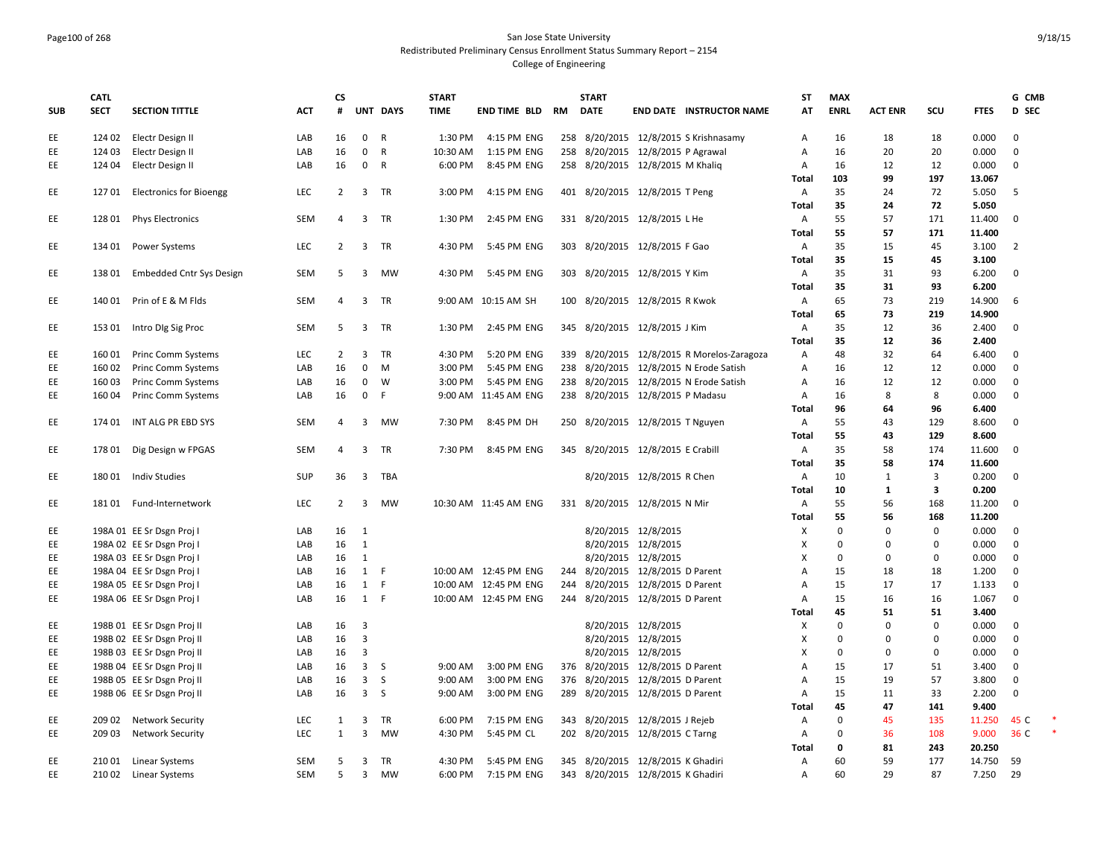### Page100 of 268 San Jose State University Redistributed Preliminary Census Enrollment Status Summary Report – 2154 College of Engineering

|            | <b>CATL</b> |                                 |            | <b>CS</b>      |                         |              | <b>START</b> |                         |     | <b>START</b>                      |                              |                                            | ST             | <b>MAX</b>  |                |              |             | G CMB          |  |
|------------|-------------|---------------------------------|------------|----------------|-------------------------|--------------|--------------|-------------------------|-----|-----------------------------------|------------------------------|--------------------------------------------|----------------|-------------|----------------|--------------|-------------|----------------|--|
| <b>SUB</b> | <b>SECT</b> | <b>SECTION TITTLE</b>           | <b>ACT</b> | #              |                         | UNT DAYS     | <b>TIME</b>  | END TIME BLD RM         |     | <b>DATE</b>                       |                              | <b>END DATE INSTRUCTOR NAME</b>            | AT             | <b>ENRL</b> | <b>ACT ENR</b> | SCU          | <b>FTES</b> | <b>D</b> SEC   |  |
| EE         |             | 124 02 Electr Design II         | LAB        | 16             | $\overline{0}$          | R            | 1:30 PM      | 4:15 PM ENG             |     |                                   |                              | 258 8/20/2015 12/8/2015 S Krishnasamy      | A              | 16          | 18             | 18           | 0.000       | 0              |  |
| EE         | 124 03      | Electr Design II                | LAB        | 16             | $\mathbf 0$             | $\mathsf{R}$ | 10:30 AM     | 1:15 PM ENG             |     | 258 8/20/2015 12/8/2015 P Agrawal |                              |                                            | Α              | 16          | 20             | 20           | 0.000       | $\mathbf 0$    |  |
| EE         | 124 04      | Electr Design II                | LAB        | 16             | 0 R                     |              | 6:00 PM      | 8:45 PM ENG             |     | 258 8/20/2015 12/8/2015 M Khaliq  |                              |                                            | Α              | 16          | 12             | 12           | 0.000       | $\Omega$       |  |
|            |             |                                 |            |                |                         |              |              |                         |     |                                   |                              |                                            | Total          | 103         | 99             | 197          | 13.067      |                |  |
| EE         | 127 01      | <b>Electronics for Bioengg</b>  | LEC        | $\overline{2}$ |                         | 3 TR         | 3:00 PM      | 4:15 PM ENG             |     | 401 8/20/2015 12/8/2015 T Peng    |                              |                                            | Α              | 35          | 24             | 72           | 5.050       | -5             |  |
|            |             |                                 |            |                |                         |              |              |                         |     |                                   |                              |                                            | Total          | 35          | 24             | 72           | 5.050       |                |  |
| EE         | 128 01      | <b>Phys Electronics</b>         | <b>SEM</b> | 4              | 3                       | TR           | 1:30 PM      | 2:45 PM ENG             |     | 331 8/20/2015 12/8/2015 L He      |                              |                                            | Α              | 55          | 57             | 171          | 11.400      | $\mathbf 0$    |  |
|            |             |                                 |            |                |                         |              |              |                         |     |                                   |                              |                                            | Total          | 55          | 57             | 171          | 11.400      |                |  |
| EE         | 134 01      | Power Systems                   | <b>LEC</b> | 2              | 3                       | TR           | 4:30 PM      | 5:45 PM ENG             |     | 303 8/20/2015 12/8/2015 F Gao     |                              |                                            | Α              | 35          | 15             | 45           | 3.100       | $\overline{2}$ |  |
|            |             |                                 |            |                |                         |              |              |                         |     |                                   |                              |                                            | Total          | 35          | 15             | 45           | 3.100       |                |  |
| EE         | 13801       | <b>Embedded Cntr Sys Design</b> | <b>SEM</b> | 5              | $\overline{3}$          | MW           | 4:30 PM      | 5:45 PM ENG             |     | 303 8/20/2015 12/8/2015 Y Kim     |                              |                                            | Α              | 35          | 31             | 93           | 6.200       | $\mathbf{0}$   |  |
|            |             |                                 |            |                |                         |              |              |                         |     |                                   |                              |                                            | <b>Total</b>   | 35          | 31             | 93           | 6.200       |                |  |
| EE         | 140 01      | Prin of E & M Flds              | SEM        | $\overline{4}$ | $\overline{3}$          | TR           |              | 9:00 AM 10:15 AM SH     |     | 100 8/20/2015 12/8/2015 R Kwok    |                              |                                            | Α              | 65          | 73             | 219          | 14.900      | 6              |  |
|            |             |                                 |            |                |                         |              |              |                         |     |                                   |                              |                                            | Total          | 65          | 73             | 219          | 14.900      |                |  |
| EE         | 153 01      | Intro Dig Sig Proc              | <b>SEM</b> | 5              | $\overline{3}$          | <b>TR</b>    | 1:30 PM      | 2:45 PM ENG             |     | 345 8/20/2015 12/8/2015 J Kim     |                              |                                            | $\overline{A}$ | 35          | 12             | 36           | 2.400       | $\Omega$       |  |
|            |             |                                 |            |                |                         |              |              |                         |     |                                   |                              |                                            | Total          | 35          | 12             | 36           | 2.400       |                |  |
| EE         | 160 01      | <b>Princ Comm Systems</b>       | LEC        | $\overline{2}$ | 3                       | TR           | 4:30 PM      | 5:20 PM ENG             |     |                                   |                              | 339 8/20/2015 12/8/2015 R Morelos-Zaragoza | Α              | 48          | 32             | 64           | 6.400       | $\mathbf 0$    |  |
| EE         | 16002       | Princ Comm Systems              | LAB        | 16             | $\mathbf{0}$            | M            | 3:00 PM      | 5:45 PM ENG             |     |                                   |                              | 238 8/20/2015 12/8/2015 N Erode Satish     | Α              | 16          | 12             | 12           | 0.000       | $\mathbf 0$    |  |
| EE         | 16003       | Princ Comm Systems              | LAB        | 16             | 0                       | W            | 3:00 PM      | 5:45 PM ENG             | 238 |                                   |                              | 8/20/2015 12/8/2015 N Erode Satish         | Α              | 16          | 12             | 12           | 0.000       | $\mathbf 0$    |  |
| EE         | 160 04      | Princ Comm Systems              | LAB        | 16             | $\mathbf 0$             | F.           |              | 9:00 AM 11:45 AM ENG    |     | 238 8/20/2015 12/8/2015 P Madasu  |                              |                                            | Α              | 16          | 8              | 8            | 0.000       | $\mathbf 0$    |  |
|            |             |                                 |            |                |                         |              |              |                         |     |                                   |                              |                                            | Total          | 96          | 64             | 96           | 6.400       |                |  |
| EE         | 174 01      | INT ALG PR EBD SYS              | <b>SEM</b> | 4              | 3                       | MW           | 7:30 PM      | 8:45 PM DH              |     | 250 8/20/2015 12/8/2015 T Nguyen  |                              |                                            | Α              | 55          | 43             | 129          | 8.600       | 0              |  |
|            |             |                                 |            |                |                         |              |              |                         |     |                                   |                              |                                            | Total          | 55          | 43             | 129          | 8.600       |                |  |
| EE         | 178 01      | Dig Design w FPGAS              | SEM        | 4              | $\overline{\mathbf{3}}$ | TR           | 7:30 PM      | 8:45 PM ENG             |     | 345 8/20/2015 12/8/2015 E Crabill |                              |                                            | Α              | 35          | 58             | 174          | 11.600      | $\mathbf 0$    |  |
|            |             |                                 |            |                |                         |              |              |                         |     |                                   |                              |                                            | Total          | 35          | 58             | 174          | 11.600      |                |  |
| EE         | 18001       | Indiv Studies                   | SUP        | 36             | $\overline{3}$          | TBA          |              |                         |     |                                   | 8/20/2015 12/8/2015 R Chen   |                                            | A              | 10          | 1              | 3            | 0.200       | $\mathbf 0$    |  |
|            |             |                                 |            |                |                         |              |              |                         |     |                                   |                              |                                            | Total          | 10          | 1              | 3            | 0.200       |                |  |
| EE         |             | 18101 Fund-Internetwork         | <b>LEC</b> | 2              | $\overline{3}$          | MW           |              | 10:30 AM  11:45 AM  ENG |     | 331 8/20/2015 12/8/2015 N Mir     |                              |                                            | Α              | 55          | 56             | 168          | 11.200      | $\mathbf 0$    |  |
|            |             |                                 |            |                |                         |              |              |                         |     |                                   |                              |                                            | Total          | 55          | 56             | 168          | 11.200      |                |  |
| EE         |             | 198A 01 EE Sr Dsgn Proj I       | LAB        | 16             | $\overline{1}$          |              |              |                         |     |                                   | 8/20/2015 12/8/2015          |                                            | X              | $\Omega$    | $\mathbf 0$    | $\mathbf{0}$ | 0.000       | $\mathbf{0}$   |  |
| EE         |             | 198A 02 EE Sr Dsgn Proj I       | LAB        | 16             | 1                       |              |              |                         |     |                                   | 8/20/2015 12/8/2015          |                                            | X              | $\Omega$    | $\Omega$       | $\Omega$     | 0.000       | $\mathbf 0$    |  |
| EE         |             | 198A 03 EE Sr Dsgn Proj I       | LAB        | 16             | $\mathbf{1}$            |              |              |                         |     |                                   | 8/20/2015 12/8/2015          |                                            | X              | $\Omega$    | $\mathbf 0$    | 0            | 0.000       | 0              |  |
| EE         |             | 198A 04 EE Sr Dsgn Proj I       | LAB        | 16             | 1                       | -F           |              | 10:00 AM  12:45 PM ENG  |     | 244 8/20/2015 12/8/2015 D Parent  |                              |                                            | Α              | 15          | 18             | 18           | 1.200       | $\mathbf 0$    |  |
| EE         |             | 198A 05 EE Sr Dsgn Proj I       | LAB        | 16             | 1                       | F            |              | 10:00 AM  12:45 PM ENG  | 244 |                                   | 8/20/2015 12/8/2015 D Parent |                                            | $\overline{A}$ | 15          | 17             | 17           | 1.133       | $\mathbf 0$    |  |
| EE         |             | 198A 06 EE Sr Dsgn Proj I       | LAB        | 16             | 1 F                     |              |              | 10:00 AM 12:45 PM ENG   |     | 244 8/20/2015 12/8/2015 D Parent  |                              |                                            | Α              | 15          | 16             | 16           | 1.067       | $\Omega$       |  |
|            |             |                                 |            |                |                         |              |              |                         |     |                                   |                              |                                            | Total          | 45          | 51             | 51           | 3.400       |                |  |
| EE         |             | 198B 01 EE Sr Dsgn Proj II      | LAB        | 16             | $\overline{\mathbf{3}}$ |              |              |                         |     |                                   | 8/20/2015 12/8/2015          |                                            | X              | $\Omega$    | $\mathbf 0$    | $\mathbf 0$  | 0.000       | $\mathbf{0}$   |  |
| EE         |             | 198B 02 EE Sr Dsgn Proj II      | LAB        | 16             | $\overline{3}$          |              |              |                         |     |                                   | 8/20/2015 12/8/2015          |                                            | X              | $\Omega$    | $\Omega$       | $\Omega$     | 0.000       | $\mathbf 0$    |  |
| EE         |             | 198B 03 EE Sr Dsgn Proj II      | LAB        | 16             | $\overline{\mathbf{3}}$ |              |              |                         |     |                                   | 8/20/2015 12/8/2015          |                                            | X              | $\Omega$    | $\Omega$       | 0            | 0.000       | $\mathbf 0$    |  |
| EE         |             | 198B 04 EE Sr Dsgn Proj II      | LAB        | 16             | 3S                      |              | 9:00 AM      | 3:00 PM ENG             |     | 376 8/20/2015 12/8/2015 D Parent  |                              |                                            | A              | 15          | 17             | 51           | 3.400       | $\mathbf 0$    |  |
| EE         |             | 198B 05 EE Sr Dsgn Proj II      | LAB        | 16             | $\overline{\mathbf{3}}$ | S            | 9:00 AM      | 3:00 PM ENG             | 376 |                                   | 8/20/2015 12/8/2015 D Parent |                                            | Α              | 15          | 19             | 57           | 3.800       | 0              |  |
| EE         |             | 198B 06 EE Sr Dsgn Proj II      | LAB        | 16             | 3S                      |              | 9:00 AM      | 3:00 PM ENG             |     | 289 8/20/2015 12/8/2015 D Parent  |                              |                                            | Α              | 15          | 11             | 33           | 2.200       | $\mathbf 0$    |  |
|            |             |                                 |            |                |                         |              |              |                         |     |                                   |                              |                                            | Total          | 45          | 47             | 141          | 9.400       |                |  |
| EE         | 209 02      | <b>Network Security</b>         | <b>LEC</b> | 1              | 3                       | TR           | 6:00 PM      | 7:15 PM ENG             |     | 343 8/20/2015 12/8/2015 J Rejeb   |                              |                                            | Α              | $\Omega$    | 45             | 135          | 11.250      | 45 C           |  |
| EE         | 209 03      | <b>Network Security</b>         | <b>LEC</b> | 1              | $\overline{3}$          | <b>MW</b>    | 4:30 PM      | 5:45 PM CL              |     | 202 8/20/2015 12/8/2015 C Tarng   |                              |                                            | Α              | $\Omega$    | 36             | 108          | 9.000       | 36 C           |  |
|            |             |                                 |            |                |                         |              |              |                         |     |                                   |                              |                                            | Total          | 0           | 81             | 243          | 20.250      |                |  |
| EE         |             | 210 01 Linear Systems           | <b>SEM</b> | 5              | 3                       | TR           | 4:30 PM      | 5:45 PM ENG             |     | 345 8/20/2015 12/8/2015 K Ghadiri |                              |                                            | Α              | 60          | 59             | 177          | 14.750      | 59             |  |
| EE         |             | 210 02 Linear Systems           | <b>SEM</b> | 5 <sup>1</sup> | 3                       | <b>MW</b>    | 6:00 PM      | 7:15 PM ENG             |     | 343 8/20/2015 12/8/2015 K Ghadiri |                              |                                            | A              | 60          | 29             | 87           | 7.250       | 29             |  |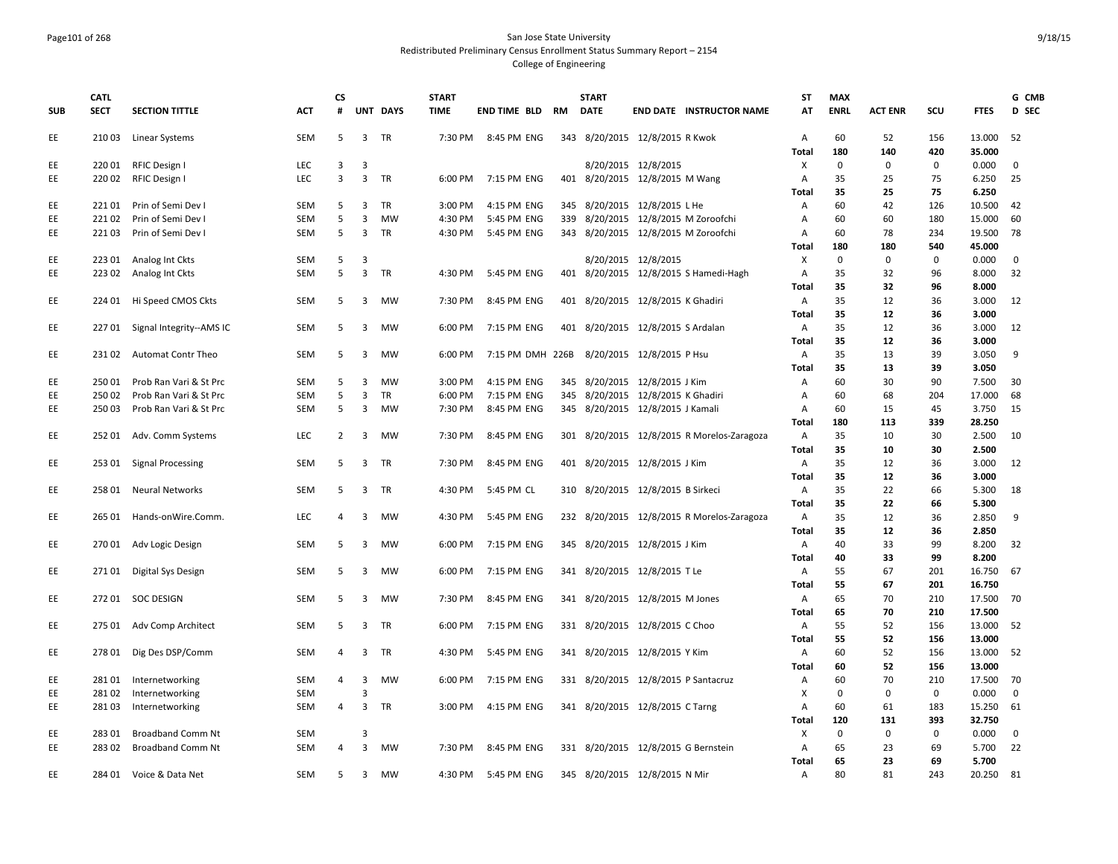#### Page101 of 268 San Jose State University Redistributed Preliminary Census Enrollment Status Summary Report – 2154 College of Engineering

| <b>SUB</b> | <b>CATL</b><br><b>SECT</b> | <b>SECTION TITTLE</b>    | <b>ACT</b> | <b>CS</b><br># |                | <b>UNT DAYS</b> | <b>START</b><br><b>TIME</b> | END TIME BLD     | RM  | <b>START</b><br><b>DATE</b>         |                               | <b>END DATE INSTRUCTOR NAME</b>            | <b>ST</b><br>AT | <b>MAX</b><br><b>ENRL</b> | <b>ACT ENR</b> | SCU         | <b>FTES</b> | G CMB<br>D SEC |
|------------|----------------------------|--------------------------|------------|----------------|----------------|-----------------|-----------------------------|------------------|-----|-------------------------------------|-------------------------------|--------------------------------------------|-----------------|---------------------------|----------------|-------------|-------------|----------------|
| EE         |                            | 210 03 Linear Systems    | SEM        | 5              |                | 3 TR            | 7:30 PM                     | 8:45 PM ENG      |     | 343 8/20/2015 12/8/2015 R Kwok      |                               |                                            | Α               | 60                        | 52             | 156         | 13.000      | 52             |
|            |                            |                          |            |                |                |                 |                             |                  |     |                                     |                               |                                            | Total           | 180                       | 140            | 420         | 35.000      |                |
| EE         | 22001                      | RFIC Design I            | LEC        | 3              | 3              |                 |                             |                  |     |                                     | 8/20/2015 12/8/2015           |                                            | X               | $\mathbf 0$               | $\mathbf{0}$   | 0           | 0.000       | $\mathbf 0$    |
| EE         | 22002                      | RFIC Design I            | LEC        | 3              | $\overline{3}$ | TR              | 6:00 PM                     | 7:15 PM ENG      |     | 401 8/20/2015 12/8/2015 M Wang      |                               |                                            | Α               | 35                        | 25             | 75          | 6.250       | 25             |
|            |                            |                          |            |                |                |                 |                             |                  |     |                                     |                               |                                            | Total           | 35                        | 25             | 75          | 6.250       |                |
| EE         | 22101                      | Prin of Semi Dev I       | <b>SEM</b> | 5              | 3              | TR              | 3:00 PM                     | 4:15 PM ENG      |     | 345 8/20/2015 12/8/2015 L He        |                               |                                            | Α               | 60                        | 42             | 126         | 10.500      | 42             |
| EE         | 22102                      | Prin of Semi Dev I       | SEM        | 5              | 3              | <b>MW</b>       | 4:30 PM                     | 5:45 PM ENG      | 339 |                                     |                               | 8/20/2015 12/8/2015 M Zoroofchi            | A               | 60                        | 60             | 180         | 15.000      | 60             |
| EE         | 22103                      | Prin of Semi Dev I       | SEM        | 5              | $\overline{3}$ | TR              | 4:30 PM                     | 5:45 PM ENG      |     |                                     |                               | 343 8/20/2015 12/8/2015 M Zoroofchi        | Α               | 60                        | 78             | 234         | 19.500      | 78             |
|            |                            |                          |            |                |                |                 |                             |                  |     |                                     |                               |                                            | Total           | 180                       | 180            | 540         | 45.000      |                |
| EE         | 223 01                     | Analog Int Ckts          | SEM        | 5              | 3              |                 |                             |                  |     |                                     | 8/20/2015 12/8/2015           |                                            | X               | $\mathbf 0$               | $\mathbf 0$    | 0           | 0.000       | 0              |
| EE         | 22302                      | Analog Int Ckts          | <b>SEM</b> | 5              | $\overline{3}$ | <b>TR</b>       | 4:30 PM                     | 5:45 PM ENG      |     |                                     |                               | 401 8/20/2015 12/8/2015 S Hamedi-Hagh      | Α               | 35                        | 32             | 96          | 8.000       | 32             |
|            |                            |                          |            |                |                |                 |                             |                  |     |                                     |                               |                                            | Total           | 35                        | 32             | 96          | 8.000       |                |
| EE         | 224 01                     | Hi Speed CMOS Ckts       | <b>SEM</b> | 5              | 3              | MW              | 7:30 PM                     | 8:45 PM ENG      |     | 401 8/20/2015 12/8/2015 K Ghadiri   |                               |                                            | Α               | 35                        | 12             | 36          | 3.000       | 12             |
|            |                            |                          |            |                |                |                 |                             |                  |     |                                     |                               |                                            | Total           | 35                        | 12             | 36          | 3.000       |                |
| EE         | 22701                      | Signal Integrity--AMS IC | <b>SEM</b> | 5              | $\overline{3}$ | <b>MW</b>       | 6:00 PM                     | 7:15 PM ENG      |     | 401 8/20/2015 12/8/2015 S Ardalan   |                               |                                            | A               | 35                        | 12             | 36          | 3.000       | 12             |
|            |                            |                          |            |                |                |                 |                             |                  |     |                                     |                               |                                            | Total           | 35                        | 12             | 36          | 3.000       |                |
| EE         |                            | 23102 Automat Contr Theo | <b>SEM</b> | 5              | $\overline{3}$ | <b>MW</b>       | 6:00 PM                     | 7:15 PM DMH 226B |     |                                     | 8/20/2015 12/8/2015 P Hsu     |                                            | Α               | 35                        | 13             | 39          | 3.050       | 9              |
|            |                            |                          |            |                |                |                 |                             |                  |     |                                     |                               |                                            | Total           | 35                        | 13             | 39          | 3.050       |                |
| EE         | 250 01                     | Prob Ran Vari & St Prc   | SEM        | 5              | 3              | <b>MW</b>       | 3:00 PM                     | 4:15 PM ENG      |     | 345 8/20/2015 12/8/2015 J Kim       |                               |                                            | Α               | 60                        | 30             | 90          | 7.500       | 30             |
| EE         | 25002                      | Prob Ran Vari & St Prc   | SEM        | 5              | 3              | <b>TR</b>       | 6:00 PM                     | 7:15 PM ENG      | 345 |                                     | 8/20/2015 12/8/2015 K Ghadiri |                                            | $\overline{A}$  | 60                        | 68             | 204         | 17.000      | 68             |
| EE         | 25003                      | Prob Ran Vari & St Prc   | SEM        | 5              | 3              | <b>MW</b>       | 7:30 PM                     | 8:45 PM ENG      |     | 345 8/20/2015 12/8/2015 J Kamali    |                               |                                            | Α               | 60                        | 15             | 45          | 3.750       | 15             |
|            |                            |                          |            |                |                |                 |                             |                  |     |                                     |                               |                                            | Total           | 180                       | 113            | 339         | 28.250      |                |
| EE         | 25201                      | Adv. Comm Systems        | LEC        | $\overline{2}$ | $\overline{3}$ | <b>MW</b>       | 7:30 PM                     | 8:45 PM ENG      |     |                                     |                               | 301 8/20/2015 12/8/2015 R Morelos-Zaragoza | Α               | 35                        | 10             | 30          | 2.500       | 10             |
|            |                            |                          |            |                |                |                 |                             |                  |     |                                     |                               |                                            | Total           | 35                        | 10             | 30          | 2.500       |                |
| EE         | 253 01                     | <b>Signal Processing</b> | SEM        | 5              | $\mathbf{3}$   | TR              | 7:30 PM                     | 8:45 PM ENG      |     | 401 8/20/2015 12/8/2015 J Kim       |                               |                                            | Α               | 35                        | 12             | 36          | 3.000       | 12             |
|            |                            |                          |            |                |                |                 |                             |                  |     |                                     |                               |                                            | Total           | 35                        | 12             | 36          | 3.000       |                |
| EE         | 25801                      | <b>Neural Networks</b>   | SEM        | 5              | $\overline{3}$ | <b>TR</b>       | 4:30 PM                     | 5:45 PM CL       |     | 310 8/20/2015 12/8/2015 B Sirkeci   |                               |                                            | Α               | 35                        | 22             | 66          | 5.300       | 18             |
|            |                            |                          |            |                |                |                 |                             |                  |     |                                     |                               |                                            | <b>Total</b>    | 35                        | 22             | 66          | 5.300       |                |
| EE         | 265 01                     | Hands-onWire.Comm.       | <b>LEC</b> | 4              | $\overline{3}$ | MW              | 4:30 PM                     | 5:45 PM ENG      |     |                                     |                               | 232 8/20/2015 12/8/2015 R Morelos-Zaragoza | Α               | 35                        | 12             | 36          | 2.850       | 9              |
|            |                            |                          |            |                |                |                 |                             |                  |     |                                     |                               |                                            | Total           | 35                        | 12             | 36          | 2.850       |                |
| EE         |                            | 270 01 Adv Logic Design  | <b>SEM</b> | 5              | 3              | MW              | 6:00 PM                     | 7:15 PM ENG      |     | 345 8/20/2015 12/8/2015 J Kim       |                               |                                            | Α               | 40                        | 33             | 99          | 8.200       | 32             |
|            |                            |                          |            |                |                |                 |                             |                  |     |                                     |                               |                                            | Total           | 40                        | 33             | 99          | 8.200       |                |
| EE         | 27101                      | Digital Sys Design       | SEM        | 5              | $\overline{3}$ | <b>MW</b>       | 6:00 PM                     | 7:15 PM ENG      |     | 341 8/20/2015 12/8/2015 T Le        |                               |                                            | Α               | 55                        | 67             | 201         | 16.750      | 67             |
|            |                            |                          |            |                |                |                 |                             |                  |     |                                     |                               |                                            | <b>Total</b>    | 55                        | 67             | 201         | 16.750      |                |
| EE         |                            | 272 01 SOC DESIGN        | <b>SEM</b> | 5              | 3              | <b>MW</b>       | 7:30 PM                     | 8:45 PM ENG      |     | 341 8/20/2015 12/8/2015 M Jones     |                               |                                            | $\mathsf{A}$    | 65                        | 70             | 210         | 17.500      | - 70           |
|            |                            |                          |            |                |                |                 |                             |                  |     |                                     |                               |                                            | Total           | 65                        | 70             | 210         | 17.500      |                |
| EE         | 275 01                     | Adv Comp Architect       | <b>SEM</b> | 5              | 3              | <b>TR</b>       | 6:00 PM                     | 7:15 PM ENG      |     | 331 8/20/2015 12/8/2015 C Choo      |                               |                                            | Α               | 55                        | 52             | 156         | 13.000      | - 52           |
|            |                            |                          |            |                |                |                 |                             |                  |     |                                     |                               |                                            | Total           | 55                        | 52             | 156         | 13.000      |                |
| EE         | 27801                      | Dig Des DSP/Comm         | SEM        | $\overline{4}$ | 3              | TR              | 4:30 PM                     | 5:45 PM ENG      |     | 341 8/20/2015 12/8/2015 Y Kim       |                               |                                            | Α               | 60                        | 52             | 156         | 13.000      | - 52           |
|            |                            |                          |            |                |                |                 |                             |                  |     |                                     |                               |                                            | Total           | 60                        | 52             | 156         | 13.000      |                |
| EE         | 28101                      | Internetworking          | <b>SEM</b> | 4              | $\overline{3}$ | <b>MW</b>       | 6:00 PM                     | 7:15 PM ENG      |     | 331 8/20/2015 12/8/2015 P Santacruz |                               |                                            | Α               | 60                        | 70             | 210         | 17.500      | 70             |
| EE         | 28102                      | Internetworking          | SEM        |                | 3              |                 |                             |                  |     |                                     |                               |                                            | X               | $\mathbf 0$               | $\mathbf 0$    | $\mathsf 0$ | 0.000       | $\mathbf 0$    |
| EE         | 28103                      | Internetworking          | SEM        | 4              | 3              | TR              | 3:00 PM                     | 4:15 PM ENG      |     | 341 8/20/2015 12/8/2015 C Tarng     |                               |                                            | Α               | 60                        | 61             | 183         | 15.250      | 61             |
|            |                            |                          |            |                |                |                 |                             |                  |     |                                     |                               |                                            | Total           | 120                       | 131            | 393         | 32.750      |                |
| EE         | 28301                      | <b>Broadband Comm Nt</b> | <b>SEM</b> |                | 3              |                 |                             |                  |     |                                     |                               |                                            | X               | $\mathbf 0$               | $\mathbf{0}$   | $\mathbf 0$ | 0.000       | $\mathbf 0$    |
| EE         | 28302                      | <b>Broadband Comm Nt</b> | SEM        | 4              | $\overline{3}$ | <b>MW</b>       | 7:30 PM                     | 8:45 PM ENG      |     | 331 8/20/2015 12/8/2015 G Bernstein |                               |                                            | Α               | 65                        | 23             | 69          | 5.700       | 22             |
|            |                            |                          |            |                |                |                 |                             |                  |     |                                     |                               |                                            | Total           | 65                        | 23             | 69          | 5.700       |                |
| EE         |                            | 284 01 Voice & Data Net  | <b>SEM</b> | 5.             | 3              | <b>MW</b>       | 4:30 PM                     | 5:45 PM ENG      |     | 345 8/20/2015 12/8/2015 N Mir       |                               |                                            | $\overline{A}$  | 80                        | 81             | 243         | 20.250      | 81             |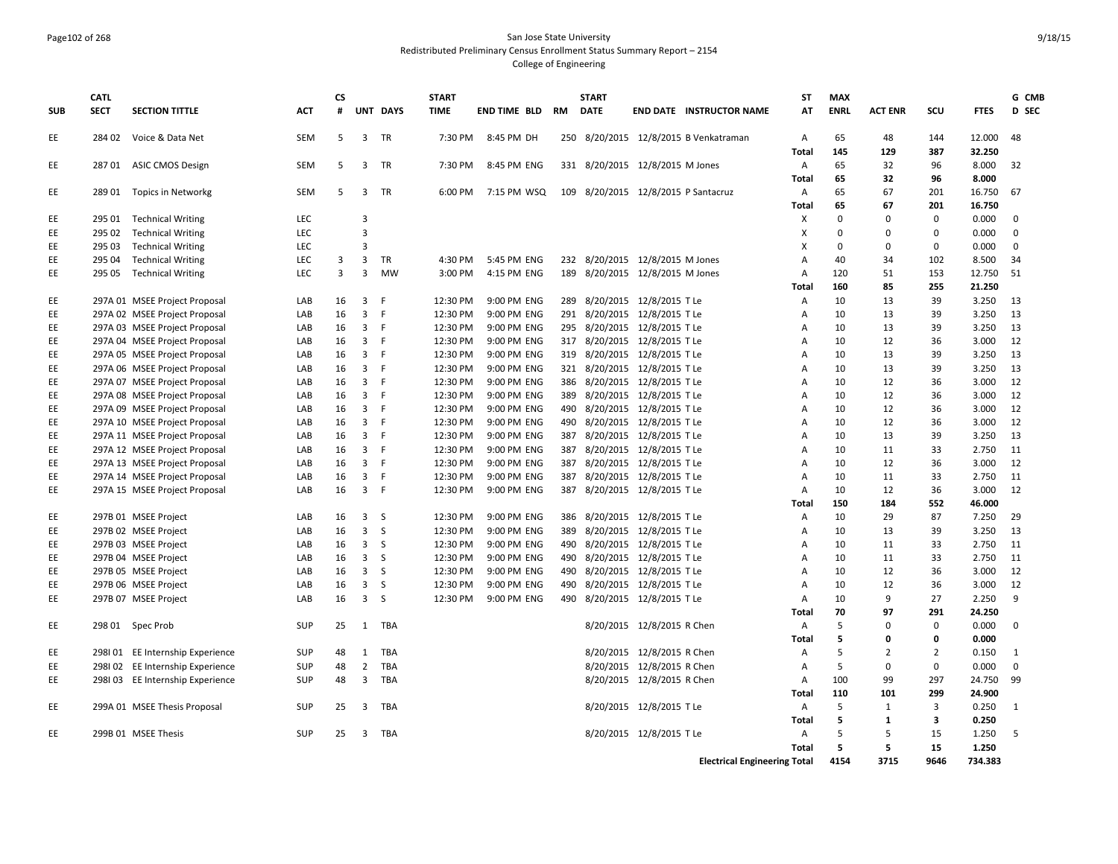#### Page102 of 268 San Jose State University Redistributed Preliminary Census Enrollment Status Summary Report – 2154 College of Engineering

| <b>SUB</b> | <b>CATL</b><br><b>SECT</b> | <b>SECTION TITTLE</b>            | ACT               | <b>CS</b><br># |                         | UNT DAYS        | <b>START</b><br><b>TIME</b> | END TIME BLD               | RM  | <b>START</b><br><b>DATE</b> | <b>END DATE INSTRUCTOR NAME</b>       | <b>ST</b><br>AT                     | <b>MAX</b><br><b>ENRL</b> | <b>ACT ENR</b> | SCU            | <b>FTES</b>     | G CMB<br>D SEC |
|------------|----------------------------|----------------------------------|-------------------|----------------|-------------------------|-----------------|-----------------------------|----------------------------|-----|-----------------------------|---------------------------------------|-------------------------------------|---------------------------|----------------|----------------|-----------------|----------------|
| EE         | 284 02                     | Voice & Data Net                 | SEM               | 5              | $\overline{3}$          | TR              | 7:30 PM                     | 8:45 PM DH                 |     |                             | 250 8/20/2015 12/8/2015 B Venkatraman | Α                                   | 65                        | 48             | 144            | 12.000          | 48             |
|            |                            |                                  |                   |                |                         |                 |                             |                            |     |                             |                                       | Total                               | 145                       | 129            | 387            | 32.250          |                |
| EE         | 28701                      | <b>ASIC CMOS Design</b>          | SEM               | 5              | 3                       | TR              | 7:30 PM                     | 8:45 PM ENG                |     |                             | 331 8/20/2015 12/8/2015 M Jones       | A                                   | 65                        | 32             | 96             | 8.000           | 32             |
|            |                            |                                  |                   |                |                         |                 |                             |                            |     |                             |                                       | <b>Total</b>                        | 65                        | 32             | 96             | 8.000           |                |
| EE         | 28901                      |                                  | SEM               | 5              | $\mathbf{3}$            | TR              | 6:00 PM                     | 7:15 PM WSQ                |     |                             | 109 8/20/2015 12/8/2015 P Santacruz   | Α                                   | 65                        | 67             | 201            | 16.750          | 67             |
|            |                            | Topics in Networkg               |                   |                |                         |                 |                             |                            |     |                             |                                       | Total                               | 65                        | 67             | 201            | 16.750          |                |
|            | 295 01                     |                                  | LEC               |                | 3                       |                 |                             |                            |     |                             |                                       |                                     | $\Omega$                  | $\Omega$       | 0              |                 | 0              |
| EE<br>EE   | 295 02                     | <b>Technical Writing</b>         | LEC               |                | $\overline{3}$          |                 |                             |                            |     |                             |                                       | х<br>X                              | $\Omega$                  | $\Omega$       | $\mathbf 0$    | 0.000<br>0.000  | $\mathbf 0$    |
|            |                            | <b>Technical Writing</b>         | <b>LEC</b>        |                | $\overline{3}$          |                 |                             |                            |     |                             |                                       | X                                   | $\Omega$                  | $\mathbf 0$    | 0              |                 | $\mathbf 0$    |
| EE         | 295 03                     | <b>Technical Writing</b>         |                   |                |                         |                 |                             |                            |     |                             |                                       |                                     |                           |                |                | 0.000           |                |
| EE<br>EE   | 295 04<br>295 05           | <b>Technical Writing</b>         | LEC<br><b>LEC</b> | 3<br>3         | 3<br>$\overline{3}$     | TR<br><b>MW</b> | 4:30 PM<br>3:00 PM          | 5:45 PM ENG<br>4:15 PM ENG |     |                             | 232 8/20/2015 12/8/2015 M Jones       | A<br>$\overline{A}$                 | 40<br>120                 | 34<br>51       | 102<br>153     | 8.500<br>12.750 | 34<br>51       |
|            |                            | <b>Technical Writing</b>         |                   |                |                         |                 |                             |                            |     |                             | 189 8/20/2015 12/8/2015 M Jones       |                                     | 160                       | 85             |                |                 |                |
|            |                            |                                  |                   |                |                         |                 |                             |                            |     |                             |                                       | Total                               |                           |                | 255            | 21.250          |                |
| EE         |                            | 297A 01 MSEE Project Proposal    | LAB               | 16             | $\mathbf{3}$            | -F<br>F.        | 12:30 PM                    | 9:00 PM ENG                |     |                             | 289 8/20/2015 12/8/2015 T Le          | Α                                   | 10                        | 13             | 39             | 3.250           | 13             |
| EE         |                            | 297A 02 MSEE Project Proposal    | LAB               | 16             | $\overline{3}$          |                 | 12:30 PM                    | 9:00 PM ENG                |     |                             | 291 8/20/2015 12/8/2015 T Le          | A                                   | 10                        | 13             | 39             | 3.250           | 13             |
| EE         |                            | 297A 03 MSEE Project Proposal    | LAB               | 16             | $\mathbf{3}$            | F.              | 12:30 PM                    | 9:00 PM ENG                |     |                             | 295 8/20/2015 12/8/2015 T Le          | A                                   | 10                        | 13             | 39             | 3.250           | 13             |
| EE         |                            | 297A 04 MSEE Project Proposal    | LAB               | 16             | 3                       | F.              | 12:30 PM                    | 9:00 PM ENG                |     |                             | 317 8/20/2015 12/8/2015 T Le          | A                                   | 10                        | 12             | 36             | 3.000           | 12             |
| EE         |                            | 297A 05 MSEE Project Proposal    | LAB               | 16             | 3                       | -F              | 12:30 PM                    | 9:00 PM ENG                |     |                             | 319 8/20/2015 12/8/2015 T Le          | $\overline{A}$                      | 10                        | 13             | 39             | 3.250           | 13             |
| EE         |                            | 297A 06 MSEE Project Proposal    | LAB               | 16             | $\overline{3}$          | F.              | 12:30 PM                    | 9:00 PM ENG                |     |                             | 321 8/20/2015 12/8/2015 T Le          | A                                   | 10                        | 13             | 39             | 3.250           | 13             |
| EE         |                            | 297A 07 MSEE Project Proposal    | LAB               | 16             | $\mathbf{3}$            | F.              | 12:30 PM                    | 9:00 PM ENG                |     |                             | 386 8/20/2015 12/8/2015 T Le          | A                                   | 10                        | 12             | 36             | 3.000           | 12             |
| EE         |                            | 297A 08 MSEE Project Proposal    | LAB               | 16             | 3                       | F.              | 12:30 PM                    | 9:00 PM ENG                |     |                             | 389 8/20/2015 12/8/2015 T Le          | Α                                   | 10                        | 12             | 36             | 3.000           | 12             |
| EE         |                            | 297A 09 MSEE Project Proposal    | LAB               | 16             | $\overline{3}$          | F.              | 12:30 PM                    | 9:00 PM ENG                |     |                             | 490 8/20/2015 12/8/2015 T Le          | A                                   | 10                        | 12             | 36             | 3.000           | 12             |
| EE         |                            | 297A 10 MSEE Project Proposal    | LAB               | 16             | 3                       | F.              | 12:30 PM                    | 9:00 PM ENG                |     |                             | 490 8/20/2015 12/8/2015 T Le          | A                                   | 10                        | 12             | 36             | 3.000           | 12             |
| EE         |                            | 297A 11 MSEE Project Proposal    | LAB               | 16             | $\mathbf{3}$            | F.              | 12:30 PM                    | 9:00 PM ENG                |     |                             | 387 8/20/2015 12/8/2015 T Le          | A                                   | 10                        | 13             | 39             | 3.250           | 13             |
| EE         |                            | 297A 12 MSEE Project Proposal    | LAB               | 16             | $\overline{3}$          | -F              | 12:30 PM                    | 9:00 PM ENG                |     |                             | 387 8/20/2015 12/8/2015 T Le          | $\overline{A}$                      | 10                        | 11             | 33             | 2.750           | 11             |
| EE         |                            | 297A 13 MSEE Project Proposal    | LAB               | 16             | $\overline{3}$          | F.              | 12:30 PM                    | 9:00 PM ENG                |     |                             | 387 8/20/2015 12/8/2015 T Le          | A                                   | 10                        | 12             | 36             | 3.000           | 12             |
| EE         |                            | 297A 14 MSEE Project Proposal    | LAB               | 16             | 3                       | F.              | 12:30 PM                    | 9:00 PM ENG                | 387 |                             | 8/20/2015 12/8/2015 T Le              | A                                   | 10                        | 11             | 33             | 2.750           | 11             |
| EE         |                            | 297A 15 MSEE Project Proposal    | LAB               | 16             | 3 F                     |                 | 12:30 PM                    | 9:00 PM ENG                |     |                             | 387 8/20/2015 12/8/2015 T Le          | $\overline{A}$                      | 10                        | 12             | 36             | 3.000           | 12             |
|            |                            |                                  |                   |                |                         |                 |                             |                            |     |                             |                                       | Total                               | 150                       | 184            | 552            | 46.000          |                |
| EE         |                            | 297B 01 MSEE Project             | LAB               | 16             | 3S                      |                 | 12:30 PM                    | 9:00 PM ENG                |     |                             | 386 8/20/2015 12/8/2015 T Le          | Α                                   | 10                        | 29             | 87             | 7.250           | 29             |
| EE         |                            | 297B 02 MSEE Project             | LAB               | 16             | $\overline{3}$          | <sub>S</sub>    | 12:30 PM                    | 9:00 PM ENG                | 389 |                             | 8/20/2015 12/8/2015 T Le              | Α                                   | 10                        | 13             | 39             | 3.250           | 13             |
| EE         |                            | 297B 03 MSEE Project             | LAB               | 16             | $\overline{3}$          | S.              | 12:30 PM                    | 9:00 PM ENG                | 490 |                             | 8/20/2015 12/8/2015 T Le              | A                                   | 10                        | 11             | 33             | 2.750           | 11             |
| EE         |                            | 297B 04 MSEE Project             | LAB               | 16             | $\mathbf{3}$            | - S             | 12:30 PM                    | 9:00 PM ENG                | 490 |                             | 8/20/2015 12/8/2015 T Le              | A                                   | 10                        | 11             | 33             | 2.750           | 11             |
| EE         |                            | 297B 05 MSEE Project             | LAB               | 16             | $\overline{3}$          | S.              | 12:30 PM                    | 9:00 PM ENG                | 490 |                             | 8/20/2015 12/8/2015 T Le              | A                                   | 10                        | 12             | 36             | 3.000           | 12             |
| EE         |                            | 297B 06 MSEE Project             | LAB               | 16             | $\mathbf{3}$            | S.              | 12:30 PM                    | 9:00 PM ENG                | 490 |                             | 8/20/2015 12/8/2015 TLe               | $\overline{A}$                      | 10                        | 12             | 36             | 3.000           | 12             |
| EE         |                            | 297B 07 MSEE Project             | LAB               | 16             | $\overline{3}$          | S.              | 12:30 PM                    | 9:00 PM ENG                |     |                             | 490 8/20/2015 12/8/2015 T Le          | A                                   | 10                        | 9              | 27             | 2.250           | 9              |
|            |                            |                                  |                   |                |                         |                 |                             |                            |     |                             |                                       | Total                               | 70                        | 97             | 291            | 24.250          |                |
| EE         |                            | 298 01 Spec Prob                 | <b>SUP</b>        | 25             | 1                       | TBA             |                             |                            |     |                             | 8/20/2015 12/8/2015 R Chen            | Α                                   | 5                         | $\Omega$       | 0              | 0.000           | $\mathbf 0$    |
|            |                            |                                  |                   |                |                         |                 |                             |                            |     |                             |                                       | Total                               | 5                         | $\mathbf 0$    | 0              | 0.000           |                |
| EE         |                            | 298101 EE Internship Experience  | <b>SUP</b>        | 48             | $\mathbf{1}$            | TBA             |                             |                            |     |                             | 8/20/2015 12/8/2015 R Chen            | Α                                   | 5                         | $\overline{2}$ | $\overline{2}$ | 0.150           | 1              |
| EE         | 298102                     | EE Internship Experience         | SUP               | 48             | $\overline{2}$          | TBA             |                             |                            |     |                             | 8/20/2015 12/8/2015 R Chen            | $\overline{A}$                      | 5                         | $\mathbf 0$    | $\mathbf 0$    | 0.000           | $\mathbf 0$    |
| EE         |                            | 2981 03 EE Internship Experience | <b>SUP</b>        | 48             | 3                       | TBA             |                             |                            |     |                             | 8/20/2015 12/8/2015 R Chen            | A                                   | 100                       | 99             | 297            | 24.750          | 99             |
|            |                            |                                  |                   |                |                         |                 |                             |                            |     |                             |                                       | Total                               | 110                       | 101            | 299            | 24.900          |                |
| EE         |                            | 299A 01 MSEE Thesis Proposal     | <b>SUP</b>        | 25             | 3                       | TBA             |                             |                            |     |                             | 8/20/2015 12/8/2015 T Le              | Α                                   | 5                         | 1              | $\mathbf{3}$   | 0.250           | 1              |
|            |                            |                                  |                   |                |                         |                 |                             |                            |     |                             |                                       | Total                               | 5                         | $\mathbf{1}$   | 3              | 0.250           |                |
| EE         |                            | 299B 01 MSEE Thesis              | <b>SUP</b>        | 25             | $\overline{\mathbf{3}}$ | TBA             |                             |                            |     |                             | 8/20/2015 12/8/2015 T Le              | A                                   | 5                         | 5              | 15             | 1.250           | 5              |
|            |                            |                                  |                   |                |                         |                 |                             |                            |     |                             |                                       | Total                               | 5                         | 5              | 15             | 1.250           |                |
|            |                            |                                  |                   |                |                         |                 |                             |                            |     |                             |                                       | <b>Electrical Engineering Total</b> | 4154                      | 3715           | 9646           | 734.383         |                |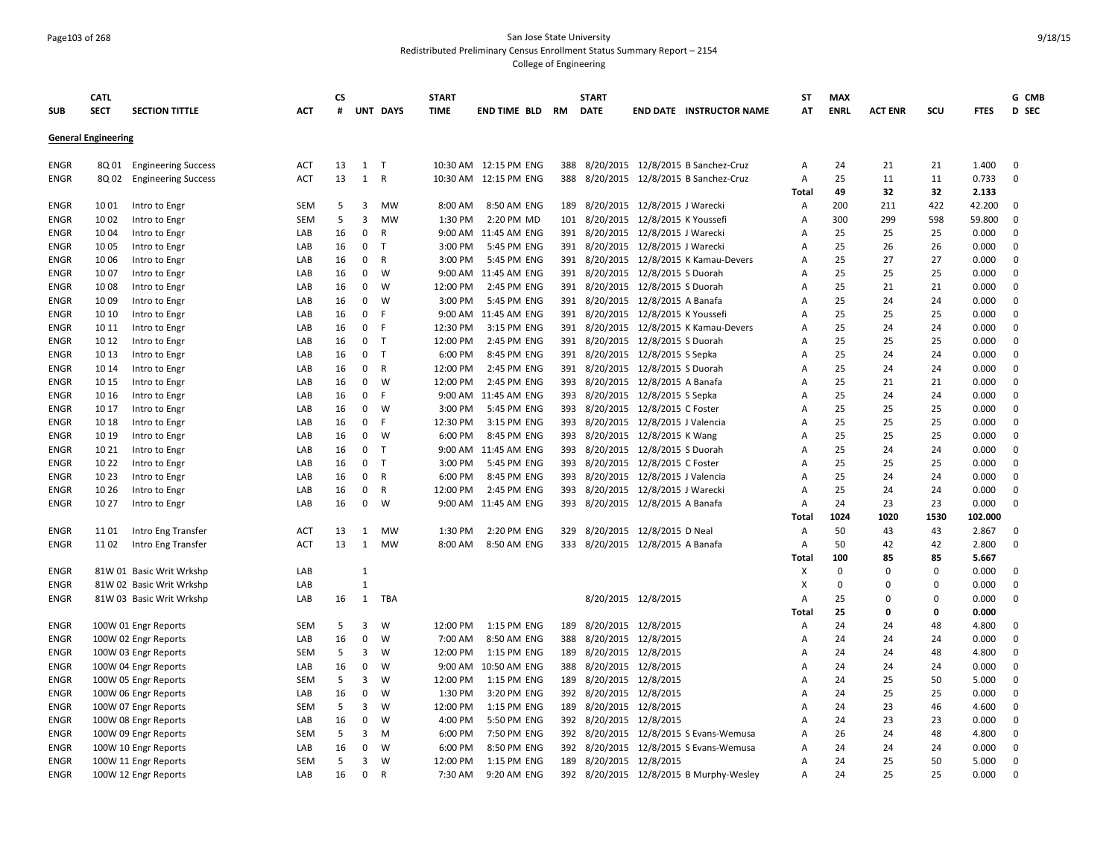# Page103 of 268 San Jose State University Redistributed Preliminary Census Enrollment Status Summary Report – 2154

|             | CATL                       |                            |            | <b>CS</b> |                |              | <b>START</b> |                        |     | <b>START</b>                       |                                |                                         | ST             | <b>MAX</b>  |                |          |             | G CMB        |
|-------------|----------------------------|----------------------------|------------|-----------|----------------|--------------|--------------|------------------------|-----|------------------------------------|--------------------------------|-----------------------------------------|----------------|-------------|----------------|----------|-------------|--------------|
| <b>SUB</b>  | <b>SECT</b>                | <b>SECTION TITTLE</b>      | <b>ACT</b> | #         |                | UNT DAYS     | <b>TIME</b>  | <b>END TIME BLD RM</b> |     | <b>DATE</b>                        |                                | <b>END DATE INSTRUCTOR NAME</b>         | AT             | <b>ENRL</b> | <b>ACT ENR</b> | scu      | <b>FTES</b> | <b>D</b> SEC |
|             | <b>General Engineering</b> |                            |            |           |                |              |              |                        |     |                                    |                                |                                         |                |             |                |          |             |              |
| ENGR        | 8Q 01                      | <b>Engineering Success</b> | ACT        | 13        | 1              | - T          |              | 10:30 AM 12:15 PM ENG  | 388 |                                    |                                | 8/20/2015 12/8/2015 B Sanchez-Cruz      | A              | 24          | 21             | 21       | 1.400       | $\mathbf 0$  |
| ENGR        | 8Q 02                      | <b>Engineering Success</b> | <b>ACT</b> | 13        | 1              | $\mathsf{R}$ |              | 10:30 AM 12:15 PM ENG  | 388 |                                    |                                | 8/20/2015 12/8/2015 B Sanchez-Cruz      | А              | 25          | 11             | 11       | 0.733       | $\mathbf 0$  |
|             |                            |                            |            |           |                |              |              |                        |     |                                    |                                |                                         | Total          | 49          | 32             | 32       | 2.133       |              |
| ENGR        | 1001                       | Intro to Engr              | <b>SEM</b> | 5         | 3              | <b>MW</b>    | 8:00 AM      | 8:50 AM ENG            | 189 |                                    | 8/20/2015 12/8/2015 J Warecki  |                                         | А              | 200         | 211            | 422      | 42.200      | $\mathbf 0$  |
| ENGR        | 1002                       | Intro to Engr              | <b>SEM</b> | 5         | 3              | <b>MW</b>    | 1:30 PM      | 2:20 PM MD             | 101 |                                    | 8/20/2015 12/8/2015 K Youssefi |                                         | A              | 300         | 299            | 598      | 59.800      | $\Omega$     |
| ENGR        | 10 04                      | Intro to Engr              | LAB        | 16        | 0              | $\mathsf{R}$ |              | 9:00 AM 11:45 AM ENG   | 391 |                                    | 8/20/2015 12/8/2015 J Warecki  |                                         | А              | 25          | 25             | 25       | 0.000       | $\mathbf 0$  |
| ENGR        | 10 05                      | Intro to Engr              | LAB        | 16        | 0              | $\mathsf{T}$ | 3:00 PM      | 5:45 PM ENG            | 391 |                                    | 8/20/2015 12/8/2015 J Warecki  |                                         | A              | 25          | 26             | 26       | 0.000       | $\mathbf 0$  |
| ENGR        | 10 06                      | Intro to Engr              | LAB        | 16        | 0              | R            | 3:00 PM      | 5:45 PM ENG            | 391 |                                    |                                | 8/20/2015 12/8/2015 K Kamau-Devers      | A              | 25          | 27             | 27       | 0.000       | $\mathbf 0$  |
| <b>ENGR</b> | 1007                       | Intro to Engr              | LAB        | 16        | $\mathbf{0}$   | W            | 9:00 AM      | 11:45 AM ENG           |     | 391 8/20/2015 12/8/2015 S Duorah   |                                |                                         | $\overline{A}$ | 25          | 25             | 25       | 0.000       | $\mathbf 0$  |
| <b>ENGR</b> | 1008                       | Intro to Engr              | LAB        | 16        | $\mathbf{0}$   | W            | 12:00 PM     | 2:45 PM ENG            |     | 391 8/20/2015 12/8/2015 S Duorah   |                                |                                         | $\overline{A}$ | 25          | 21             | 21       | 0.000       | $\Omega$     |
| <b>ENGR</b> | 1009                       | Intro to Engr              | LAB        | 16        | $\mathbf{0}$   | W            | 3:00 PM      | 5:45 PM ENG            |     | 391 8/20/2015 12/8/2015 A Banafa   |                                |                                         | А              | 25          | 24             | 24       | 0.000       | $\mathbf 0$  |
| ENGR        | 10 10                      | Intro to Engr              | LAB        | 16        | 0              | -F           |              | 9:00 AM 11:45 AM ENG   |     | 391 8/20/2015 12/8/2015 K Youssefi |                                |                                         | A              | 25          | 25             | 25       | 0.000       | $\Omega$     |
| ENGR        | 10 11                      | Intro to Engr              | LAB        | 16        | 0              | F            | 12:30 PM     | 3:15 PM ENG            | 391 | 8/20/2015                          |                                | 12/8/2015 K Kamau-Devers                | A              | 25          | 24             | 24       | 0.000       | $\Omega$     |
| <b>ENGR</b> | 10 12                      | Intro to Engr              | LAB        | 16        | $\mathbf{0}$   | $\mathsf{T}$ | 12:00 PM     | 2:45 PM ENG            | 391 |                                    | 8/20/2015 12/8/2015 S Duorah   |                                         | A              | 25          | 25             | 25       | 0.000       | $\mathbf 0$  |
| <b>ENGR</b> | 10 13                      | Intro to Engr              | LAB        | 16        | $\mathbf{0}$   | $\top$       | 6:00 PM      | 8:45 PM ENG            | 391 |                                    | 8/20/2015 12/8/2015 S Sepka    |                                         | $\overline{A}$ | 25          | 24             | 24       | 0.000       | $\mathbf 0$  |
| <b>ENGR</b> | 10 14                      | Intro to Engr              | LAB        | 16        | 0              | $\mathsf{R}$ | 12:00 PM     | 2:45 PM ENG            | 391 |                                    | 8/20/2015 12/8/2015 S Duorah   |                                         | A              | 25          | 24             | 24       | 0.000       | $\Omega$     |
| <b>ENGR</b> | 10 15                      | Intro to Engr              | LAB        | 16        | 0              | W            | 12:00 PM     | 2:45 PM ENG            | 393 |                                    | 8/20/2015 12/8/2015 A Banafa   |                                         | A              | 25          | 21             | 21       | 0.000       | $\mathbf 0$  |
| ENGR        | 10 16                      | Intro to Engr              | LAB        | 16        | 0              | - F          |              | 9:00 AM 11:45 AM ENG   | 393 |                                    | 8/20/2015 12/8/2015 S Sepka    |                                         | A              | 25          | 24             | 24       | 0.000       | $\mathbf 0$  |
| <b>ENGR</b> | 10 17                      | Intro to Engr              | LAB        | 16        | 0              | W            | 3:00 PM      | 5:45 PM ENG            | 393 |                                    | 8/20/2015 12/8/2015 C Foster   |                                         | $\overline{A}$ | 25          | 25             | 25       | 0.000       | 0            |
| <b>ENGR</b> | 10 18                      | Intro to Engr              | LAB        | 16        | 0              | - F          | 12:30 PM     | 3:15 PM ENG            | 393 |                                    | 8/20/2015 12/8/2015 J Valencia |                                         | $\overline{A}$ | 25          | 25             | 25       | 0.000       | $\mathbf 0$  |
| <b>ENGR</b> | 10 19                      | Intro to Engr              | LAB        | 16        | $\mathbf{0}$   | W            | 6:00 PM      | 8:45 PM ENG            | 393 |                                    | 8/20/2015 12/8/2015 K Wang     |                                         | $\overline{A}$ | 25          | 25             | 25       | 0.000       | $\mathbf 0$  |
| <b>ENGR</b> | 10 21                      | Intro to Engr              | LAB        | 16        | 0              | $\top$       | 9:00 AM      | 11:45 AM ENG           | 393 |                                    | 8/20/2015 12/8/2015 S Duorah   |                                         | $\overline{A}$ | 25          | 24             | 24       | 0.000       | $\mathbf 0$  |
| <b>ENGR</b> | 10 22                      | Intro to Engr              | LAB        | 16        | 0 <sub>T</sub> |              | 3:00 PM      | 5:45 PM ENG            | 393 |                                    | 8/20/2015 12/8/2015 C Foster   |                                         | A              | 25          | 25             | 25       | 0.000       | $\mathbf 0$  |
| ENGR        | 10 23                      | Intro to Engr              | LAB        | 16        | 0              | R            | 6:00 PM      | 8:45 PM ENG            | 393 |                                    | 8/20/2015 12/8/2015 J Valencia |                                         | A              | 25          | 24             | 24       | 0.000       | $\mathbf 0$  |
| <b>ENGR</b> | 10 26                      | Intro to Engr              | LAB        | 16        | $\mathbf{0}$   | $\mathsf{R}$ | 12:00 PM     | 2:45 PM ENG            | 393 |                                    | 8/20/2015 12/8/2015 J Warecki  |                                         | $\overline{A}$ | 25          | 24             | 24       | 0.000       | $\Omega$     |
| ENGR        | 10 27                      | Intro to Engr              | LAB        | 16        | 0              | W            |              | 9:00 AM 11:45 AM ENG   |     | 393 8/20/2015 12/8/2015 A Banafa   |                                |                                         | $\overline{A}$ | 24          | 23             | 23       | 0.000       | $\Omega$     |
|             |                            |                            |            |           |                |              |              |                        |     |                                    |                                |                                         | Total          | 1024        | 1020           | 1530     | 102.000     |              |
| ENGR        | 11 01                      | Intro Eng Transfer         | ACT        | 13        | 1              | MW           | 1:30 PM      | 2:20 PM ENG            | 329 | 8/20/2015                          | 12/8/2015 D Neal               |                                         | A              | 50          | 43             | 43       | 2.867       | $\mathbf 0$  |
| ENGR        | 1102                       | Intro Eng Transfer         | <b>ACT</b> | 13        | 1              | MW           | 8:00 AM      | 8:50 AM ENG            |     | 333 8/20/2015 12/8/2015 A Banafa   |                                |                                         | А              | 50          | 42             | 42       | 2.800       | $\mathbf 0$  |
|             |                            |                            |            |           |                |              |              |                        |     |                                    |                                |                                         | Total          | 100         | 85             | 85       | 5.667       |              |
| <b>ENGR</b> |                            | 81W 01 Basic Writ Wrkshp   | LAB        |           | $\mathbf{1}$   |              |              |                        |     |                                    |                                |                                         | X              | $\mathbf 0$ | $\Omega$       | 0        | 0.000       | $\Omega$     |
| <b>ENGR</b> |                            | 81W 02 Basic Writ Wrkshp   | LAB        |           | $\mathbf{1}$   |              |              |                        |     |                                    |                                |                                         | X              | $\Omega$    | $\Omega$       | $\Omega$ | 0.000       | $\mathbf 0$  |
| <b>ENGR</b> |                            | 81W 03 Basic Writ Wrkshp   | LAB        | 16        | 1              | TBA          |              |                        |     |                                    | 8/20/2015 12/8/2015            |                                         | A              | 25          | 0              | 0        | 0.000       | $\Omega$     |
|             |                            |                            |            |           |                |              |              |                        |     |                                    |                                |                                         | Total          | 25          | 0              | 0        | 0.000       |              |
| ENGR        |                            | 100W 01 Engr Reports       | SEM        | -5        | 3              | W            | 12:00 PM     | 1:15 PM ENG            | 189 |                                    | 8/20/2015 12/8/2015            |                                         | A              | 24          | 24             | 48       | 4.800       | $\mathbf{0}$ |
| <b>ENGR</b> |                            | 100W 02 Engr Reports       | LAB        | 16        | $\mathbf 0$    | W            | 7:00 AM      | 8:50 AM ENG            | 388 |                                    | 8/20/2015 12/8/2015            |                                         | А              | 24          | 24             | 24       | 0.000       | $\mathbf 0$  |
| ENGR        |                            | 100W 03 Engr Reports       | <b>SEM</b> | 5         | 3              | W            | 12:00 PM     | 1:15 PM ENG            | 189 |                                    | 8/20/2015 12/8/2015            |                                         | А              | 24          | 24             | 48       | 4.800       | $\mathbf 0$  |
| <b>ENGR</b> |                            | 100W 04 Engr Reports       | LAB        | 16        | 0              | W            | 9:00 AM      | 10:50 AM ENG           | 388 |                                    | 8/20/2015 12/8/2015            |                                         | A              | 24          | 24             | 24       | 0.000       | $\Omega$     |
| ENGR        |                            | 100W 05 Engr Reports       | <b>SEM</b> | -5        | 3              | W            | 12:00 PM     | 1:15 PM ENG            | 189 |                                    | 8/20/2015 12/8/2015            |                                         | Α              | 24          | 25             | 50       | 5.000       | $\Omega$     |
| ENGR        |                            | 100W 06 Engr Reports       | LAB        | 16        | 0              | W            | 1:30 PM      | 3:20 PM ENG            |     | 392 8/20/2015 12/8/2015            |                                |                                         | А              | 24          | 25             | 25       | 0.000       | $\Omega$     |
| ENGR        |                            | 100W 07 Engr Reports       | <b>SEM</b> | 5         | 3              | W            | 12:00 PM     | 1:15 PM ENG            | 189 |                                    | 8/20/2015 12/8/2015            |                                         | $\overline{A}$ | 24          | 23             | 46       | 4.600       | $\Omega$     |
| ENGR        |                            | 100W 08 Engr Reports       | LAB        | 16        | 0              | W            | 4:00 PM      | 5:50 PM ENG            | 392 |                                    | 8/20/2015 12/8/2015            |                                         | Α              | 24          | 23             | 23       | 0.000       | $\Omega$     |
| ENGR        |                            | 100W 09 Engr Reports       | <b>SEM</b> | 5         | 3              | M            | 6:00 PM      | 7:50 PM ENG            | 392 |                                    |                                | 8/20/2015 12/8/2015 S Evans-Wemusa      | Α              | 26          | 24             | 48       | 4.800       | $\Omega$     |
| <b>ENGR</b> |                            | 100W 10 Engr Reports       | LAB        | 16        | 0              | W            | 6:00 PM      | 8:50 PM ENG            | 392 |                                    |                                | 8/20/2015 12/8/2015 S Evans-Wemusa      | A              | 24          | 24             | 24       | 0.000       | $\mathbf 0$  |
| ENGR        |                            | 100W 11 Engr Reports       | SEM        | 5         | 3              | W            | 12:00 PM     | 1:15 PM ENG            | 189 |                                    | 8/20/2015 12/8/2015            |                                         | Α              | 24          | 25             | 50       | 5.000       | $\Omega$     |
| ENGR        |                            | 100W 12 Engr Reports       | LAB        | 16        | $\Omega$       | $\mathsf{R}$ | 7:30 AM      | 9:20 AM ENG            |     |                                    |                                | 392 8/20/2015 12/8/2015 B Murphy-Wesley | A              | 24          | 25             | 25       | 0.000       | $\Omega$     |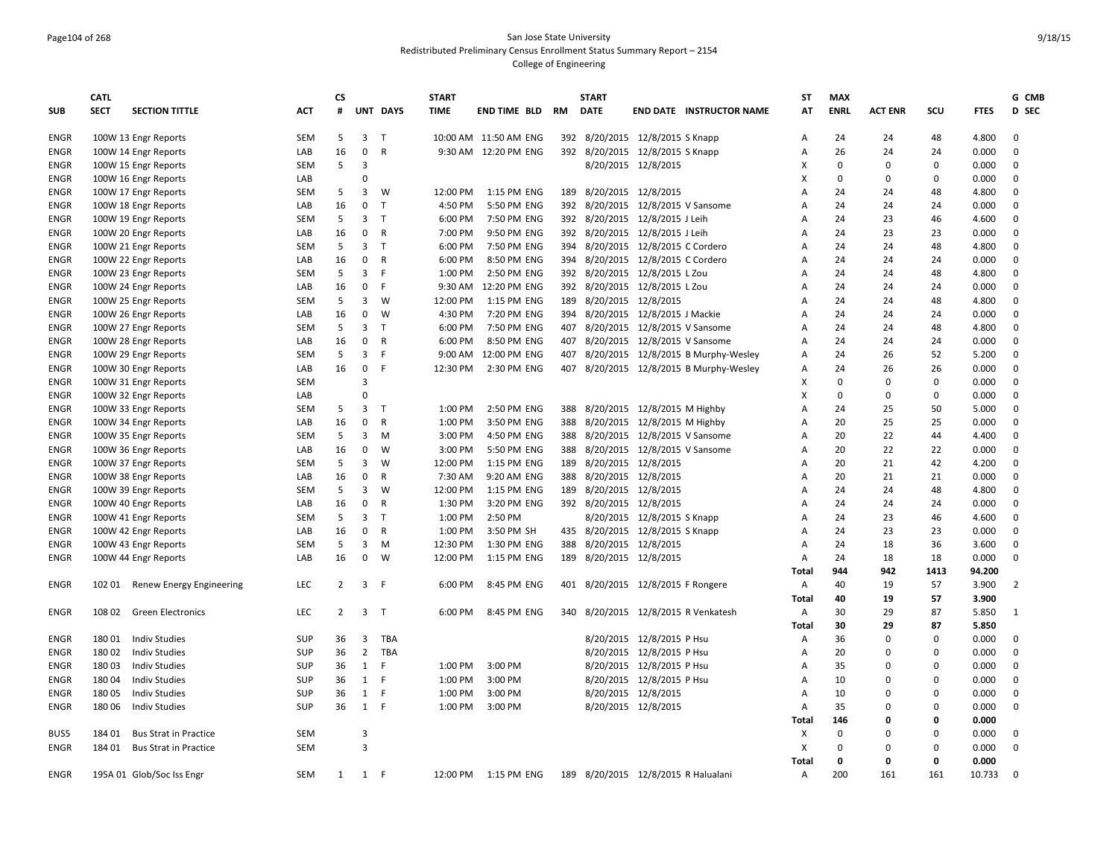#### Page104 of 268 San Jose State University Redistributed Preliminary Census Enrollment Status Summary Report – 2154 College of Engineering

|             | <b>CATL</b> |                              |            | <b>CS</b>      |                |              | <b>START</b> |                       |           | <b>START</b>                        |                               |                                         | ST             | <b>MAX</b>  |                |             |             | G CMB          |
|-------------|-------------|------------------------------|------------|----------------|----------------|--------------|--------------|-----------------------|-----------|-------------------------------------|-------------------------------|-----------------------------------------|----------------|-------------|----------------|-------------|-------------|----------------|
| <b>SUB</b>  | <b>SECT</b> | <b>SECTION TITTLE</b>        | <b>ACT</b> | #              |                | UNT DAYS     | <b>TIME</b>  | END TIME BLD          | <b>RM</b> | <b>DATE</b>                         |                               | <b>END DATE INSTRUCTOR NAME</b>         | AT             | <b>ENRL</b> | <b>ACT ENR</b> | SCU         | <b>FTES</b> | D SEC          |
| <b>ENGR</b> |             | 100W 13 Engr Reports         | SEM        | 5              | $\overline{3}$ | $\mathsf{T}$ |              | 10:00 AM 11:50 AM ENG |           | 392 8/20/2015 12/8/2015 S Knapp     |                               |                                         | Α              | 24          | 24             | 48          | 4.800       | $\mathbf 0$    |
| <b>ENGR</b> |             | 100W 14 Engr Reports         | LAB        | 16             | $\mathbf 0$    | $\mathsf{R}$ |              | 9:30 AM 12:20 PM ENG  |           | 392 8/20/2015 12/8/2015 S Knapp     |                               |                                         | Α              | 26          | 24             | 24          | 0.000       | $\mathbf 0$    |
| <b>ENGR</b> |             | 100W 15 Engr Reports         | SEM        | 5              | 3              |              |              |                       |           |                                     | 8/20/2015 12/8/2015           |                                         | Χ              | $\Omega$    | $\Omega$       | $\Omega$    | 0.000       | $\mathbf 0$    |
| ENGR        |             | 100W 16 Engr Reports         | LAB        |                | $\Omega$       |              |              |                       |           |                                     |                               |                                         | X              | $\mathbf 0$ | $\Omega$       | 0           | 0.000       | $\mathbf 0$    |
| ENGR        |             | 100W 17 Engr Reports         | <b>SEM</b> | 5              | 3              | W            | 12:00 PM     | 1:15 PM ENG           |           | 189 8/20/2015 12/8/2015             |                               |                                         | A              | 24          | 24             | 48          | 4.800       | $\mathbf 0$    |
| <b>ENGR</b> |             | 100W 18 Engr Reports         | LAB        | 16             | $\mathbf 0$    | $\mathsf{T}$ | 4:50 PM      | 5:50 PM ENG           | 392       |                                     | 8/20/2015 12/8/2015 V Sansome |                                         | $\overline{A}$ | 24          | 24             | 24          | 0.000       | $\mathbf 0$    |
| ENGR        |             | 100W 19 Engr Reports         | SEM        | 5              | 3              | $\mathsf{T}$ | 6:00 PM      | 7:50 PM ENG           |           | 392 8/20/2015 12/8/2015 J Leih      |                               |                                         | A              | 24          | 23             | 46          | 4.600       | $\mathbf 0$    |
| <b>ENGR</b> |             | 100W 20 Engr Reports         | LAB        | 16             | 0              | $\mathsf{R}$ | 7:00 PM      | 9:50 PM ENG           |           | 392 8/20/2015 12/8/2015 J Leih      |                               |                                         | $\overline{A}$ | 24          | 23             | 23          | 0.000       | $\mathbf 0$    |
| ENGR        |             | 100W 21 Engr Reports         | <b>SEM</b> | 5              | 3              | $\top$       | 6:00 PM      | 7:50 PM ENG           |           | 394 8/20/2015 12/8/2015 C Cordero   |                               |                                         | $\overline{A}$ | 24          | 24             | 48          | 4.800       | $\mathbf 0$    |
| <b>ENGR</b> |             | 100W 22 Engr Reports         | LAB        | 16             | 0              | $\mathsf{R}$ | 6:00 PM      | 8:50 PM ENG           |           | 394 8/20/2015 12/8/2015 C Cordero   |                               |                                         | $\overline{A}$ | 24          | 24             | 24          | 0.000       | $\mathbf 0$    |
| ENGR        |             | 100W 23 Engr Reports         | SEM        | 5              | 3              | F            | 1:00 PM      | 2:50 PM ENG           |           | 392 8/20/2015 12/8/2015 L Zou       |                               |                                         | A              | 24          | 24             | 48          | 4.800       | 0              |
| <b>ENGR</b> |             | 100W 24 Engr Reports         | LAB        | 16             | $\mathbf 0$    | F            | 9:30 AM      | 12:20 PM ENG          |           | 392 8/20/2015 12/8/2015 L Zou       |                               |                                         | $\overline{A}$ | 24          | 24             | 24          | 0.000       | $\mathbf 0$    |
| <b>ENGR</b> |             | 100W 25 Engr Reports         | <b>SEM</b> | 5              | 3              | W            | 12:00 PM     | 1:15 PM ENG           |           | 189 8/20/2015 12/8/2015             |                               |                                         | $\overline{A}$ | 24          | 24             | 48          | 4.800       | $\mathbf 0$    |
| ENGR        |             | 100W 26 Engr Reports         | LAB        | 16             | 0              | W            | 4:30 PM      | 7:20 PM ENG           |           | 394 8/20/2015 12/8/2015 J Mackie    |                               |                                         | A              | 24          | 24             | 24          | 0.000       | $\mathbf 0$    |
| ENGR        |             | 100W 27 Engr Reports         | <b>SEM</b> | 5              | 3              | T            | 6:00 PM      | 7:50 PM ENG           |           | 407 8/20/2015 12/8/2015 V Sansome   |                               |                                         | Α              | 24          | 24             | 48          | 4.800       | $\mathbf 0$    |
| ENGR        |             | 100W 28 Engr Reports         | LAB        | 16             | $\mathbf 0$    | $\mathsf{R}$ | 6:00 PM      | 8:50 PM ENG           |           | 407 8/20/2015 12/8/2015 V Sansome   |                               |                                         | Α              | 24          | 24             | 24          | 0.000       | $\mathbf 0$    |
| <b>ENGR</b> |             | 100W 29 Engr Reports         | SEM        | 5              | 3              | F            | 9:00 AM      | 12:00 PM ENG          | 407       |                                     |                               | 8/20/2015 12/8/2015 B Murphy-Wesley     | Α              | 24          | 26             | 52          | 5.200       | $\mathbf 0$    |
| ENGR        |             | 100W 30 Engr Reports         | LAB        | 16             | $\mathbf 0$    | F            | 12:30 PM     | 2:30 PM ENG           |           |                                     |                               | 407 8/20/2015 12/8/2015 B Murphy-Wesley | A              | 24          | 26             | 26          | 0.000       | $\mathbf 0$    |
| <b>ENGR</b> |             | 100W 31 Engr Reports         | <b>SEM</b> |                | 3              |              |              |                       |           |                                     |                               |                                         | Χ              | $\mathbf 0$ | $\mathbf 0$    | $\mathbf 0$ | 0.000       | $\mathbf 0$    |
| <b>ENGR</b> |             | 100W 32 Engr Reports         | LAB        |                | $\Omega$       |              |              |                       |           |                                     |                               |                                         | X              | $\Omega$    | 0              | 0           | 0.000       | $\mathbf 0$    |
| ENGR        |             | 100W 33 Engr Reports         | SEM        | 5              | 3              | Т            | 1:00 PM      | 2:50 PM ENG           |           | 388 8/20/2015 12/8/2015 M Highby    |                               |                                         | A              | 24          | 25             | 50          | 5.000       | $\mathbf 0$    |
| ENGR        |             | 100W 34 Engr Reports         | LAB        | 16             | $\mathbf 0$    | $\mathsf{R}$ | 1:00 PM      | 3:50 PM ENG           |           | 388 8/20/2015 12/8/2015 M Highby    |                               |                                         | A              | 20          | 25             | 25          | 0.000       | $\mathbf 0$    |
| <b>ENGR</b> |             | 100W 35 Engr Reports         | <b>SEM</b> | 5              | 3              | M            | 3:00 PM      | 4:50 PM ENG           |           | 388 8/20/2015 12/8/2015 V Sansome   |                               |                                         | A              | 20          | 22             | 44          | 4.400       | $\mathbf 0$    |
| <b>ENGR</b> |             | 100W 36 Engr Reports         | LAB        | 16             | 0              | W            | 3:00 PM      | 5:50 PM ENG           |           | 388 8/20/2015 12/8/2015 V Sansome   |                               |                                         | A              | 20          | 22             | 22          | 0.000       | $\mathbf 0$    |
| ENGR        |             | 100W 37 Engr Reports         | SEM        | 5              | 3              | W            | 12:00 PM     | 1:15 PM ENG           |           | 189 8/20/2015 12/8/2015             |                               |                                         | A              | 20          | 21             | 42          | 4.200       | $\mathbf 0$    |
| ENGR        |             | 100W 38 Engr Reports         | LAB        | 16             | $\mathbf 0$    | R            | 7:30 AM      | 9:20 AM ENG           | 388       |                                     | 8/20/2015 12/8/2015           |                                         | $\overline{A}$ | 20          | 21             | 21          | 0.000       | $\mathbf 0$    |
| <b>ENGR</b> |             | 100W 39 Engr Reports         | SEM        | 5              | 3              | W            | 12:00 PM     | 1:15 PM ENG           | 189       | 8/20/2015 12/8/2015                 |                               |                                         | $\overline{A}$ | 24          | 24             | 48          | 4.800       | $\mathbf 0$    |
| ENGR        |             | 100W 40 Engr Reports         | LAB        | 16             | 0              | R            | 1:30 PM      | 3:20 PM ENG           |           | 392 8/20/2015 12/8/2015             |                               |                                         | A              | 24          | 24             | 24          | 0.000       | $\mathbf 0$    |
| ENGR        |             | 100W 41 Engr Reports         | SEM        | 5              | 3              | $\mathsf{T}$ | 1:00 PM      | 2:50 PM               |           |                                     | 8/20/2015 12/8/2015 S Knapp   |                                         | $\overline{A}$ | 24          | 23             | 46          | 4.600       | 0              |
| <b>ENGR</b> |             | 100W 42 Engr Reports         | LAB        | 16             | $\mathbf 0$    | $\mathsf{R}$ | 1:00 PM      | 3:50 PM SH            |           | 435 8/20/2015 12/8/2015 S Knapp     |                               |                                         | $\overline{A}$ | 24          | 23             | 23          | 0.000       | $\mathbf 0$    |
| <b>ENGR</b> |             | 100W 43 Engr Reports         | SEM        | 5              | 3              | M            | 12:30 PM     | 1:30 PM ENG           | 388       |                                     | 8/20/2015 12/8/2015           |                                         | $\overline{A}$ | 24          | 18             | 36          | 3.600       | $\mathbf 0$    |
| <b>ENGR</b> |             | 100W 44 Engr Reports         | LAB        | 16             | 0              | W            | 12:00 PM     | 1:15 PM ENG           |           | 189 8/20/2015 12/8/2015             |                               |                                         | A              | 24          | 18             | 18          | 0.000       | $\mathbf 0$    |
|             |             |                              |            |                |                |              |              |                       |           |                                     |                               |                                         | Total          | 944         | 942            | 1413        | 94.200      |                |
| <b>ENGR</b> | 102 01      | Renew Energy Engineering     | LEC        | $\overline{2}$ | 3 <sup>1</sup> | -F           | 6:00 PM      | 8:45 PM ENG           |           | 401 8/20/2015 12/8/2015 F Rongere   |                               |                                         | Α              | 40          | 19             | 57          | 3.900       | $\overline{2}$ |
|             |             |                              |            |                |                |              |              |                       |           |                                     |                               |                                         | Total          | 40          | 19             | 57          | 3.900       |                |
| <b>ENGR</b> | 108 02      | <b>Green Electronics</b>     | LEC        | $\overline{2}$ | 3 <sub>1</sub> |              | 6:00 PM      | 8:45 PM ENG           |           |                                     |                               | 340 8/20/2015 12/8/2015 R Venkatesh     | Α              | 30          | 29             | 87          | 5.850       | 1              |
|             |             |                              |            |                |                |              |              |                       |           |                                     |                               |                                         | Total          | 30          | 29             | 87          | 5.850       |                |
| ENGR        | 18001       | <b>Indiv Studies</b>         | <b>SUP</b> | 36             | 3              | TBA          |              |                       |           |                                     | 8/20/2015 12/8/2015 P Hsu     |                                         |                | 36          | $\Omega$       | 0           | 0.000       | 0              |
| ENGR        | 18002       | <b>Indiv Studies</b>         | SUP        | 36             | 2              | TBA          |              |                       |           |                                     | 8/20/2015 12/8/2015 P Hsu     |                                         | Α<br>Α         | 20          | $\Omega$       | $\Omega$    | 0.000       | $\mathbf 0$    |
|             | 18003       | <b>Indiv Studies</b>         | SUP        | 36             | 1              | -F           | 1:00 PM      | 3:00 PM               |           |                                     | 8/20/2015 12/8/2015 P Hsu     |                                         | $\overline{A}$ | 35          | $\Omega$       | $\Omega$    | 0.000       | $\mathbf 0$    |
| <b>ENGR</b> |             |                              | SUP        |                | $\mathbf{1}$   | F            |              |                       |           |                                     |                               |                                         |                | 10          | $\Omega$       | $\Omega$    |             | $\mathbf 0$    |
| <b>ENGR</b> | 18004       | <b>Indiv Studies</b>         |            | 36             |                |              | 1:00 PM      | 3:00 PM               |           |                                     | 8/20/2015 12/8/2015 P Hsu     |                                         | A              |             |                |             | 0.000       |                |
| <b>ENGR</b> | 18005       | <b>Indiv Studies</b>         | <b>SUP</b> | 36             | 1              | F            | 1:00 PM      | 3:00 PM               |           |                                     | 8/20/2015 12/8/2015           |                                         | $\overline{A}$ | 10          | $\Omega$       | 0           | 0.000       | 0              |
| <b>ENGR</b> | 18006       | <b>Indiv Studies</b>         | SUP        | 36             | 1              | -F           | 1:00 PM      | 3:00 PM               |           |                                     | 8/20/2015 12/8/2015           |                                         | Α              | 35          | $\Omega$       | $\Omega$    | 0.000       | $\mathbf 0$    |
|             |             |                              |            |                |                |              |              |                       |           |                                     |                               |                                         | Total          | 146         | $\Omega$       | 0           | 0.000       |                |
| BUS5        | 184 01      | <b>Bus Strat in Practice</b> | SEM        |                | $\overline{3}$ |              |              |                       |           |                                     |                               |                                         | х              | $\mathbf 0$ | $\Omega$       | $\Omega$    | 0.000       | 0              |
| <b>ENGR</b> | 184 01      | <b>Bus Strat in Practice</b> | SEM        |                | 3              |              |              |                       |           |                                     |                               |                                         | X              | $\mathbf 0$ | $\mathbf 0$    | 0           | 0.000       | $\mathbf 0$    |
|             |             |                              |            |                |                |              |              |                       |           |                                     |                               |                                         | Total          | 0           | 0              | $\Omega$    | 0.000       |                |
| <b>ENGR</b> |             | 195A 01 Glob/Soc Iss Engr    | SEM        | 1              | 1              | -F           | 12:00 PM     | 1:15 PM ENG           |           | 189 8/20/2015 12/8/2015 R Halualani |                               |                                         | Α              | 200         | 161            | 161         | 10.733      | $\mathbf 0$    |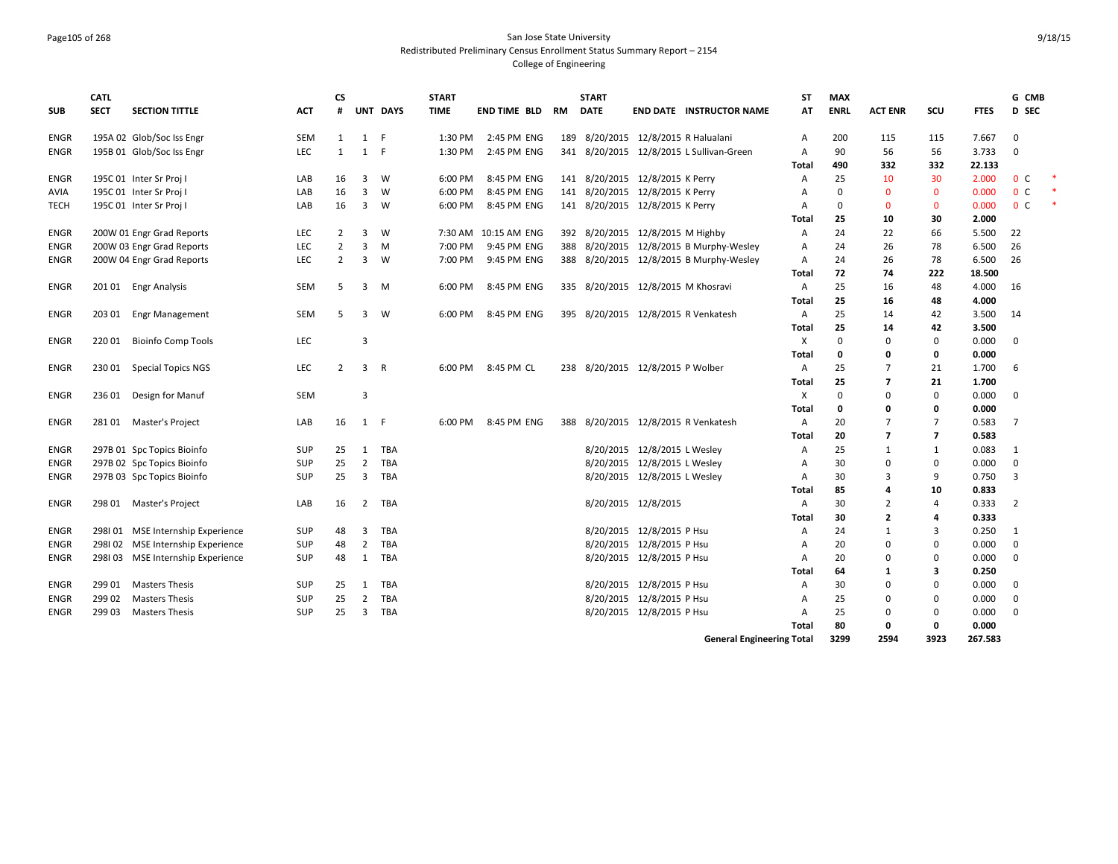#### Page105 of 268 San Jose State University Redistributed Preliminary Census Enrollment Status Summary Report – 2154 College of Engineering

|             | <b>CATL</b> |                                   |            | СS             |                |                | <b>START</b> |                      |           | <b>START</b>                       |                              |                                          | ST    | <b>MAX</b>  |                |                          |             | G CMB          |  |
|-------------|-------------|-----------------------------------|------------|----------------|----------------|----------------|--------------|----------------------|-----------|------------------------------------|------------------------------|------------------------------------------|-------|-------------|----------------|--------------------------|-------------|----------------|--|
| <b>SUB</b>  | <b>SECT</b> | <b>SECTION TITTLE</b>             | ACT        | #              |                | UNT DAYS       | <b>TIME</b>  | <b>END TIME BLD</b>  | <b>RM</b> | <b>DATE</b>                        |                              | <b>END DATE INSTRUCTOR NAME</b>          | AT    | <b>ENRL</b> | <b>ACT ENR</b> | SCU                      | <b>FTES</b> | D SEC          |  |
| <b>ENGR</b> |             | 195A 02 Glob/Soc Iss Engr         | SEM        | 1              | 1              | -F             | 1:30 PM      | 2:45 PM ENG          | 189       |                                    |                              | 8/20/2015 12/8/2015 R Halualani          | A     | 200         | 115            | 115                      | 7.667       | $\mathbf 0$    |  |
| ENGR        |             | 195B 01 Glob/Soc Iss Engr         | LEC        | 1              | 1              | -F             | 1:30 PM      | 2:45 PM ENG          |           |                                    |                              | 341 8/20/2015 12/8/2015 L Sullivan-Green | A     | 90          | 56             | 56                       | 3.733       | 0              |  |
|             |             |                                   |            |                |                |                |              |                      |           |                                    |                              |                                          | Total | 490         | 332            | 332                      | 22.133      |                |  |
| ENGR        |             | 195C 01 Inter Sr Proj I           | LAB        | 16             | 3              | W              | 6:00 PM      | 8:45 PM ENG          |           | 141 8/20/2015 12/8/2015 K Perry    |                              |                                          | Α     | 25          | 10             | 30                       | 2.000       | 0 <sup>o</sup> |  |
| AVIA        |             | 195C 01 Inter Sr Proj I           | LAB        | 16             | 3              | W              | 6:00 PM      | 8:45 PM ENG          |           | 141 8/20/2015 12/8/2015 K Perry    |                              |                                          | A     | $\mathbf 0$ | $\mathbf{0}$   | $\mathbf 0$              | 0.000       | 0 <sup>c</sup> |  |
| <b>TECH</b> |             | 195C 01 Inter Sr Proj I           | LAB        | 16             | 3              | W              | 6:00 PM      | 8:45 PM ENG          |           | 141 8/20/2015 12/8/2015 K Perry    |                              |                                          | A     | $\mathbf 0$ | $\Omega$       | $\mathbf 0$              | 0.000       | 0 <sup>C</sup> |  |
|             |             |                                   |            |                |                |                |              |                      |           |                                    |                              |                                          | Total | 25          | 10             | 30                       | 2.000       |                |  |
| ENGR        |             | 200W 01 Engr Grad Reports         | LEC        | $\overline{2}$ | 3              | W              |              | 7:30 AM 10:15 AM ENG |           | 392 8/20/2015 12/8/2015 M Highby   |                              |                                          | Α     | 24          | 22             | 66                       | 5.500       | 22             |  |
| <b>ENGR</b> |             | 200W 03 Engr Grad Reports         | LEC        | $\overline{2}$ | 3              | M              | 7:00 PM      | 9:45 PM ENG          | 388       |                                    |                              | 8/20/2015 12/8/2015 B Murphy-Wesley      | A     | 24          | 26             | 78                       | 6.500       | 26             |  |
| ENGR        |             | 200W 04 Engr Grad Reports         | <b>LEC</b> | $\overline{2}$ | 3              | W              | 7:00 PM      | 9:45 PM ENG          |           |                                    |                              | 388 8/20/2015 12/8/2015 B Murphy-Wesley  | Α     | 24          | 26             | 78                       | 6.500       | 26             |  |
|             |             |                                   |            |                |                |                |              |                      |           |                                    |                              |                                          | Total | 72          | 74             | 222                      | 18.500      |                |  |
| ENGR        |             | 201 01 Engr Analysis              | <b>SEM</b> | .5             | 3              | M              | 6:00 PM      | 8:45 PM ENG          |           | 335 8/20/2015 12/8/2015 M Khosravi |                              |                                          | A     | 25          | 16             | 48                       | 4.000       | 16             |  |
|             |             |                                   |            |                |                |                |              |                      |           |                                    |                              |                                          | Total | 25          | 16             | 48                       | 4.000       |                |  |
| ENGR        | 203 01      | <b>Engr Management</b>            | SEM        | .5             | 3              | W              | 6:00 PM      | 8:45 PM ENG          |           |                                    |                              | 395 8/20/2015 12/8/2015 R Venkatesh      | Α     | 25          | 14             | 42                       | 3.500       | 14             |  |
|             |             |                                   |            |                |                |                |              |                      |           |                                    |                              |                                          | Total | 25          | 14             | 42                       | 3.500       |                |  |
| ENGR        | 22001       | <b>Bioinfo Comp Tools</b>         | LEC        |                | 3              |                |              |                      |           |                                    |                              |                                          | X     | 0           | $\Omega$       | 0                        | 0.000       | $\mathbf 0$    |  |
|             |             |                                   |            |                |                |                |              |                      |           |                                    |                              |                                          | Total | 0           | 0              | 0                        | 0.000       |                |  |
| ENGR        | 230 01      | <b>Special Topics NGS</b>         | LEC        | $\overline{2}$ | 3              | $\overline{R}$ | 6:00 PM      | 8:45 PM CL           |           | 238 8/20/2015 12/8/2015 P Wolber   |                              |                                          | Α     | 25          | 7              | 21                       | 1.700       | 6              |  |
|             |             |                                   |            |                |                |                |              |                      |           |                                    |                              |                                          | Total | 25          | 7              | 21                       | 1.700       |                |  |
| <b>ENGR</b> | 236 01      | Design for Manuf                  | SEM        |                | 3              |                |              |                      |           |                                    |                              |                                          | X     | $\mathbf 0$ | $\Omega$       | 0                        | 0.000       | 0              |  |
|             |             |                                   |            |                |                |                |              |                      |           |                                    |                              |                                          | Total | 0           | 0              | 0                        | 0.000       |                |  |
| ENGR        | 281 01      | Master's Project                  | LAB        | 16             | 1 F            |                | 6:00 PM      | 8:45 PM ENG          | 388       |                                    |                              | 8/20/2015 12/8/2015 R Venkatesh          | A     | 20          | 7              | 7                        | 0.583       | $\overline{7}$ |  |
|             |             |                                   |            |                |                |                |              |                      |           |                                    |                              |                                          | Total | 20          | $\overline{7}$ | $\overline{\phantom{a}}$ | 0.583       |                |  |
| <b>ENGR</b> |             | 297B 01 Spc Topics Bioinfo        | <b>SUP</b> | 25             | 1              | TBA            |              |                      |           |                                    | 8/20/2015 12/8/2015 L Wesley |                                          | Α     | 25          | 1              | 1                        | 0.083       | 1              |  |
| ENGR        |             | 297B 02 Spc Topics Bioinfo        | <b>SUP</b> | 25             | $\overline{2}$ | TBA            |              |                      |           |                                    | 8/20/2015 12/8/2015 L Wesley |                                          | A     | 30          | $\mathbf 0$    | 0                        | 0.000       | $\mathbf 0$    |  |
| ENGR        |             | 297B 03 Spc Topics Bioinfo        | <b>SUP</b> | 25             | 3              | TBA            |              |                      |           |                                    | 8/20/2015 12/8/2015 L Wesley |                                          | A     | 30          | 3              | 9                        | 0.750       | 3              |  |
|             |             |                                   |            |                |                |                |              |                      |           |                                    |                              |                                          | Total | 85          | 4              | 10                       | 0.833       |                |  |
| ENGR        | 298 01      | Master's Project                  | LAB        | 16             | 2              | <b>TBA</b>     |              |                      |           |                                    | 8/20/2015 12/8/2015          |                                          | Α     | 30          | $\overline{2}$ | 4                        | 0.333       | $\overline{2}$ |  |
|             |             |                                   |            |                |                |                |              |                      |           |                                    |                              |                                          | Total | 30          | $\overline{2}$ | 4                        | 0.333       |                |  |
| <b>ENGR</b> |             | 2981 01 MSE Internship Experience | <b>SUP</b> | 48             | 3              | TBA            |              |                      |           |                                    | 8/20/2015 12/8/2015 P Hsu    |                                          | A     | 24          | 1              | 3                        | 0.250       | 1              |  |
| <b>ENGR</b> |             | 298102 MSE Internship Experience  | SUP        | 48             | 2              | TBA            |              |                      |           |                                    | 8/20/2015 12/8/2015 P Hsu    |                                          | A     | 20          | 0              | 0                        | 0.000       | $\mathbf 0$    |  |
| ENGR        |             | 298103 MSE Internship Experience  | <b>SUP</b> | 48             | 1              | TBA            |              |                      |           |                                    | 8/20/2015 12/8/2015 P Hsu    |                                          | A     | 20          | $\Omega$       | $\Omega$                 | 0.000       | $\Omega$       |  |
|             |             |                                   |            |                |                |                |              |                      |           |                                    |                              |                                          | Total | 64          | $\mathbf{1}$   | 3                        | 0.250       |                |  |
| ENGR        | 299 01      | <b>Masters Thesis</b>             | <b>SUP</b> | 25             | 1              | TBA            |              |                      |           |                                    | 8/20/2015 12/8/2015 P Hsu    |                                          | A     | 30          | $\Omega$       | $\Omega$                 | 0.000       | $\mathbf 0$    |  |
| <b>ENGR</b> | 299 02      | <b>Masters Thesis</b>             | SUP        | 25             | $\overline{2}$ | TBA            |              |                      |           |                                    | 8/20/2015 12/8/2015 P Hsu    |                                          | A     | 25          | 0              | $\Omega$                 | 0.000       | $\mathbf 0$    |  |
| ENGR        | 299 03      | <b>Masters Thesis</b>             | <b>SUP</b> | 25             | 3              | TBA            |              |                      |           |                                    | 8/20/2015 12/8/2015 P Hsu    |                                          | A     | 25          | $\Omega$       | $\Omega$                 | 0.000       | $\Omega$       |  |
|             |             |                                   |            |                |                |                |              |                      |           |                                    |                              |                                          | Total | 80          | 0              | 0                        | 0.000       |                |  |
|             |             |                                   |            |                |                |                |              |                      |           |                                    |                              | <b>General Engineering Total</b>         |       | 3299        | 2594           | 3923                     | 267.583     |                |  |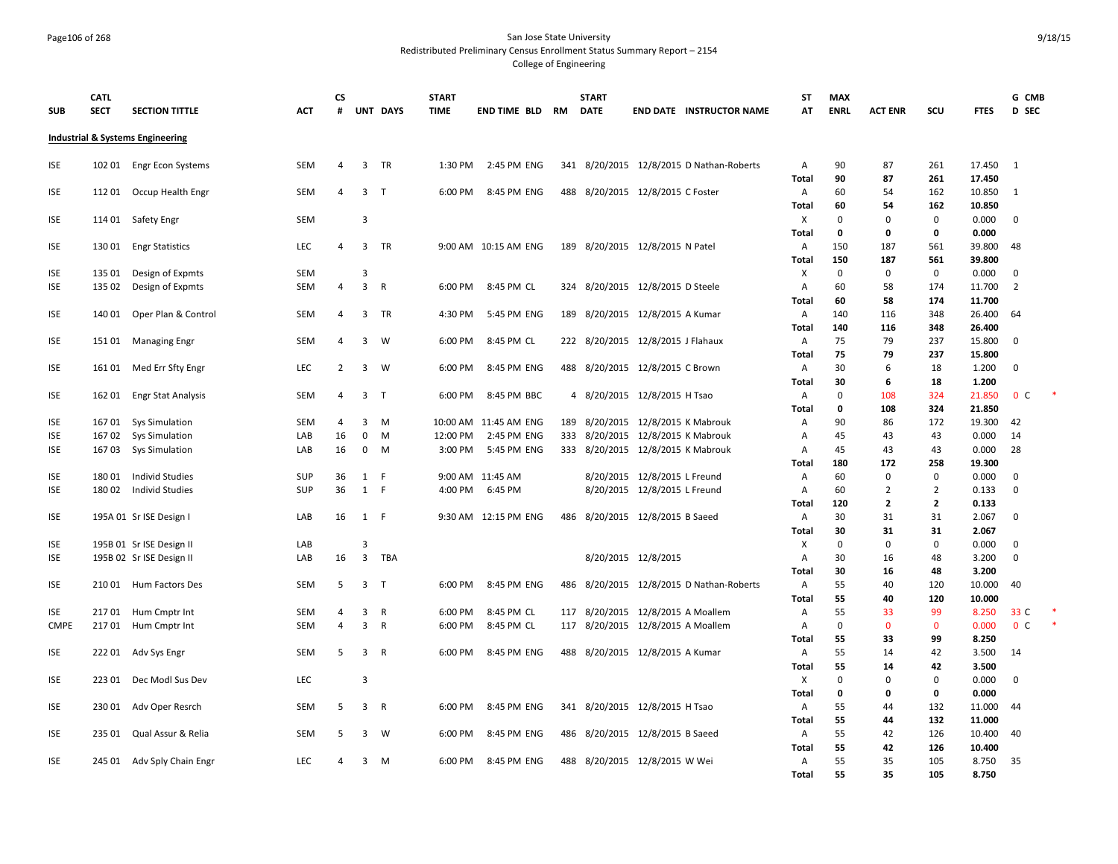#### Page106 of 268 San Jose State University Redistributed Preliminary Census Enrollment Status Summary Report – 2154 College of Engineering

**SUB CATL SECT SECTION TITTLE ACT CS # UNT DAYS START TIME END TIME BLD RM START DATE END DATE INSTRUCTOR NAME ST AT MAX ENRL ACT ENR SCU FTES G CMB D SEC Industrial & Systems Engineering** ISE 102 01 Engr Econ Systems SEM 4 3 TR 1:30 PM 2:45 PM ENG 341 8/20/2015 12/8/2015 D Nathan-Roberts A 90 87 261 17.450 1 **Total 90 87 261 17.450** ISE 112 01 Occup Health Engr SEM 4 3 T 6:00 PM 8:45 PM ENG 488 8/20/2015 12/8/2015 C Foster A 60 54 162 10.850 1 **Total 60 54 162 10.850** ISE 114 01 Safety Engr SEM 3 X 0 0 0 0.000 0 **Total 0 0 0 0.000** ISE 130 01 Engr Statistics LEC 4 3 TR 9:00 AM 10:15 AM ENG 189 8/20/2015 12/8/2015 N Patel A 150 187 561 39.800 48 **Total 150 187 561 39.800** ISE 135 01 Design of Expmts SEM 3 X 0 0 0 0.000 0 ISE 135 02 Design of Expmts SEM 4 3 R 6:00 PM 8:45 PM CL 324 8/20/2015 12/8/2015 D Steele A 60 58 174 11.700 2 **Total 60 58 174 11.700** ISE 140 01 Oper Plan & Control SEM 4 3 TR 4:30 PM 5:45 PM ENG 189 8/20/2015 12/8/2015 A Kumar A 140 116 348 26.400 64 **Total 140 116 348 26.400** ISE 151 01 Managing Engr SEM 4 3 W 6:00 PM 8:45 PM CL 222 8/20/2015 12/8/2015 J Flahaux A 75 79 237 15.800 0 **Total 75 79 237 15.800** ISE 161 01 Med Err Sfty Engr LEC 2 3 W 6:00 PM 8:45 PM ENG 488 8/20/2015 12/8/2015 C Brown A 30 6 18 1.200 0 **Total 30 6 18 1.200** ISE 162 01 Engr Stat Analysis SEM 4 3 T 6:00 PM 8:45 PM BBC 4 8/20/2015 12/8/2015 H Tsao A 0 108 324 21.850 0 C \* **Total 0 108 324 21.850** ISE 167 01 Sys Simulation SEM 4 3 M 10:00 AM 11:45 AM ENG 189 8/20/2015 12/8/2015 K Mabrouk A 90 86 172 19.300 42 ISE 167 02 Sys Simulation LAB 16 0 M 12:00 PM 2:45 PM ENG 333 8/20/2015 12/8/2015 K Mabrouk A 45 43 43 0.000 14 ISE 167 03 Sys Simulation LAB 16 0 M 3:00 PM 5:45 PM ENG 333 8/20/2015 12/8/2015 K Mabrouk A 45 43 43 0.000 28 **Total 180 172 258 19.300** ISE 180 01 Individ Studies SUP 36 1 F 9:00 AM 11:45 AM 8/20/2015 12/8/2015 L Freund A 60 0 0 0.000 0 ISE 180 02 Individ Studies SUP 36 1 F 4:00 PM 6:45 PM 8/20/2015 12/8/2015 L Freund A 60 2 2 0.133 0 **Total 120 2 2 0.133** ISE 195A 01 Sr ISE Design I LAB 16 1 F 9:30 AM 12:15 PM ENG 486 8/20/2015 12/8/2015 B Saeed A 30 31 31 2.067 0 **Total 30 31 31 2.067** ISE 195B 01 Sr ISE Design II LAB 3 X 0 0 0 0.000 0 ISE 195B 02 Sr ISE Design II LAB 16 3 TBA 8/20/2015 12/8/2015 A 30 16 48 3.200 0 **Total 30 16 48 3.200** ISE 210 01 Hum Factors Des SEM 5 3 T 6:00 PM 8:45 PM ENG 486 8/20/2015 12/8/2015 D Nathan-Roberts A 55 40 120 10.000 40 **Total 55 40 120 10.000** ISE 21701 Hum Cmptr Int SEM 4 3 R 6:00 PM 8:45 PM CL 117 8/20/2015 12/8/2015 A Moallem A 55 33 99 8.250 33 C CMPE 21701 Hum Cmptr Int SEM 4 3 R 6:00 PM 8:45 PM CL 117 8/20/2015 12/8/2015 A Moallem A 0 0 0 0.000 0 C **Total 55 33 99 8.250** ISE 222 01 Adv Sys Engr S SEM 5 3 R 6:00 PM 8:45 PM ENG 488 8/20/2015 12/8/2015 A Kumar A 55 14 42 3.500 14 **Total 55 14 42 3.500** ISE 223 01 Dec Modl Sus Dev LEC 3 Contract the Contract of Contract of Contract Article Contract Article Contract Article Contract Article Contract Article Contract Article Contract Article Contract Article Contract Articl **Total 0 0 0 0.000** ISE 230 01 Adv Oper Resrch SEM 5 3 R 6:00 PM 8:45 PM ENG 341 8/20/2015 12/8/2015 H Tsao A 55 44 132 11.000 44 **Total 55 44 132 11.000** ISE 235 01 Qual Assur & Relia SEM 5 3 W 6:00 PM 8:45 PM ENG 486 8/20/2015 12/8/2015 B Saeed A 55 42 126 10.400 40 **Total 55 42 126 10.400** ISE 245 01 Adv Sply Chain Engr LEC 4 3 M 6:00 PM 8:45 PM ENG 488 8/20/2015 12/8/2015 W Wei A 55 35 105 8.750 35 **Total 55 35 105 8.750**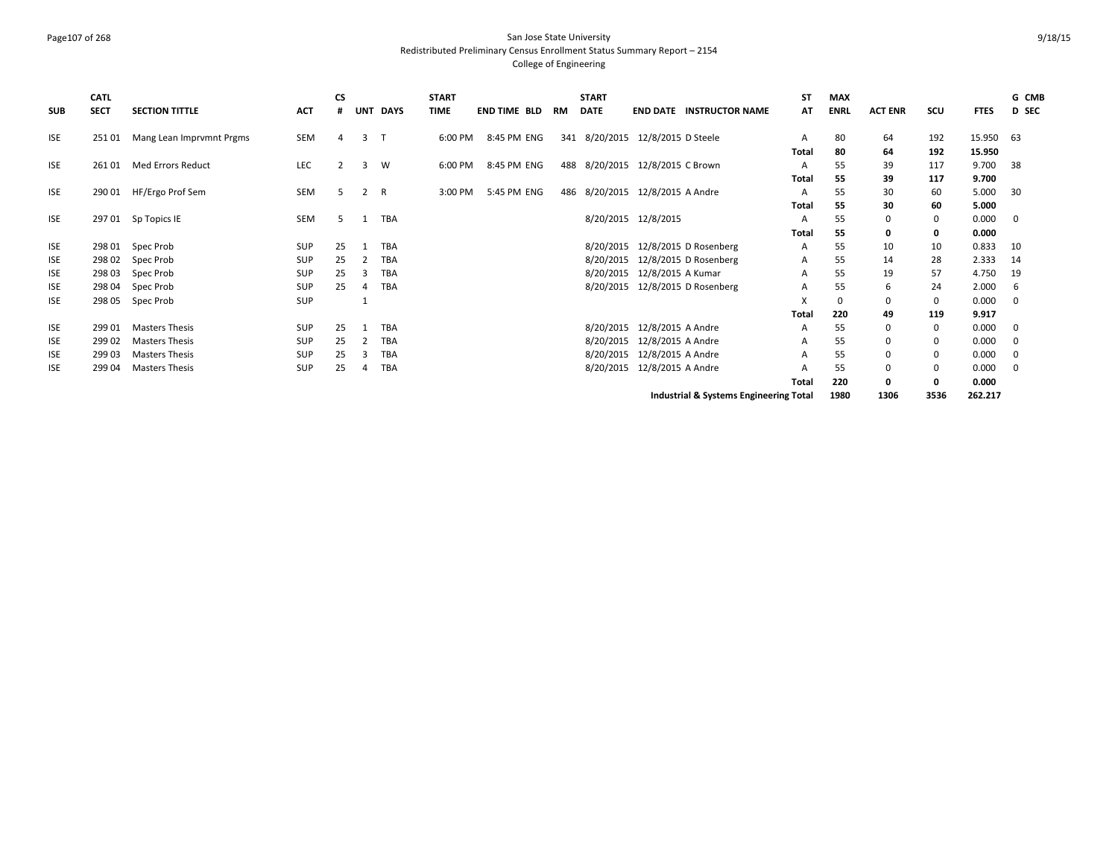#### Page107 of 268 San Jose State University Redistributed Preliminary Census Enrollment Status Summary Report – 2154 College of Engineering

| <b>SUB</b> | <b>CATL</b><br><b>SECT</b> | <b>SECTION TITTLE</b>    | <b>ACT</b> | CS<br># |   | UNT DAYS     | <b>START</b><br><b>TIME</b> | <b>END TIME BLD</b> | RM | <b>START</b><br><b>DATE</b> | <b>END DATE INSTRUCTOR NAME</b>        | <b>ST</b><br>AT | <b>MAX</b><br><b>ENRL</b> | <b>ACT ENR</b> | SCU         | <b>FTES</b> | G CMB<br>D SEC |
|------------|----------------------------|--------------------------|------------|---------|---|--------------|-----------------------------|---------------------|----|-----------------------------|----------------------------------------|-----------------|---------------------------|----------------|-------------|-------------|----------------|
| <b>ISE</b> | 25101                      | Mang Lean Imprvmnt Prgms | SEM        | 4       | 3 | $\mathsf{T}$ | 6:00 PM                     | 8:45 PM ENG         |    |                             | 341 8/20/2015 12/8/2015 D Steele       | A               | 80                        | 64             | 192         | 15.950      | - 63           |
|            |                            |                          |            |         |   |              |                             |                     |    |                             |                                        | Total           | 80                        | 64             | 192         | 15.950      |                |
| <b>ISE</b> | 26101                      | <b>Med Errors Reduct</b> | LEC        | 2       | 3 | W            | 6:00 PM                     | 8:45 PM ENG         |    |                             | 488 8/20/2015 12/8/2015 C Brown        | А               | 55                        | 39             | 117         | 9.700       | -38            |
|            |                            |                          |            |         |   |              |                             |                     |    |                             |                                        | Total           | 55                        | 39             | 117         | 9.700       |                |
| <b>ISE</b> | 290 01                     | HF/Ergo Prof Sem         | <b>SEM</b> | .5      | 2 | R            | 3:00 PM                     | 5:45 PM ENG         |    |                             | 486 8/20/2015 12/8/2015 A Andre        | A               | 55                        | 30             | 60          | 5.000       | 30             |
|            |                            |                          |            |         |   |              |                             |                     |    |                             |                                        | Total           | 55                        | 30             | 60          | 5.000       |                |
| <b>ISE</b> | 29701                      | Sp Topics IE             | SEM        | 5       |   | TBA          |                             |                     |    |                             | 8/20/2015 12/8/2015                    | А               | 55                        | $\Omega$       | 0           | 0.000       | 0              |
|            |                            |                          |            |         |   |              |                             |                     |    |                             |                                        | Total           | 55                        |                | 0           | 0.000       |                |
| ISE        | 298 01                     | Spec Prob                | SUP        | 25      |   | <b>TBA</b>   |                             |                     |    | 8/20/2015                   | 12/8/2015 D Rosenberg                  | A               | 55                        | 10             | 10          | 0.833       | 10             |
| <b>ISE</b> | 298 02                     | Spec Prob                | SUP        | 25      |   | <b>TBA</b>   |                             |                     |    | 8/20/2015                   | 12/8/2015 D Rosenberg                  | A               | 55                        | 14             | 28          | 2.333       | 14             |
| ISE        | 298 03                     | Spec Prob                | SUP        | 25      | 3 | <b>TBA</b>   |                             |                     |    | 8/20/2015                   | 12/8/2015 A Kumar                      | А               | 55                        | 19             | 57          | 4.750       | 19             |
| ISE        | 298 04                     | Spec Prob                | SUP        | 25      | 4 | TBA          |                             |                     |    | 8/20/2015                   | 12/8/2015 D Rosenberg                  | А               | 55                        | 6              | 24          | 2.000       | - 6            |
| <b>ISE</b> | 298 05                     | Spec Prob                | SUP        |         |   |              |                             |                     |    |                             |                                        | X               | $\Omega$                  |                | 0           | 0.000       | $\mathbf 0$    |
|            |                            |                          |            |         |   |              |                             |                     |    |                             |                                        | Total           | 220                       | 49             | 119         | 9.917       |                |
| ISE        | 299 01                     | Masters Thesis           | SUP        | 25      |   | <b>TBA</b>   |                             |                     |    | 8/20/2015                   | 12/8/2015 A Andre                      | А               | 55                        |                | 0           | 0.000       | 0              |
| ISE        | 299 02                     | <b>Masters Thesis</b>    | SUP        | 25      |   | <b>TBA</b>   |                             |                     |    | 8/20/2015                   | 12/8/2015 A Andre                      | А               | 55                        |                | 0           | 0.000       | 0              |
| ISE        | 299 03                     | <b>Masters Thesis</b>    | SUP        | 25      | 3 | TBA          |                             |                     |    | 8/20/2015                   | 12/8/2015 A Andre                      | A               | 55                        |                | 0           | 0.000       | 0              |
| <b>ISE</b> | 299 04                     | <b>Masters Thesis</b>    | SUP        | 25      | 4 | <b>TBA</b>   |                             |                     |    | 8/20/2015                   | 12/8/2015 A Andre                      |                 | 55                        |                | $\mathbf 0$ | 0.000       | $\mathbf{0}$   |
|            |                            |                          |            |         |   |              |                             |                     |    |                             |                                        | Total           | 220                       | o              | 0           | 0.000       |                |
|            |                            |                          |            |         |   |              |                             |                     |    |                             | Industrial & Systems Engineering Total |                 | 1980                      | 1306           | 3536        | 262.217     |                |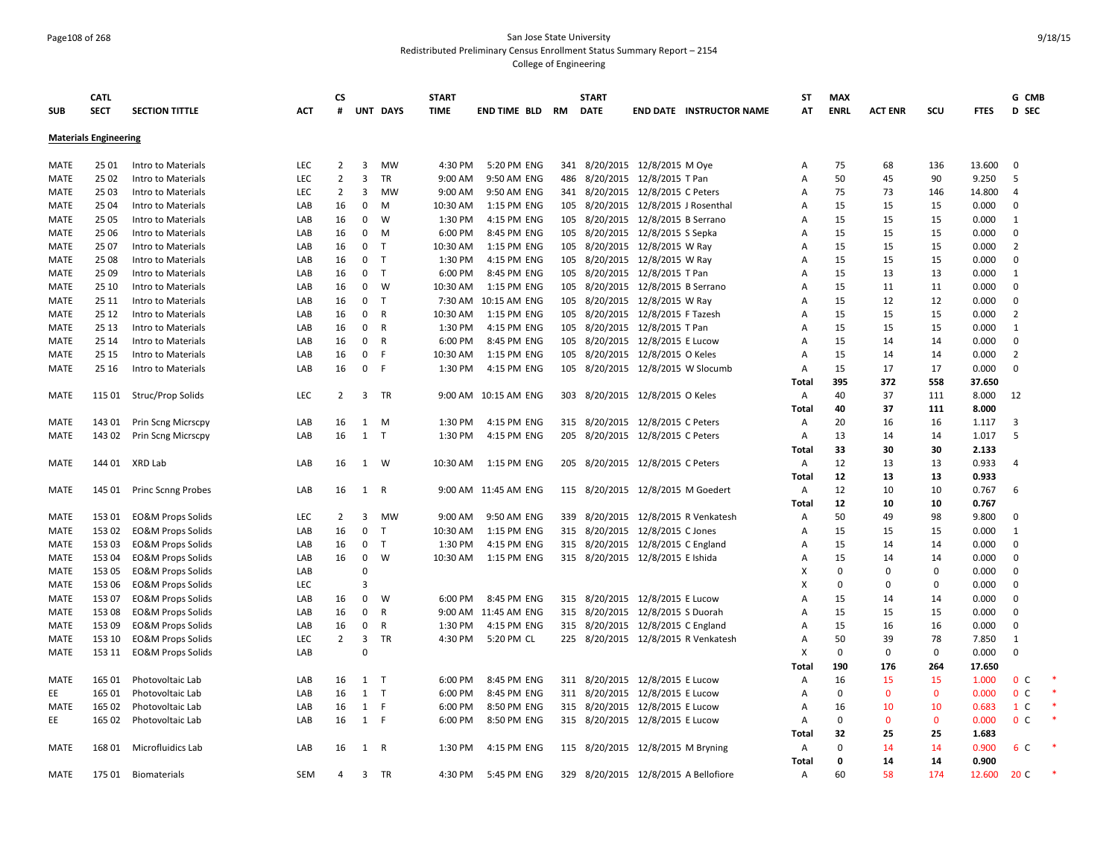# Page108 of 268 San Jose State University Redistributed Preliminary Census Enrollment Status Summary Report – 2154

| <b>SUB</b>  | <b>CATL</b><br><b>SECT</b>   | <b>SECTION TITTLE</b>        | <b>ACT</b> | <b>CS</b><br># |                | UNT DAYS     | <b>START</b><br><b>TIME</b> | <b>END TIME BLD</b>  | <b>RM</b> | <b>START</b><br><b>DATE</b>       |                               | <b>END DATE INSTRUCTOR NAME</b>      | ST<br>AT       | <b>MAX</b><br><b>ENRL</b> | <b>ACT ENR</b> | scu          | <b>FTES</b>    | G CMB<br>D SEC |  |
|-------------|------------------------------|------------------------------|------------|----------------|----------------|--------------|-----------------------------|----------------------|-----------|-----------------------------------|-------------------------------|--------------------------------------|----------------|---------------------------|----------------|--------------|----------------|----------------|--|
|             | <b>Materials Engineering</b> |                              |            |                |                |              |                             |                      |           |                                   |                               |                                      |                |                           |                |              |                |                |  |
|             |                              |                              |            |                |                |              |                             |                      |           |                                   |                               |                                      |                |                           |                |              |                |                |  |
| <b>MATE</b> | 25 01                        | Intro to Materials           | LEC        | $\overline{2}$ | 3              | MW           | 4:30 PM                     | 5:20 PM ENG          |           | 341 8/20/2015 12/8/2015 M Oye     |                               |                                      | Α              | 75                        | 68             | 136          | 13.600         | $\mathbf 0$    |  |
| MATE        | 25 02                        | Intro to Materials           | LEC        | $\overline{2}$ | 3              | TR           | 9:00 AM                     | 9:50 AM ENG          | 486       |                                   | 8/20/2015 12/8/2015 T Pan     |                                      | Α              | 50                        | 45             | 90           | 9.250          | 5              |  |
| MATE        | 25 03                        | Intro to Materials           | <b>LEC</b> | $\overline{2}$ | 3              | <b>MW</b>    | 9:00 AM                     | 9:50 AM ENG          |           | 341 8/20/2015 12/8/2015 C Peters  |                               |                                      | $\overline{A}$ | 75                        | 73             | 146          | 14.800         | $\overline{4}$ |  |
| <b>MATE</b> | 25 04                        | Intro to Materials           | LAB        | 16             | $\mathbf 0$    | M            | 10:30 AM                    | 1:15 PM ENG          | 105       |                                   |                               | 8/20/2015 12/8/2015 J Rosenthal      | $\overline{A}$ | 15                        | 15             | 15           | 0.000          | $\mathbf 0$    |  |
| MATE        | 25 05                        | Intro to Materials           | LAB        | 16             | 0              | W            | 1:30 PM                     | 4:15 PM ENG          | 105       |                                   | 8/20/2015 12/8/2015 B Serrano |                                      | Α              | 15                        | 15             | 15           | 0.000          | 1              |  |
| MATE        | 25 06                        | Intro to Materials           | LAB        | 16             | 0              | M            | 6:00 PM                     | 8:45 PM ENG          | 105       |                                   | 8/20/2015 12/8/2015 S Sepka   |                                      | Α              | 15                        | 15             | 15           | 0.000          | $\mathbf 0$    |  |
| MATE        | 25 07                        | Intro to Materials           | LAB        | 16             | $\mathbf 0$    | $\mathsf{T}$ | 10:30 AM                    | 1:15 PM ENG          | 105       |                                   | 8/20/2015 12/8/2015 W Ray     |                                      | Α              | 15                        | 15             | 15           | 0.000          | $\overline{2}$ |  |
| MATE        | 25 08                        | Intro to Materials           | LAB        | 16             | 0              | $\mathsf{T}$ | 1:30 PM                     | 4:15 PM ENG          | 105       |                                   | 8/20/2015 12/8/2015 W Ray     |                                      | $\overline{A}$ | 15                        | 15             | 15           | 0.000          | $\mathbf 0$    |  |
| <b>MATE</b> | 25 09                        | Intro to Materials           | LAB        | 16             | $\mathbf 0$    | $\mathsf{T}$ | 6:00 PM                     | 8:45 PM ENG          |           | 105 8/20/2015 12/8/2015 T Pan     |                               |                                      | Α              | 15                        | 13             | 13           | 0.000          | 1              |  |
| <b>MATE</b> | 25 10                        | Intro to Materials           | LAB        | 16             | 0              | W            | 10:30 AM                    | 1:15 PM ENG          | 105       |                                   | 8/20/2015 12/8/2015 B Serrano |                                      | $\overline{A}$ | 15                        | 11             | 11           | 0.000          | $\mathbf 0$    |  |
| MATE        | 25 11                        | Intro to Materials           | LAB        | 16             | $\mathbf 0$    | $\mathsf{T}$ | 7:30 AM                     | 10:15 AM ENG         | 105       |                                   | 8/20/2015 12/8/2015 W Ray     |                                      | $\overline{A}$ | 15                        | 12             | 12           | 0.000          | $\mathbf{0}$   |  |
| MATE        | 25 12                        | Intro to Materials           | LAB        | 16             | $\mathbf 0$    | $\mathsf{R}$ | 10:30 AM                    | 1:15 PM ENG          |           | 105 8/20/2015 12/8/2015 F Tazesh  |                               |                                      | $\overline{A}$ | 15                        | 15             | 15           | 0.000          | $\overline{2}$ |  |
| MATE        | 25 13                        | Intro to Materials           | LAB        | 16             | 0              | R            | 1:30 PM                     | 4:15 PM ENG          | 105       |                                   | 8/20/2015 12/8/2015 T Pan     |                                      | Α              | 15                        | 15             | 15           | 0.000          | 1              |  |
| MATE        | 25 14                        | Intro to Materials           | LAB        | 16             | 0              | $\mathsf{R}$ | 6:00 PM                     | 8:45 PM ENG          |           | 105 8/20/2015 12/8/2015 E Lucow   |                               |                                      | $\overline{A}$ | 15                        | 14             | 14           | 0.000          | $\mathbf{0}$   |  |
| <b>MATE</b> | 25 15                        | Intro to Materials           | LAB        | 16             | 0              | E            | 10:30 AM                    | 1:15 PM ENG          | 105       |                                   | 8/20/2015 12/8/2015 O Keles   |                                      | $\overline{A}$ | 15                        | 14             | 14           | 0.000          | $\overline{2}$ |  |
| <b>MATE</b> | 25 16                        | Intro to Materials           | LAB        | 16             | 0              | E            | 1:30 PM                     | 4:15 PM ENG          | 105       |                                   |                               | 8/20/2015 12/8/2015 W Slocumb        | A              | 15                        | 17             | 17           | 0.000          | $\mathbf{0}$   |  |
|             |                              |                              |            |                |                |              |                             |                      |           |                                   |                               |                                      | Total          | 395                       | 372            | 558          | 37.650         |                |  |
| <b>MATE</b> | 115 01                       | Struc/Prop Solids            | LEC        | $\overline{2}$ | $\overline{3}$ | <b>TR</b>    |                             | 9:00 AM 10:15 AM ENG |           | 303 8/20/2015 12/8/2015 O Keles   |                               |                                      | Α              | 40                        | 37<br>37       | 111<br>111   | 8.000<br>8.000 | 12             |  |
| <b>MATE</b> | 143 01                       |                              | LAB        | 16             | 1              | M            | 1:30 PM                     | 4:15 PM ENG          |           |                                   |                               |                                      | Total<br>A     | 40<br>20                  | 16             | 16           | 1.117          | 3              |  |
| <b>MATE</b> |                              | Prin Scng Micrscpy           | LAB        | 16             | 1              | $\mathsf{T}$ | 1:30 PM                     | 4:15 PM ENG          |           | 315 8/20/2015 12/8/2015 C Peters  |                               |                                      | $\overline{A}$ | 13                        | 14             | 14           | 1.017          | 5              |  |
|             | 143 02                       | Prin Scng Micrscpy           |            |                |                |              |                             |                      |           | 205 8/20/2015 12/8/2015 C Peters  |                               |                                      | Total          | 33                        | 30             | 30           | 2.133          |                |  |
| <b>MATE</b> |                              | 144 01 XRD Lab               | LAB        | 16             | 1              | W            | 10:30 AM                    | 1:15 PM ENG          |           | 205 8/20/2015 12/8/2015 C Peters  |                               |                                      | A              | 12                        | 13             | 13           | 0.933          | $\overline{4}$ |  |
|             |                              |                              |            |                |                |              |                             |                      |           |                                   |                               |                                      | Total          | 12                        | 13             | 13           | 0.933          |                |  |
| MATE        | 145 01                       | <b>Princ Scnng Probes</b>    | LAB        | 16             | 1              | R            |                             | 9:00 AM 11:45 AM ENG |           | 115 8/20/2015 12/8/2015 M Goedert |                               |                                      | Α              | 12                        | 10             | 10           | 0.767          | 6              |  |
|             |                              |                              |            |                |                |              |                             |                      |           |                                   |                               |                                      | Total          | 12                        | 10             | 10           | 0.767          |                |  |
| MATE        | 153 01                       | <b>EO&amp;M Props Solids</b> | LEC        | $\overline{2}$ | 3              | <b>MW</b>    | 9:00 AM                     | 9:50 AM ENG          | 339       |                                   |                               | 8/20/2015 12/8/2015 R Venkatesh      | Α              | 50                        | 49             | 98           | 9.800          | $\mathbf 0$    |  |
| MATE        | 153 02                       | <b>EO&amp;M Props Solids</b> | LAB        | 16             | 0              | $\mathsf{T}$ | 10:30 AM                    | 1:15 PM ENG          | 315       | 8/20/2015                         | 12/8/2015 C Jones             |                                      | Α              | 15                        | 15             | 15           | 0.000          | 1              |  |
| MATE        | 153 03                       | <b>EO&amp;M Props Solids</b> | LAB        | 16             | $\mathbf 0$    | T            | 1:30 PM                     | 4:15 PM ENG          | 315       |                                   | 8/20/2015 12/8/2015 C England |                                      | Α              | 15                        | 14             | 14           | 0.000          | $\mathbf 0$    |  |
| MATE        | 15304                        | <b>EO&amp;M Props Solids</b> | LAB        | 16             | 0              | W            | 10:30 AM                    | 1:15 PM ENG          |           | 315 8/20/2015 12/8/2015 E Ishida  |                               |                                      | Α              | 15                        | 14             | 14           | 0.000          | $\mathbf 0$    |  |
| MATE        | 153 05                       | <b>EO&amp;M Props Solids</b> | LAB        |                | $\Omega$       |              |                             |                      |           |                                   |                               |                                      | х              | 0                         | $\Omega$       | 0            | 0.000          | 0              |  |
| <b>MATE</b> | 153 06                       | <b>EO&amp;M Props Solids</b> | <b>LEC</b> |                | 3              |              |                             |                      |           |                                   |                               |                                      | X              | $\Omega$                  | $\Omega$       | $\Omega$     | 0.000          | $\mathbf 0$    |  |
| <b>MATE</b> | 153 07                       | <b>EO&amp;M Props Solids</b> | LAB        | 16             | 0              | W            | 6:00 PM                     | 8:45 PM ENG          |           | 315 8/20/2015 12/8/2015 E Lucow   |                               |                                      | $\overline{A}$ | 15                        | 14             | 14           | 0.000          | $\mathbf 0$    |  |
| MATE        | 153 08                       | <b>EO&amp;M Props Solids</b> | LAB        | 16             | 0              | $\mathsf{R}$ | 9:00 AM                     | 11:45 AM ENG         |           | 315 8/20/2015 12/8/2015 S Duorah  |                               |                                      | $\overline{A}$ | 15                        | 15             | 15           | 0.000          | $\mathbf 0$    |  |
| MATE        | 15309                        | <b>EO&amp;M Props Solids</b> | LAB        | 16             | $\mathbf 0$    | R            | 1:30 PM                     | 4:15 PM ENG          |           | 315 8/20/2015 12/8/2015 C England |                               |                                      | Α              | 15                        | 16             | 16           | 0.000          | $\mathbf 0$    |  |
| <b>MATE</b> | 153 10                       | <b>EO&amp;M Props Solids</b> | LEC        | $\overline{2}$ | 3              | <b>TR</b>    | 4:30 PM                     | 5:20 PM CL           |           |                                   |                               | 225 8/20/2015 12/8/2015 R Venkatesh  | $\overline{A}$ | 50                        | 39             | 78           | 7.850          | 1              |  |
| <b>MATE</b> | 153 11                       | <b>EO&amp;M Props Solids</b> | LAB        |                | $\Omega$       |              |                             |                      |           |                                   |                               |                                      | X              | $\Omega$                  | $\Omega$       | $\mathbf 0$  | 0.000          | $\mathbf 0$    |  |
|             |                              |                              |            |                |                |              |                             |                      |           |                                   |                               |                                      | Total          | 190                       | 176            | 264          | 17.650         |                |  |
| MATE        | 165 01                       | Photovoltaic Lab             | LAB        | 16             | 1              | $\top$       | 6:00 PM                     | 8:45 PM ENG          |           | 311 8/20/2015 12/8/2015 E Lucow   |                               |                                      | Α              | 16                        | 15             | 15           | 1.000          | 0 <sup>c</sup> |  |
| EE          | 165 01                       | Photovoltaic Lab             | LAB        | 16             | 1              | $\mathsf{T}$ | 6:00 PM                     | 8:45 PM ENG          |           | 311 8/20/2015 12/8/2015 E Lucow   |                               |                                      | $\overline{A}$ | $\mathbf 0$               | $\mathbf{0}$   | $\mathbf{0}$ | 0.000          | 0 <sup>c</sup> |  |
| MATE        | 165 02                       | Photovoltaic Lab             | LAB        | 16             | 1              | E            | 6:00 PM                     | 8:50 PM ENG          | 315       |                                   | 8/20/2015 12/8/2015 E Lucow   |                                      | Α              | 16                        | 10             | 10           | 0.683          | 1 C            |  |
| EE          | 165 02                       | Photovoltaic Lab             | LAB        | 16             | 1              | F            | 6:00 PM                     | 8:50 PM ENG          |           | 315 8/20/2015 12/8/2015 E Lucow   |                               |                                      | A              | $\mathbf 0$               | $\mathbf{0}$   | $\mathbf 0$  | 0.000          | 0 <sup>c</sup> |  |
|             |                              |                              |            |                |                |              |                             |                      |           |                                   |                               |                                      | Total          | 32                        | 25             | 25           | 1.683          |                |  |
| <b>MATE</b> | 16801                        | Microfluidics Lab            | LAB        | 16             | 1              | R            | 1:30 PM                     | 4:15 PM ENG          |           | 115 8/20/2015 12/8/2015 M Bryning |                               |                                      | Α              | $\Omega$                  | 14             | 14           | 0.900          | 6 C            |  |
|             |                              |                              |            |                |                |              |                             |                      |           |                                   |                               |                                      | <b>Total</b>   | $\Omega$                  | 14             | 14           | 0.900          |                |  |
| MATE        | 175 01                       | <b>Biomaterials</b>          | <b>SEM</b> | 4              | 3              | TR           | 4:30 PM                     | 5:45 PM ENG          |           |                                   |                               | 329 8/20/2015 12/8/2015 A Bellofiore | $\overline{A}$ | 60                        | 58             | 174          | 12.600         | 20 C           |  |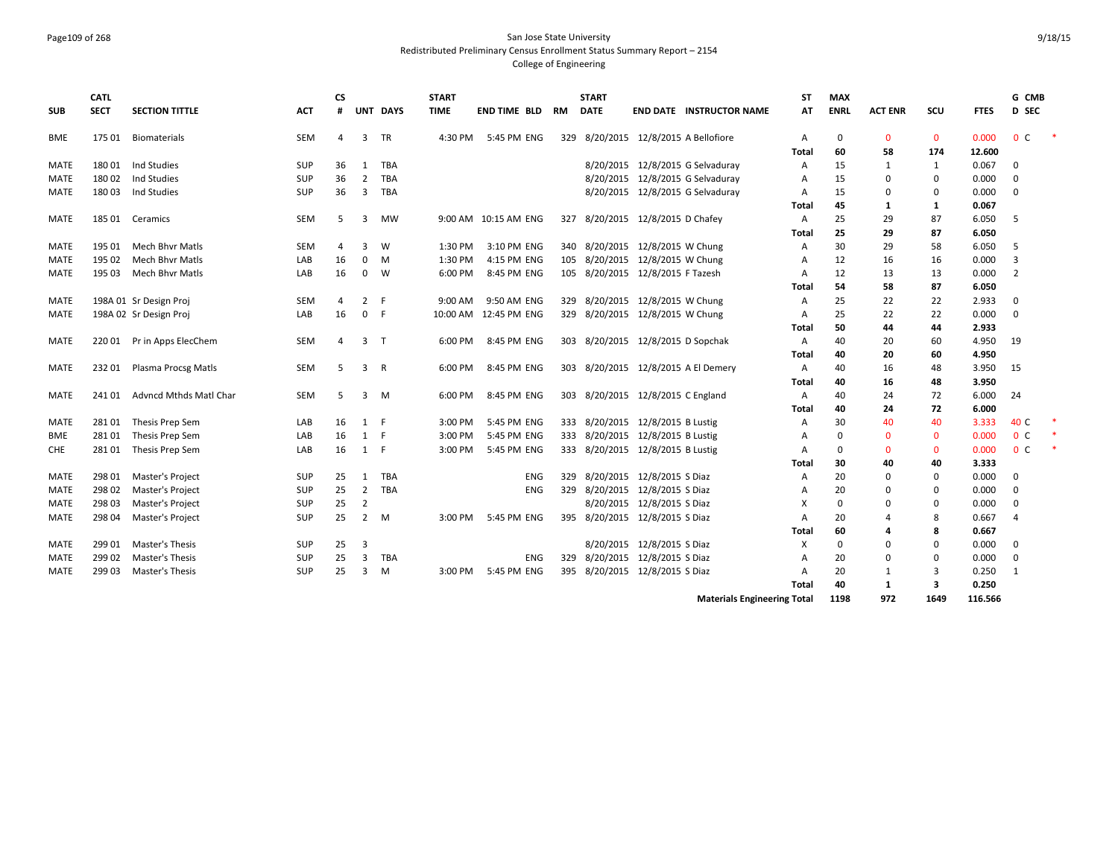### Page109 of 268 San Jose State University Redistributed Preliminary Census Enrollment Status Summary Report – 2154 College of Engineering

| <b>SUB</b>  | <b>CATL</b><br><b>SECT</b> | <b>SECTION TITTLE</b>      | <b>ACT</b> | <b>CS</b><br># |                | UNT DAYS | <b>START</b><br><b>TIME</b> | <b>END TIME BLD</b>    | <b>RM</b> | <b>START</b><br><b>DATE</b>          |                            | <b>END DATE INSTRUCTOR NAME</b>     | SΤ<br>AT | <b>MAX</b><br><b>ENRL</b> | <b>ACT ENR</b> | SCU         | <b>FTES</b> | G CMB<br>D SEC |  |
|-------------|----------------------------|----------------------------|------------|----------------|----------------|----------|-----------------------------|------------------------|-----------|--------------------------------------|----------------------------|-------------------------------------|----------|---------------------------|----------------|-------------|-------------|----------------|--|
| BME         | 175 01                     | <b>Biomaterials</b>        | SEM        | 4              | 3              | TR       | 4:30 PM                     | 5:45 PM ENG            |           | 329 8/20/2015 12/8/2015 A Bellofiore |                            |                                     | А        | 0                         | $\mathbf{0}$   | $\mathbf 0$ | 0.000       | 0 <sup>C</sup> |  |
|             |                            |                            |            |                |                |          |                             |                        |           |                                      |                            |                                     | Total    | 60                        | 58             | 174         | 12.600      |                |  |
| MATE        | 180 01                     | Ind Studies                | <b>SUP</b> | 36             | 1              | TBA      |                             |                        |           |                                      |                            | 8/20/2015 12/8/2015 G Selvaduray    | A        | 15                        | 1              | 1           | 0.067       | 0              |  |
| MATE        | 18002                      | Ind Studies                | <b>SUP</b> | 36             | $\overline{2}$ | TBA      |                             |                        |           |                                      |                            | 8/20/2015 12/8/2015 G Selvaduray    | А        | 15                        | $\mathbf 0$    | 0           | 0.000       | 0              |  |
| MATE        | 18003                      | Ind Studies                | <b>SUP</b> | 36             | $\overline{3}$ | TBA      |                             |                        |           |                                      |                            | 8/20/2015 12/8/2015 G Selvaduray    | A        | 15                        | $\mathbf 0$    | 0           | 0.000       | 0              |  |
|             |                            |                            |            |                |                |          |                             |                        |           |                                      |                            |                                     | Total    | 45                        | 1              | 1           | 0.067       |                |  |
| MATE        | 185 01                     | Ceramics                   | SEM        | -5             | 3              | МW       |                             | 9:00 AM 10:15 AM ENG   |           | 327 8/20/2015 12/8/2015 D Chafey     |                            |                                     | А        | 25                        | 29             | 87          | 6.050       | -5             |  |
|             |                            |                            |            |                |                |          |                             |                        |           |                                      |                            |                                     | Total    | 25                        | 29             | 87          | 6.050       |                |  |
| <b>MATE</b> | 195 01                     | Mech Bhyr Matls            | <b>SEM</b> | 4              | 3              | W        | 1:30 PM                     | 3:10 PM ENG            |           | 340 8/20/2015 12/8/2015 W Chung      |                            |                                     | A        | 30                        | 29             | 58          | 6.050       | -5             |  |
| MATE        | 195 02                     | Mech Bhvr Matls            | LAB        | 16             | 0              | M        | 1:30 PM                     | 4:15 PM ENG            | 105       | 8/20/2015 12/8/2015 W Chung          |                            |                                     | А        | 12                        | 16             | 16          | 0.000       | 3              |  |
| MATE        | 195 03                     | <b>Mech Bhyr Matls</b>     | LAB        | 16             | $\mathbf 0$    | W        | 6:00 PM                     | 8:45 PM ENG            |           | 105 8/20/2015 12/8/2015 F Tazesh     |                            |                                     | A        | 12                        | 13             | 13          | 0.000       | $\overline{2}$ |  |
|             |                            |                            |            |                |                |          |                             |                        |           |                                      |                            |                                     | Total    | 54                        | 58             | 87          | 6.050       |                |  |
| MATE        |                            | 198A 01 Sr Design Proj     | <b>SEM</b> | 4              | $\overline{2}$ | -F       | 9:00 AM                     | 9:50 AM ENG            |           | 329 8/20/2015 12/8/2015 W Chung      |                            |                                     | А        | 25                        | 22             | 22          | 2.933       | 0              |  |
| <b>MATE</b> |                            | 198A 02 Sr Design Proj     | LAB        | 16             | $\Omega$       | -F       |                             | 10:00 AM  12:45 PM ENG |           | 329 8/20/2015 12/8/2015 W Chung      |                            |                                     | A        | 25                        | 22             | 22          | 0.000       | $\mathbf 0$    |  |
|             |                            |                            |            |                |                |          |                             |                        |           |                                      |                            |                                     | Total    | 50                        | 44             | 44          | 2.933       |                |  |
| MATE        |                            | 220 01 Pr in Apps ElecChem | SEM        | 4              | 3              | $\top$   | 6:00 PM                     | 8:45 PM ENG            |           | 303 8/20/2015 12/8/2015 D Sopchak    |                            |                                     | A        | 40                        | 20             | 60          | 4.950       | 19             |  |
|             |                            |                            |            |                |                |          |                             |                        |           |                                      |                            |                                     | Total    | 40                        | 20             | 60          | 4.950       |                |  |
| <b>MATE</b> | 232 01                     | Plasma Procsg Matls        | <b>SEM</b> | -5             | 3              | R        | 6:00 PM                     | 8:45 PM ENG            |           |                                      |                            | 303 8/20/2015 12/8/2015 A El Demery | A        | 40                        | 16             | 48          | 3.950       | 15             |  |
|             |                            |                            |            |                |                |          |                             |                        |           |                                      |                            |                                     | Total    | 40                        | 16             | 48          | 3.950       |                |  |
| MATE        | 24101                      | Advncd Mthds Matl Char     | <b>SEM</b> | 5              | 3              | M        | 6:00 PM                     | 8:45 PM ENG            |           | 303 8/20/2015 12/8/2015 C England    |                            |                                     | A        | 40                        | 24             | 72          | 6.000       | 24             |  |
|             |                            |                            |            |                |                |          |                             |                        |           |                                      |                            |                                     | Total    | 40                        | 24             | 72          | 6.000       |                |  |
| MATE        | 28101                      | Thesis Prep Sem            | LAB        | 16             | 1 F            |          | 3:00 PM                     | 5:45 PM ENG            |           | 333 8/20/2015 12/8/2015 B Lustig     |                            |                                     | А        | 30                        | 40             | 40          | 3.333       | 40 C           |  |
| BME         | 28101                      | Thesis Prep Sem            | LAB        | 16             | $\mathbf{1}$   | - F      | 3:00 PM                     | 5:45 PM ENG            |           | 333 8/20/2015 12/8/2015 B Lustig     |                            |                                     | A        | $\Omega$                  | $\mathbf{0}$   | $\mathbf 0$ | 0.000       | 0 <sup>c</sup> |  |
| <b>CHE</b>  | 28101                      | Thesis Prep Sem            | LAB        | 16             | 1              | - F      | 3:00 PM                     | 5:45 PM ENG            |           | 333 8/20/2015 12/8/2015 B Lustig     |                            |                                     | A        | $\Omega$                  | $\mathbf{0}$   | $\mathbf 0$ | 0.000       | 0 <sup>c</sup> |  |
|             |                            |                            |            |                |                |          |                             |                        |           |                                      |                            |                                     | Total    | 30                        | 40             | 40          | 3.333       |                |  |
| MATE        | 298 01                     | Master's Project           | <b>SUP</b> | 25             | 1              | TBA      |                             | ENG                    | 329       | 8/20/2015 12/8/2015 S Diaz           |                            |                                     | A        | 20                        | $\mathbf 0$    | 0           | 0.000       | 0              |  |
| <b>MATE</b> | 298 02                     | Master's Project           | <b>SUP</b> | 25             | $\overline{2}$ | TBA      |                             | <b>ENG</b>             |           | 329 8/20/2015 12/8/2015 S Diaz       |                            |                                     | A        | 20                        | $\mathbf 0$    | $\mathbf 0$ | 0.000       | $\mathbf 0$    |  |
| <b>MATE</b> | 298 03                     | Master's Project           | <b>SUP</b> | 25             | $\overline{2}$ |          |                             |                        |           |                                      | 8/20/2015 12/8/2015 S Diaz |                                     | X        | $\Omega$                  | $\mathbf 0$    | $\mathbf 0$ | 0.000       | $\mathbf 0$    |  |
| MATE        | 298 04                     | Master's Project           | SUP        | 25             | $\overline{2}$ | M        | 3:00 PM                     | 5:45 PM ENG            |           | 395 8/20/2015 12/8/2015 S Diaz       |                            |                                     | A        | 20                        | $\overline{a}$ | 8           | 0.667       | 4              |  |
|             |                            |                            |            |                |                |          |                             |                        |           |                                      |                            |                                     | Total    | 60                        | 4              | 8           | 0.667       |                |  |
| <b>MATE</b> | 299 01                     | Master's Thesis            | <b>SUP</b> | 25             | 3              |          |                             |                        |           |                                      | 8/20/2015 12/8/2015 S Diaz |                                     | Х        | $\Omega$                  | $\mathbf 0$    | $\mathbf 0$ | 0.000       | 0              |  |
| MATE        | 299 02                     | Master's Thesis            | SUP        | 25             | 3              | TBA      |                             | ENG                    | 329       | 8/20/2015 12/8/2015 S Diaz           |                            |                                     | А        | 20                        | 0              | $\mathbf 0$ | 0.000       | $\mathbf 0$    |  |
| MATE        | 299 03                     | <b>Master's Thesis</b>     | <b>SUP</b> | 25             | 3              | м        | 3:00 PM                     | 5:45 PM ENG            |           | 395 8/20/2015 12/8/2015 S Diaz       |                            |                                     | A        | 20                        | 1              | 3           | 0.250       | 1              |  |
|             |                            |                            |            |                |                |          |                             |                        |           |                                      |                            |                                     | Total    | 40                        | 1              | 3           | 0.250       |                |  |
|             |                            |                            |            |                |                |          |                             |                        |           |                                      |                            | <b>Materials Engineering Total</b>  |          | 1198                      | 972            | 1649        | 116.566     |                |  |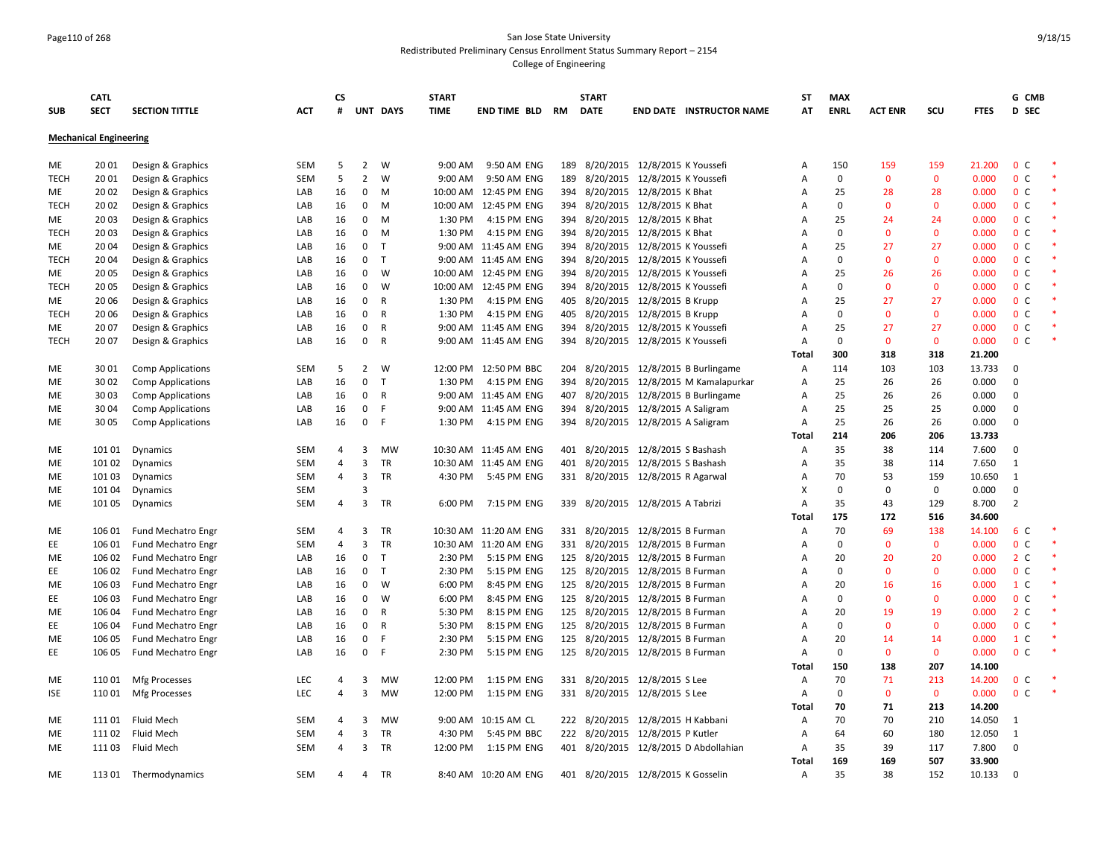# Page110 of 268 San Jose State University Redistributed Preliminary Census Enrollment Status Summary Report – 2154

|             | <b>CATL</b>                   |                           |            | CS.            |                         |           | <b>START</b> |                                      |     | <b>START</b>  |                                       | ST                  | <b>MAX</b>        |                    |                   |                | G CMB                            |  |
|-------------|-------------------------------|---------------------------|------------|----------------|-------------------------|-----------|--------------|--------------------------------------|-----|---------------|---------------------------------------|---------------------|-------------------|--------------------|-------------------|----------------|----------------------------------|--|
| <b>SUB</b>  | <b>SECT</b>                   | <b>SECTION TITTLE</b>     | <b>ACT</b> | #              |                         | UNT DAYS  | <b>TIME</b>  | <b>END TIME BLD</b>                  | RM  | <b>DATE</b>   | <b>END DATE INSTRUCTOR NAME</b>       | AT                  | <b>ENRL</b>       | <b>ACT ENR</b>     | SCU               | <b>FTES</b>    | D SEC                            |  |
|             | <b>Mechanical Engineering</b> |                           |            |                |                         |           |              |                                      |     |               |                                       |                     |                   |                    |                   |                |                                  |  |
| ME          | 20 01                         | Design & Graphics         | SEM        | 5              | $\overline{2}$          | W         | 9:00 AM      | 9:50 AM ENG                          |     |               | 189 8/20/2015 12/8/2015 K Youssefi    | A                   | 150               | 159                | 159               | 21.200         | 0 <sup>c</sup>                   |  |
| <b>TECH</b> | 2001                          | Design & Graphics         | SEM        | 5              | $\overline{2}$          | W         | 9:00 AM      | 9:50 AM ENG                          | 189 | 8/20/2015     | 12/8/2015 K Youssefi                  | A                   | $\mathbf 0$       | $\mathbf{0}$       | $\mathbf 0$       | 0.000          | 0 <sup>C</sup>                   |  |
| ME          | 20 02                         | Design & Graphics         | LAB        | 16             | $\mathbf 0$             | M         | 10:00 AM     | 12:45 PM ENG                         | 394 |               | 8/20/2015 12/8/2015 K Bhat            | A                   | 25                | 28                 | 28                | 0.000          | 0 <sup>c</sup>                   |  |
| <b>TECH</b> | 20 02                         | Design & Graphics         | LAB        | 16             | 0                       | M         | 10:00 AM     | 12:45 PM ENG                         | 394 |               | 8/20/2015 12/8/2015 K Bhat            | A                   | $\mathbf 0$       | $\mathbf{0}$       | $\mathbf 0$       | 0.000          | 0 <sup>c</sup>                   |  |
| ME          | 2003                          | Design & Graphics         | LAB        | 16             | 0                       | M         | 1:30 PM      | 4:15 PM ENG                          |     |               | 394 8/20/2015 12/8/2015 K Bhat        | A                   | 25                | 24                 | 24                | 0.000          | 0 <sup>c</sup>                   |  |
| <b>TECH</b> | 2003                          | Design & Graphics         | LAB        | 16             | $\mathbf 0$             | M         | 1:30 PM      | 4:15 PM ENG                          | 394 |               | 8/20/2015 12/8/2015 K Bhat            | $\overline{A}$      | $\Omega$          | $\Omega$           | $\mathbf 0$       | 0.000          | 0 <sup>c</sup>                   |  |
| ME          | 2004                          | Design & Graphics         | LAB        | 16             | $\mathbf 0$             | $\top$    |              | 9:00 AM 11:45 AM ENG                 | 394 | 8/20/2015     | 12/8/2015 K Youssefi                  | A                   | 25                | 27                 | 27                | 0.000          | 0 <sup>c</sup>                   |  |
| <b>TECH</b> | 2004                          | Design & Graphics         | LAB        | 16             | $\mathbf 0$             | T         |              | 9:00 AM 11:45 AM ENG                 | 394 |               | 8/20/2015 12/8/2015 K Youssefi        | A                   | 0                 | $\mathbf{0}$       | $\mathbf{0}$      | 0.000          | 0 <sup>o</sup>                   |  |
| ME          | 2005                          | Design & Graphics         | LAB        | 16             | $\mathbf 0$             | W         | 10:00 AM     | 12:45 PM ENG                         | 394 |               | 8/20/2015 12/8/2015 K Youssefi        | $\overline{A}$      | 25                | 26                 | 26                | 0.000          | 0 <sup>c</sup>                   |  |
| <b>TECH</b> | 2005                          | Design & Graphics         | LAB        | 16             | $\mathbf 0$             | W         | 10:00 AM     | 12:45 PM ENG                         |     |               | 394 8/20/2015 12/8/2015 K Youssefi    | A                   | 0                 | $\mathbf{0}$       | $\mathbf 0$       | 0.000          | 0 <sup>c</sup>                   |  |
| ME          | 2006                          | Design & Graphics         | LAB        | 16             | $\mathbf 0$             | R         | 1:30 PM      | 4:15 PM ENG                          | 405 | 8/20/2015     | 12/8/2015 B Krupp                     | A                   | 25                | 27                 | 27                | 0.000          | 0 <sup>o</sup>                   |  |
| <b>TECH</b> | 20 06                         | Design & Graphics         | LAB        | 16             | $\mathbf 0$             | R         | 1:30 PM      | 4:15 PM ENG                          | 405 |               | 8/20/2015 12/8/2015 B Krupp           | A                   | 0                 | $\mathbf 0$        | $\mathbf 0$       | 0.000          | 0 <sup>c</sup>                   |  |
| ME          | 2007                          | Design & Graphics         | LAB        | 16             | 0<br>$\mathbf 0$        | R         | 9:00 AM      | 11:45 AM ENG<br>9:00 AM 11:45 AM ENG | 394 | 8/20/2015     | 12/8/2015 K Youssefi                  | A<br>$\overline{A}$ | 25<br>$\mathbf 0$ | 27<br>$\mathbf{0}$ | 27<br>$\mathbf 0$ | 0.000<br>0.000 | 0 <sup>o</sup><br>0 <sup>c</sup> |  |
| <b>TECH</b> | 2007                          | Design & Graphics         | LAB        | 16             |                         | R         |              |                                      |     |               | 394 8/20/2015 12/8/2015 K Youssefi    | Total               | 300               | 318                | 318               | 21.200         |                                  |  |
| ME          | 3001                          | <b>Comp Applications</b>  | <b>SEM</b> | 5              | $\overline{2}$          | W         | 12:00 PM     | 12:50 PM BBC                         | 204 |               | 8/20/2015 12/8/2015 B Burlingame      | A                   | 114               | 103                | 103               | 13.733         | $\Omega$                         |  |
| ME          | 30 02                         | <b>Comp Applications</b>  | LAB        | 16             | $\mathsf 0$             | T         | 1:30 PM      | 4:15 PM ENG                          | 394 |               | 8/20/2015 12/8/2015 M Kamalapurkar    | A                   | 25                | 26                 | 26                | 0.000          | $\Omega$                         |  |
| ME          | 30 03                         | <b>Comp Applications</b>  | LAB        | 16             | $\mathbf 0$             | R         |              | 9:00 AM 11:45 AM ENG                 | 407 | 8/20/2015     | 12/8/2015 B Burlingame                | A                   | 25                | 26                 | 26                | 0.000          | $\mathbf 0$                      |  |
| ME          | 30 04                         | <b>Comp Applications</b>  | LAB        | 16             | $\mathbf 0$             | F         |              | 9:00 AM 11:45 AM ENG                 | 394 |               | 8/20/2015 12/8/2015 A Saligram        | $\overline{A}$      | 25                | 25                 | 25                | 0.000          | $\Omega$                         |  |
| ME          | 30 05                         | <b>Comp Applications</b>  | LAB        | 16             | $\mathbf{0}$            | F         | 1:30 PM      | 4:15 PM ENG                          | 394 |               | 8/20/2015 12/8/2015 A Saligram        | $\overline{A}$      | 25                | 26                 | 26                | 0.000          | $\Omega$                         |  |
|             |                               |                           |            |                |                         |           |              |                                      |     |               |                                       | Total               | 214               | 206                | 206               | 13.733         |                                  |  |
| ME          | 101 01                        | Dynamics                  | SEM        | 4              | 3                       | <b>MW</b> |              | 10:30 AM 11:45 AM ENG                |     | 401 8/20/2015 | 12/8/2015 S Bashash                   | $\overline{A}$      | 35                | 38                 | 114               | 7.600          | $\Omega$                         |  |
| ME          | 101 02                        | Dynamics                  | <b>SEM</b> | $\overline{a}$ | $\overline{3}$          | <b>TR</b> |              | 10:30 AM 11:45 AM ENG                |     | 401 8/20/2015 | 12/8/2015 S Bashash                   | $\overline{A}$      | 35                | 38                 | 114               | 7.650          | 1                                |  |
| ME          | 101 03                        | Dynamics                  | SEM        | $\overline{4}$ | $\overline{3}$          | TR        | 4:30 PM      | 5:45 PM ENG                          |     |               | 331 8/20/2015 12/8/2015 R Agarwal     | A                   | 70                | 53                 | 159               | 10.650         | 1                                |  |
| ME          | 101 04                        | Dynamics                  | SEM        |                | 3                       |           |              |                                      |     |               |                                       | X                   | $\mathbf 0$       | 0                  | $\mathbf 0$       | 0.000          | $\mathbf 0$                      |  |
| ME          | 101 05                        | Dynamics                  | SEM        | $\overline{4}$ | 3                       | TR        | 6:00 PM      | 7:15 PM ENG                          | 339 |               | 8/20/2015 12/8/2015 A Tabrizi         | $\overline{A}$      | 35                | 43                 | 129               | 8.700          | $\overline{2}$                   |  |
|             |                               |                           |            |                |                         |           |              |                                      |     |               |                                       | Total               | 175               | 172                | 516               | 34.600         |                                  |  |
| ME          | 106 01                        | Fund Mechatro Engr        | <b>SEM</b> | 4              | 3                       | <b>TR</b> |              | 10:30 AM 11:20 AM ENG                |     |               | 331 8/20/2015 12/8/2015 B Furman      | $\overline{A}$      | 70                | 69                 | 138               | 14.100         | 6 C                              |  |
| EE          | 106 01                        | Fund Mechatro Engr        | <b>SEM</b> | $\overline{4}$ | $\overline{3}$          | TR        | 10:30 AM     | 11:20 AM ENG                         |     |               | 331 8/20/2015 12/8/2015 B Furman      | $\overline{A}$      | $\mathbf 0$       | $\mathbf{0}$       | $\mathbf{0}$      | 0.000          | 0 <sup>o</sup>                   |  |
| ME          | 106 02                        | Fund Mechatro Engr        | LAB        | 16             | $\mathbf 0$             | T         | 2:30 PM      | 5:15 PM ENG                          |     |               | 125 8/20/2015 12/8/2015 B Furman      | A                   | 20                | 20                 | 20                | 0.000          | 2 <sub>c</sub>                   |  |
| EE          | 106 02                        | Fund Mechatro Engr        | LAB        | 16             | $\mathbf{0}$            | T         | 2:30 PM      | 5:15 PM ENG                          |     | 125 8/20/2015 | 12/8/2015 B Furman                    | $\overline{A}$      | 0                 | $\mathbf{0}$       | $\mathbf 0$       | 0.000          | 0 <sup>o</sup>                   |  |
| ME          | 106 03                        | Fund Mechatro Engr        | LAB        | 16             | $\mathbf 0$             | W         | 6:00 PM      | 8:45 PM ENG                          |     |               | 125 8/20/2015 12/8/2015 B Furman      | A                   | 20                | 16                 | 16                | 0.000          | $1\,c$                           |  |
| EE.         | 106 03                        | Fund Mechatro Engr        | LAB        | 16             | $\mathbf 0$             | W         | 6:00 PM      | 8:45 PM ENG                          |     | 125 8/20/2015 | 12/8/2015 B Furman                    | A                   | $\Omega$          | $\Omega$           | $\mathbf 0$       | 0.000          | 0 <sup>o</sup>                   |  |
| ME          | 106 04                        | <b>Fund Mechatro Engr</b> | LAB        | 16             | $\mathbf 0$             | R         | 5:30 PM      | 8:15 PM ENG                          |     |               | 125 8/20/2015 12/8/2015 B Furman      | A                   | 20                | 19                 | 19                | 0.000          | 2 <sub>c</sub>                   |  |
| EE          | 106 04                        | Fund Mechatro Engr        | LAB        | 16             | $\mathbf 0$             | R         | 5:30 PM      | 8:15 PM ENG                          |     |               | 125 8/20/2015 12/8/2015 B Furman      | $\overline{A}$      | 0                 | 0                  | $\mathbf 0$       | 0.000          | 0 <sup>C</sup>                   |  |
| ME          | 106 05                        | Fund Mechatro Engr        | LAB        | 16             | 0                       | F.        | 2:30 PM      | 5:15 PM ENG                          |     |               | 125 8/20/2015 12/8/2015 B Furman      | A                   | 20                | 14                 | 14                | 0.000          | $1\,c$                           |  |
| EE          | 106 05                        | Fund Mechatro Engr        | LAB        | 16             | $\mathbf 0$             | E         | 2:30 PM      | 5:15 PM ENG                          |     |               | 125 8/20/2015 12/8/2015 B Furman      | A                   | $\mathbf 0$       | $\mathbf{0}$       | $\mathbf{0}$      | 0.000          | 0 <sup>c</sup>                   |  |
|             |                               |                           |            |                |                         |           |              |                                      |     |               |                                       | Total               | 150               | 138                | 207               | 14.100         |                                  |  |
| ME          | 11001                         | Mfg Processes             | LEC        | 4              | 3                       | MW        | 12:00 PM     | 1:15 PM ENG                          | 331 |               | 8/20/2015 12/8/2015 S Lee             | A                   | 70                | 71                 | 213               | 14.200         | 0 <sup>o</sup>                   |  |
| ISE         | 11001                         | Mfg Processes             | <b>LEC</b> | $\overline{a}$ | $\overline{3}$          | <b>MW</b> | 12:00 PM     | 1:15 PM ENG                          |     |               | 331 8/20/2015 12/8/2015 S Lee         | A                   | $\mathbf 0$       | $\mathbf{0}$       | $\mathbf{0}$      | 0.000          | 0 <sup>c</sup>                   |  |
|             |                               |                           |            |                |                         |           |              |                                      |     |               |                                       | Total               | 70                | 71                 | 213               | 14.200         |                                  |  |
| ME          | 11101                         | Fluid Mech                | SEM        | 4              | 3                       | <b>MW</b> | 9:00 AM      | 10:15 AM CL                          |     |               | 222 8/20/2015 12/8/2015 H Kabbani     | $\overline{A}$      | 70                | 70                 | 210               | 14.050         | 1                                |  |
| <b>ME</b>   | 111 02                        | Fluid Mech                | SEM        | $\overline{4}$ | $\overline{\mathbf{3}}$ | TR        | 4:30 PM      | 5:45 PM BBC                          |     |               | 222 8/20/2015 12/8/2015 P Kutler      | A                   | 64                | 60                 | 180               | 12.050         | 1                                |  |
| ME          | 11103                         | Fluid Mech                | SEM        | $\overline{a}$ | $\overline{3}$          | TR        | 12:00 PM     | 1:15 PM ENG                          |     |               | 401 8/20/2015 12/8/2015 D Abdollahian | Α                   | 35                | 39                 | 117               | 7.800          | $\mathbf 0$                      |  |
|             |                               |                           |            |                |                         |           |              |                                      |     |               |                                       | Total               | 169               | 169                | 507               | 33.900         |                                  |  |
| ME          | 113 01                        | Thermodynamics            | <b>SEM</b> | 4              | 4                       | <b>TR</b> |              | 8:40 AM 10:20 AM ENG                 |     |               | 401 8/20/2015 12/8/2015 K Gosselin    | A                   | 35                | 38                 | 152               | 10.133         | $\Omega$                         |  |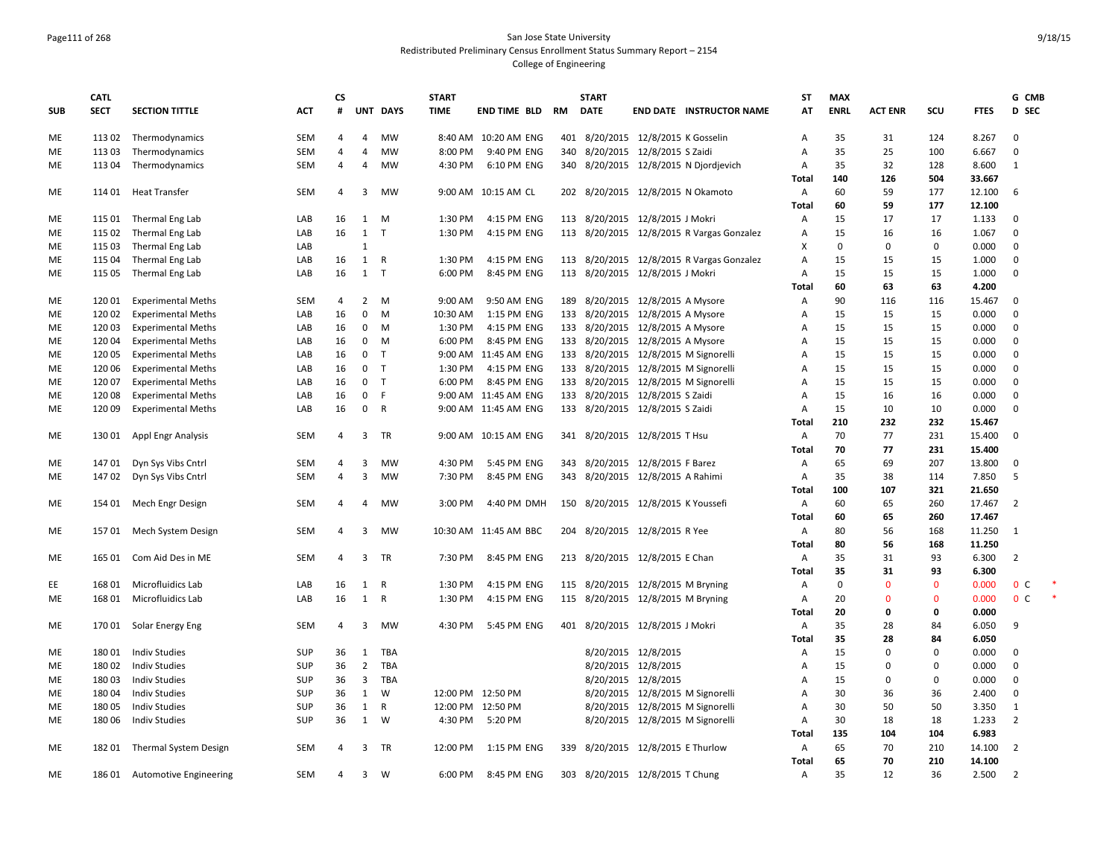#### Page111 of 268 San Jose State University Redistributed Preliminary Census Enrollment Status Summary Report – 2154 College of Engineering

|            | <b>CATL</b> |                              |            | <b>CS</b>      |                         |                 | <b>START</b>      |                       |    | <b>START</b>                         |                     |                                           | <b>ST</b>      | <b>MAX</b>  |                |              |             | G CMB          |  |
|------------|-------------|------------------------------|------------|----------------|-------------------------|-----------------|-------------------|-----------------------|----|--------------------------------------|---------------------|-------------------------------------------|----------------|-------------|----------------|--------------|-------------|----------------|--|
| <b>SUB</b> | <b>SECT</b> | <b>SECTION TITTLE</b>        | <b>ACT</b> | #              |                         | <b>UNT DAYS</b> | <b>TIME</b>       | <b>END TIME BLD</b>   | RM | <b>DATE</b>                          |                     | <b>END DATE INSTRUCTOR NAME</b>           | AT             | <b>ENRL</b> | <b>ACT ENR</b> | scu          | <b>FTES</b> | D SEC          |  |
| ME         | 113 02      | Thermodynamics               | <b>SEM</b> | 4              | $\overline{4}$          | <b>MW</b>       |                   | 8:40 AM 10:20 AM ENG  |    | 401 8/20/2015 12/8/2015 K Gosselin   |                     |                                           | Α              | 35          | 31             | 124          | 8.267       | $\mathbf{0}$   |  |
| ME         | 11303       | Thermodynamics               | <b>SEM</b> | 4              | 4                       | MW              | 8:00 PM           | 9:40 PM ENG           |    | 340 8/20/2015 12/8/2015 S Zaidi      |                     |                                           | A              | 35          | 25             | 100          | 6.667       | $\mathbf{0}$   |  |
| ME         | 113 04      | Thermodynamics               | <b>SEM</b> | 4              | $\overline{4}$          | <b>MW</b>       | 4:30 PM           | 6:10 PM ENG           |    |                                      |                     | 340 8/20/2015 12/8/2015 N Djordjevich     | A              | 35          | 32             | 128          | 8.600       | $\mathbf{1}$   |  |
|            |             |                              |            |                |                         |                 |                   |                       |    |                                      |                     |                                           | Total          | 140         | 126            | 504          | 33.667      |                |  |
| ME         |             | 114 01 Heat Transfer         | <b>SEM</b> | 4              | 3                       | MW              |                   | 9:00 AM 10:15 AM CL   |    | 202 8/20/2015 12/8/2015 N Okamoto    |                     |                                           | Α              | 60          | 59             | 177          | 12.100      | 6              |  |
|            |             |                              |            |                |                         |                 |                   |                       |    |                                      |                     |                                           | Total          | 60          | 59             | 177          | 12.100      |                |  |
| МE         | 115 01      | Thermal Eng Lab              | LAB        | 16             | $\mathbf{1}$            | M               | 1:30 PM           | 4:15 PM ENG           |    | 113 8/20/2015 12/8/2015 J Mokri      |                     |                                           | Α              | 15          | 17             | 17           | 1.133       | $\mathbf 0$    |  |
| ME         | 115 02      | Thermal Eng Lab              | LAB        | 16             | 1                       | T               | 1:30 PM           | 4:15 PM ENG           |    |                                      |                     | 113 8/20/2015 12/8/2015 R Vargas Gonzalez | Α              | 15          | 16             | 16           | 1.067       | $\mathbf 0$    |  |
| ME         | 115 03      | Thermal Eng Lab              | LAB        |                | $\mathbf{1}$            |                 |                   |                       |    |                                      |                     |                                           | X              | $\mathbf 0$ | 0              | 0            | 0.000       | $\mathbf{0}$   |  |
| ME         | 115 04      | Thermal Eng Lab              | LAB        | 16             | $\mathbf{1}$            | R               | 1:30 PM           | 4:15 PM ENG           |    |                                      |                     | 113 8/20/2015 12/8/2015 R Vargas Gonzalez | A              | 15          | 15             | 15           | 1.000       | $\mathbf 0$    |  |
| ME         | 115 05      | Thermal Eng Lab              | LAB        | 16             | $\mathbf{1}$            | $\top$          | 6:00 PM           | 8:45 PM ENG           |    | 113 8/20/2015 12/8/2015 J Mokri      |                     |                                           | A              | 15          | 15             | 15           | 1.000       | $\mathbf 0$    |  |
|            |             |                              |            |                |                         |                 |                   |                       |    |                                      |                     |                                           | Total          | 60          | 63             | 63           | 4.200       |                |  |
| ME         | 12001       | <b>Experimental Meths</b>    | <b>SEM</b> | 4              | $\overline{2}$          | M               | $9:00 \text{ AM}$ | 9:50 AM ENG           |    | 189 8/20/2015 12/8/2015 A Mysore     |                     |                                           | Α              | 90          | 116            | 116          | 15.467      | $\mathbf{0}$   |  |
| ME         | 120 02      | <b>Experimental Meths</b>    | LAB        | 16             | $\mathbf 0$             | M               | 10:30 AM          | 1:15 PM ENG           |    | 133 8/20/2015 12/8/2015 A Mysore     |                     |                                           | $\overline{A}$ | 15          | 15             | 15           | 0.000       | $\mathbf 0$    |  |
| ME         | 120 03      | <b>Experimental Meths</b>    | LAB        | 16             | $\mathbf 0$             | M               | 1:30 PM           | 4:15 PM ENG           |    | 133 8/20/2015 12/8/2015 A Mysore     |                     |                                           | A              | 15          | 15             | 15           | 0.000       | $\mathbf 0$    |  |
| ME         | 12004       | <b>Experimental Meths</b>    | LAB        | 16             | $\mathbf 0$             | M               | 6:00 PM           | 8:45 PM ENG           |    | 133 8/20/2015 12/8/2015 A Mysore     |                     |                                           | Α              | 15          | 15             | 15           | 0.000       | 0              |  |
| ME         | 120 05      | <b>Experimental Meths</b>    | LAB        | 16             | $\mathbf{0}$            | $\mathsf{T}$    |                   | 9:00 AM 11:45 AM ENG  |    | 133 8/20/2015 12/8/2015 M Signorelli |                     |                                           | A              | 15          | 15             | 15           | 0.000       | $\mathbf 0$    |  |
| ME         | 120 06      | <b>Experimental Meths</b>    | LAB        | 16             | $\mathbf{0}$            | T               | 1:30 PM           | 4:15 PM ENG           |    |                                      |                     | 133 8/20/2015 12/8/2015 M Signorelli      | A              | 15          | 15             | 15           | 0.000       | $\mathbf 0$    |  |
| МE         | 12007       | <b>Experimental Meths</b>    | LAB        | 16             | $\mathbf 0$             | $\mathsf{T}$    | 6:00 PM           | 8:45 PM ENG           |    |                                      |                     | 133 8/20/2015 12/8/2015 M Signorelli      | Α              | 15          | 15             | 15           | 0.000       | $\mathbf 0$    |  |
| ME         | 120 08      | <b>Experimental Meths</b>    | LAB        | 16             | $\mathbf 0$             | F               |                   | 9:00 AM 11:45 AM ENG  |    | 133 8/20/2015 12/8/2015 S Zaidi      |                     |                                           | Α              | 15          | 16             | 16           | 0.000       | $\mathbf 0$    |  |
| ME         | 120 09      | <b>Experimental Meths</b>    | LAB        | 16             | $\mathbf 0$             | R               |                   | 9:00 AM 11:45 AM ENG  |    | 133 8/20/2015 12/8/2015 S Zaidi      |                     |                                           | A              | 15          | 10             | 10           | 0.000       | $\mathbf 0$    |  |
|            |             |                              |            |                |                         |                 |                   |                       |    |                                      |                     |                                           | Total          | 210         | 232            | 232          | 15.467      |                |  |
| ME         | 130 01      | Appl Engr Analysis           | SEM        | 4              | 3                       | TR              |                   | 9:00 AM 10:15 AM ENG  |    | 341 8/20/2015 12/8/2015 T Hsu        |                     |                                           | Α              | 70          | 77             | 231          | 15.400      | $\mathbf{0}$   |  |
|            |             |                              |            |                |                         |                 |                   |                       |    |                                      |                     |                                           | Total          | 70          | 77             | 231          | 15.400      |                |  |
| ME         | 14701       | Dyn Sys Vibs Cntrl           | SEM        | 4              | 3                       | MW              | 4:30 PM           | 5:45 PM ENG           |    | 343 8/20/2015 12/8/2015 F Barez      |                     |                                           | Α              | 65          | 69             | 207          | 13.800      | $\mathbf{0}$   |  |
| ME         | 14702       | Dyn Sys Vibs Cntrl           | <b>SEM</b> | 4              | 3                       | <b>MW</b>       | 7:30 PM           | 8:45 PM ENG           |    | 343 8/20/2015 12/8/2015 A Rahimi     |                     |                                           | A              | 35          | 38             | 114          | 7.850       | 5              |  |
|            |             |                              |            |                |                         |                 |                   |                       |    |                                      |                     |                                           | Total          | 100         | 107            | 321          | 21.650      |                |  |
| ME         | 154 01      | Mech Engr Design             | <b>SEM</b> | 4              | $\overline{4}$          | MW              | 3:00 PM           | 4:40 PM DMH           |    | 150 8/20/2015 12/8/2015 K Youssefi   |                     |                                           | Α              | 60          | 65             | 260          | 17.467      | $\overline{2}$ |  |
|            |             |                              |            |                |                         |                 |                   |                       |    |                                      |                     |                                           | Total          | 60          | 65             | 260          | 17.467      |                |  |
| ME         | 15701       | Mech System Design           | <b>SEM</b> | $\overline{a}$ | 3                       | <b>MW</b>       |                   | 10:30 AM 11:45 AM BBC |    | 204 8/20/2015 12/8/2015 R Yee        |                     |                                           | Α              | 80          | 56             | 168          | 11.250      | $\overline{1}$ |  |
|            |             |                              |            |                |                         |                 |                   |                       |    |                                      |                     |                                           | <b>Total</b>   | 80          | 56             | 168          | 11.250      |                |  |
| ME         | 165 01      | Com Aid Des in ME            | <b>SEM</b> | 4              | 3                       | TR              | 7:30 PM           | 8:45 PM ENG           |    | 213 8/20/2015 12/8/2015 E Chan       |                     |                                           | Α              | 35          | 31             | 93           | 6.300       | $\overline{2}$ |  |
|            |             |                              |            |                |                         |                 |                   |                       |    |                                      |                     |                                           | Total          | 35          | 31             | 93           | 6.300       |                |  |
| EE         | 168 01      | Microfluidics Lab            | LAB        | 16             | $\mathbf{1}$            | R               | 1:30 PM           | 4:15 PM ENG           |    | 115 8/20/2015 12/8/2015 M Bryning    |                     |                                           | A              | $\mathbf 0$ | $\Omega$       | $\mathbf{0}$ | 0.000       | 0 <sup>C</sup> |  |
| ME         | 168 01      | Microfluidics Lab            | LAB        | 16             | $\mathbf{1}$            | $\mathsf{R}$    | 1:30 PM           | 4:15 PM ENG           |    | 115 8/20/2015 12/8/2015 M Bryning    |                     |                                           | A              | 20          | $\Omega$       | $\mathbf 0$  | 0.000       | 0 <sup>C</sup> |  |
|            |             |                              |            |                |                         |                 |                   |                       |    |                                      |                     |                                           | Total          | 20          | 0              | 0            | 0.000       |                |  |
| ME         | 17001       | Solar Energy Eng             | <b>SEM</b> | 4              | 3                       | MW              | 4:30 PM           | 5:45 PM ENG           |    | 401 8/20/2015 12/8/2015 J Mokri      |                     |                                           | Α              | 35          | 28             | 84           | 6.050       | 9              |  |
|            |             |                              |            |                |                         |                 |                   |                       |    |                                      |                     |                                           | Total          | 35          | 28             | 84           | 6.050       |                |  |
| ME         | 180 01      | <b>Indiv Studies</b>         | SUP        | 36             | $\mathbf{1}$            | <b>TBA</b>      |                   |                       |    |                                      | 8/20/2015 12/8/2015 |                                           | A              | 15          | 0              | $\mathbf 0$  | 0.000       | $\mathbf 0$    |  |
| ME         | 18002       | <b>Indiv Studies</b>         | SUP        | 36             | $\overline{2}$          | TBA             |                   |                       |    |                                      | 8/20/2015 12/8/2015 |                                           | Α              | 15          | $\mathbf 0$    | $\mathbf{0}$ | 0.000       | $\mathbf{0}$   |  |
| ME         | 18003       | <b>Indiv Studies</b>         | <b>SUP</b> | 36             | $\overline{\mathbf{3}}$ | TBA             |                   |                       |    |                                      | 8/20/2015 12/8/2015 |                                           | Α              | 15          | $\mathbf 0$    | $\mathbf 0$  | 0.000       | $\mathbf 0$    |  |
| ME         | 18004       | <b>Indiv Studies</b>         | SUP        | 36             | 1                       | W               |                   | 12:00 PM 12:50 PM     |    |                                      |                     | 8/20/2015 12/8/2015 M Signorelli          | $\overline{A}$ | 30          | 36             | 36           | 2.400       | $\mathbf{0}$   |  |
| ME         | 180 05      | <b>Indiv Studies</b>         | <b>SUP</b> | 36             | 1                       | R               |                   | 12:00 PM 12:50 PM     |    |                                      |                     | 8/20/2015 12/8/2015 M Signorelli          | Α              | 30          | 50             | 50           | 3.350       | $\mathbf{1}$   |  |
| ME         | 180 06      |                              | <b>SUP</b> | 36             | 1                       | W               | 4:30 PM           | 5:20 PM               |    |                                      |                     | 8/20/2015 12/8/2015 M Signorelli          | Α              | 30          | 18             | 18           | 1.233       | $\overline{2}$ |  |
|            |             | <b>Indiv Studies</b>         |            |                |                         |                 |                   |                       |    |                                      |                     |                                           |                | 135         | 104            |              | 6.983       |                |  |
| ME         | 18201       |                              | <b>SEM</b> | $\overline{a}$ | $\overline{3}$          | <b>TR</b>       | 12:00 PM          | 1:15 PM ENG           |    | 339 8/20/2015 12/8/2015 E Thurlow    |                     |                                           | Total<br>A     | 65          | 70             | 104<br>210   | 14.100      | $\overline{2}$ |  |
|            |             | <b>Thermal System Design</b> |            |                |                         |                 |                   |                       |    |                                      |                     |                                           |                |             | 70             |              |             |                |  |
|            |             |                              |            |                |                         |                 |                   |                       |    |                                      |                     |                                           | Total          | 65          |                | 210          | 14.100      |                |  |
| ME         | 18601       | Automotive Engineering       | <b>SEM</b> | Δ              | $\overline{3}$          | W               | 6:00 PM           | 8:45 PM ENG           |    | 303 8/20/2015 12/8/2015 T Chung      |                     |                                           | A              | 35          | 12             | 36           | 2.500       | $\overline{2}$ |  |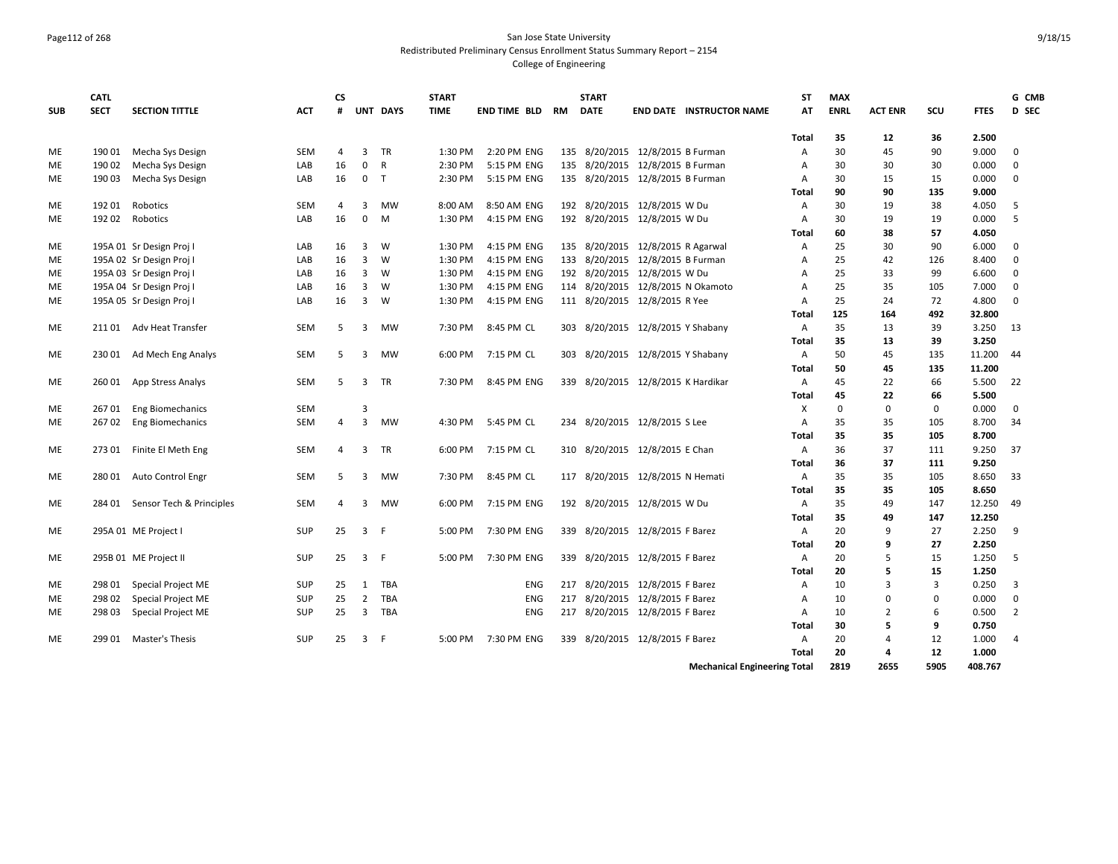# Page112 of 268 San Jose State University Redistributed Preliminary Census Enrollment Status Summary Report – 2154

|            | <b>CATL</b> |                                 |            | <b>CS</b>      |                         |              | <b>START</b> |                        |     | <b>START</b> |                                     | <b>ST</b>      | <b>MAX</b>  |                |      |             | G CMB          |
|------------|-------------|---------------------------------|------------|----------------|-------------------------|--------------|--------------|------------------------|-----|--------------|-------------------------------------|----------------|-------------|----------------|------|-------------|----------------|
| <b>SUB</b> | <b>SECT</b> | <b>SECTION TITTLE</b>           | <b>ACT</b> | #              |                         | UNT DAYS     | <b>TIME</b>  | <b>END TIME BLD RM</b> |     | <b>DATE</b>  | <b>END DATE INSTRUCTOR NAME</b>     | AT             | <b>ENRL</b> | <b>ACT ENR</b> | SCU  | <b>FTES</b> | <b>D</b> SEC   |
|            |             |                                 |            |                |                         |              |              |                        |     |              |                                     | Total          | 35          | 12             | 36   | 2.500       |                |
| ME         | 190 01      | Mecha Sys Design                | <b>SEM</b> | 4              | 3                       | <b>TR</b>    | 1:30 PM      | 2:20 PM ENG            |     |              | 135 8/20/2015 12/8/2015 B Furman    | Α              | 30          | 45             | 90   | 9.000       | $\mathbf 0$    |
| ME         | 190 02      | Mecha Sys Design                | LAB        | 16             | $\mathbf{0}$            | $\mathsf{R}$ | 2:30 PM      | 5:15 PM ENG            |     |              | 135 8/20/2015 12/8/2015 B Furman    | $\overline{A}$ | 30          | 30             | 30   | 0.000       | $\mathbf 0$    |
| <b>ME</b>  | 19003       | Mecha Sys Design                | LAB        | 16             | $\mathbf{0}$            | T            | 2:30 PM      | 5:15 PM ENG            |     |              | 135 8/20/2015 12/8/2015 B Furman    | $\overline{A}$ | 30          | 15             | 15   | 0.000       | $\mathbf 0$    |
|            |             |                                 |            |                |                         |              |              |                        |     |              |                                     | Total          | 90          | 90             | 135  | 9.000       |                |
| ME         | 192 01      | Robotics                        | <b>SEM</b> | 4              | 3                       | <b>MW</b>    | 8:00 AM      | 8:50 AM ENG            |     |              | 192 8/20/2015 12/8/2015 W Du        | Α              | 30          | 19             | 38   | 4.050       | 5              |
| ME         | 192 02      | Robotics                        | LAB        | 16             | $\mathbf{0}$            | M            | 1:30 PM      | 4:15 PM ENG            |     |              | 192 8/20/2015 12/8/2015 W Du        | Α              | 30          | 19             | 19   | 0.000       | 5              |
|            |             |                                 |            |                |                         |              |              |                        |     |              |                                     | Total          | 60          | 38             | 57   | 4.050       |                |
| ME         |             | 195A 01 Sr Design Proj I        | LAB        | 16             | 3                       | W            | 1:30 PM      | 4:15 PM ENG            |     |              | 135 8/20/2015 12/8/2015 R Agarwal   | A              | 25          | 30             | 90   | 6.000       | $\mathbf 0$    |
| ME         |             | 195A 02 Sr Design Proj I        | LAB        | 16             | $\overline{3}$          | W            | 1:30 PM      | 4:15 PM ENG            |     |              | 133 8/20/2015 12/8/2015 B Furman    | Α              | 25          | 42             | 126  | 8.400       | $\mathbf 0$    |
| ME         |             | 195A 03 Sr Design Proj I        | LAB        | 16             | 3                       | W            | 1:30 PM      | 4:15 PM ENG            |     |              | 192 8/20/2015 12/8/2015 W Du        | Α              | 25          | 33             | 99   | 6.600       | $\mathbf 0$    |
| ME         |             | 195A 04 Sr Design Proj I        | LAB        | 16             | 3                       | W            | 1:30 PM      | 4:15 PM ENG            |     |              | 114 8/20/2015 12/8/2015 N Okamoto   | $\overline{A}$ | 25          | 35             | 105  | 7.000       | $\mathbf 0$    |
| ME         |             | 195A 05 Sr Design Proj I        | LAB        | 16             | 3                       | W            | 1:30 PM      | 4:15 PM ENG            |     |              | 111 8/20/2015 12/8/2015 R Yee       | Α              | 25          | 24             | 72   | 4.800       | $\mathbf 0$    |
|            |             |                                 |            |                |                         |              |              |                        |     |              |                                     | Total          | 125         | 164            | 492  | 32.800      |                |
| ME         |             | 21101 Adv Heat Transfer         | <b>SEM</b> | 5              | 3                       | MW           | 7:30 PM      | 8:45 PM CL             |     |              | 303 8/20/2015 12/8/2015 Y Shabany   | Α              | 35          | 13             | 39   | 3.250       | 13             |
|            |             |                                 |            |                |                         |              |              |                        |     |              |                                     | Total          | 35          | 13             | 39   | 3.250       |                |
| ME         | 23001       | Ad Mech Eng Analys              | <b>SEM</b> | 5              | 3                       | <b>MW</b>    | 6:00 PM      | 7:15 PM CL             |     |              | 303 8/20/2015 12/8/2015 Y Shabany   | A              | 50          | 45             | 135  | 11.200      | 44             |
|            |             |                                 |            |                |                         |              |              |                        |     |              |                                     | Total          | 50          | 45             | 135  | 11.200      |                |
| ME         | 260 01      | App Stress Analys               | <b>SEM</b> | 5              | 3                       | <b>TR</b>    | 7:30 PM      | 8:45 PM ENG            |     |              | 339 8/20/2015 12/8/2015 K Hardikar  | Α              | 45          | 22             | 66   | 5.500       | 22             |
|            |             |                                 |            |                |                         |              |              |                        |     |              |                                     | Total          | 45          | 22             | 66   | 5.500       |                |
| ME         | 26701       | <b>Eng Biomechanics</b>         | SEM        |                | 3                       |              |              |                        |     |              |                                     | Χ              | $\mathbf 0$ | $\mathbf 0$    | 0    | 0.000       | $\mathbf{0}$   |
| <b>ME</b>  |             | 267 02 Eng Biomechanics         | <b>SEM</b> | $\overline{4}$ | $\overline{3}$          | MW           | 4:30 PM      | 5:45 PM CL             |     |              | 234 8/20/2015 12/8/2015 S Lee       | $\overline{A}$ | 35          | 35             | 105  | 8.700       | 34             |
|            |             |                                 |            |                |                         |              |              |                        |     |              |                                     | Total          | 35          | 35             | 105  | 8.700       |                |
| ME         |             | 273 01 Finite El Meth Eng       | <b>SEM</b> | 4              | 3                       | TR           | 6:00 PM      | 7:15 PM CL             |     |              | 310 8/20/2015 12/8/2015 E Chan      | Α              | 36          | 37             | 111  | 9.250       | 37             |
|            |             |                                 |            |                |                         |              |              |                        |     |              |                                     | Total          | 36          | 37             | 111  | 9.250       |                |
| ME         | 280 01      | Auto Control Engr               | <b>SEM</b> | 5              | 3                       | MW           | 7:30 PM      | 8:45 PM CL             |     |              | 117 8/20/2015 12/8/2015 N Hemati    | Α              | 35          | 35             | 105  | 8.650       | 33             |
|            |             |                                 |            |                |                         |              |              |                        |     |              |                                     | Total          | 35          | 35             | 105  | 8.650       |                |
| ME         |             | 284 01 Sensor Tech & Principles | <b>SEM</b> | 4              | 3                       | <b>MW</b>    | 6:00 PM      | 7:15 PM ENG            |     |              | 192 8/20/2015 12/8/2015 W Du        | Α              | 35          | 49             | 147  | 12.250      | 49             |
|            |             |                                 |            |                |                         |              |              |                        |     |              |                                     | Total          | 35          | 49             | 147  | 12.250      |                |
| ME         |             | 295A 01 ME Project I            | <b>SUP</b> | 25             | $\overline{\mathbf{3}}$ | - F          | 5:00 PM      | 7:30 PM ENG            |     |              | 339 8/20/2015 12/8/2015 F Barez     | Α              | 20          | 9              | 27   | 2.250       | 9              |
|            |             |                                 |            |                |                         |              |              |                        |     |              |                                     | Total          | 20          | 9              | 27   | 2.250       |                |
| ME         |             | 295B 01 ME Project II           | <b>SUP</b> | 25             | 3 F                     |              | 5:00 PM      | 7:30 PM ENG            |     |              | 339 8/20/2015 12/8/2015 F Barez     | Α              | 20          | 5              | 15   | 1.250       | -5             |
|            |             |                                 |            |                |                         |              |              |                        |     |              |                                     | Total          | 20          | 5              | 15   | 1.250       |                |
| ME         | 298 01      | Special Project ME              | SUP        | 25             | 1                       | <b>TBA</b>   |              | <b>ENG</b>             | 217 |              | 8/20/2015 12/8/2015 F Barez         | A              | 10          | 3              | 3    | 0.250       | $\overline{3}$ |
| ME         | 298 02      | Special Project ME              | <b>SUP</b> | 25             | $\overline{2}$          | <b>TBA</b>   |              | <b>ENG</b>             | 217 |              | 8/20/2015 12/8/2015 F Barez         | Α              | 10          | $\Omega$       | 0    | 0.000       | $\mathbf 0$    |
| ME         | 298 03      | <b>Special Project ME</b>       | <b>SUP</b> | 25             | $\overline{3}$          | TBA          |              | ENG                    |     |              | 217 8/20/2015 12/8/2015 F Barez     | $\overline{A}$ | 10          | $\overline{2}$ | 6    | 0.500       | $\overline{2}$ |
|            |             |                                 |            |                |                         |              |              |                        |     |              |                                     | Total          | 30          | 5              | 9    | 0.750       |                |
| <b>ME</b>  |             | 299 01 Master's Thesis          | SUP        | 25             | $\overline{3}$          | F            | 5:00 PM      | 7:30 PM ENG            |     |              | 339 8/20/2015 12/8/2015 F Barez     | $\overline{A}$ | 20          | $\overline{a}$ | 12   | 1.000       | $\overline{4}$ |
|            |             |                                 |            |                |                         |              |              |                        |     |              |                                     | Total          | 20          | 4              | 12   | 1.000       |                |
|            |             |                                 |            |                |                         |              |              |                        |     |              | <b>Mechanical Engineering Total</b> |                | 2819        | 2655           | 5905 | 408.767     |                |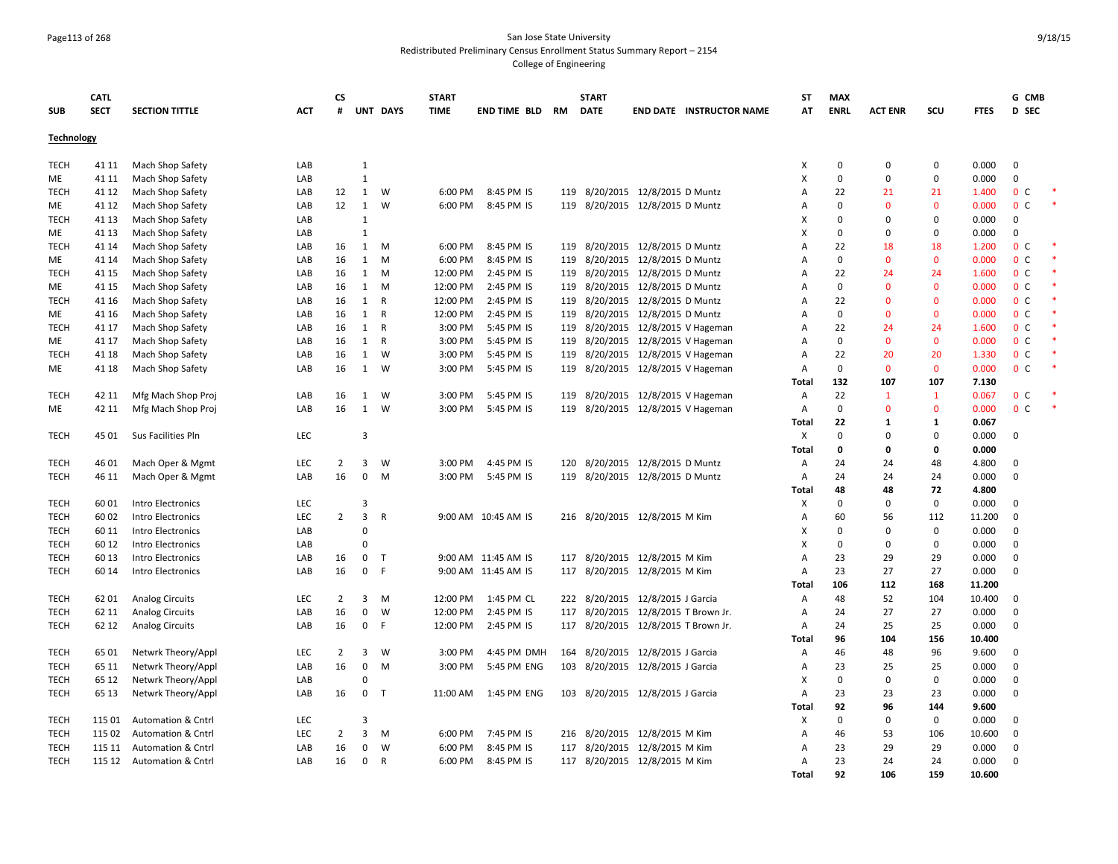### Page113 of 268 San Jose State University Redistributed Preliminary Census Enrollment Status Summary Report – 2154

|                   | <b>CATL</b> |                               |            | CS             |                         |              | <b>START</b> |                          |     | <b>START</b> |                                     | ST    | <b>MAX</b>     |                   |              |             | G CMB          |  |
|-------------------|-------------|-------------------------------|------------|----------------|-------------------------|--------------|--------------|--------------------------|-----|--------------|-------------------------------------|-------|----------------|-------------------|--------------|-------------|----------------|--|
| <b>SUB</b>        | <b>SECT</b> | <b>SECTION TITTLE</b>         | <b>ACT</b> | #              |                         | UNT DAYS     | <b>TIME</b>  | <b>END TIME BLD RM</b>   |     | <b>DATE</b>  | <b>END DATE INSTRUCTOR NAME</b>     | AT    | <b>ENRL</b>    | <b>ACT ENR</b>    | scu          | <b>FTES</b> | <b>D</b> SEC   |  |
| <b>Technology</b> |             |                               |            |                |                         |              |              |                          |     |              |                                     |       |                |                   |              |             |                |  |
| <b>TECH</b>       | 41 11       | Mach Shop Safety              | LAB        |                | $\mathbf{1}$            |              |              |                          |     |              |                                     | X     | 0              | $\Omega$          | $\mathbf 0$  | 0.000       | 0              |  |
| ME                | 41 11       | Mach Shop Safety              | LAB        |                | $\mathbf{1}$            |              |              |                          |     |              |                                     | X     | $\Omega$       | $\mathbf 0$       | $\pmb{0}$    | 0.000       | 0              |  |
| <b>TECH</b>       | 41 12       | Mach Shop Safety              | LAB        | 12             | 1                       | W            | 6:00 PM      | 8:45 PM IS               | 119 |              | 8/20/2015 12/8/2015 D Muntz         | А     | 22             | 21                | 21           | 1.400       | 0 <sup>c</sup> |  |
| МE                | 41 12       | Mach Shop Safety              | LAB        | 12             | 1                       | W            | 6:00 PM      | 8:45 PM IS               |     |              | 119 8/20/2015 12/8/2015 D Muntz     | А     | $\Omega$       | $\mathbf 0$       | $\mathbf{0}$ | 0.000       | 0 <sup>c</sup> |  |
| <b>TECH</b>       | 41 13       | Mach Shop Safety              | LAB        |                | $\mathbf{1}$            |              |              |                          |     |              |                                     | Х     | $\Omega$       | $\Omega$          | $\mathbf 0$  | 0.000       | 0              |  |
| МE                | 41 13       | Mach Shop Safety              | LAB        |                | $\mathbf{1}$            |              |              |                          |     |              |                                     | X     | $\Omega$       | $\Omega$          | $\Omega$     | 0.000       | $\mathbf 0$    |  |
| <b>TECH</b>       | 41 14       | Mach Shop Safety              | LAB        | 16             | 1                       | M            | 6:00 PM      | 8:45 PM IS               |     |              | 119 8/20/2015 12/8/2015 D Muntz     | A     | 22             | 18                | 18           | 1.200       | 0 <sup>c</sup> |  |
| МE                | 41 14       | Mach Shop Safety              | LAB        | 16             | $\mathbf{1}$            | M            | 6:00 PM      | 8:45 PM IS               |     |              | 119 8/20/2015 12/8/2015 D Muntz     | A     | $\Omega$       | $\Omega$          | $\mathbf 0$  | 0.000       | 0 <sup>c</sup> |  |
| <b>TECH</b>       | 41 15       | Mach Shop Safety              | LAB        | 16             | 1                       | M            | 12:00 PM     | 2:45 PM IS               |     |              | 119 8/20/2015 12/8/2015 D Muntz     | А     | 22             | 24                | 24           | 1.600       | 0 <sup>c</sup> |  |
| ME                | 41 15       | Mach Shop Safety              | LAB        | 16             | $\mathbf{1}$            | M            | 12:00 PM     | 2:45 PM IS               |     |              | 119 8/20/2015 12/8/2015 D Muntz     | Α     | $\mathbf{0}$   | $\mathbf{0}$      | $\mathbf 0$  | 0.000       | 0 <sup>c</sup> |  |
| <b>TECH</b>       | 41 16       | Mach Shop Safety              | LAB        | 16             | 1                       | $\mathsf{R}$ | 12:00 PM     | 2:45 PM IS               |     |              | 119 8/20/2015 12/8/2015 D Muntz     | Α     | 22             | $\mathbf{0}$      | $\mathbf 0$  | 0.000       | 0 <sup>c</sup> |  |
| МE                | 41 16       | Mach Shop Safety              | LAB        | 16             | 1                       | $\mathsf{R}$ | 12:00 PM     | 2:45 PM IS               |     |              | 119 8/20/2015 12/8/2015 D Muntz     | Α     | $\mathbf 0$    | $\mathbf{0}$      | $\mathbf 0$  | 0.000       | 0 <sup>c</sup> |  |
| <b>TECH</b>       | 41 17       | Mach Shop Safety              | LAB        | 16             | 1                       | $\mathsf{R}$ | 3:00 PM      | 5:45 PM IS               | 119 | 8/20/2015    | 12/8/2015 V Hageman                 | А     | 22             | 24                | 24           | 1.600       | 0 <sup>o</sup> |  |
| ME                | 41 17       | Mach Shop Safety              | LAB        | 16             | 1                       | $\mathsf{R}$ | 3:00 PM      | 5:45 PM IS               |     |              | 119 8/20/2015 12/8/2015 V Hageman   | A     | $\mathbf 0$    | $\mathbf{0}$      | $\mathbf{0}$ | 0.000       | 0 <sup>o</sup> |  |
| <b>TECH</b>       | 41 18       | Mach Shop Safety              | LAB        | 16             | 1                       | W            | 3:00 PM      | 5:45 PM IS               | 119 |              | 8/20/2015 12/8/2015 V Hageman       | А     | 22             | 20                | 20           | 1.330       | 0 <sup>c</sup> |  |
| ME                | 41 18       | Mach Shop Safety              | LAB        | 16             | 1                       | W            | 3:00 PM      | 5:45 PM IS               |     |              | 119 8/20/2015 12/8/2015 V Hageman   | Α     | 0              | $\mathbf{0}$      | $\mathbf 0$  | 0.000       | 0 <sup>c</sup> |  |
|                   |             |                               |            |                |                         |              |              |                          |     |              |                                     | Total | 132            | 107               | 107          | 7.130       |                |  |
| <b>TECH</b>       | 42 11       | Mfg Mach Shop Proj            | LAB        | 16             | 1                       | W            | 3:00 PM      | 5:45 PM IS               | 119 |              | 8/20/2015 12/8/2015 V Hageman       | Α     | 22             | $\mathbf{1}$      | $\mathbf{1}$ | 0.067       | 0 <sup>c</sup> |  |
| ME                | 42 11       | Mfg Mach Shop Proj            | LAB        | 16             | 1                       | W            | 3:00 PM      | 5:45 PM IS               |     |              | 119 8/20/2015 12/8/2015 V Hageman   | А     | $\mathbf 0$    | $\Omega$          | $\mathbf 0$  | 0.000       | 0 <sup>o</sup> |  |
|                   |             |                               |            |                |                         |              |              |                          |     |              |                                     | Total | 22             | $\mathbf{1}$      | $\mathbf{1}$ | 0.067       |                |  |
| <b>TECH</b>       | 45 01       | Sus Facilities Pln            | LEC        |                | $\overline{3}$          |              |              |                          |     |              |                                     | X     | $\Omega$       | $\Omega$          | $\Omega$     | 0.000       | 0              |  |
|                   |             |                               |            |                |                         |              |              |                          |     |              |                                     | Total | 0              | $\mathbf 0$       | $\mathbf 0$  | 0.000       |                |  |
| <b>TECH</b>       | 46 01       | Mach Oper & Mgmt              | LEC        | $\overline{2}$ | 3                       | W            | 3:00 PM      | 4:45 PM IS               | 120 |              | 8/20/2015 12/8/2015 D Muntz         | Α     | 24             | 24                | 48           | 4.800       | 0              |  |
| <b>TECH</b>       | 46 11       | Mach Oper & Mgmt              | LAB        | 16             | $\mathbf 0$             | M            | 3:00 PM      | 5:45 PM IS               |     |              | 119 8/20/2015 12/8/2015 D Muntz     | А     | 24             | 24                | 24           | 0.000       | 0              |  |
|                   |             |                               |            |                |                         |              |              |                          |     |              |                                     | Total | 48             | 48                | 72           | 4.800       |                |  |
| <b>TECH</b>       | 6001        | Intro Electronics             | LEC        |                | 3                       |              |              |                          |     |              |                                     | Х     | $\Omega$       | $\mathbf 0$       | $\mathbf{0}$ | 0.000       | $\mathbf 0$    |  |
| <b>TECH</b>       | 60 02       | Intro Electronics             | <b>LEC</b> | $\overline{2}$ | $\overline{3}$          | $\mathsf{R}$ |              | 9:00 AM 10:45 AM IS      |     |              | 216 8/20/2015 12/8/2015 M Kim       | А     | 60             | 56                | 112          | 11.200      | $\Omega$       |  |
| <b>TECH</b>       | 60 11       | Intro Electronics             | LAB        |                | $\Omega$                |              |              |                          |     |              |                                     | X     | $\Omega$       | $\Omega$          | $\mathbf 0$  | 0.000       | $\mathbf 0$    |  |
| <b>TECH</b>       | 60 12       | Intro Electronics             | LAB        |                | $\mathbf 0$             |              |              |                          |     |              |                                     | X     | $\mathbf 0$    | $\mathbf 0$       | $\mathbf 0$  | 0.000       | 0              |  |
| <b>TECH</b>       | 60 13       | Intro Electronics             | LAB        | 16             | 0                       | $\mathsf{T}$ |              | 9:00 AM 11:45 AM IS      | 117 |              | 8/20/2015 12/8/2015 M Kim           | А     | 23             | 29                | 29           | 0.000       | 0              |  |
| <b>TECH</b>       | 60 14       | Intro Electronics             | LAB        | 16             | $\mathbf 0$             | F            |              | 9:00 AM 11:45 AM IS      |     |              | 117 8/20/2015 12/8/2015 M Kim       | А     | 23             | 27                | 27           | 0.000       | $\mathbf 0$    |  |
|                   |             |                               |            |                |                         |              |              |                          |     |              |                                     | Total | 106            | 112               | 168          | 11.200      |                |  |
| <b>TECH</b>       | 62 01       | <b>Analog Circuits</b>        | LEC<br>LAB | $\overline{2}$ | 3                       | M            | 12:00 PM     | 1:45 PM CL<br>2:45 PM IS |     |              | 222 8/20/2015 12/8/2015 J Garcia    | А     | 48             | 52                | 104          | 10.400      | $\mathbf{0}$   |  |
| <b>TECH</b>       | 62 11       | <b>Analog Circuits</b>        |            | 16             | $\mathbf 0$             | W            | 12:00 PM     |                          |     |              | 117 8/20/2015 12/8/2015 T Brown Jr. | А     | 24             | 27                | 27           | 0.000       | $\mathbf 0$    |  |
| <b>TECH</b>       | 62 12       | <b>Analog Circuits</b>        | LAB        | 16             | $\mathbf 0$             | F            | 12:00 PM     | 2:45 PM IS               |     |              | 117 8/20/2015 12/8/2015 T Brown Jr. | Α     | 24             | 25                | 25           | 0.000       | $\mathbf 0$    |  |
|                   |             |                               |            |                |                         |              |              |                          |     |              |                                     | Total | 96             | 104               | 156          | 10.400      |                |  |
| <b>TECH</b>       | 65 01       | Netwrk Theory/Appl            | LEC        | $\overline{2}$ | 3                       | W            | 3:00 PM      | 4:45 PM DMH              | 164 |              | 8/20/2015 12/8/2015 J Garcia        | А     | 46             | 48                | 96           | 9.600       | 0              |  |
| <b>TECH</b>       | 65 11       | Netwrk Theory/Appl            | LAB        | 16             | $\mathbf 0$<br>$\Omega$ | M            | 3:00 PM      | 5:45 PM ENG              | 103 |              | 8/20/2015 12/8/2015 J Garcia        | А     | 23<br>$\Omega$ | 25<br>$\mathbf 0$ | 25           | 0.000       | 0              |  |
| <b>TECH</b>       | 65 12       | Netwrk Theory/Appl            | LAB        |                |                         |              |              |                          |     |              |                                     | X     |                |                   | $\mathbf 0$  | 0.000       | $\mathbf 0$    |  |
| <b>TECH</b>       | 65 13       | Netwrk Theory/Appl            | LAB        | 16             | $\mathbf 0$             | $\mathsf{T}$ | 11:00 AM     | 1:45 PM ENG              |     |              | 103 8/20/2015 12/8/2015 J Garcia    | А     | 23             | 23                | 23           | 0.000       | $\mathbf 0$    |  |
|                   |             |                               |            |                |                         |              |              |                          |     |              |                                     | Total | 92             | 96                | 144          | 9.600       |                |  |
| <b>TECH</b>       | 115 01      | <b>Automation &amp; Cntrl</b> | LEC        |                | 3                       |              |              |                          |     |              |                                     | х     | 0              | $\mathbf 0$       | $\mathbf 0$  | 0.000       | $\mathbf 0$    |  |
| <b>TECH</b>       | 115 02      | Automation & Cntrl            | <b>LEC</b> | $\overline{2}$ | $\overline{3}$          | M            | 6:00 PM      | 7:45 PM IS               |     |              | 216 8/20/2015 12/8/2015 M Kim       | А     | 46             | 53                | 106          | 10.600      | 0              |  |
| <b>TECH</b>       | 115 11      | <b>Automation &amp; Cntrl</b> | LAB        | 16             | 0                       | W            | 6:00 PM      | 8:45 PM IS               |     |              | 117 8/20/2015 12/8/2015 M Kim       | А     | 23             | 29                | 29           | 0.000       | 0              |  |
| <b>TECH</b>       | 115 12      | <b>Automation &amp; Cntrl</b> | LAB        | 16             | 0                       | R            | 6:00 PM      | 8:45 PM IS               |     |              | 117 8/20/2015 12/8/2015 M Kim       | Α     | 23             | 24                | 24           | 0.000       | $\mathbf 0$    |  |
|                   |             |                               |            |                |                         |              |              |                          |     |              |                                     | Total | 92             | 106               | 159          | 10.600      |                |  |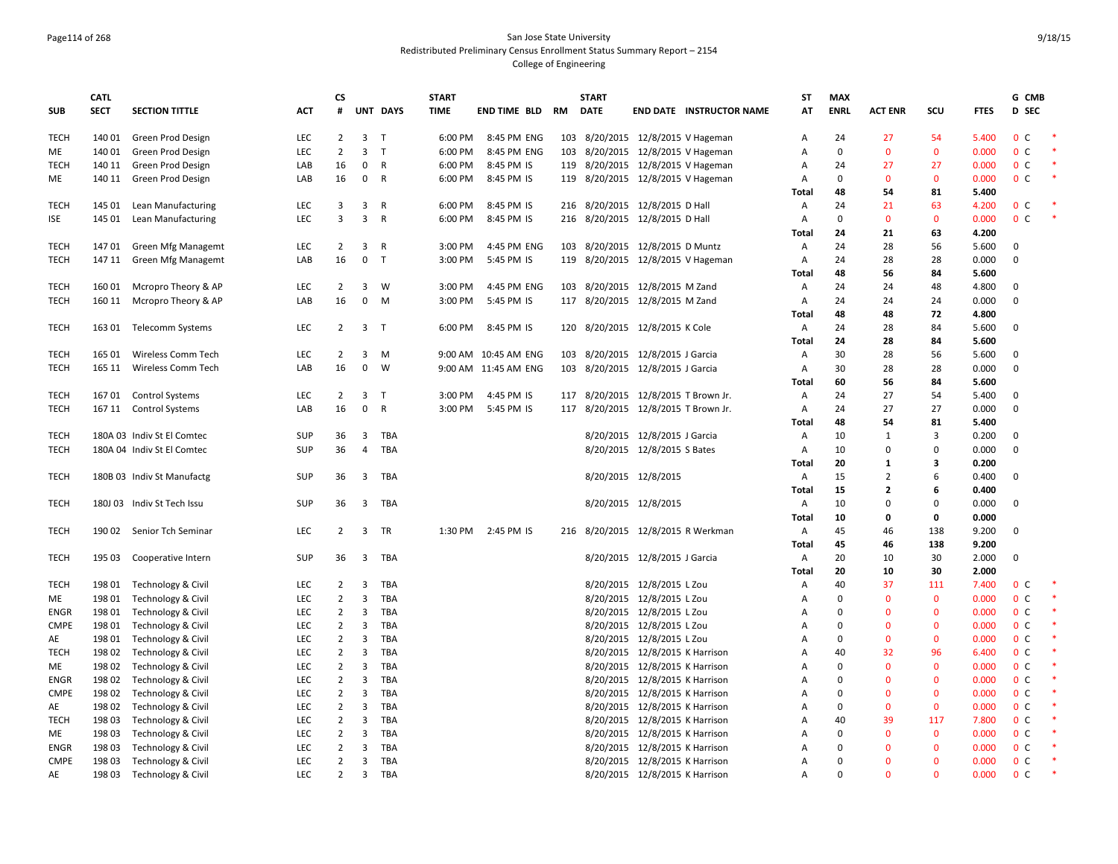#### Page114 of 268 San Jose State University Redistributed Preliminary Census Enrollment Status Summary Report – 2154 College of Engineering

|                     | <b>CATL</b>      |                                          |            | СS                  |                         |                   | <b>START</b> |                      |     | <b>START</b> |                                                                  |                                     | ST                  | <b>MAX</b>  |                    |                             |                | G CMB                            |  |
|---------------------|------------------|------------------------------------------|------------|---------------------|-------------------------|-------------------|--------------|----------------------|-----|--------------|------------------------------------------------------------------|-------------------------------------|---------------------|-------------|--------------------|-----------------------------|----------------|----------------------------------|--|
| <b>SUB</b>          | <b>SECT</b>      | <b>SECTION TITTLE</b>                    | <b>ACT</b> | #                   |                         | UNT DAYS          | <b>TIME</b>  | END TIME BLD         | RM  | <b>DATE</b>  |                                                                  | <b>END DATE INSTRUCTOR NAME</b>     | AT                  | <b>ENRL</b> | <b>ACT ENR</b>     | SCU                         | <b>FTES</b>    | D SEC                            |  |
| <b>TECH</b>         | 140 01           | Green Prod Design                        | LEC        | $\overline{2}$      | 3 <sub>1</sub>          |                   | 6:00 PM      | 8:45 PM ENG          |     |              |                                                                  | 103 8/20/2015 12/8/2015 V Hageman   | $\mathsf{A}$        | 24          | 27                 | 54                          | 5.400          | 0 <sup>C</sup>                   |  |
| ME                  | 140 01           | Green Prod Design                        | LEC        | $\overline{2}$      | 3                       | T                 | 6:00 PM      | 8:45 PM ENG          | 103 |              |                                                                  | 8/20/2015 12/8/2015 V Hageman       | $\overline{A}$      | $\Omega$    | $\Omega$           | $\mathbf 0$                 | 0.000          | 0 <sup>C</sup>                   |  |
| TECH                | 140 11           | Green Prod Design                        | LAB        | 16                  | $\mathbf{0}$            | R                 | 6:00 PM      | 8:45 PM IS           |     |              |                                                                  | 119 8/20/2015 12/8/2015 V Hageman   | A                   | 24          | 27                 | 27                          | 0.000          | 0 <sup>c</sup>                   |  |
| ME                  | 140 11           | Green Prod Design                        | LAB        | 16                  | $\mathbf 0$             | R                 | 6:00 PM      | 8:45 PM IS           | 119 |              |                                                                  | 8/20/2015 12/8/2015 V Hageman       | A                   | $\mathbf 0$ | $\Omega$           | $\mathbf 0$                 | 0.000          | 0 <sup>c</sup>                   |  |
|                     |                  |                                          |            |                     |                         |                   |              |                      |     |              |                                                                  |                                     | Total               | 48          | 54                 | 81                          | 5.400          |                                  |  |
| TECH                | 145 01           | Lean Manufacturing                       | LEC        | 3                   | 3                       | R                 | 6:00 PM      | 8:45 PM IS           |     |              | 216 8/20/2015 12/8/2015 D Hall                                   |                                     | A                   | 24          | 21                 | 63                          | 4.200          | 0 <sup>c</sup>                   |  |
| ISE                 | 145 01           | Lean Manufacturing                       | LEC        | 3                   | 3                       | $\mathsf{R}$      | 6:00 PM      | 8:45 PM IS           |     |              | 216 8/20/2015 12/8/2015 D Hall                                   |                                     | A                   | $\mathbf 0$ | $\mathbf{0}$       | $\mathbf{0}$                | 0.000          | 0 <sup>c</sup>                   |  |
|                     |                  |                                          |            |                     |                         |                   |              |                      |     |              |                                                                  |                                     | Total               | 24          | 21                 | 63                          | 4.200          |                                  |  |
| <b>TECH</b>         | 147 01           | <b>Green Mfg Managemt</b>                | LEC        | $\overline{2}$      | 3                       | R                 | 3:00 PM      | 4:45 PM ENG          |     |              | 103 8/20/2015 12/8/2015 D Muntz                                  |                                     | A                   | 24          | 28                 | 56                          | 5.600          | 0                                |  |
| <b>TECH</b>         | 147 11           | <b>Green Mfg Managemt</b>                | LAB        | 16                  | $\mathbf 0$             | $\top$            | 3:00 PM      | 5:45 PM IS           | 119 |              |                                                                  | 8/20/2015 12/8/2015 V Hageman       | Α                   | 24          | 28                 | 28                          | 0.000          | $\mathbf 0$                      |  |
|                     |                  |                                          |            |                     |                         |                   |              |                      |     |              |                                                                  |                                     | Total               | 48          | 56                 | 84                          | 5.600          |                                  |  |
| <b>TECH</b>         | 16001            | Mcropro Theory & AP                      | LEC        | 2                   | 3                       | W                 | 3:00 PM      | 4:45 PM ENG          | 103 |              | 8/20/2015 12/8/2015 M Zand                                       |                                     | A                   | 24          | 24                 | 48                          | 4.800          | 0                                |  |
| <b>TECH</b>         | 160 11           | Mcropro Theory & AP                      | LAB        | 16                  | $\mathbf 0$             | M                 | 3:00 PM      | 5:45 PM IS           |     |              | 117 8/20/2015 12/8/2015 M Zand                                   |                                     | A                   | 24          | 24                 | 24                          | 0.000          | $\mathbf 0$                      |  |
|                     |                  |                                          |            |                     |                         |                   |              |                      |     |              |                                                                  |                                     | Total               | 48          | 48                 | 72                          | 4.800          |                                  |  |
| TECH                | 163 01           | Telecomm Systems                         | LEC        | $\overline{2}$      | 3                       | $\top$            | 6:00 PM      | 8:45 PM IS           | 120 |              | 8/20/2015 12/8/2015 K Cole                                       |                                     | A                   | 24          | 28                 | 84                          | 5.600          | 0                                |  |
|                     |                  |                                          |            |                     |                         |                   |              |                      |     |              |                                                                  |                                     | Total               | 24          | 28                 | 84                          | 5.600          |                                  |  |
| TECH                | 165 01           | Wireless Comm Tech                       | LEC        | $\overline{2}$      | 3                       | M                 |              | 9:00 AM 10:45 AM ENG | 103 |              | 8/20/2015 12/8/2015 J Garcia                                     |                                     | $\overline{A}$      | 30          | 28                 | 56                          | 5.600          | $\Omega$                         |  |
| <b>TECH</b>         | 165 11           | Wireless Comm Tech                       | LAB        | 16                  | $\mathbf 0$             | W                 |              | 9:00 AM 11:45 AM ENG |     |              | 103 8/20/2015 12/8/2015 J Garcia                                 |                                     | $\overline{A}$      | 30          | 28                 | 28                          | 0.000          | $\mathbf 0$                      |  |
|                     |                  |                                          |            |                     |                         |                   |              |                      |     |              |                                                                  |                                     | Total               | 60          | 56                 | 84                          | 5.600          |                                  |  |
| <b>TECH</b>         |                  | 167 01 Control Systems                   | LEC        | $\overline{2}$      | 3                       | $\top$            | 3:00 PM      | 4:45 PM IS           |     |              |                                                                  | 117 8/20/2015 12/8/2015 T Brown Jr. | $\mathsf{A}$        | 24          | 27                 | 54                          | 5.400          | 0                                |  |
| TECH                |                  | 167 11 Control Systems                   | LAB        | 16                  | 0                       | $\mathsf{R}$      | 3:00 PM      | 5:45 PM IS           | 117 |              |                                                                  | 8/20/2015 12/8/2015 T Brown Jr.     | A                   | 24          | 27                 | 27                          | 0.000          | 0                                |  |
|                     |                  |                                          |            |                     |                         |                   |              |                      |     |              |                                                                  |                                     | Total               | 48          | 54                 | 81                          | 5.400          |                                  |  |
| <b>TECH</b>         |                  | 180A 03 Indiv St El Comtec               | SUP        | 36                  | $\overline{\mathbf{3}}$ | TBA               |              |                      |     |              | 8/20/2015 12/8/2015 J Garcia                                     |                                     | A                   | 10          | 1                  | $\overline{3}$              | 0.200          | 0                                |  |
| TECH                |                  | 180A 04 Indiv St El Comtec               | <b>SUP</b> | 36                  | $\overline{4}$          | TBA               |              |                      |     |              | 8/20/2015 12/8/2015 S Bates                                      |                                     | $\overline{A}$      | 10          | $\Omega$           | $\Omega$                    | 0.000          | $\mathbf 0$                      |  |
|                     |                  |                                          |            |                     |                         |                   |              |                      |     |              |                                                                  |                                     | Total               | 20          | $\mathbf{1}$       | 3                           | 0.200          |                                  |  |
| TECH                |                  | 180B 03 Indiv St Manufactg               | <b>SUP</b> | 36                  | $\overline{3}$          | TBA               |              |                      |     |              | 8/20/2015 12/8/2015                                              |                                     | $\overline{A}$      | 15          | $\overline{2}$     | 6                           | 0.400          | $\mathbf 0$                      |  |
|                     |                  |                                          |            |                     |                         |                   |              |                      |     |              |                                                                  |                                     | Total               | 15          | 2                  | 6                           | 0.400          |                                  |  |
| TECH                |                  | 180J 03 Indiv St Tech Issu               | SUP        | 36                  | $\overline{\mathbf{3}}$ | TBA               |              |                      |     |              | 8/20/2015 12/8/2015                                              |                                     | A                   | 10          | $\Omega$           | $\Omega$                    | 0.000          | $\mathbf 0$                      |  |
|                     |                  |                                          |            |                     |                         |                   |              |                      |     |              |                                                                  |                                     | Total               | 10          | 0                  | 0                           | 0.000          |                                  |  |
| <b>TECH</b>         | 190 02           | Senior Tch Seminar                       | LEC        | $\overline{2}$      | $\overline{3}$          | <b>TR</b>         | 1:30 PM      | 2:45 PM IS           | 216 |              |                                                                  | 8/20/2015 12/8/2015 R Werkman       | $\overline{A}$      | 45          | 46                 | 138                         | 9.200          | $\mathbf 0$                      |  |
|                     |                  |                                          |            |                     |                         |                   |              |                      |     |              |                                                                  |                                     | Total               | 45          | 46                 | 138                         | 9.200          |                                  |  |
| TECH                | 195 03           | Cooperative Intern                       | SUP        | 36                  | 3                       | TBA               |              |                      |     |              | 8/20/2015 12/8/2015 J Garcia                                     |                                     | $\mathsf{A}$        | 20          | 10                 | 30                          | 2.000          | 0                                |  |
|                     |                  |                                          |            |                     |                         |                   |              |                      |     |              |                                                                  |                                     | Total               | 20<br>40    | 10                 | 30                          | 2.000<br>7.400 | 0 <sup>c</sup>                   |  |
| <b>TECH</b>         | 198 01           | Technology & Civil                       | LEC        | 2<br>$\overline{2}$ | 3<br>3                  | TBA               |              |                      |     |              | 8/20/2015 12/8/2015 L Zou                                        |                                     | Α                   | $\mathbf 0$ | 37<br>$\mathbf{0}$ | 111                         | 0.000          | 0 <sup>c</sup>                   |  |
| ME<br><b>ENGR</b>   | 198 01           | Technology & Civil                       | LEC<br>LEC | $\overline{2}$      | 3                       | TBA<br>TBA        |              |                      |     |              | 8/20/2015 12/8/2015 L Zou<br>8/20/2015 12/8/2015 L Zou           |                                     | Α<br>A              | $\Omega$    | $\Omega$           | $\mathbf 0$<br>$\mathbf{0}$ | 0.000          | 0 <sup>c</sup>                   |  |
| <b>CMPE</b>         | 19801            | Technology & Civil                       | LEC        | $\overline{2}$      | 3                       | TBA               |              |                      |     |              |                                                                  |                                     | A                   | $\Omega$    | $\Omega$           | $\Omega$                    | 0.000          | 0 <sup>c</sup>                   |  |
|                     | 198 01           | Technology & Civil                       | LEC        | $\overline{2}$      |                         | TBA               |              |                      |     |              | 8/20/2015 12/8/2015 L Zou                                        |                                     |                     | $\Omega$    | $\Omega$           | $\Omega$                    | 0.000          | 0 <sup>c</sup>                   |  |
| AE                  | 198 01           | Technology & Civil                       | LEC        | $\overline{2}$      | 3<br>$\overline{3}$     | TBA               |              |                      |     |              | 8/20/2015 12/8/2015 L Zou                                        |                                     | Α                   | 40          | 32                 |                             | 6.400          | 0 <sup>c</sup>                   |  |
| TECH                | 198 02           | Technology & Civil                       |            | $\overline{2}$      | 3                       | TBA               |              |                      |     |              | 8/20/2015 12/8/2015 K Harrison                                   |                                     | Α                   | $\mathbf 0$ | $\Omega$           | 96<br>$\mathbf{0}$          |                | 0 <sup>c</sup>                   |  |
| ME                  | 198 02           | Technology & Civil                       | LEC        |                     | 3                       | TBA               |              |                      |     |              | 8/20/2015 12/8/2015 K Harrison                                   |                                     | Α                   | $\Omega$    | $\Omega$           |                             | 0.000<br>0.000 | 0 <sup>c</sup>                   |  |
| ENGR<br><b>CMPE</b> | 198 02<br>198 02 | Technology & Civil                       | LEC<br>LEC | 2<br>$\overline{2}$ | 3                       | TBA               |              |                      |     |              | 8/20/2015 12/8/2015 K Harrison<br>8/20/2015 12/8/2015 K Harrison |                                     | Α<br>A              | $\Omega$    | $\Omega$           | $\mathbf 0$<br>$\mathbf{0}$ | 0.000          | 0 <sup>c</sup>                   |  |
|                     | 198 02           | Technology & Civil                       | LEC        | $\overline{2}$      | 3                       | TBA               |              |                      |     |              | 8/20/2015 12/8/2015 K Harrison                                   |                                     |                     | $\Omega$    | $\Omega$           | $\mathbf{0}$                | 0.000          | 0 <sup>c</sup>                   |  |
| AE<br><b>TECH</b>   | 198 03           | Technology & Civil                       | LEC        | $\overline{2}$      | 3                       | TBA               |              |                      |     |              |                                                                  |                                     | A<br>$\overline{A}$ | 40          | 39                 |                             | 7.800          | 0 <sup>c</sup>                   |  |
|                     |                  | Technology & Civil                       |            |                     |                         |                   |              |                      |     |              | 8/20/2015 12/8/2015 K Harrison                                   |                                     |                     | $\mathbf 0$ | $\Omega$           | 117<br>$\mathbf{0}$         |                |                                  |  |
| ME<br><b>ENGR</b>   | 198 03<br>198 03 | Technology & Civil                       | LEC<br>LEC | 2<br>$\overline{2}$ | 3<br>3                  | <b>TBA</b><br>TBA |              |                      |     |              | 8/20/2015 12/8/2015 K Harrison                                   |                                     | A<br>Α              | 0           | $\Omega$           | $\mathbf 0$                 | 0.000<br>0.000 | 0 <sup>c</sup><br>0 <sup>c</sup> |  |
| <b>CMPE</b>         | 198 03           | Technology & Civil<br>Technology & Civil | LEC        | $\overline{2}$      | 3                       | TBA               |              |                      |     |              | 8/20/2015 12/8/2015 K Harrison<br>8/20/2015 12/8/2015 K Harrison |                                     | A                   | 0           | $\Omega$           | $\Omega$                    | 0.000          | 0 <sup>c</sup>                   |  |
| AE                  | 198 03           |                                          | LEC        | $\overline{2}$      | $\overline{3}$          | TBA               |              |                      |     |              | 8/20/2015 12/8/2015 K Harrison                                   |                                     | A                   | $\Omega$    | $\Omega$           | $\Omega$                    | 0.000          | 0 <sup>c</sup>                   |  |
|                     |                  | Technology & Civil                       |            |                     |                         |                   |              |                      |     |              |                                                                  |                                     |                     |             |                    |                             |                |                                  |  |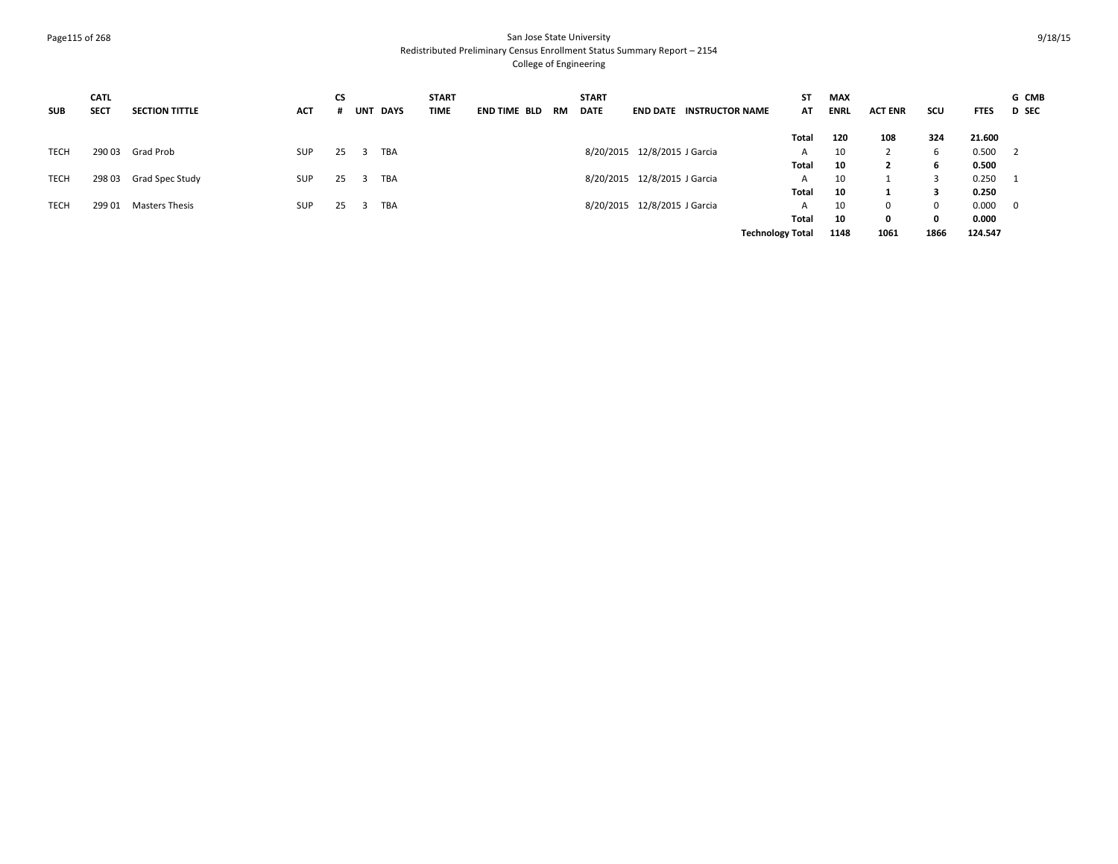#### Page115 of 268 San Jose State University Redistributed Preliminary Census Enrollment Status Summary Report – 2154 College of Engineering

| <b>SUB</b>  | <b>CATL</b><br><b>SECT</b> | <b>SECTION TITTLE</b> | <b>ACT</b> | <b>CS</b> | UNT DAYS                   | <b>START</b><br><b>TIME</b> | <b>END TIME BLD</b> | RM | <b>START</b><br><b>DATE</b> |                              | <b>END DATE INSTRUCTOR NAME</b> | ST<br>AT                | <b>MAX</b><br><b>ENRL</b> | <b>ACT ENR</b> | SCU         | <b>FTES</b> | G CMB<br><b>D</b> SEC      |
|-------------|----------------------------|-----------------------|------------|-----------|----------------------------|-----------------------------|---------------------|----|-----------------------------|------------------------------|---------------------------------|-------------------------|---------------------------|----------------|-------------|-------------|----------------------------|
|             |                            |                       |            |           |                            |                             |                     |    |                             |                              |                                 | Total                   | 120                       | 108            | 324         | 21.600      |                            |
| <b>TECH</b> | 290 03                     | Grad Prob             | SUP        | 25        | <b>TBA</b><br>$\mathbf{3}$ |                             |                     |    |                             | 8/20/2015 12/8/2015 J Garcia |                                 | A                       | 10                        |                | b           | 0.500       | $\overline{\phantom{0}}^2$ |
|             |                            |                       |            |           |                            |                             |                     |    |                             |                              |                                 | Total                   | 10                        | $\mathbf{2}$   | 6           | 0.500       |                            |
| TECH        | 29803                      | Grad Spec Study       | SUP        | 25        | TBA<br>- 3-                |                             |                     |    |                             | 8/20/2015 12/8/2015 J Garcia |                                 | A                       | 10                        |                |             | 0.250       |                            |
|             |                            |                       |            |           |                            |                             |                     |    |                             |                              |                                 | Total                   | 10                        |                | 3           | 0.250       |                            |
| <b>TECH</b> | 299 01                     | Masters Thesis        | <b>SUP</b> | 25        | TBA<br>- 3                 |                             |                     |    |                             | 8/20/2015 12/8/2015 J Garcia |                                 | A                       | 10                        |                | $\mathbf 0$ | 0.000       | $\overline{\mathbf{0}}$    |
|             |                            |                       |            |           |                            |                             |                     |    |                             |                              |                                 | Total                   | 10                        |                | $\mathbf 0$ | 0.000       |                            |
|             |                            |                       |            |           |                            |                             |                     |    |                             |                              |                                 | <b>Technology Total</b> | 1148                      | 1061           | 1866        | 124.547     |                            |